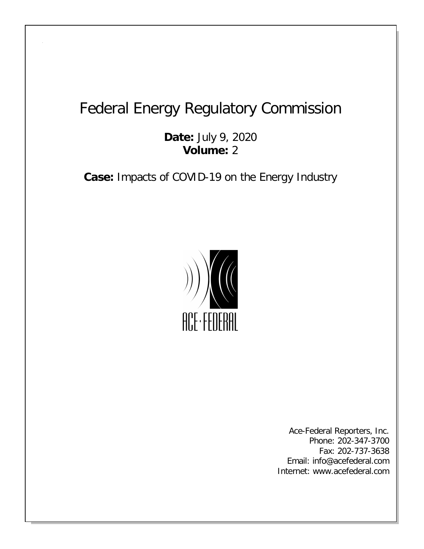## Federal Energy Regulatory Commission

**Date:** July 9, 2020 **Volume:** 2

**Case:** Impacts of COVID-19 on the Energy Industry



Ace-Federal Reporters, Inc. Phone: 202-347-3700 Fax: 202-737-3638 Email: info@acefederal.com Internet: www.acefederal.com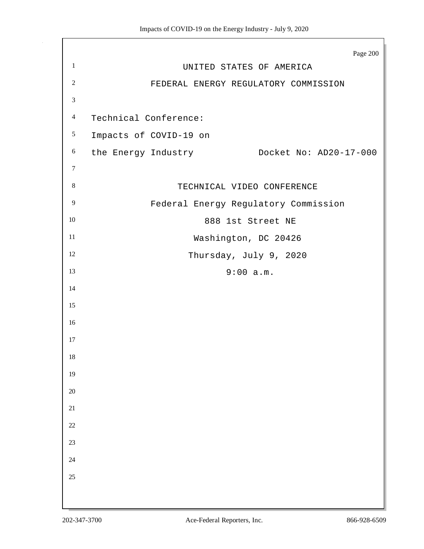|                  | Page 200                                      |
|------------------|-----------------------------------------------|
| $\mathbf{1}$     | UNITED STATES OF AMERICA                      |
| $\sqrt{2}$       | FEDERAL ENERGY REGULATORY COMMISSION          |
| $\mathfrak{Z}$   |                                               |
| $\overline{4}$   | Technical Conference:                         |
| $\mathfrak{S}$   | Impacts of COVID-19 on                        |
| $6\,$            | Docket No: AD20-17-000<br>the Energy Industry |
| $\boldsymbol{7}$ |                                               |
| $\,8\,$          | TECHNICAL VIDEO CONFERENCE                    |
| $\overline{9}$   | Federal Energy Regulatory Commission          |
| $10\,$           | 888 1st Street NE                             |
| 11               | Washington, DC 20426                          |
| 12               | Thursday, July 9, 2020                        |
| 13               | 9:00 a.m.                                     |
| 14               |                                               |
| 15               |                                               |
| 16               |                                               |
| 17               |                                               |
| 18               |                                               |
| 19               |                                               |
| $20\,$           |                                               |
| $21\,$           |                                               |
| 22               |                                               |
| 23               |                                               |
| 24               |                                               |
| 25               |                                               |
|                  |                                               |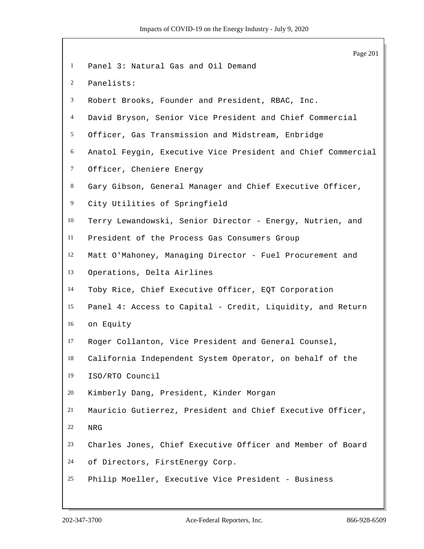|                | Page 201                                                     |
|----------------|--------------------------------------------------------------|
| $\mathbf{1}$   | Panel 3: Natural Gas and Oil Demand                          |
| $\overline{c}$ | Panelists:                                                   |
| 3              | Robert Brooks, Founder and President, RBAC, Inc.             |
| $\overline{4}$ | David Bryson, Senior Vice President and Chief Commercial     |
| 5              | Officer, Gas Transmission and Midstream, Enbridge            |
| 6              | Anatol Feygin, Executive Vice President and Chief Commercial |
| $\tau$         | Officer, Cheniere Energy                                     |
| 8              | Gary Gibson, General Manager and Chief Executive Officer,    |
| 9              | City Utilities of Springfield                                |
| 10             | Terry Lewandowski, Senior Director - Energy, Nutrien, and    |
| 11             | President of the Process Gas Consumers Group                 |
| 12             | Matt O'Mahoney, Managing Director - Fuel Procurement and     |
| 13             | Operations, Delta Airlines                                   |
| 14             | Toby Rice, Chief Executive Officer, EQT Corporation          |
| 15             | Panel 4: Access to Capital - Credit, Liquidity, and Return   |
| 16             | on Equity                                                    |
| 17             | Roger Collanton, Vice President and General Counsel,         |
| 18             | California Independent System Operator, on behalf of the     |
| 19             | ISO/RTO Council                                              |
| 20             | Kimberly Dang, President, Kinder Morgan                      |
| 21             | Mauricio Gutierrez, President and Chief Executive Officer,   |
| 22             | ${\tt NRG}$                                                  |
| 23             | Charles Jones, Chief Executive Officer and Member of Board   |
| 24             | of Directors, FirstEnergy Corp.                              |
| 25             | Philip Moeller, Executive Vice President - Business          |
|                |                                                              |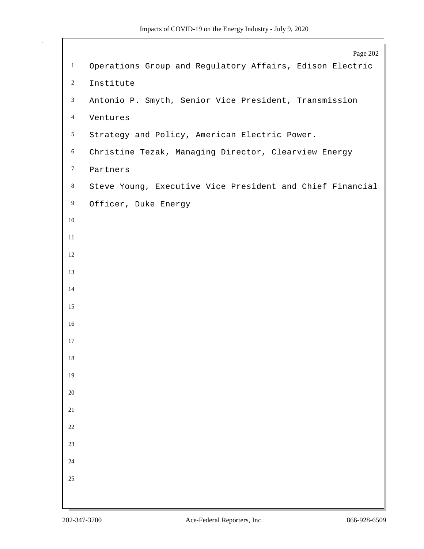|                | Page 202                                                  |
|----------------|-----------------------------------------------------------|
| $\mathbf{1}$   | Operations Group and Regulatory Affairs, Edison Electric  |
| $\overline{c}$ | Institute                                                 |
| $\mathfrak{Z}$ | Antonio P. Smyth, Senior Vice President, Transmission     |
| $\overline{4}$ | Ventures                                                  |
| $\mathfrak{S}$ | Strategy and Policy, American Electric Power.             |
| 6              | Christine Tezak, Managing Director, Clearview Energy      |
| $\tau$         | Partners                                                  |
| $\bf 8$        | Steve Young, Executive Vice President and Chief Financial |
| 9              | Officer, Duke Energy                                      |
| $10\,$         |                                                           |
| $11\,$         |                                                           |
| 12             |                                                           |
| 13             |                                                           |
| 14             |                                                           |
| 15             |                                                           |
| $16\,$         |                                                           |
| 17             |                                                           |
| 18             |                                                           |
| 19             |                                                           |
| $20\,$         |                                                           |
| 21             |                                                           |
| $22\,$         |                                                           |
| $23\,$         |                                                           |
| $24\,$         |                                                           |
| 25             |                                                           |
|                |                                                           |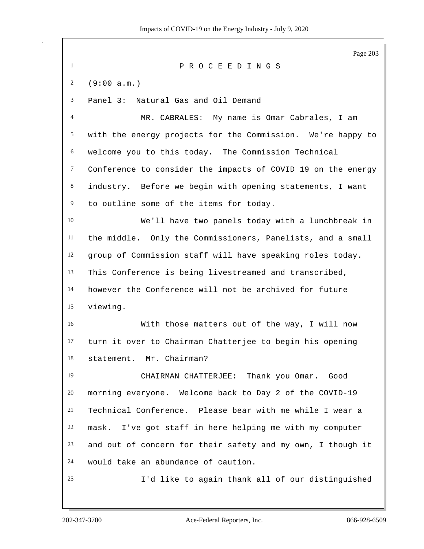Page 203 P R O C E E D I N G S (9:00 a.m.) Panel 3: Natural Gas and Oil Demand MR. CABRALES: My name is Omar Cabrales, I am with the energy projects for the Commission. We're happy to welcome you to this today. The Commission Technical Conference to consider the impacts of COVID 19 on the energy industry. Before we begin with opening statements, I want to outline some of the items for today. We'll have two panels today with a lunchbreak in the middle. Only the Commissioners, Panelists, and a small group of Commission staff will have speaking roles today. This Conference is being livestreamed and transcribed, however the Conference will not be archived for future viewing. With those matters out of the way, I will now turn it over to Chairman Chatterjee to begin his opening statement. Mr. Chairman? CHAIRMAN CHATTERJEE: Thank you Omar. Good morning everyone. Welcome back to Day 2 of the COVID-19 Technical Conference. Please bear with me while I wear a mask. I've got staff in here helping me with my computer and out of concern for their safety and my own, I though it would take an abundance of caution. I'd like to again thank all of our distinguished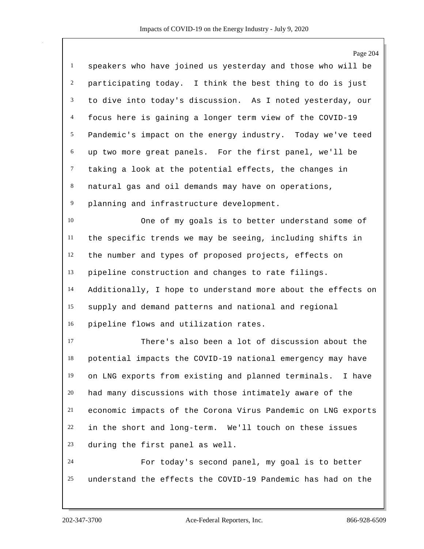|                | Page 204                                                     |
|----------------|--------------------------------------------------------------|
| $\mathbf{1}$   | speakers who have joined us yesterday and those who will be  |
| $\overline{c}$ | participating today. I think the best thing to do is just    |
| 3              | to dive into today's discussion. As I noted yesterday, our   |
| $\overline{4}$ | focus here is gaining a longer term view of the COVID-19     |
| 5              | Pandemic's impact on the energy industry. Today we've teed   |
| 6              | up two more great panels. For the first panel, we'll be      |
| $\tau$         | taking a look at the potential effects, the changes in       |
| 8              | natural gas and oil demands may have on operations,          |
| $\overline{9}$ | planning and infrastructure development.                     |
| 10             | One of my goals is to better understand some of              |
| 11             | the specific trends we may be seeing, including shifts in    |
| 12             | the number and types of proposed projects, effects on        |
| 13             | pipeline construction and changes to rate filings.           |
| 14             | Additionally, I hope to understand more about the effects on |
| 15             | supply and demand patterns and national and regional         |
| 16             | pipeline flows and utilization rates.                        |
| 17             | There's also been a lot of discussion about the              |
| 18             | potential impacts the COVID-19 national emergency may have   |
| 19             | on LNG exports from existing and planned terminals. I have   |
| 20             | had many discussions with those intimately aware of the      |
| 21             | economic impacts of the Corona Virus Pandemic on LNG exports |
| 22             | in the short and long-term. We'll touch on these issues      |
| 23             | during the first panel as well.                              |
| 24             | For today's second panel, my goal is to better               |
| 25             | understand the effects the COVID-19 Pandemic has had on the  |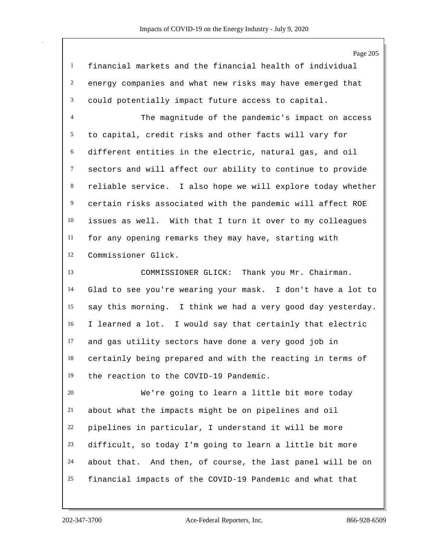| $\mathbf{1}$   | financial markets and the financial health of individual    |
|----------------|-------------------------------------------------------------|
| $\overline{2}$ | energy companies and what new risks may have emerged that   |
| 3              | could potentially impact future access to capital.          |
| $\overline{4}$ | The magnitude of the pandemic's impact on access            |
| 5              | to capital, credit risks and other facts will vary for      |
| 6              | different entities in the electric, natural gas, and oil    |
| $\tau$         | sectors and will affect our ability to continue to provide  |
| $\,8\,$        | reliable service. I also hope we will explore today whether |
| $\overline{9}$ | certain risks associated with the pandemic will affect ROE  |
| $10\,$         | issues as well. With that I turn it over to my colleagues   |
| 11             | for any opening remarks they may have, starting with        |
| 12             | Commissioner Glick.                                         |
| 13             | Thank you Mr. Chairman.<br>COMMISSIONER GLICK:              |
| 14             | Glad to see you're wearing your mask. I don't have a lot to |
| 15             | say this morning. I think we had a very good day yesterday. |
| 16             | I learned a lot. I would say that certainly that electric   |
| 17             | and gas utility sectors have done a very good job in        |
| 18             | certainly being prepared and with the reacting in terms of  |
| 19             | the reaction to the COVID-19 Pandemic.                      |
| 20             | We're going to learn a little bit more today                |
| 21             | about what the impacts might be on pipelines and oil        |
| 22             | pipelines in particular, I understand it will be more       |
| 23             | difficult, so today I'm going to learn a little bit more    |
| 24             | about that. And then, of course, the last panel will be on  |
|                |                                                             |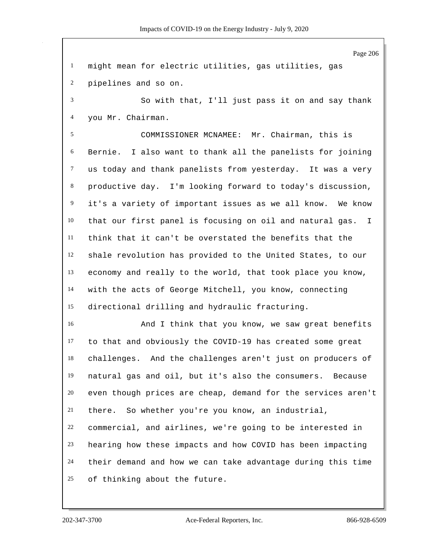Page 206 might mean for electric utilities, gas utilities, gas pipelines and so on. So with that, I'll just pass it on and say thank you Mr. Chairman. COMMISSIONER MCNAMEE: Mr. Chairman, this is Bernie. I also want to thank all the panelists for joining us today and thank panelists from yesterday. It was a very productive day. I'm looking forward to today's discussion, it's a variety of important issues as we all know. We know that our first panel is focusing on oil and natural gas. I think that it can't be overstated the benefits that the shale revolution has provided to the United States, to our economy and really to the world, that took place you know, with the acts of George Mitchell, you know, connecting directional drilling and hydraulic fracturing. And I think that you know, we saw great benefits to that and obviously the COVID-19 has created some great challenges. And the challenges aren't just on producers of natural gas and oil, but it's also the consumers. Because even though prices are cheap, demand for the services aren't there. So whether you're you know, an industrial, commercial, and airlines, we're going to be interested in hearing how these impacts and how COVID has been impacting their demand and how we can take advantage during this time of thinking about the future.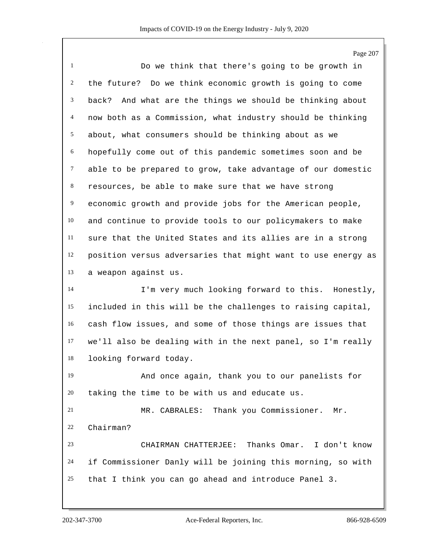Page 207 Do we think that there's going to be growth in the future? Do we think economic growth is going to come back? And what are the things we should be thinking about now both as a Commission, what industry should be thinking about, what consumers should be thinking about as we hopefully come out of this pandemic sometimes soon and be able to be prepared to grow, take advantage of our domestic resources, be able to make sure that we have strong economic growth and provide jobs for the American people, and continue to provide tools to our policymakers to make sure that the United States and its allies are in a strong position versus adversaries that might want to use energy as a weapon against us. I'm very much looking forward to this. Honestly, included in this will be the challenges to raising capital, cash flow issues, and some of those things are issues that we'll also be dealing with in the next panel, so I'm really looking forward today. And once again, thank you to our panelists for taking the time to be with us and educate us. MR. CABRALES: Thank you Commissioner. Mr. Chairman? CHAIRMAN CHATTERJEE: Thanks Omar. I don't know if Commissioner Danly will be joining this morning, so with that I think you can go ahead and introduce Panel 3.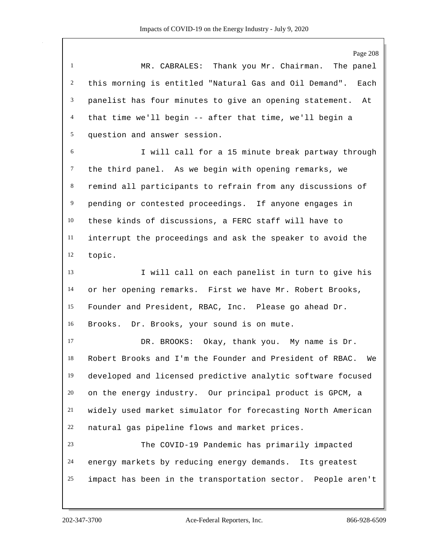Page 208 MR. CABRALES: Thank you Mr. Chairman. The panel this morning is entitled "Natural Gas and Oil Demand". Each panelist has four minutes to give an opening statement. At that time we'll begin -- after that time, we'll begin a question and answer session. I will call for a 15 minute break partway through the third panel. As we begin with opening remarks, we remind all participants to refrain from any discussions of pending or contested proceedings. If anyone engages in these kinds of discussions, a FERC staff will have to interrupt the proceedings and ask the speaker to avoid the topic. I will call on each panelist in turn to give his or her opening remarks. First we have Mr. Robert Brooks, Founder and President, RBAC, Inc. Please go ahead Dr. Brooks. Dr. Brooks, your sound is on mute.

 DR. BROOKS: Okay, thank you. My name is Dr. Robert Brooks and I'm the Founder and President of RBAC. We developed and licensed predictive analytic software focused on the energy industry. Our principal product is GPCM, a widely used market simulator for forecasting North American natural gas pipeline flows and market prices.

 The COVID-19 Pandemic has primarily impacted energy markets by reducing energy demands. Its greatest impact has been in the transportation sector. People aren't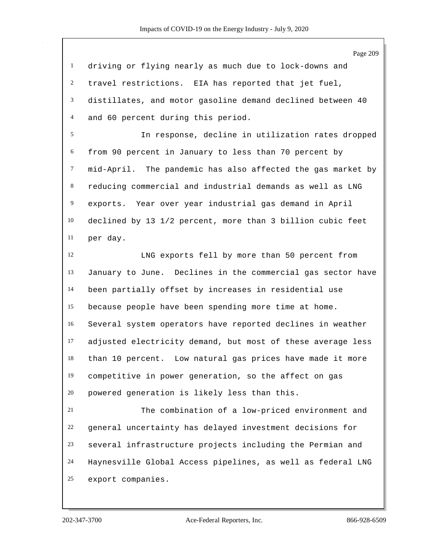Page 209 driving or flying nearly as much due to lock-downs and travel restrictions. EIA has reported that jet fuel, distillates, and motor gasoline demand declined between 40 and 60 percent during this period. In response, decline in utilization rates dropped from 90 percent in January to less than 70 percent by mid-April. The pandemic has also affected the gas market by reducing commercial and industrial demands as well as LNG

 exports. Year over year industrial gas demand in April declined by 13 1/2 percent, more than 3 billion cubic feet per day.

 LNG exports fell by more than 50 percent from January to June. Declines in the commercial gas sector have been partially offset by increases in residential use because people have been spending more time at home. Several system operators have reported declines in weather adjusted electricity demand, but most of these average less than 10 percent. Low natural gas prices have made it more competitive in power generation, so the affect on gas powered generation is likely less than this.

 The combination of a low-priced environment and general uncertainty has delayed investment decisions for several infrastructure projects including the Permian and Haynesville Global Access pipelines, as well as federal LNG export companies.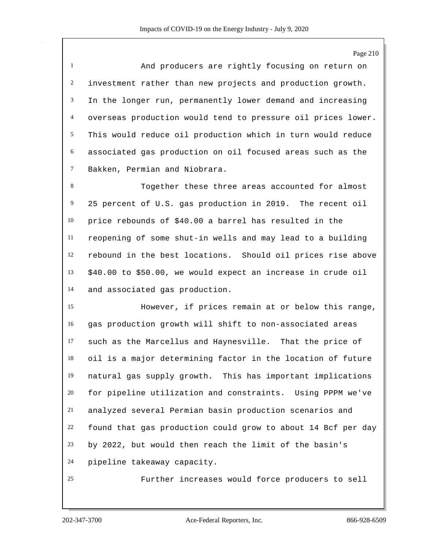Page 210

 And producers are rightly focusing on return on investment rather than new projects and production growth. In the longer run, permanently lower demand and increasing overseas production would tend to pressure oil prices lower. This would reduce oil production which in turn would reduce associated gas production on oil focused areas such as the Bakken, Permian and Niobrara.

 Together these three areas accounted for almost 25 percent of U.S. gas production in 2019. The recent oil price rebounds of \$40.00 a barrel has resulted in the reopening of some shut-in wells and may lead to a building rebound in the best locations. Should oil prices rise above \$40.00 to \$50.00, we would expect an increase in crude oil and associated gas production.

 However, if prices remain at or below this range, gas production growth will shift to non-associated areas such as the Marcellus and Haynesville. That the price of oil is a major determining factor in the location of future natural gas supply growth. This has important implications for pipeline utilization and constraints. Using PPPM we've analyzed several Permian basin production scenarios and found that gas production could grow to about 14 Bcf per day by 2022, but would then reach the limit of the basin's pipeline takeaway capacity.

Further increases would force producers to sell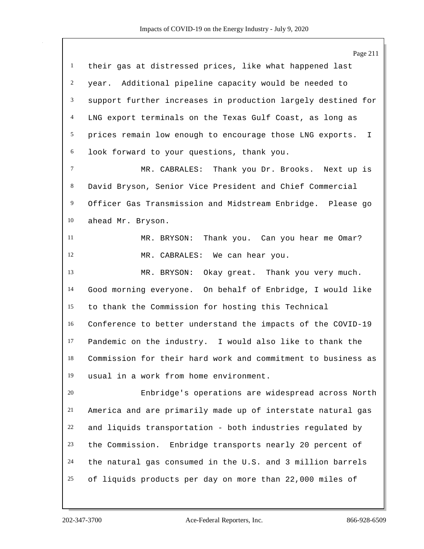|                 | Page 211                                                       |
|-----------------|----------------------------------------------------------------|
| $\mathbf{1}$    | their gas at distressed prices, like what happened last        |
| $\overline{c}$  | year. Additional pipeline capacity would be needed to          |
| 3               | support further increases in production largely destined for   |
| $\overline{4}$  | LNG export terminals on the Texas Gulf Coast, as long as       |
| $5\overline{)}$ | prices remain low enough to encourage those LNG exports.<br>I. |
| 6               | look forward to your questions, thank you.                     |
| 7               | MR. CABRALES: Thank you Dr. Brooks. Next up is                 |
| 8               | David Bryson, Senior Vice President and Chief Commercial       |
| $\overline{9}$  | Officer Gas Transmission and Midstream Enbridge. Please go     |
| 10              | ahead Mr. Bryson.                                              |
| 11              | MR. BRYSON: Thank you. Can you hear me Omar?                   |
| 12              | MR. CABRALES: We can hear you.                                 |
| 13              | MR. BRYSON:<br>Okay great. Thank you very much.                |
| 14              | Good morning everyone. On behalf of Enbridge, I would like     |
| 15              | to thank the Commission for hosting this Technical             |
| 16              | Conference to better understand the impacts of the COVID-19    |
| 17              | Pandemic on the industry. I would also like to thank the       |
| 18              | Commission for their hard work and commitment to business as   |
| 19              | usual in a work from home environment.                         |
| 20              | Enbridge's operations are widespread across North              |
| 21              | America and are primarily made up of interstate natural gas    |
| 22              | and liquids transportation - both industries regulated by      |
| 23              | the Commission. Enbridge transports nearly 20 percent of       |
| 24              | the natural gas consumed in the U.S. and 3 million barrels     |
| 25              | of liquids products per day on more than 22,000 miles of       |
|                 |                                                                |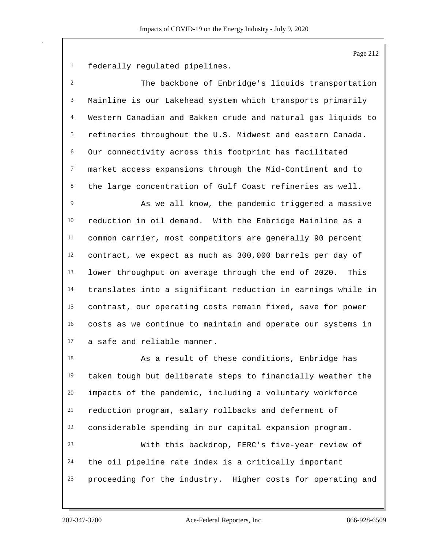federally regulated pipelines.

| $\overline{c}$ | The backbone of Enbridge's liquids transportation            |
|----------------|--------------------------------------------------------------|
| 3              | Mainline is our Lakehead system which transports primarily   |
| $\overline{4}$ | Western Canadian and Bakken crude and natural gas liquids to |
| 5              | refineries throughout the U.S. Midwest and eastern Canada.   |
| 6              | Our connectivity across this footprint has facilitated       |
| $\tau$         | market access expansions through the Mid-Continent and to    |
| 8              | the large concentration of Gulf Coast refineries as well.    |
| 9              | As we all know, the pandemic triggered a massive             |
| 10             | reduction in oil demand. With the Enbridge Mainline as a     |
| 11             | common carrier, most competitors are generally 90 percent    |
| 12             | contract, we expect as much as 300,000 barrels per day of    |
| 13             | lower throughput on average through the end of 2020. This    |
| 14             | translates into a significant reduction in earnings while in |
| 15             | contrast, our operating costs remain fixed, save for power   |
| 16             | costs as we continue to maintain and operate our systems in  |
| 17             | a safe and reliable manner.                                  |
| 18             | As a result of these conditions, Enbridge has                |
| 19             | taken tough but deliberate steps to financially weather the  |
| $20\,$         | impacts of the pandemic, including a voluntary workforce     |
| 21             | reduction program, salary rollbacks and deferment of         |
| 22             | considerable spending in our capital expansion program.      |
| 23             | With this backdrop, FERC's five-year review of               |
| 24             | the oil pipeline rate index is a critically important        |
| 25             | proceeding for the industry. Higher costs for operating and  |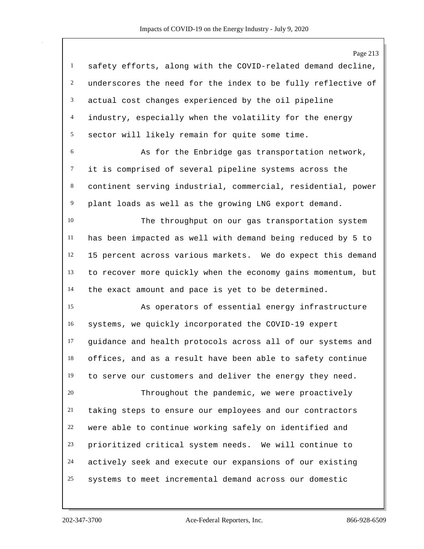|                | Page 213                                                     |
|----------------|--------------------------------------------------------------|
| $\mathbf{1}$   | safety efforts, along with the COVID-related demand decline, |
| $\overline{c}$ | underscores the need for the index to be fully reflective of |
| 3              | actual cost changes experienced by the oil pipeline          |
| 4              | industry, especially when the volatility for the energy      |
| 5              | sector will likely remain for quite some time.               |
| $\sqrt{6}$     | As for the Enbridge gas transportation network,              |
| $\tau$         | it is comprised of several pipeline systems across the       |
| 8              | continent serving industrial, commercial, residential, power |
| 9              | plant loads as well as the growing LNG export demand.        |
| 10             | The throughput on our gas transportation system              |
| 11             | has been impacted as well with demand being reduced by 5 to  |
| 12             | 15 percent across various markets. We do expect this demand  |
| 13             | to recover more quickly when the economy gains momentum, but |
| 14             | the exact amount and pace is yet to be determined.           |
| 15             | As operators of essential energy infrastructure              |
| 16             | systems, we quickly incorporated the COVID-19 expert         |
| 17             | guidance and health protocols across all of our systems and  |
| 18             | offices, and as a result have been able to safety continue   |
| 19             | to serve our customers and deliver the energy they need.     |
| 20             | Throughout the pandemic, we were proactively                 |
| 21             | taking steps to ensure our employees and our contractors     |
| 22             | were able to continue working safely on identified and       |
| 23             | prioritized critical system needs. We will continue to       |
| 24             | actively seek and execute our expansions of our existing     |
| 25             | systems to meet incremental demand across our domestic       |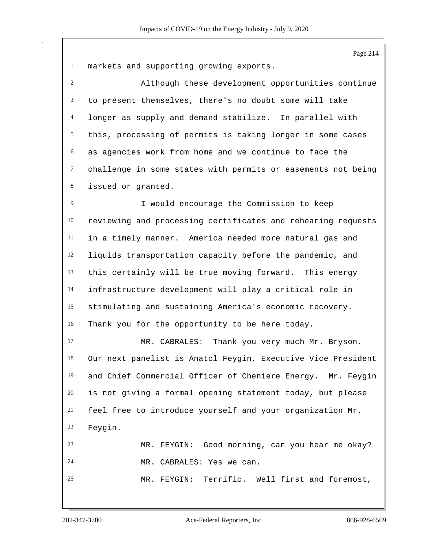markets and supporting growing exports. Although these development opportunities continue to present themselves, there's no doubt some will take longer as supply and demand stabilize. In parallel with this, processing of permits is taking longer in some cases as agencies work from home and we continue to face the challenge in some states with permits or easements not being issued or granted. I would encourage the Commission to keep reviewing and processing certificates and rehearing requests in a timely manner. America needed more natural gas and liquids transportation capacity before the pandemic, and this certainly will be true moving forward. This energy infrastructure development will play a critical role in stimulating and sustaining America's economic recovery. Thank you for the opportunity to be here today. MR. CABRALES: Thank you very much Mr. Bryson. Our next panelist is Anatol Feygin, Executive Vice President

 and Chief Commercial Officer of Cheniere Energy. Mr. Feygin is not giving a formal opening statement today, but please feel free to introduce yourself and your organization Mr. Feygin. MR. FEYGIN: Good morning, can you hear me okay? MR. CABRALES: Yes we can. MR. FEYGIN: Terrific. Well first and foremost,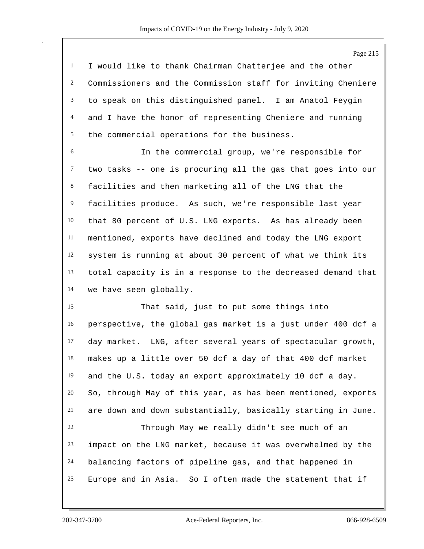I would like to thank Chairman Chatterjee and the other Commissioners and the Commission staff for inviting Cheniere to speak on this distinguished panel. I am Anatol Feygin and I have the honor of representing Cheniere and running the commercial operations for the business.

 In the commercial group, we're responsible for two tasks -- one is procuring all the gas that goes into our facilities and then marketing all of the LNG that the facilities produce. As such, we're responsible last year that 80 percent of U.S. LNG exports. As has already been mentioned, exports have declined and today the LNG export system is running at about 30 percent of what we think its total capacity is in a response to the decreased demand that we have seen globally.

 That said, just to put some things into perspective, the global gas market is a just under 400 dcf a day market. LNG, after several years of spectacular growth, makes up a little over 50 dcf a day of that 400 dcf market and the U.S. today an export approximately 10 dcf a day. So, through May of this year, as has been mentioned, exports are down and down substantially, basically starting in June. Through May we really didn't see much of an

 impact on the LNG market, because it was overwhelmed by the balancing factors of pipeline gas, and that happened in Europe and in Asia. So I often made the statement that if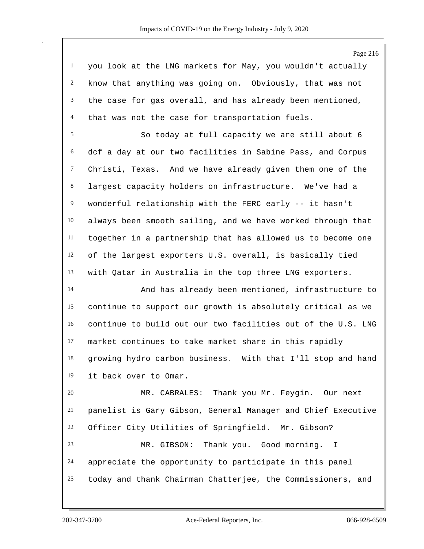| <sup>1</sup> you look at the LNG markets for May, you wouldn't actually |
|-------------------------------------------------------------------------|
| $2$ know that anything was going on. Obviously, that was not            |
| $3$ the case for gas overall, and has already been mentioned,           |
| 4 that was not the case for transportation fuels.                       |

 So today at full capacity we are still about 6 dcf a day at our two facilities in Sabine Pass, and Corpus Christi, Texas. And we have already given them one of the largest capacity holders on infrastructure. We've had a wonderful relationship with the FERC early -- it hasn't always been smooth sailing, and we have worked through that together in a partnership that has allowed us to become one of the largest exporters U.S. overall, is basically tied with Qatar in Australia in the top three LNG exporters.

 And has already been mentioned, infrastructure to continue to support our growth is absolutely critical as we continue to build out our two facilities out of the U.S. LNG market continues to take market share in this rapidly growing hydro carbon business. With that I'll stop and hand it back over to Omar.

 MR. CABRALES: Thank you Mr. Feygin. Our next panelist is Gary Gibson, General Manager and Chief Executive Officer City Utilities of Springfield. Mr. Gibson? MR. GIBSON: Thank you. Good morning. I appreciate the opportunity to participate in this panel today and thank Chairman Chatterjee, the Commissioners, and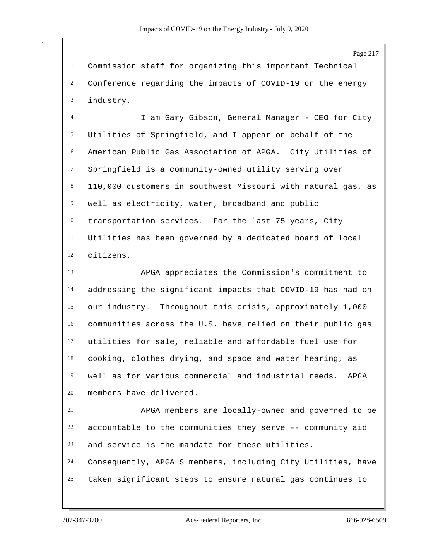Commission staff for organizing this important Technical Conference regarding the impacts of COVID-19 on the energy industry.

 I am Gary Gibson, General Manager - CEO for City Utilities of Springfield, and I appear on behalf of the American Public Gas Association of APGA. City Utilities of Springfield is a community-owned utility serving over 110,000 customers in southwest Missouri with natural gas, as well as electricity, water, broadband and public transportation services. For the last 75 years, City Utilities has been governed by a dedicated board of local citizens.

 APGA appreciates the Commission's commitment to addressing the significant impacts that COVID-19 has had on our industry. Throughout this crisis, approximately 1,000 communities across the U.S. have relied on their public gas utilities for sale, reliable and affordable fuel use for cooking, clothes drying, and space and water hearing, as well as for various commercial and industrial needs. APGA members have delivered.

 APGA members are locally-owned and governed to be accountable to the communities they serve -- community aid and service is the mandate for these utilities. Consequently, APGA'S members, including City Utilities, have taken significant steps to ensure natural gas continues to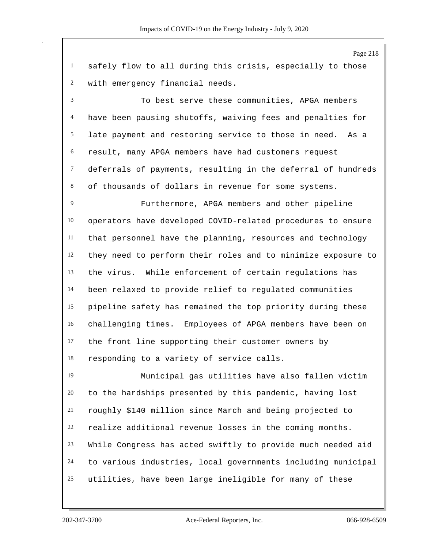safely flow to all during this crisis, especially to those with emergency financial needs.

 To best serve these communities, APGA members have been pausing shutoffs, waiving fees and penalties for late payment and restoring service to those in need. As a result, many APGA members have had customers request deferrals of payments, resulting in the deferral of hundreds of thousands of dollars in revenue for some systems.

 Furthermore, APGA members and other pipeline operators have developed COVID-related procedures to ensure that personnel have the planning, resources and technology they need to perform their roles and to minimize exposure to the virus. While enforcement of certain regulations has been relaxed to provide relief to regulated communities pipeline safety has remained the top priority during these challenging times. Employees of APGA members have been on the front line supporting their customer owners by responding to a variety of service calls.

 Municipal gas utilities have also fallen victim to the hardships presented by this pandemic, having lost roughly \$140 million since March and being projected to realize additional revenue losses in the coming months. While Congress has acted swiftly to provide much needed aid to various industries, local governments including municipal utilities, have been large ineligible for many of these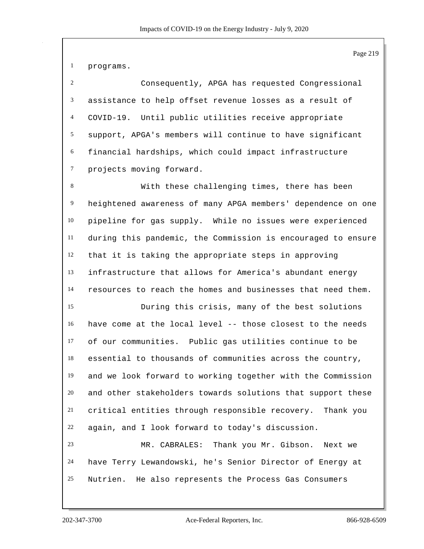programs.

 Consequently, APGA has requested Congressional assistance to help offset revenue losses as a result of COVID-19. Until public utilities receive appropriate support, APGA's members will continue to have significant financial hardships, which could impact infrastructure projects moving forward.

 With these challenging times, there has been heightened awareness of many APGA members' dependence on one pipeline for gas supply. While no issues were experienced during this pandemic, the Commission is encouraged to ensure that it is taking the appropriate steps in approving infrastructure that allows for America's abundant energy resources to reach the homes and businesses that need them.

 During this crisis, many of the best solutions have come at the local level -- those closest to the needs of our communities. Public gas utilities continue to be essential to thousands of communities across the country, and we look forward to working together with the Commission and other stakeholders towards solutions that support these critical entities through responsible recovery. Thank you again, and I look forward to today's discussion.

 MR. CABRALES: Thank you Mr. Gibson. Next we have Terry Lewandowski, he's Senior Director of Energy at Nutrien. He also represents the Process Gas Consumers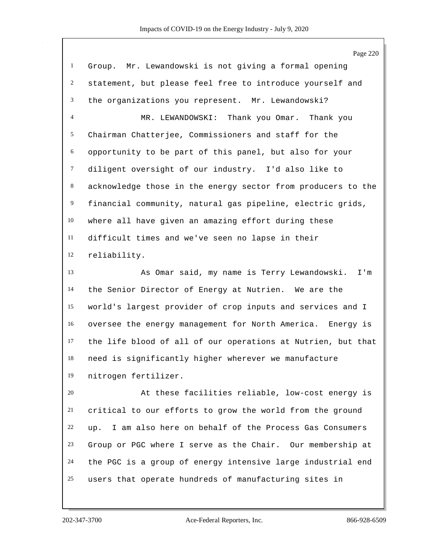Group. Mr. Lewandowski is not giving a formal opening statement, but please feel free to introduce yourself and the organizations you represent. Mr. Lewandowski? MR. LEWANDOWSKI: Thank you Omar. Thank you Chairman Chatterjee, Commissioners and staff for the opportunity to be part of this panel, but also for your diligent oversight of our industry. I'd also like to acknowledge those in the energy sector from producers to the financial community, natural gas pipeline, electric grids, where all have given an amazing effort during these difficult times and we've seen no lapse in their reliability. As Omar said, my name is Terry Lewandowski. I'm the Senior Director of Energy at Nutrien. We are the world's largest provider of crop inputs and services and I oversee the energy management for North America. Energy is the life blood of all of our operations at Nutrien, but that need is significantly higher wherever we manufacture nitrogen fertilizer. At these facilities reliable, low-cost energy is critical to our efforts to grow the world from the ground up. I am also here on behalf of the Process Gas Consumers Group or PGC where I serve as the Chair. Our membership at the PGC is a group of energy intensive large industrial end users that operate hundreds of manufacturing sites in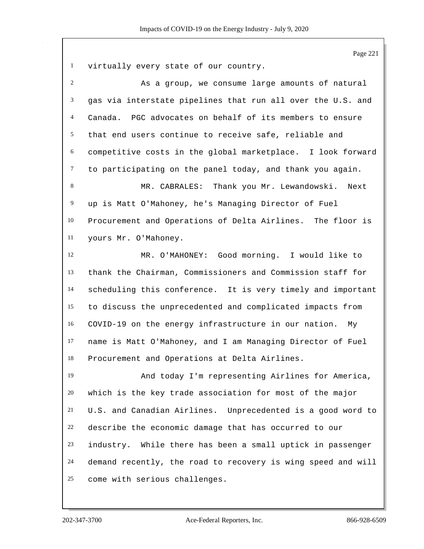virtually every state of our country. As a group, we consume large amounts of natural gas via interstate pipelines that run all over the U.S. and Canada. PGC advocates on behalf of its members to ensure that end users continue to receive safe, reliable and competitive costs in the global marketplace. I look forward to participating on the panel today, and thank you again. 8 MR. CABRALES: Thank you Mr. Lewandowski. Next up is Matt O'Mahoney, he's Managing Director of Fuel Procurement and Operations of Delta Airlines. The floor is yours Mr. O'Mahoney. MR. O'MAHONEY: Good morning. I would like to thank the Chairman, Commissioners and Commission staff for scheduling this conference. It is very timely and important to discuss the unprecedented and complicated impacts from COVID-19 on the energy infrastructure in our nation. My name is Matt O'Mahoney, and I am Managing Director of Fuel Procurement and Operations at Delta Airlines. And today I'm representing Airlines for America, which is the key trade association for most of the major U.S. and Canadian Airlines. Unprecedented is a good word to describe the economic damage that has occurred to our industry. While there has been a small uptick in passenger demand recently, the road to recovery is wing speed and will come with serious challenges.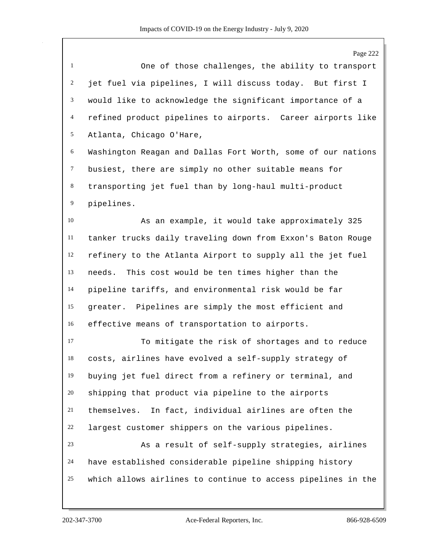Page 222 One of those challenges, the ability to transport jet fuel via pipelines, I will discuss today. But first I would like to acknowledge the significant importance of a refined product pipelines to airports. Career airports like Atlanta, Chicago O'Hare, Washington Reagan and Dallas Fort Worth, some of our nations busiest, there are simply no other suitable means for transporting jet fuel than by long-haul multi-product pipelines. As an example, it would take approximately 325 tanker trucks daily traveling down from Exxon's Baton Rouge refinery to the Atlanta Airport to supply all the jet fuel needs. This cost would be ten times higher than the pipeline tariffs, and environmental risk would be far greater. Pipelines are simply the most efficient and effective means of transportation to airports. To mitigate the risk of shortages and to reduce costs, airlines have evolved a self-supply strategy of buying jet fuel direct from a refinery or terminal, and shipping that product via pipeline to the airports themselves. In fact, individual airlines are often the largest customer shippers on the various pipelines. As a result of self-supply strategies, airlines have established considerable pipeline shipping history which allows airlines to continue to access pipelines in the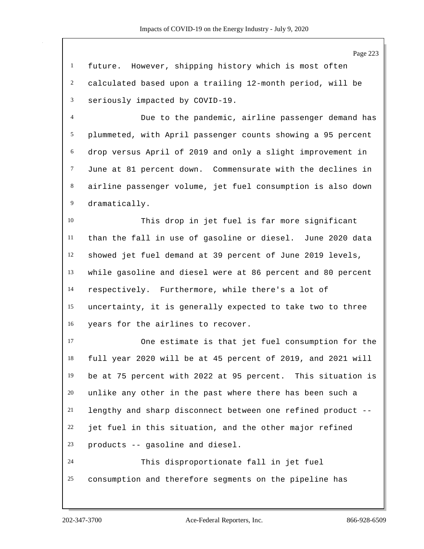Page 223

 future. However, shipping history which is most often calculated based upon a trailing 12-month period, will be seriously impacted by COVID-19.

 Due to the pandemic, airline passenger demand has plummeted, with April passenger counts showing a 95 percent drop versus April of 2019 and only a slight improvement in June at 81 percent down. Commensurate with the declines in airline passenger volume, jet fuel consumption is also down dramatically.

 This drop in jet fuel is far more significant than the fall in use of gasoline or diesel. June 2020 data showed jet fuel demand at 39 percent of June 2019 levels, while gasoline and diesel were at 86 percent and 80 percent respectively. Furthermore, while there's a lot of uncertainty, it is generally expected to take two to three years for the airlines to recover.

 One estimate is that jet fuel consumption for the full year 2020 will be at 45 percent of 2019, and 2021 will be at 75 percent with 2022 at 95 percent. This situation is unlike any other in the past where there has been such a lengthy and sharp disconnect between one refined product -- jet fuel in this situation, and the other major refined products -- gasoline and diesel. This disproportionate fall in jet fuel

consumption and therefore segments on the pipeline has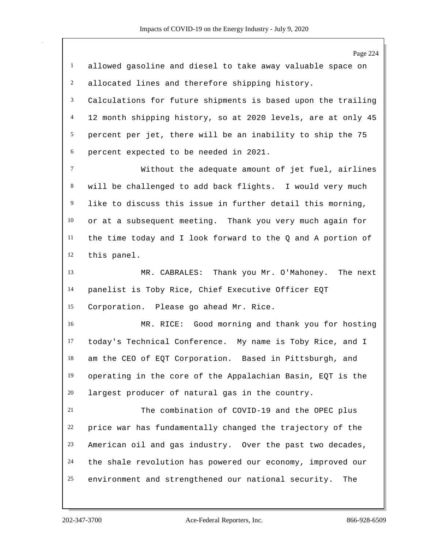|              | Page 224                                                     |
|--------------|--------------------------------------------------------------|
| $\mathbf{1}$ | allowed gasoline and diesel to take away valuable space on   |
| 2            | allocated lines and therefore shipping history.              |
| 3            | Calculations for future shipments is based upon the trailing |
| 4            | 12 month shipping history, so at 2020 levels, are at only 45 |
| 5            | percent per jet, there will be an inability to ship the 75   |
| 6            | percent expected to be needed in 2021.                       |
| $\tau$       | Without the adequate amount of jet fuel, airlines            |
| 8            | will be challenged to add back flights. I would very much    |
| 9            | like to discuss this issue in further detail this morning,   |
| 10           | or at a subsequent meeting. Thank you very much again for    |
| 11           | the time today and I look forward to the Q and A portion of  |
| 12           | this panel.                                                  |
| 13           | MR. CABRALES: Thank you Mr. O'Mahoney. The next              |
| 14           | panelist is Toby Rice, Chief Executive Officer EQT           |
| 15           | Corporation. Please go ahead Mr. Rice.                       |
| 16           | MR. RICE: Good morning and thank you for hosting             |
| 17           | today's Technical Conference. My name is Toby Rice, and I    |
| 18           | am the CEO of EQT Corporation. Based in Pittsburgh, and      |
| 19           | operating in the core of the Appalachian Basin, EQT is the   |
| 20           | largest producer of natural gas in the country.              |
| 21           | The combination of COVID-19 and the OPEC plus                |
| 22           | price war has fundamentally changed the trajectory of the    |
| 23           | American oil and gas industry. Over the past two decades,    |
| 24           | the shale revolution has powered our economy, improved our   |
| 25           | environment and strengthened our national security.<br>The   |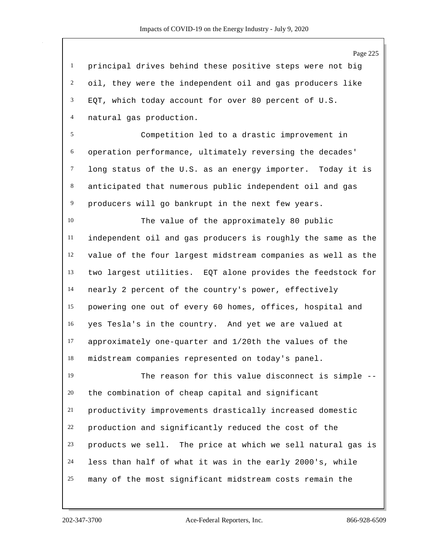Page 225 principal drives behind these positive steps were not big oil, they were the independent oil and gas producers like EQT, which today account for over 80 percent of U.S. natural gas production. Competition led to a drastic improvement in operation performance, ultimately reversing the decades' long status of the U.S. as an energy importer. Today it is anticipated that numerous public independent oil and gas producers will go bankrupt in the next few years. The value of the approximately 80 public independent oil and gas producers is roughly the same as the value of the four largest midstream companies as well as the two largest utilities. EQT alone provides the feedstock for nearly 2 percent of the country's power, effectively powering one out of every 60 homes, offices, hospital and yes Tesla's in the country. And yet we are valued at approximately one-quarter and 1/20th the values of the midstream companies represented on today's panel. The reason for this value disconnect is simple -- the combination of cheap capital and significant productivity improvements drastically increased domestic production and significantly reduced the cost of the products we sell. The price at which we sell natural gas is less than half of what it was in the early 2000's, while many of the most significant midstream costs remain the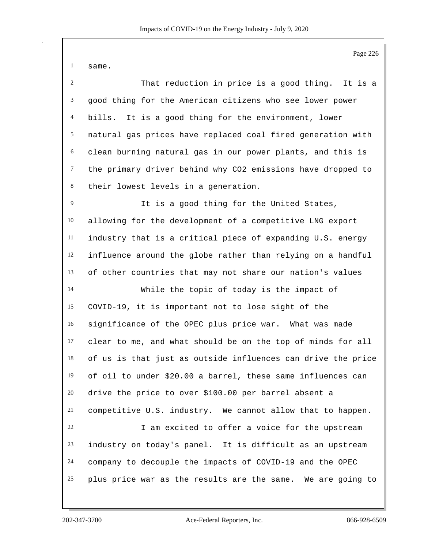same.

| 2               | That reduction in price is a good thing. It is a            |
|-----------------|-------------------------------------------------------------|
| $\mathbf{3}$    | good thing for the American citizens who see lower power    |
| 4               | bills. It is a good thing for the environment, lower        |
| 5 <sup>5</sup>  | natural gas prices have replaced coal fired generation with |
| 6               | clean burning natural gas in our power plants, and this is  |
| $7\overline{ }$ | the primary driver behind why CO2 emissions have dropped to |
| 8               | their lowest levels in a generation.                        |
| 9               | It is a good thing for the United States,                   |
| 10              | allowing for the development of a competitive LNG export    |
| 11              | industry that is a critical piece of expanding U.S. energy  |
| 12              | influence around the globe rather than relying on a handful |
| 13              | of other countries that may not share our nation's values   |
| 14              | While the topic of today is the impact of                   |

 COVID-19, it is important not to lose sight of the significance of the OPEC plus price war. What was made clear to me, and what should be on the top of minds for all of us is that just as outside influences can drive the price of oil to under \$20.00 a barrel, these same influences can drive the price to over \$100.00 per barrel absent a competitive U.S. industry. We cannot allow that to happen. I am excited to offer a voice for the upstream industry on today's panel. It is difficult as an upstream company to decouple the impacts of COVID-19 and the OPEC plus price war as the results are the same. We are going to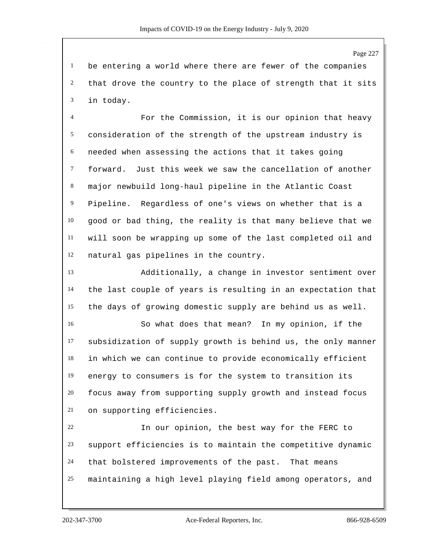be entering a world where there are fewer of the companies that drove the country to the place of strength that it sits in today.

 For the Commission, it is our opinion that heavy consideration of the strength of the upstream industry is needed when assessing the actions that it takes going forward. Just this week we saw the cancellation of another major newbuild long-haul pipeline in the Atlantic Coast Pipeline. Regardless of one's views on whether that is a good or bad thing, the reality is that many believe that we will soon be wrapping up some of the last completed oil and natural gas pipelines in the country.

 Additionally, a change in investor sentiment over the last couple of years is resulting in an expectation that the days of growing domestic supply are behind us as well.

 So what does that mean? In my opinion, if the subsidization of supply growth is behind us, the only manner in which we can continue to provide economically efficient energy to consumers is for the system to transition its focus away from supporting supply growth and instead focus on supporting efficiencies.

 In our opinion, the best way for the FERC to support efficiencies is to maintain the competitive dynamic that bolstered improvements of the past. That means maintaining a high level playing field among operators, and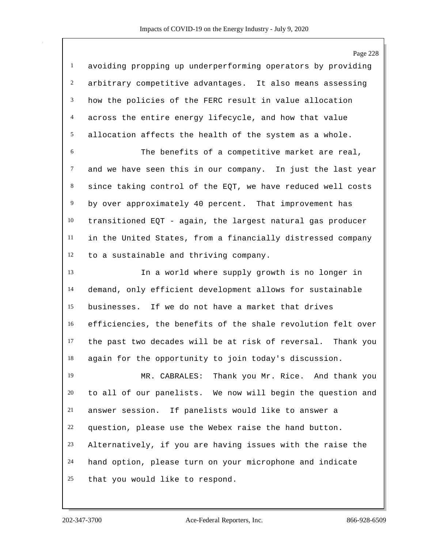|                | Page 228                                                     |
|----------------|--------------------------------------------------------------|
| $\mathbf{1}$   | avoiding propping up underperforming operators by providing  |
| $\overline{c}$ | arbitrary competitive advantages. It also means assessing    |
| 3              | how the policies of the FERC result in value allocation      |
| $\overline{4}$ | across the entire energy lifecycle, and how that value       |
| 5              | allocation affects the health of the system as a whole.      |
| $\sqrt{6}$     | The benefits of a competitive market are real,               |
| $\tau$         | and we have seen this in our company. In just the last year  |
| $\,8\,$        | since taking control of the EQT, we have reduced well costs  |
| 9              | by over approximately 40 percent. That improvement has       |
| 10             | transitioned EQT - again, the largest natural gas producer   |
| 11             | in the United States, from a financially distressed company  |
| 12             | to a sustainable and thriving company.                       |
| 13             | In a world where supply growth is no longer in               |
| 14             | demand, only efficient development allows for sustainable    |
| 15             | businesses. If we do not have a market that drives           |
| 16             | efficiencies, the benefits of the shale revolution felt over |
| 17             | the past two decades will be at risk of reversal. Thank you  |
| 18             | again for the opportunity to join today's discussion.        |
| 19             | MR. CABRALES: Thank you Mr. Rice. And thank you              |
| 20             | to all of our panelists. We now will begin the question and  |
| 21             | answer session. If panelists would like to answer a          |
| 22             | question, please use the Webex raise the hand button.        |
| 23             | Alternatively, if you are having issues with the raise the   |
| 24             | hand option, please turn on your microphone and indicate     |
| 25             | that you would like to respond.                              |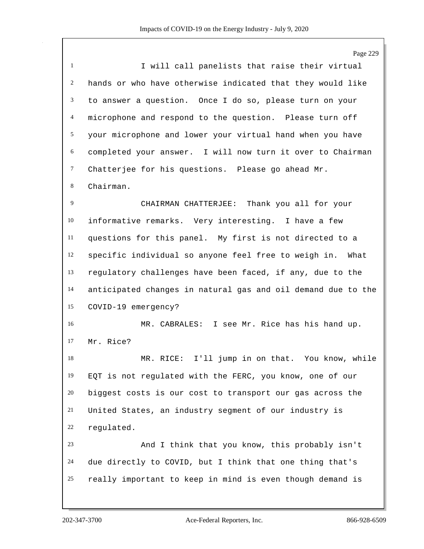Page 229 I will call panelists that raise their virtual hands or who have otherwise indicated that they would like to answer a question. Once I do so, please turn on your microphone and respond to the question. Please turn off your microphone and lower your virtual hand when you have completed your answer. I will now turn it over to Chairman Chatterjee for his questions. Please go ahead Mr. Chairman. CHAIRMAN CHATTERJEE: Thank you all for your informative remarks. Very interesting. I have a few questions for this panel. My first is not directed to a specific individual so anyone feel free to weigh in. What regulatory challenges have been faced, if any, due to the anticipated changes in natural gas and oil demand due to the COVID-19 emergency? MR. CABRALES: I see Mr. Rice has his hand up. Mr. Rice? MR. RICE: I'll jump in on that. You know, while EQT is not regulated with the FERC, you know, one of our biggest costs is our cost to transport our gas across the United States, an industry segment of our industry is regulated. And I think that you know, this probably isn't due directly to COVID, but I think that one thing that's really important to keep in mind is even though demand is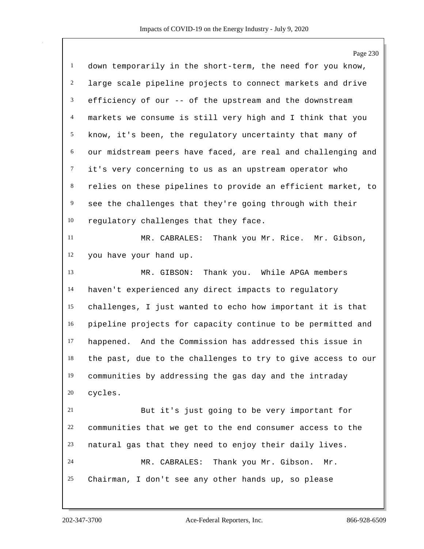|                | Page 230                                                     |
|----------------|--------------------------------------------------------------|
| $\mathbf{1}$   | down temporarily in the short-term, the need for you know,   |
| $\overline{c}$ | large scale pipeline projects to connect markets and drive   |
| 3              | efficiency of our -- of the upstream and the downstream      |
| $\overline{4}$ | markets we consume is still very high and I think that you   |
| 5              | know, it's been, the regulatory uncertainty that many of     |
| 6              | our midstream peers have faced, are real and challenging and |
| $\tau$         | it's very concerning to us as an upstream operator who       |
| $8\,$          | relies on these pipelines to provide an efficient market, to |
| 9              | see the challenges that they're going through with their     |
| 10             | regulatory challenges that they face.                        |
| 11             | MR. CABRALES: Thank you Mr. Rice. Mr. Gibson,                |
| 12             | you have your hand up.                                       |
| 13             | Thank you. While APGA members<br>MR. GIBSON:                 |
| 14             | haven't experienced any direct impacts to regulatory         |
| 15             | challenges, I just wanted to echo how important it is that   |
| 16             | pipeline projects for capacity continue to be permitted and  |
| 17             | happened. And the Commission has addressed this issue in     |
| 18             | the past, due to the challenges to try to give access to our |
| 19             | communities by addressing the gas day and the intraday       |
| 20             | cycles.                                                      |
| 21             | But it's just going to be very important for                 |
| 22             | communities that we get to the end consumer access to the    |
| 23             | natural gas that they need to enjoy their daily lives.       |
| 24             | MR. CABRALES: Thank you Mr. Gibson.<br>Mr.                   |
| 25             | Chairman, I don't see any other hands up, so please          |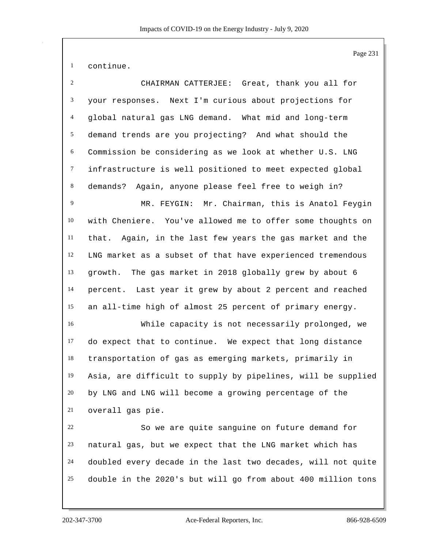continue.

| 2              | CHAIRMAN CATTERJEE: Great, thank you all for                 |
|----------------|--------------------------------------------------------------|
| 3              | your responses. Next I'm curious about projections for       |
| $\overline{4}$ | global natural gas LNG demand. What mid and long-term        |
| $\mathfrak{S}$ | demand trends are you projecting? And what should the        |
| 6              | Commission be considering as we look at whether U.S. LNG     |
| $\tau$         | infrastructure is well positioned to meet expected global    |
| 8              | Again, anyone please feel free to weigh in?<br>demands?      |
| 9              | MR. FEYGIN: Mr. Chairman, this is Anatol Feygin              |
| 10             | with Cheniere. You've allowed me to offer some thoughts on   |
| 11             | that. Again, in the last few years the gas market and the    |
| 12             | LNG market as a subset of that have experienced tremendous   |
| 13             | The gas market in 2018 globally grew by about 6<br>growth.   |
| 14             | percent. Last year it grew by about 2 percent and reached    |
| 15             | an all-time high of almost 25 percent of primary energy.     |
| 16             | While capacity is not necessarily prolonged, we              |
| 17             | do expect that to continue. We expect that long distance     |
| 18             | transportation of gas as emerging markets, primarily in      |
| 19             | Asia, are difficult to supply by pipelines, will be supplied |
| 20             | by LNG and LNG will become a growing percentage of the       |
| 21             | overall gas pie.                                             |
| 22             | So we are quite sanguine on future demand for                |
| 23             | natural gas, but we expect that the LNG market which has     |
| 24             | doubled every decade in the last two decades, will not quite |
| 25             | double in the 2020's but will go from about 400 million tons |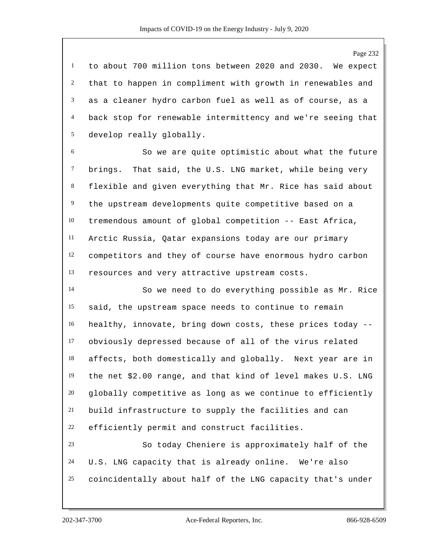to about 700 million tons between 2020 and 2030. We expect that to happen in compliment with growth in renewables and as a cleaner hydro carbon fuel as well as of course, as a back stop for renewable intermittency and we're seeing that develop really globally.

 So we are quite optimistic about what the future brings. That said, the U.S. LNG market, while being very flexible and given everything that Mr. Rice has said about the upstream developments quite competitive based on a tremendous amount of global competition -- East Africa, Arctic Russia, Qatar expansions today are our primary competitors and they of course have enormous hydro carbon resources and very attractive upstream costs.

 So we need to do everything possible as Mr. Rice said, the upstream space needs to continue to remain healthy, innovate, bring down costs, these prices today -- obviously depressed because of all of the virus related affects, both domestically and globally. Next year are in the net \$2.00 range, and that kind of level makes U.S. LNG qlobally competitive as long as we continue to efficiently build infrastructure to supply the facilities and can efficiently permit and construct facilities.

 So today Cheniere is approximately half of the U.S. LNG capacity that is already online. We're also coincidentally about half of the LNG capacity that's under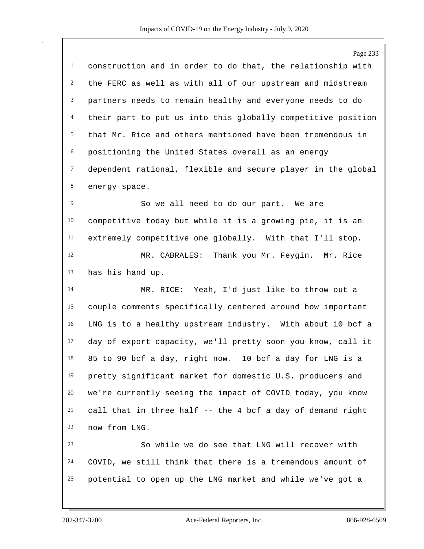Page 233 construction and in order to do that, the relationship with the FERC as well as with all of our upstream and midstream partners needs to remain healthy and everyone needs to do their part to put us into this globally competitive position that Mr. Rice and others mentioned have been tremendous in positioning the United States overall as an energy dependent rational, flexible and secure player in the global energy space. So we all need to do our part. We are competitive today but while it is a growing pie, it is an extremely competitive one globally. With that I'll stop. MR. CABRALES: Thank you Mr. Feygin. Mr. Rice has his hand up. MR. RICE: Yeah, I'd just like to throw out a couple comments specifically centered around how important LNG is to a healthy upstream industry. With about 10 bcf a day of export capacity, we'll pretty soon you know, call it 85 to 90 bcf a day, right now. 10 bcf a day for LNG is a pretty significant market for domestic U.S. producers and we're currently seeing the impact of COVID today, you know call that in three half -- the 4 bcf a day of demand right now from LNG. So while we do see that LNG will recover with COVID, we still think that there is a tremendous amount of potential to open up the LNG market and while we've got a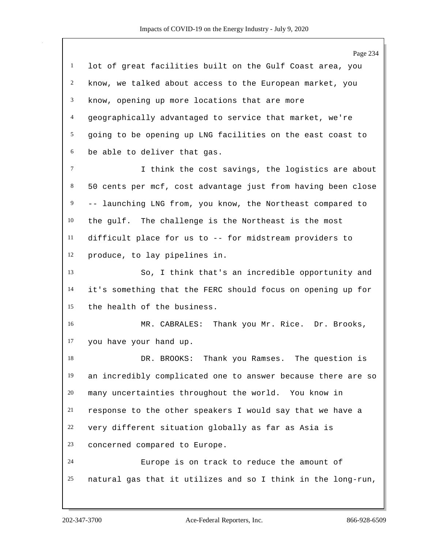Page 234 lot of great facilities built on the Gulf Coast area, you know, we talked about access to the European market, you know, opening up more locations that are more geographically advantaged to service that market, we're going to be opening up LNG facilities on the east coast to be able to deliver that gas. I think the cost savings, the logistics are about 50 cents per mcf, cost advantage just from having been close -- launching LNG from, you know, the Northeast compared to the gulf. The challenge is the Northeast is the most difficult place for us to -- for midstream providers to produce, to lay pipelines in. So, I think that's an incredible opportunity and it's something that the FERC should focus on opening up for the health of the business. MR. CABRALES: Thank you Mr. Rice. Dr. Brooks, you have your hand up. DR. BROOKS: Thank you Ramses. The question is an incredibly complicated one to answer because there are so many uncertainties throughout the world. You know in response to the other speakers I would say that we have a very different situation globally as far as Asia is concerned compared to Europe. Europe is on track to reduce the amount of natural gas that it utilizes and so I think in the long-run,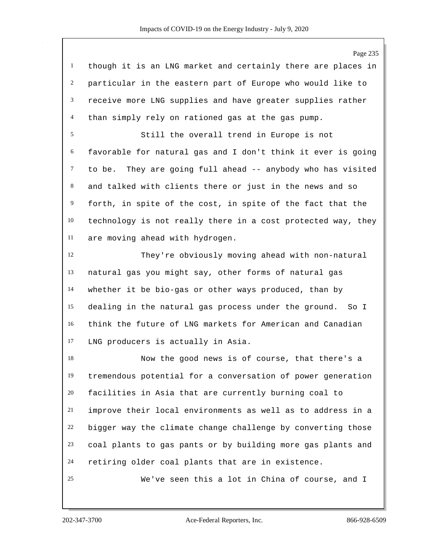though it is an LNG market and certainly there are places in particular in the eastern part of Europe who would like to receive more LNG supplies and have greater supplies rather than simply rely on rationed gas at the gas pump.

 Still the overall trend in Europe is not favorable for natural gas and I don't think it ever is going to be. They are going full ahead -- anybody who has visited and talked with clients there or just in the news and so forth, in spite of the cost, in spite of the fact that the technology is not really there in a cost protected way, they are moving ahead with hydrogen.

 They're obviously moving ahead with non-natural natural gas you might say, other forms of natural gas whether it be bio-gas or other ways produced, than by dealing in the natural gas process under the ground. So I think the future of LNG markets for American and Canadian LNG producers is actually in Asia.

 Now the good news is of course, that there's a tremendous potential for a conversation of power generation facilities in Asia that are currently burning coal to improve their local environments as well as to address in a bigger way the climate change challenge by converting those coal plants to gas pants or by building more gas plants and retiring older coal plants that are in existence.

We've seen this a lot in China of course, and I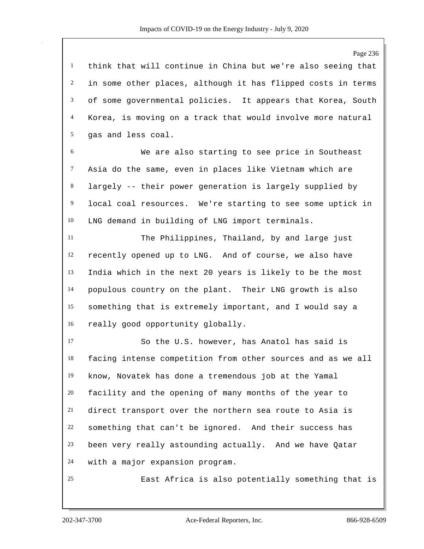think that will continue in China but we're also seeing that in some other places, although it has flipped costs in terms of some governmental policies. It appears that Korea, South Korea, is moving on a track that would involve more natural gas and less coal.

 We are also starting to see price in Southeast Asia do the same, even in places like Vietnam which are largely -- their power generation is largely supplied by local coal resources. We're starting to see some uptick in LNG demand in building of LNG import terminals.

 The Philippines, Thailand, by and large just recently opened up to LNG. And of course, we also have India which in the next 20 years is likely to be the most populous country on the plant. Their LNG growth is also something that is extremely important, and I would say a really good opportunity globally.

 So the U.S. however, has Anatol has said is facing intense competition from other sources and as we all know, Novatek has done a tremendous job at the Yamal facility and the opening of many months of the year to direct transport over the northern sea route to Asia is something that can't be ignored. And their success has been very really astounding actually. And we have Qatar with a major expansion program.

East Africa is also potentially something that is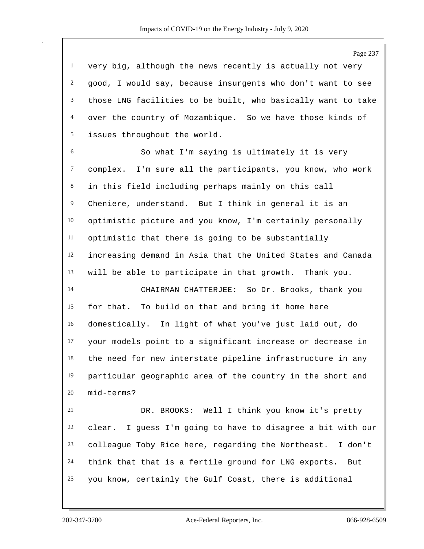very big, although the news recently is actually not very good, I would say, because insurgents who don't want to see those LNG facilities to be built, who basically want to take over the country of Mozambique. So we have those kinds of issues throughout the world.

 So what I'm saying is ultimately it is very complex. I'm sure all the participants, you know, who work in this field including perhaps mainly on this call Cheniere, understand. But I think in general it is an optimistic picture and you know, I'm certainly personally optimistic that there is going to be substantially increasing demand in Asia that the United States and Canada will be able to participate in that growth. Thank you.

 CHAIRMAN CHATTERJEE: So Dr. Brooks, thank you for that. To build on that and bring it home here domestically. In light of what you've just laid out, do your models point to a significant increase or decrease in the need for new interstate pipeline infrastructure in any particular geographic area of the country in the short and mid-terms?

 DR. BROOKS: Well I think you know it's pretty clear. I guess I'm going to have to disagree a bit with our colleague Toby Rice here, regarding the Northeast. I don't think that that is a fertile ground for LNG exports. But you know, certainly the Gulf Coast, there is additional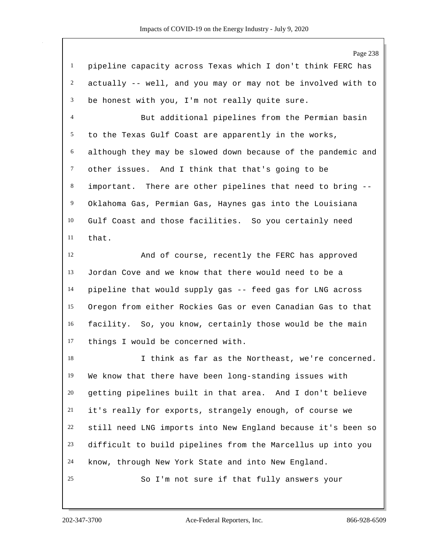|                  | Page 238                                                     |
|------------------|--------------------------------------------------------------|
| $\mathbf{1}$     | pipeline capacity across Texas which I don't think FERC has  |
| $\overline{2}$   | actually -- well, and you may or may not be involved with to |
| 3                | be honest with you, I'm not really quite sure.               |
| 4                | But additional pipelines from the Permian basin              |
| 5                | to the Texas Gulf Coast are apparently in the works,         |
| $\boldsymbol{6}$ | although they may be slowed down because of the pandemic and |
| $\tau$           | other issues. And I think that that's going to be            |
| $\,8\,$          | important. There are other pipelines that need to bring --   |
| $\overline{9}$   | Oklahoma Gas, Permian Gas, Haynes gas into the Louisiana     |
| 10               | Gulf Coast and those facilities. So you certainly need       |
| 11               | that.                                                        |
| 12               | And of course, recently the FERC has approved                |
| 13               | Jordan Cove and we know that there would need to be a        |
| 14               | pipeline that would supply gas -- feed gas for LNG across    |
| 15               | Oregon from either Rockies Gas or even Canadian Gas to that  |
| 16               | facility. So, you know, certainly those would be the main    |
| 17               | things I would be concerned with.                            |
| 18               | I think as far as the Northeast, we're concerned.            |
| 19               | We know that there have been long-standing issues with       |
| 20               | getting pipelines built in that area. And I don't believe    |
| 21               | it's really for exports, strangely enough, of course we      |
| 22               | still need LNG imports into New England because it's been so |
| 23               | difficult to build pipelines from the Marcellus up into you  |
| 24               | know, through New York State and into New England.           |
| 25               | So I'm not sure if that fully answers your                   |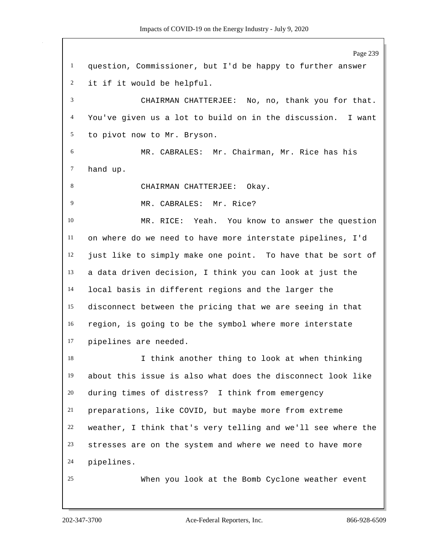Page 239 question, Commissioner, but I'd be happy to further answer it if it would be helpful. CHAIRMAN CHATTERJEE: No, no, thank you for that. You've given us a lot to build on in the discussion. I want to pivot now to Mr. Bryson. MR. CABRALES: Mr. Chairman, Mr. Rice has his hand up. 8 CHAIRMAN CHATTERJEE: Okay. 9 MR. CABRALES: Mr. Rice? MR. RICE: Yeah. You know to answer the question on where do we need to have more interstate pipelines, I'd just like to simply make one point. To have that be sort of a data driven decision, I think you can look at just the local basis in different regions and the larger the disconnect between the pricing that we are seeing in that region, is going to be the symbol where more interstate pipelines are needed. I think another thing to look at when thinking about this issue is also what does the disconnect look like during times of distress? I think from emergency preparations, like COVID, but maybe more from extreme weather, I think that's very telling and we'll see where the stresses are on the system and where we need to have more pipelines. When you look at the Bomb Cyclone weather event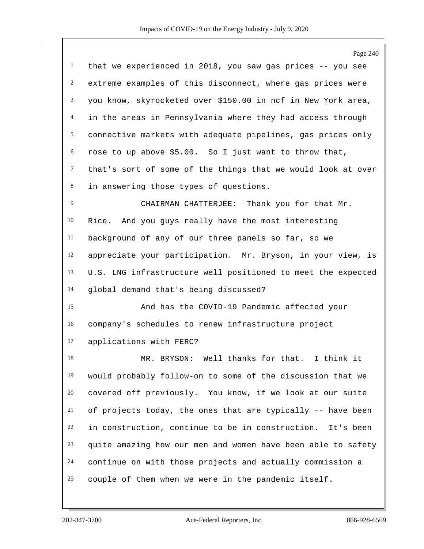|                | Page 240                                                     |
|----------------|--------------------------------------------------------------|
| $\mathbf{1}$   | that we experienced in 2018, you saw gas prices -- you see   |
| 2              | extreme examples of this disconnect, where gas prices were   |
| 3              | you know, skyrocketed over \$150.00 in ncf in New York area, |
| 4              | in the areas in Pennsylvania where they had access through   |
| 5              | connective markets with adequate pipelines, gas prices only  |
| 6              | rose to up above \$5.00. So I just want to throw that,       |
| $\tau$         | that's sort of some of the things that we would look at over |
| 8              | in answering those types of questions.                       |
| $\overline{9}$ | CHAIRMAN CHATTERJEE: Thank you for that Mr.                  |
| 10             | And you guys really have the most interesting<br>Rice.       |
| 11             | background of any of our three panels so far, so we          |
| 12             | appreciate your participation. Mr. Bryson, in your view, is  |
| 13             | U.S. LNG infrastructure well positioned to meet the expected |
| 14             | global demand that's being discussed?                        |
| 15             | And has the COVID-19 Pandemic affected your                  |
| 16             | company's schedules to renew infrastructure project          |
| 17             | applications with FERC?                                      |
| 18             | MR. BRYSON: Well thanks for that. I think it                 |
| 19             | would probably follow-on to some of the discussion that we   |
| 20             | covered off previously. You know, if we look at our suite    |
| 21             | of projects today, the ones that are typically -- have been  |
| 22             | in construction, continue to be in construction. It's been   |
| 23             | quite amazing how our men and women have been able to safety |
| 24             | continue on with those projects and actually commission a    |
| 25             | couple of them when we were in the pandemic itself.          |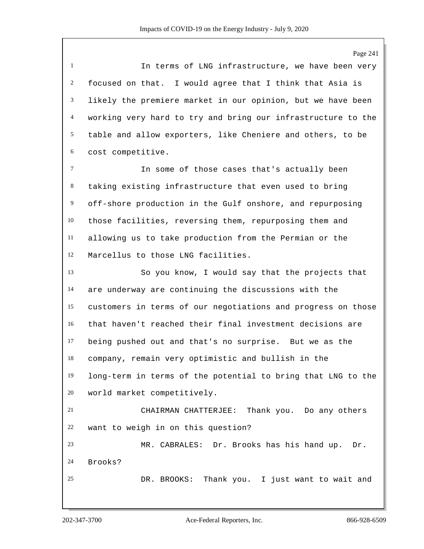Page 241 In terms of LNG infrastructure, we have been very focused on that. I would agree that I think that Asia is likely the premiere market in our opinion, but we have been working very hard to try and bring our infrastructure to the table and allow exporters, like Cheniere and others, to be cost competitive. In some of those cases that's actually been taking existing infrastructure that even used to bring off-shore production in the Gulf onshore, and repurposing those facilities, reversing them, repurposing them and allowing us to take production from the Permian or the Marcellus to those LNG facilities. So you know, I would say that the projects that are underway are continuing the discussions with the customers in terms of our negotiations and progress on those that haven't reached their final investment decisions are being pushed out and that's no surprise. But we as the company, remain very optimistic and bullish in the long-term in terms of the potential to bring that LNG to the world market competitively. CHAIRMAN CHATTERJEE: Thank you. Do any others want to weigh in on this question? MR. CABRALES: Dr. Brooks has his hand up. Dr. Brooks? DR. BROOKS: Thank you. I just want to wait and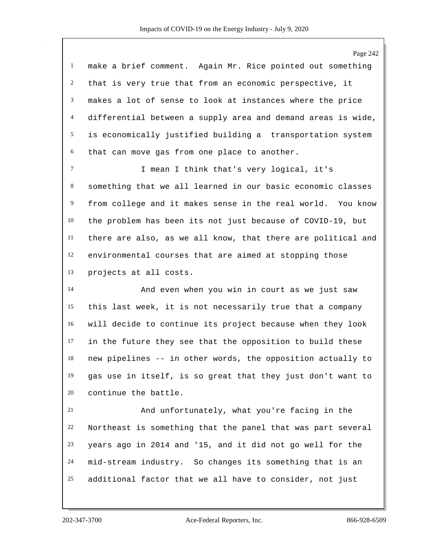make a brief comment. Again Mr. Rice pointed out something that is very true that from an economic perspective, it makes a lot of sense to look at instances where the price differential between a supply area and demand areas is wide, is economically justified building a transportation system that can move gas from one place to another.

 I mean I think that's very logical, it's something that we all learned in our basic economic classes from college and it makes sense in the real world. You know the problem has been its not just because of COVID-19, but there are also, as we all know, that there are political and environmental courses that are aimed at stopping those projects at all costs.

 And even when you win in court as we just saw this last week, it is not necessarily true that a company will decide to continue its project because when they look in the future they see that the opposition to build these new pipelines -- in other words, the opposition actually to gas use in itself, is so great that they just don't want to continue the battle.

 And unfortunately, what you're facing in the Northeast is something that the panel that was part several years ago in 2014 and '15, and it did not go well for the mid-stream industry. So changes its something that is an additional factor that we all have to consider, not just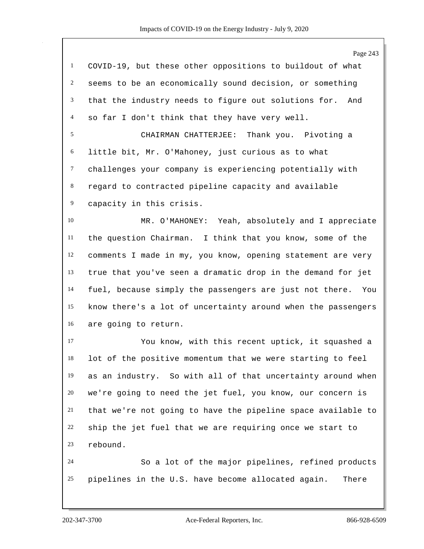Page 243 COVID-19, but these other oppositions to buildout of what seems to be an economically sound decision, or something that the industry needs to figure out solutions for. And so far I don't think that they have very well. CHAIRMAN CHATTERJEE: Thank you. Pivoting a little bit, Mr. O'Mahoney, just curious as to what challenges your company is experiencing potentially with regard to contracted pipeline capacity and available capacity in this crisis. MR. O'MAHONEY: Yeah, absolutely and I appreciate the question Chairman. I think that you know, some of the comments I made in my, you know, opening statement are very true that you've seen a dramatic drop in the demand for jet fuel, because simply the passengers are just not there. You know there's a lot of uncertainty around when the passengers are going to return. You know, with this recent uptick, it squashed a lot of the positive momentum that we were starting to feel as an industry. So with all of that uncertainty around when we're going to need the jet fuel, you know, our concern is that we're not going to have the pipeline space available to ship the jet fuel that we are requiring once we start to rebound. So a lot of the major pipelines, refined products pipelines in the U.S. have become allocated again. There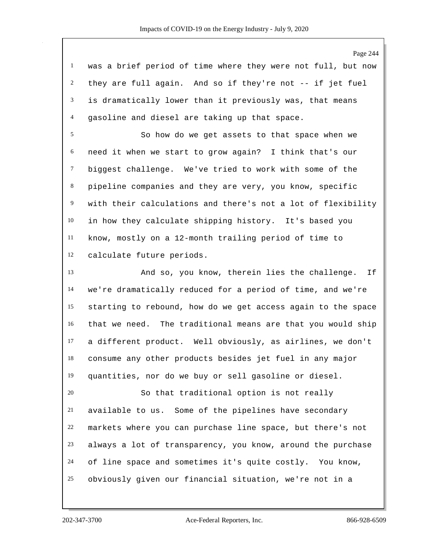was a brief period of time where they were not full, but now they are full again. And so if they're not -- if jet fuel is dramatically lower than it previously was, that means gasoline and diesel are taking up that space.

 So how do we get assets to that space when we need it when we start to grow again? I think that's our biggest challenge. We've tried to work with some of the pipeline companies and they are very, you know, specific with their calculations and there's not a lot of flexibility in how they calculate shipping history. It's based you know, mostly on a 12-month trailing period of time to calculate future periods.

 And so, you know, therein lies the challenge. If we're dramatically reduced for a period of time, and we're starting to rebound, how do we get access again to the space that we need. The traditional means are that you would ship a different product. Well obviously, as airlines, we don't consume any other products besides jet fuel in any major quantities, nor do we buy or sell gasoline or diesel.

 So that traditional option is not really available to us. Some of the pipelines have secondary markets where you can purchase line space, but there's not always a lot of transparency, you know, around the purchase of line space and sometimes it's quite costly. You know, obviously given our financial situation, we're not in a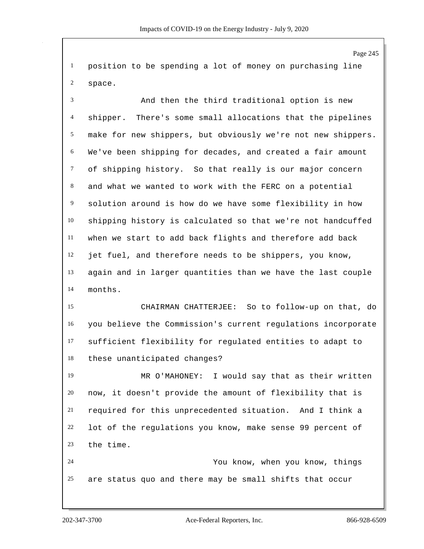position to be spending a lot of money on purchasing line space.

 And then the third traditional option is new shipper. There's some small allocations that the pipelines make for new shippers, but obviously we're not new shippers. We've been shipping for decades, and created a fair amount of shipping history. So that really is our major concern and what we wanted to work with the FERC on a potential solution around is how do we have some flexibility in how shipping history is calculated so that we're not handcuffed when we start to add back flights and therefore add back jet fuel, and therefore needs to be shippers, you know, again and in larger quantities than we have the last couple months.

 CHAIRMAN CHATTERJEE: So to follow-up on that, do you believe the Commission's current regulations incorporate sufficient flexibility for regulated entities to adapt to these unanticipated changes?

 MR O'MAHONEY: I would say that as their written now, it doesn't provide the amount of flexibility that is required for this unprecedented situation. And I think a lot of the regulations you know, make sense 99 percent of the time.

 You know, when you know, things are status quo and there may be small shifts that occur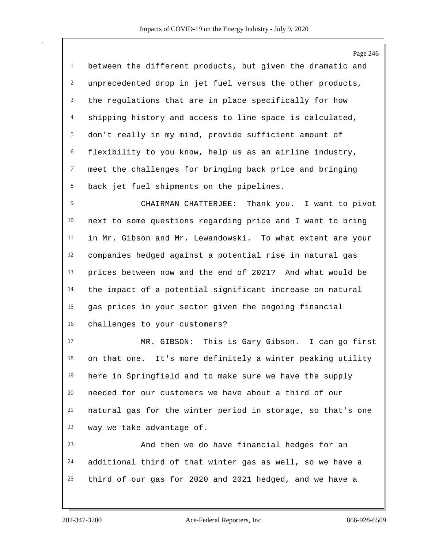Page 246 between the different products, but given the dramatic and unprecedented drop in jet fuel versus the other products, the regulations that are in place specifically for how shipping history and access to line space is calculated, don't really in my mind, provide sufficient amount of flexibility to you know, help us as an airline industry, meet the challenges for bringing back price and bringing back jet fuel shipments on the pipelines. CHAIRMAN CHATTERJEE: Thank you. I want to pivot next to some questions regarding price and I want to bring in Mr. Gibson and Mr. Lewandowski. To what extent are your companies hedged against a potential rise in natural gas prices between now and the end of 2021? And what would be the impact of a potential significant increase on natural gas prices in your sector given the ongoing financial challenges to your customers? MR. GIBSON: This is Gary Gibson. I can go first

 on that one. It's more definitely a winter peaking utility here in Springfield and to make sure we have the supply needed for our customers we have about a third of our natural gas for the winter period in storage, so that's one way we take advantage of.

 And then we do have financial hedges for an additional third of that winter gas as well, so we have a third of our gas for 2020 and 2021 hedged, and we have a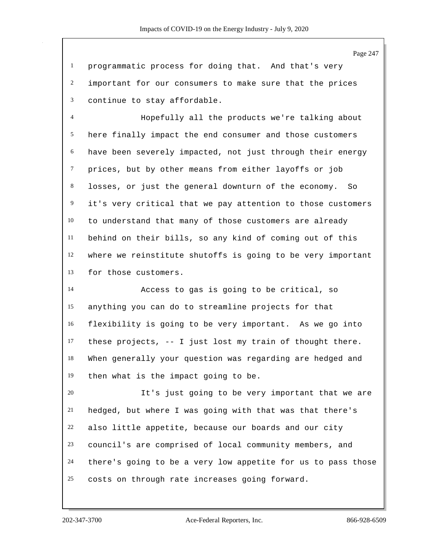programmatic process for doing that. And that's very important for our consumers to make sure that the prices continue to stay affordable.

 Hopefully all the products we're talking about here finally impact the end consumer and those customers have been severely impacted, not just through their energy prices, but by other means from either layoffs or job losses, or just the general downturn of the economy. So it's very critical that we pay attention to those customers to understand that many of those customers are already behind on their bills, so any kind of coming out of this where we reinstitute shutoffs is going to be very important for those customers.

 Access to gas is going to be critical, so anything you can do to streamline projects for that flexibility is going to be very important. As we go into these projects, -- I just lost my train of thought there. When generally your question was regarding are hedged and then what is the impact going to be.

 It's just going to be very important that we are hedged, but where I was going with that was that there's also little appetite, because our boards and our city council's are comprised of local community members, and there's going to be a very low appetite for us to pass those costs on through rate increases going forward.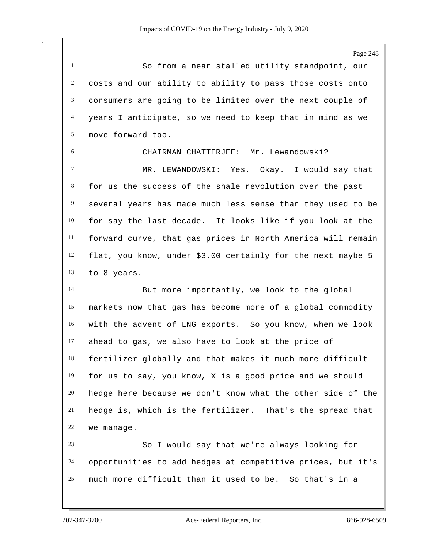So from a near stalled utility standpoint, our costs and our ability to ability to pass those costs onto consumers are going to be limited over the next couple of years I anticipate, so we need to keep that in mind as we move forward too.

 CHAIRMAN CHATTERJEE: Mr. Lewandowski? MR. LEWANDOWSKI: Yes. Okay. I would say that for us the success of the shale revolution over the past several years has made much less sense than they used to be for say the last decade. It looks like if you look at the forward curve, that gas prices in North America will remain flat, you know, under \$3.00 certainly for the next maybe 5 to 8 years.

 But more importantly, we look to the global markets now that gas has become more of a global commodity with the advent of LNG exports. So you know, when we look ahead to gas, we also have to look at the price of fertilizer globally and that makes it much more difficult for us to say, you know, X is a good price and we should hedge here because we don't know what the other side of the hedge is, which is the fertilizer. That's the spread that we manage.

 So I would say that we're always looking for opportunities to add hedges at competitive prices, but it's much more difficult than it used to be. So that's in a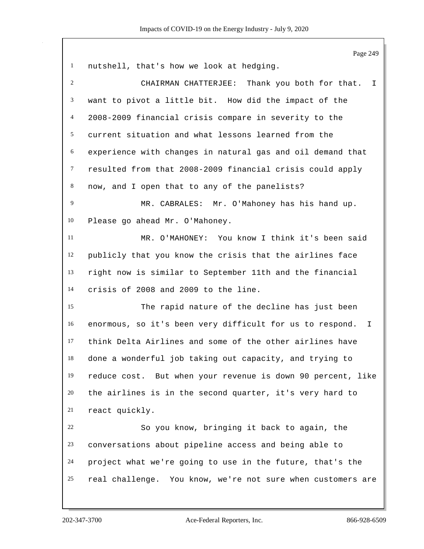Page 249 nutshell, that's how we look at hedging. CHAIRMAN CHATTERJEE: Thank you both for that. I want to pivot a little bit. How did the impact of the 2008-2009 financial crisis compare in severity to the current situation and what lessons learned from the experience with changes in natural gas and oil demand that resulted from that 2008-2009 financial crisis could apply now, and I open that to any of the panelists? MR. CABRALES: Mr. O'Mahoney has his hand up. Please go ahead Mr. O'Mahoney. MR. O'MAHONEY: You know I think it's been said publicly that you know the crisis that the airlines face right now is similar to September 11th and the financial crisis of 2008 and 2009 to the line. The rapid nature of the decline has just been enormous, so it's been very difficult for us to respond. I think Delta Airlines and some of the other airlines have done a wonderful job taking out capacity, and trying to reduce cost. But when your revenue is down 90 percent, like the airlines is in the second quarter, it's very hard to react quickly. So you know, bringing it back to again, the conversations about pipeline access and being able to project what we're going to use in the future, that's the real challenge. You know, we're not sure when customers are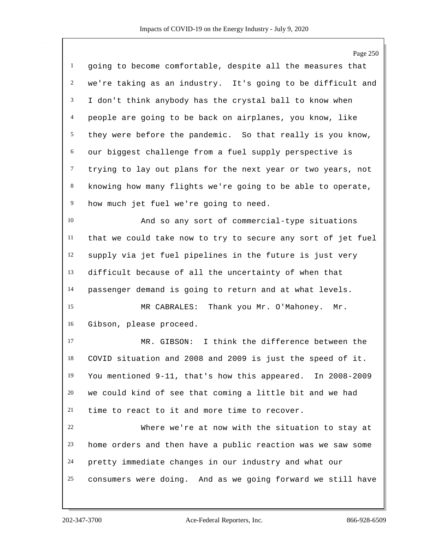|                | Page 250                                                     |
|----------------|--------------------------------------------------------------|
| $\mathbf{1}$   | going to become comfortable, despite all the measures that   |
| $\overline{c}$ | we're taking as an industry. It's going to be difficult and  |
| 3              | I don't think anybody has the crystal ball to know when      |
| 4              | people are going to be back on airplanes, you know, like     |
| 5              | they were before the pandemic. So that really is you know,   |
| 6              | our biggest challenge from a fuel supply perspective is      |
| $\tau$         | trying to lay out plans for the next year or two years, not  |
| $8\,$          | knowing how many flights we're going to be able to operate,  |
| $\overline{9}$ | how much jet fuel we're going to need.                       |
| 10             | And so any sort of commercial-type situations                |
| 11             | that we could take now to try to secure any sort of jet fuel |
| 12             | supply via jet fuel pipelines in the future is just very     |
| 13             | difficult because of all the uncertainty of when that        |
| 14             | passenger demand is going to return and at what levels.      |
| 15             | Thank you Mr. O'Mahoney. Mr.<br>MR CABRALES:                 |
| 16             | Gibson, please proceed.                                      |
| 17             | I think the difference between the<br>MR. GIBSON:            |
| 18             | COVID situation and 2008 and 2009 is just the speed of it.   |
| 19             | You mentioned 9-11, that's how this appeared. In 2008-2009   |
| 20             | we could kind of see that coming a little bit and we had     |
| 21             | time to react to it and more time to recover.                |
| 22             | Where we're at now with the situation to stay at             |
| 23             | home orders and then have a public reaction was we saw some  |
| 24             | pretty immediate changes in our industry and what our        |
| 25             | consumers were doing. And as we going forward we still have  |
|                |                                                              |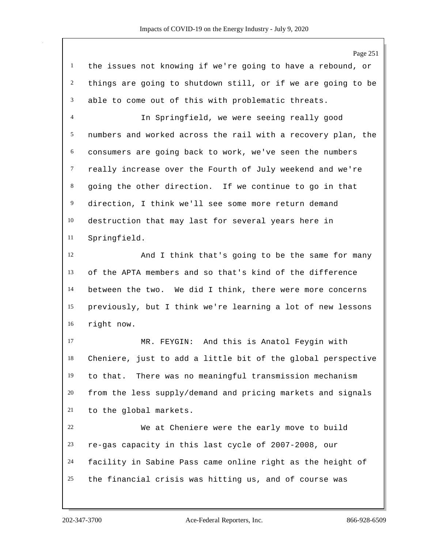the issues not knowing if we're going to have a rebound, or things are going to shutdown still, or if we are going to be able to come out of this with problematic threats. In Springfield, we were seeing really good numbers and worked across the rail with a recovery plan, the consumers are going back to work, we've seen the numbers really increase over the Fourth of July weekend and we're going the other direction. If we continue to go in that direction, I think we'll see some more return demand destruction that may last for several years here in Springfield. And I think that's going to be the same for many of the APTA members and so that's kind of the difference between the two. We did I think, there were more concerns previously, but I think we're learning a lot of new lessons right now. MR. FEYGIN: And this is Anatol Feygin with Cheniere, just to add a little bit of the global perspective to that. There was no meaningful transmission mechanism from the less supply/demand and pricing markets and signals to the global markets. We at Cheniere were the early move to build

 re-gas capacity in this last cycle of 2007-2008, our facility in Sabine Pass came online right as the height of the financial crisis was hitting us, and of course was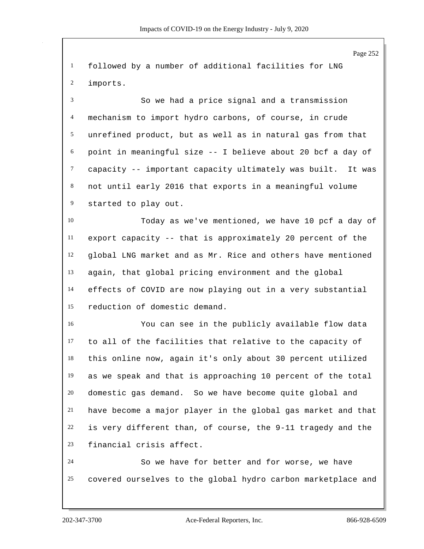Page 252 followed by a number of additional facilities for LNG imports. So we had a price signal and a transmission mechanism to import hydro carbons, of course, in crude unrefined product, but as well as in natural gas from that point in meaningful size -- I believe about 20 bcf a day of capacity -- important capacity ultimately was built. It was not until early 2016 that exports in a meaningful volume started to play out. Today as we've mentioned, we have 10 pcf a day of export capacity -- that is approximately 20 percent of the global LNG market and as Mr. Rice and others have mentioned again, that global pricing environment and the global effects of COVID are now playing out in a very substantial reduction of domestic demand. You can see in the publicly available flow data to all of the facilities that relative to the capacity of this online now, again it's only about 30 percent utilized as we speak and that is approaching 10 percent of the total domestic gas demand. So we have become quite global and have become a major player in the global gas market and that is very different than, of course, the 9-11 tragedy and the financial crisis affect. So we have for better and for worse, we have covered ourselves to the global hydro carbon marketplace and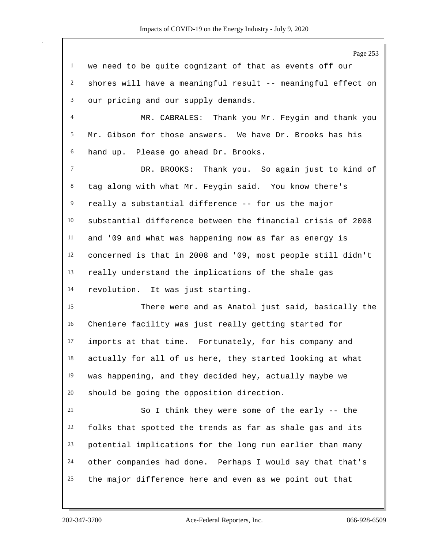Page 253 we need to be quite cognizant of that as events off our shores will have a meaningful result -- meaningful effect on our pricing and our supply demands. MR. CABRALES: Thank you Mr. Feygin and thank you Mr. Gibson for those answers. We have Dr. Brooks has his hand up. Please go ahead Dr. Brooks. DR. BROOKS: Thank you. So again just to kind of tag along with what Mr. Feygin said. You know there's really a substantial difference -- for us the major substantial difference between the financial crisis of 2008 and '09 and what was happening now as far as energy is concerned is that in 2008 and '09, most people still didn't really understand the implications of the shale gas revolution. It was just starting. There were and as Anatol just said, basically the Cheniere facility was just really getting started for imports at that time. Fortunately, for his company and actually for all of us here, they started looking at what was happening, and they decided hey, actually maybe we should be going the opposition direction. So I think they were some of the early -- the folks that spotted the trends as far as shale gas and its potential implications for the long run earlier than many other companies had done. Perhaps I would say that that's the major difference here and even as we point out that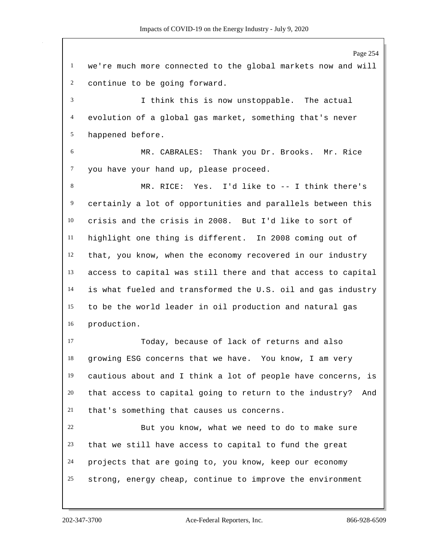Page 254 we're much more connected to the global markets now and will continue to be going forward. I think this is now unstoppable. The actual evolution of a global gas market, something that's never happened before. MR. CABRALES: Thank you Dr. Brooks. Mr. Rice you have your hand up, please proceed. MR. RICE: Yes. I'd like to -- I think there's certainly a lot of opportunities and parallels between this crisis and the crisis in 2008. But I'd like to sort of highlight one thing is different. In 2008 coming out of that, you know, when the economy recovered in our industry access to capital was still there and that access to capital is what fueled and transformed the U.S. oil and gas industry to be the world leader in oil production and natural gas production. Today, because of lack of returns and also growing ESG concerns that we have. You know, I am very cautious about and I think a lot of people have concerns, is that access to capital going to return to the industry? And that's something that causes us concerns. But you know, what we need to do to make sure that we still have access to capital to fund the great projects that are going to, you know, keep our economy strong, energy cheap, continue to improve the environment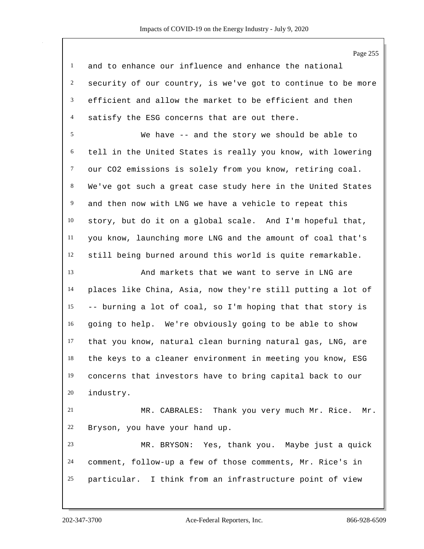Page 255 and to enhance our influence and enhance the national security of our country, is we've got to continue to be more efficient and allow the market to be efficient and then satisfy the ESG concerns that are out there. We have -- and the story we should be able to tell in the United States is really you know, with lowering our CO2 emissions is solely from you know, retiring coal. We've got such a great case study here in the United States and then now with LNG we have a vehicle to repeat this story, but do it on a global scale. And I'm hopeful that, you know, launching more LNG and the amount of coal that's still being burned around this world is quite remarkable. And markets that we want to serve in LNG are places like China, Asia, now they're still putting a lot of -- burning a lot of coal, so I'm hoping that that story is going to help. We're obviously going to be able to show that you know, natural clean burning natural gas, LNG, are the keys to a cleaner environment in meeting you know, ESG concerns that investors have to bring capital back to our industry. MR. CABRALES: Thank you very much Mr. Rice. Mr. Bryson, you have your hand up. MR. BRYSON: Yes, thank you. Maybe just a quick comment, follow-up a few of those comments, Mr. Rice's in particular. I think from an infrastructure point of view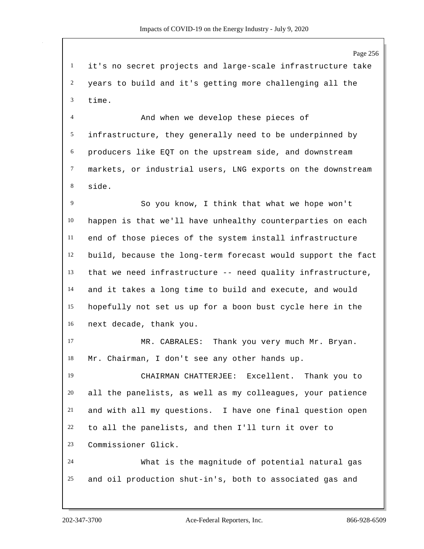it's no secret projects and large-scale infrastructure take years to build and it's getting more challenging all the time.

 And when we develop these pieces of infrastructure, they generally need to be underpinned by producers like EQT on the upstream side, and downstream markets, or industrial users, LNG exports on the downstream side.

 So you know, I think that what we hope won't happen is that we'll have unhealthy counterparties on each end of those pieces of the system install infrastructure build, because the long-term forecast would support the fact that we need infrastructure -- need quality infrastructure, and it takes a long time to build and execute, and would hopefully not set us up for a boon bust cycle here in the next decade, thank you.

 MR. CABRALES: Thank you very much Mr. Bryan. Mr. Chairman, I don't see any other hands up.

 CHAIRMAN CHATTERJEE: Excellent. Thank you to all the panelists, as well as my colleagues, your patience and with all my questions. I have one final question open to all the panelists, and then I'll turn it over to Commissioner Glick.

 What is the magnitude of potential natural gas and oil production shut-in's, both to associated gas and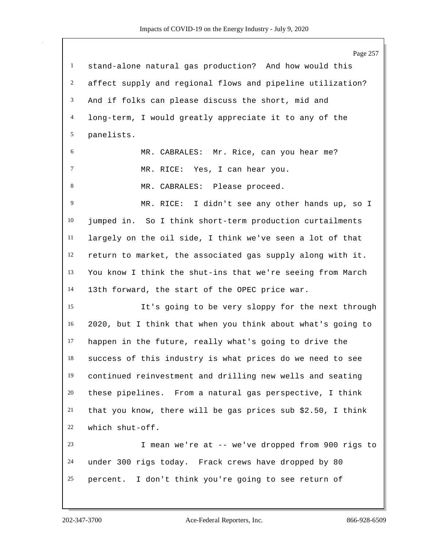Page 257 stand-alone natural gas production? And how would this affect supply and regional flows and pipeline utilization? And if folks can please discuss the short, mid and long-term, I would greatly appreciate it to any of the panelists. MR. CABRALES: Mr. Rice, can you hear me? MR. RICE: Yes, I can hear you. 8 MR. CABRALES: Please proceed. MR. RICE: I didn't see any other hands up, so I jumped in. So I think short-term production curtailments largely on the oil side, I think we've seen a lot of that return to market, the associated gas supply along with it. You know I think the shut-ins that we're seeing from March 13th forward, the start of the OPEC price war. It's going to be very sloppy for the next through 2020, but I think that when you think about what's going to happen in the future, really what's going to drive the success of this industry is what prices do we need to see continued reinvestment and drilling new wells and seating these pipelines. From a natural gas perspective, I think that you know, there will be gas prices sub \$2.50, I think which shut-off. I mean we're at -- we've dropped from 900 rigs to under 300 rigs today. Frack crews have dropped by 80 percent. I don't think you're going to see return of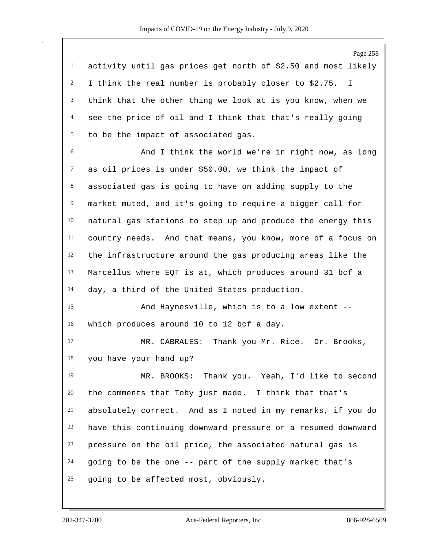Page 258 activity until gas prices get north of \$2.50 and most likely I think the real number is probably closer to \$2.75. I think that the other thing we look at is you know, when we see the price of oil and I think that that's really going to be the impact of associated gas. And I think the world we're in right now, as long as oil prices is under \$50.00, we think the impact of associated gas is going to have on adding supply to the market muted, and it's going to require a bigger call for natural gas stations to step up and produce the energy this country needs. And that means, you know, more of a focus on the infrastructure around the gas producing areas like the Marcellus where EQT is at, which produces around 31 bcf a day, a third of the United States production. And Haynesville, which is to a low extent -- which produces around 10 to 12 bcf a day. MR. CABRALES: Thank you Mr. Rice. Dr. Brooks, you have your hand up? MR. BROOKS: Thank you. Yeah, I'd like to second the comments that Toby just made. I think that that's absolutely correct. And as I noted in my remarks, if you do have this continuing downward pressure or a resumed downward pressure on the oil price, the associated natural gas is going to be the one -- part of the supply market that's going to be affected most, obviously.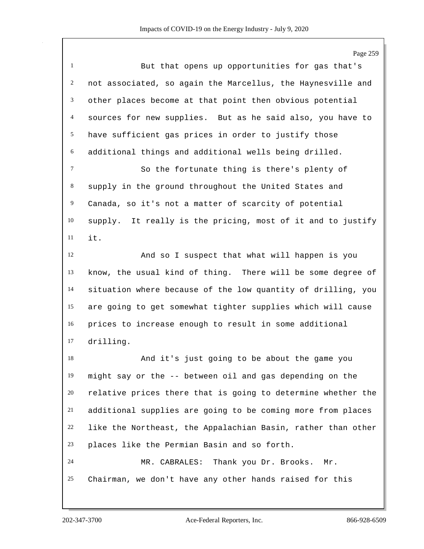Page 259 But that opens up opportunities for gas that's not associated, so again the Marcellus, the Haynesville and other places become at that point then obvious potential sources for new supplies. But as he said also, you have to have sufficient gas prices in order to justify those additional things and additional wells being drilled. So the fortunate thing is there's plenty of supply in the ground throughout the United States and Canada, so it's not a matter of scarcity of potential supply. It really is the pricing, most of it and to justify it. And so I suspect that what will happen is you know, the usual kind of thing. There will be some degree of situation where because of the low quantity of drilling, you are going to get somewhat tighter supplies which will cause prices to increase enough to result in some additional drilling. And it's just going to be about the game you might say or the -- between oil and gas depending on the relative prices there that is going to determine whether the additional supplies are going to be coming more from places like the Northeast, the Appalachian Basin, rather than other places like the Permian Basin and so forth. MR. CABRALES: Thank you Dr. Brooks. Mr. Chairman, we don't have any other hands raised for this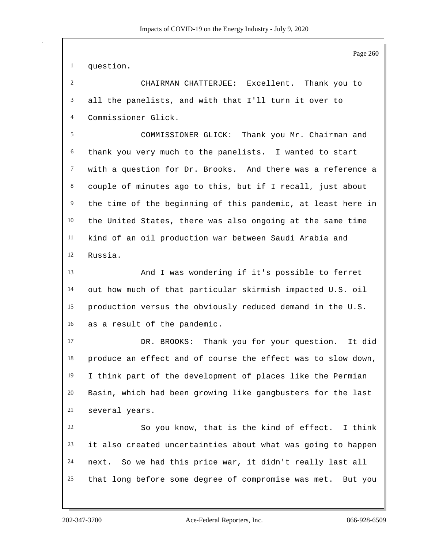question.

 CHAIRMAN CHATTERJEE: Excellent. Thank you to all the panelists, and with that I'll turn it over to Commissioner Glick.

 COMMISSIONER GLICK: Thank you Mr. Chairman and thank you very much to the panelists. I wanted to start with a question for Dr. Brooks. And there was a reference a couple of minutes ago to this, but if I recall, just about the time of the beginning of this pandemic, at least here in the United States, there was also ongoing at the same time kind of an oil production war between Saudi Arabia and Russia.

 And I was wondering if it's possible to ferret out how much of that particular skirmish impacted U.S. oil production versus the obviously reduced demand in the U.S. as a result of the pandemic.

 DR. BROOKS: Thank you for your question. It did produce an effect and of course the effect was to slow down, I think part of the development of places like the Permian Basin, which had been growing like gangbusters for the last several years.

 So you know, that is the kind of effect. I think it also created uncertainties about what was going to happen next. So we had this price war, it didn't really last all that long before some degree of compromise was met. But you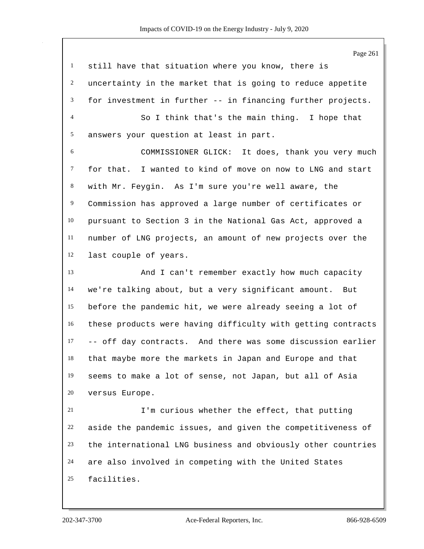| $\mathbf{1}$   | still have that situation where you know, there is           |
|----------------|--------------------------------------------------------------|
| $\overline{c}$ | uncertainty in the market that is going to reduce appetite   |
| 3              | for investment in further -- in financing further projects.  |
| $\overline{4}$ | So I think that's the main thing. I hope that                |
| 5              | answers your question at least in part.                      |
| 6              | COMMISSIONER GLICK: It does, thank you very much             |
| $\overline{7}$ | for that. I wanted to kind of move on now to LNG and start   |
| 8              | with Mr. Feygin. As I'm sure you're well aware, the          |
| 9              | Commission has approved a large number of certificates or    |
| 10             | pursuant to Section 3 in the National Gas Act, approved a    |
| 11             | number of LNG projects, an amount of new projects over the   |
| 12             | last couple of years.                                        |
| 13             | And I can't remember exactly how much capacity               |
| 14             | we're talking about, but a very significant amount. But      |
| 15             | before the pandemic hit, we were already seeing a lot of     |
| 16             | these products were having difficulty with getting contracts |
| 17             | -- off day contracts. And there was some discussion earlier  |
| 18             | that maybe more the markets in Japan and Europe and that     |
| 19             | seems to make a lot of sense, not Japan, but all of Asia     |
| 20             | versus Europe.                                               |
| 21             | I'm curious whether the effect, that putting                 |
| 22             | aside the pandemic issues, and given the competitiveness of  |
| 23             | the international LNG business and obviously other countries |
| 24             | are also involved in competing with the United States        |
| 25             | facilities.                                                  |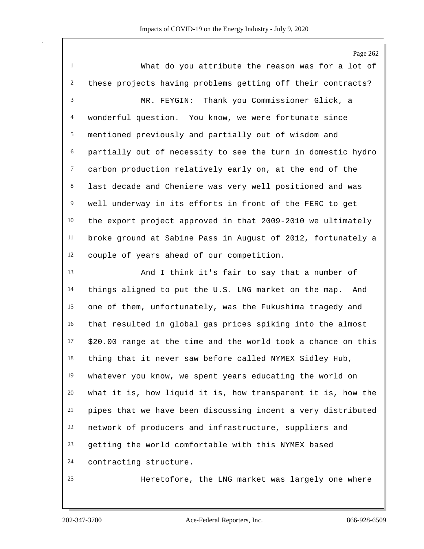What do you attribute the reason was for a lot of these projects having problems getting off their contracts? MR. FEYGIN: Thank you Commissioner Glick, a wonderful question. You know, we were fortunate since mentioned previously and partially out of wisdom and partially out of necessity to see the turn in domestic hydro carbon production relatively early on, at the end of the last decade and Cheniere was very well positioned and was well underway in its efforts in front of the FERC to get the export project approved in that 2009-2010 we ultimately broke ground at Sabine Pass in August of 2012, fortunately a couple of years ahead of our competition. And I think it's fair to say that a number of things aligned to put the U.S. LNG market on the map. And one of them, unfortunately, was the Fukushima tragedy and that resulted in global gas prices spiking into the almost \$20.00 range at the time and the world took a chance on this thing that it never saw before called NYMEX Sidley Hub, whatever you know, we spent years educating the world on what it is, how liquid it is, how transparent it is, how the pipes that we have been discussing incent a very distributed network of producers and infrastructure, suppliers and getting the world comfortable with this NYMEX based contracting structure. Heretofore, the LNG market was largely one where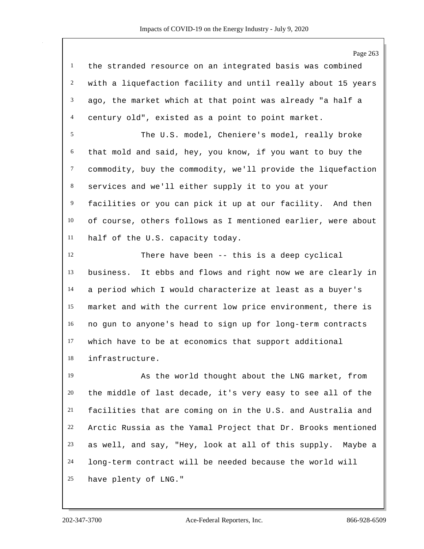|                | Page 263                                                     |
|----------------|--------------------------------------------------------------|
| $\mathbf{1}$   | the stranded resource on an integrated basis was combined    |
| $\overline{c}$ | with a liquefaction facility and until really about 15 years |
| 3              | ago, the market which at that point was already "a half a    |
| $\overline{4}$ | century old", existed as a point to point market.            |
| 5              | The U.S. model, Cheniere's model, really broke               |
| 6              | that mold and said, hey, you know, if you want to buy the    |
| $\tau$         | commodity, buy the commodity, we'll provide the liquefaction |
| $8\,$          | services and we'll either supply it to you at your           |
| 9              | facilities or you can pick it up at our facility. And then   |
| 10             | of course, others follows as I mentioned earlier, were about |
| 11             | half of the U.S. capacity today.                             |
| 12             | There have been -- this is a deep cyclical                   |
| 13             | business. It ebbs and flows and right now we are clearly in  |
| 14             | a period which I would characterize at least as a buyer's    |
| 15             | market and with the current low price environment, there is  |
| 16             | no gun to anyone's head to sign up for long-term contracts   |
| 17             | which have to be at economics that support additional        |
| 18             | infrastructure.                                              |
| 19             | As the world thought about the LNG market, from              |
| 20             | the middle of last decade, it's very easy to see all of the  |
| 21             | facilities that are coming on in the U.S. and Australia and  |
| 22             | Arctic Russia as the Yamal Project that Dr. Brooks mentioned |
| 23             | as well, and say, "Hey, look at all of this supply. Maybe a  |
| 24             | long-term contract will be needed because the world will     |
| 25             | have plenty of LNG."                                         |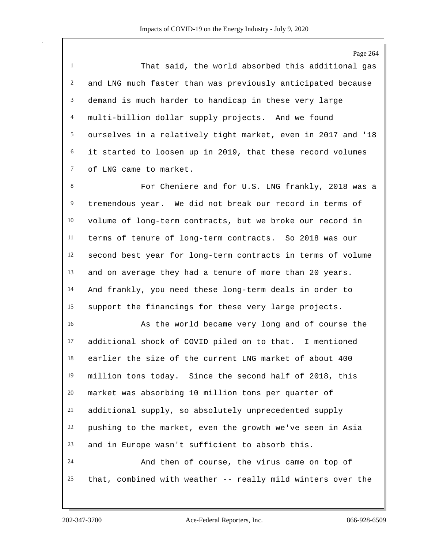That said, the world absorbed this additional gas and LNG much faster than was previously anticipated because demand is much harder to handicap in these very large multi-billion dollar supply projects. And we found ourselves in a relatively tight market, even in 2017 and '18 it started to loosen up in 2019, that these record volumes of LNG came to market.

 For Cheniere and for U.S. LNG frankly, 2018 was a tremendous year. We did not break our record in terms of volume of long-term contracts, but we broke our record in terms of tenure of long-term contracts. So 2018 was our second best year for long-term contracts in terms of volume and on average they had a tenure of more than 20 years. And frankly, you need these long-term deals in order to support the financings for these very large projects.

 As the world became very long and of course the additional shock of COVID piled on to that. I mentioned earlier the size of the current LNG market of about 400 million tons today. Since the second half of 2018, this market was absorbing 10 million tons per quarter of additional supply, so absolutely unprecedented supply pushing to the market, even the growth we've seen in Asia and in Europe wasn't sufficient to absorb this. And then of course, the virus came on top of that, combined with weather -- really mild winters over the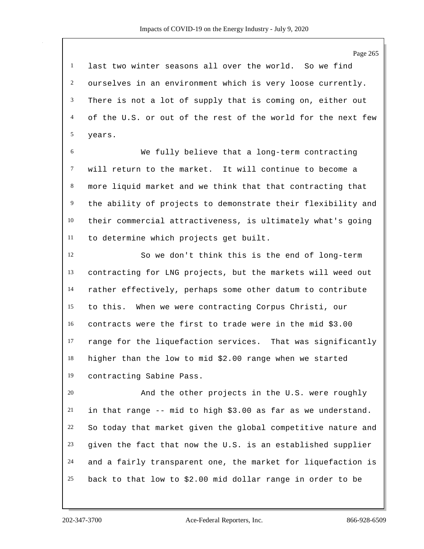last two winter seasons all over the world. So we find ourselves in an environment which is very loose currently. There is not a lot of supply that is coming on, either out of the U.S. or out of the rest of the world for the next few years.

 We fully believe that a long-term contracting will return to the market. It will continue to become a more liquid market and we think that that contracting that the ability of projects to demonstrate their flexibility and their commercial attractiveness, is ultimately what's going to determine which projects get built.

 So we don't think this is the end of long-term contracting for LNG projects, but the markets will weed out rather effectively, perhaps some other datum to contribute to this. When we were contracting Corpus Christi, our contracts were the first to trade were in the mid \$3.00 range for the liquefaction services. That was significantly higher than the low to mid \$2.00 range when we started contracting Sabine Pass.

 And the other projects in the U.S. were roughly in that range -- mid to high \$3.00 as far as we understand. So today that market given the global competitive nature and given the fact that now the U.S. is an established supplier and a fairly transparent one, the market for liquefaction is back to that low to \$2.00 mid dollar range in order to be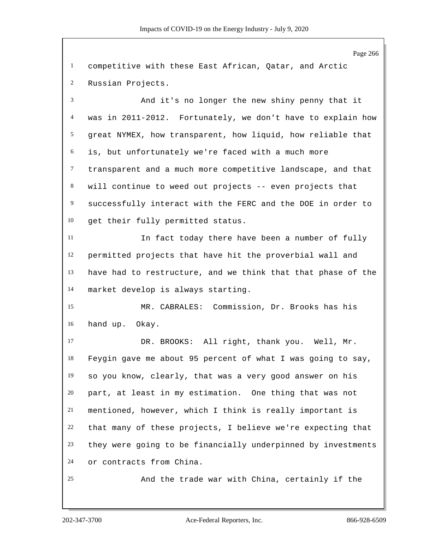Page 266 competitive with these East African, Qatar, and Arctic Russian Projects. And it's no longer the new shiny penny that it was in 2011-2012. Fortunately, we don't have to explain how great NYMEX, how transparent, how liquid, how reliable that is, but unfortunately we're faced with a much more transparent and a much more competitive landscape, and that will continue to weed out projects -- even projects that successfully interact with the FERC and the DOE in order to get their fully permitted status. In fact today there have been a number of fully permitted projects that have hit the proverbial wall and have had to restructure, and we think that that phase of the market develop is always starting. MR. CABRALES: Commission, Dr. Brooks has his hand up. Okay. DR. BROOKS: All right, thank you. Well, Mr. Feygin gave me about 95 percent of what I was going to say, so you know, clearly, that was a very good answer on his part, at least in my estimation. One thing that was not mentioned, however, which I think is really important is that many of these projects, I believe we're expecting that they were going to be financially underpinned by investments or contracts from China. And the trade war with China, certainly if the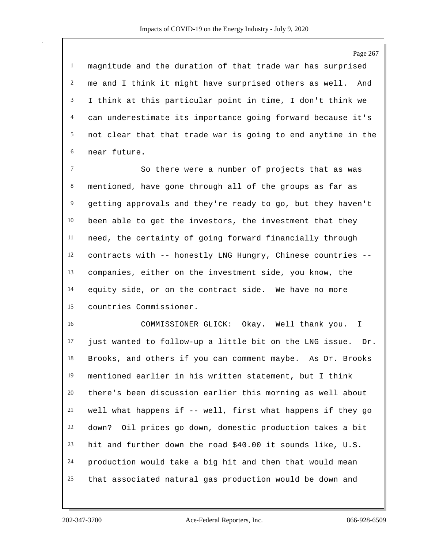magnitude and the duration of that trade war has surprised me and I think it might have surprised others as well. And I think at this particular point in time, I don't think we can underestimate its importance going forward because it's not clear that that trade war is going to end anytime in the near future.

 So there were a number of projects that as was mentioned, have gone through all of the groups as far as getting approvals and they're ready to go, but they haven't been able to get the investors, the investment that they need, the certainty of going forward financially through contracts with -- honestly LNG Hungry, Chinese countries -- companies, either on the investment side, you know, the equity side, or on the contract side. We have no more countries Commissioner.

 COMMISSIONER GLICK: Okay. Well thank you. I just wanted to follow-up a little bit on the LNG issue. Dr. Brooks, and others if you can comment maybe. As Dr. Brooks mentioned earlier in his written statement, but I think there's been discussion earlier this morning as well about well what happens if -- well, first what happens if they go down? Oil prices go down, domestic production takes a bit hit and further down the road \$40.00 it sounds like, U.S. production would take a big hit and then that would mean that associated natural gas production would be down and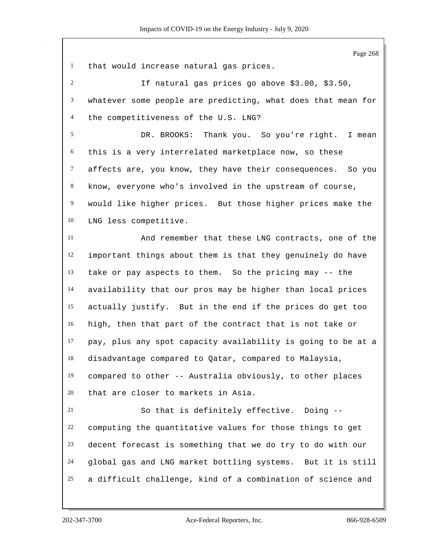that would increase natural gas prices. If natural gas prices go above \$3.00, \$3.50, whatever some people are predicting, what does that mean for the competitiveness of the U.S. LNG? DR. BROOKS: Thank you. So you're right. I mean this is a very interrelated marketplace now, so these affects are, you know, they have their consequences. So you know, everyone who's involved in the upstream of course, would like higher prices. But those higher prices make the LNG less competitive. And remember that these LNG contracts, one of the important things about them is that they genuinely do have take or pay aspects to them. So the pricing may -- the availability that our pros may be higher than local prices actually justify. But in the end if the prices do get too high, then that part of the contract that is not take or pay, plus any spot capacity availability is going to be at a disadvantage compared to Qatar, compared to Malaysia, compared to other -- Australia obviously, to other places that are closer to markets in Asia. So that is definitely effective. Doing -- computing the quantitative values for those things to get decent forecast is something that we do try to do with our

a difficult challenge, kind of a combination of science and

global gas and LNG market bottling systems. But it is still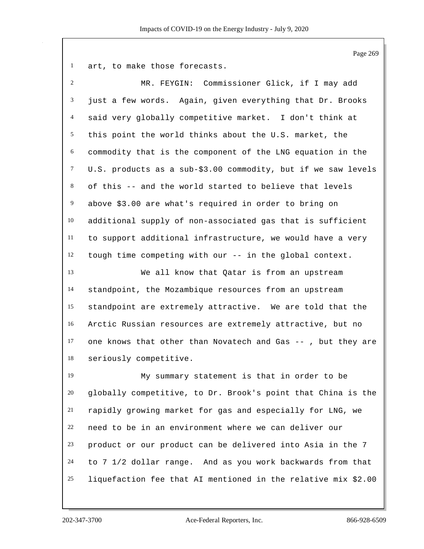art, to make those forecasts.

| $\overline{2}$ | MR. FEYGIN: Commissioner Glick, if I may add                  |
|----------------|---------------------------------------------------------------|
| 3              | just a few words. Again, given everything that Dr. Brooks     |
| $\overline{4}$ | said very globally competitive market. I don't think at       |
| 5              | this point the world thinks about the U.S. market, the        |
| 6              | commodity that is the component of the LNG equation in the    |
| $\tau$         | U.S. products as a sub-\$3.00 commodity, but if we saw levels |
| 8              | of this -- and the world started to believe that levels       |
| $\overline{9}$ | above \$3.00 are what's required in order to bring on         |
| 10             | additional supply of non-associated gas that is sufficient    |
| $11\,$         | to support additional infrastructure, we would have a very    |
| 12             | tough time competing with our -- in the global context.       |
| 13             | We all know that Qatar is from an upstream                    |
| 14             | standpoint, the Mozambique resources from an upstream         |
| 15             | standpoint are extremely attractive. We are told that the     |
| 16             | Arctic Russian resources are extremely attractive, but no     |
| 17             | one knows that other than Novatech and Gas -- , but they are  |
| 18             | seriously competitive.                                        |
| 19             | My summary statement is that in order to be                   |
| 20             | globally competitive, to Dr. Brook's point that China is the  |
| 21             | rapidly growing market for gas and especially for LNG, we     |
| 22             | need to be in an environment where we can deliver our         |
| 23             | product or our product can be delivered into Asia in the 7    |
| 24             | to 7 1/2 dollar range. And as you work backwards from that    |
| 25             | liquefaction fee that AI mentioned in the relative mix \$2.00 |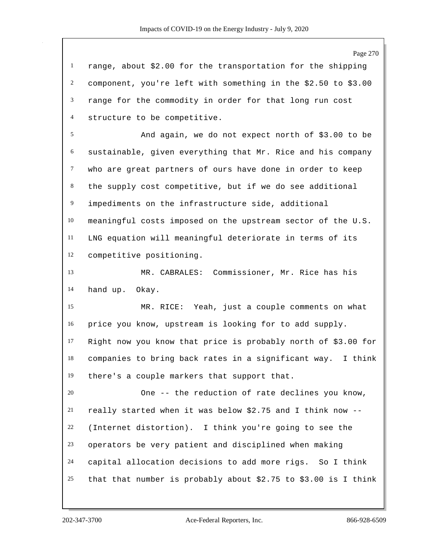range, about \$2.00 for the transportation for the shipping component, you're left with something in the \$2.50 to \$3.00 range for the commodity in order for that long run cost structure to be competitive.

 And again, we do not expect north of \$3.00 to be sustainable, given everything that Mr. Rice and his company who are great partners of ours have done in order to keep the supply cost competitive, but if we do see additional impediments on the infrastructure side, additional meaningful costs imposed on the upstream sector of the U.S. LNG equation will meaningful deteriorate in terms of its competitive positioning.

 MR. CABRALES: Commissioner, Mr. Rice has his hand up. Okay.

 MR. RICE: Yeah, just a couple comments on what price you know, upstream is looking for to add supply. Right now you know that price is probably north of \$3.00 for companies to bring back rates in a significant way. I think there's a couple markers that support that.

 One -- the reduction of rate declines you know, really started when it was below \$2.75 and I think now -- (Internet distortion). I think you're going to see the operators be very patient and disciplined when making capital allocation decisions to add more rigs. So I think that that number is probably about \$2.75 to \$3.00 is I think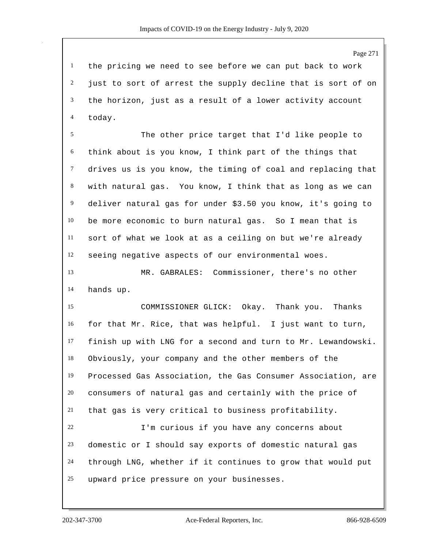the pricing we need to see before we can put back to work just to sort of arrest the supply decline that is sort of on the horizon, just as a result of a lower activity account today.

 The other price target that I'd like people to think about is you know, I think part of the things that drives us is you know, the timing of coal and replacing that with natural gas. You know, I think that as long as we can deliver natural gas for under \$3.50 you know, it's going to be more economic to burn natural gas. So I mean that is sort of what we look at as a ceiling on but we're already seeing negative aspects of our environmental woes.

 MR. GABRALES: Commissioner, there's no other hands up.

 COMMISSIONER GLICK: Okay. Thank you. Thanks for that Mr. Rice, that was helpful. I just want to turn, finish up with LNG for a second and turn to Mr. Lewandowski. Obviously, your company and the other members of the Processed Gas Association, the Gas Consumer Association, are consumers of natural gas and certainly with the price of that gas is very critical to business profitability. I'm curious if you have any concerns about

 domestic or I should say exports of domestic natural gas through LNG, whether if it continues to grow that would put upward price pressure on your businesses.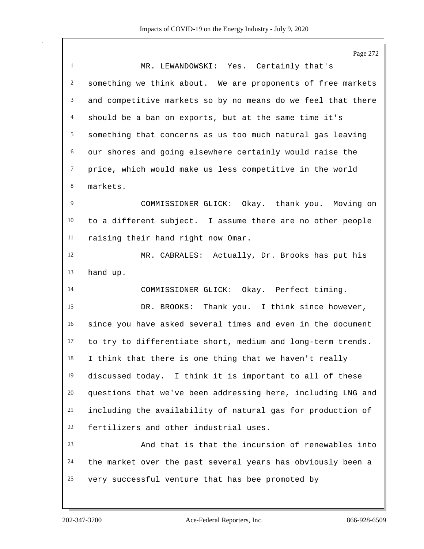Page 272 MR. LEWANDOWSKI: Yes. Certainly that's something we think about. We are proponents of free markets and competitive markets so by no means do we feel that there should be a ban on exports, but at the same time it's something that concerns as us too much natural gas leaving our shores and going elsewhere certainly would raise the price, which would make us less competitive in the world markets. COMMISSIONER GLICK: Okay. thank you. Moving on to a different subject. I assume there are no other people raising their hand right now Omar. MR. CABRALES: Actually, Dr. Brooks has put his hand up. COMMISSIONER GLICK: Okay. Perfect timing. DR. BROOKS: Thank you. I think since however, since you have asked several times and even in the document to try to differentiate short, medium and long-term trends. I think that there is one thing that we haven't really discussed today. I think it is important to all of these questions that we've been addressing here, including LNG and including the availability of natural gas for production of fertilizers and other industrial uses. And that is that the incursion of renewables into the market over the past several years has obviously been a very successful venture that has bee promoted by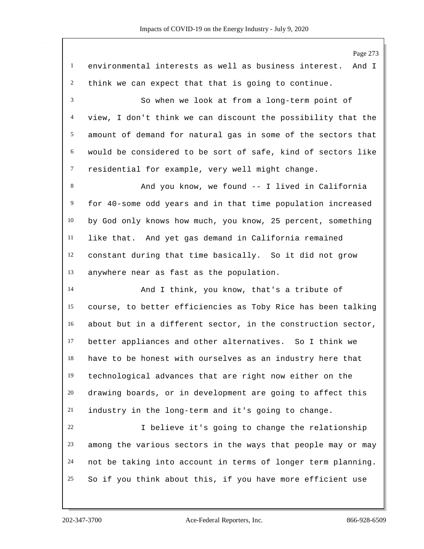Page 273 environmental interests as well as business interest. And I think we can expect that that is going to continue. So when we look at from a long-term point of view, I don't think we can discount the possibility that the amount of demand for natural gas in some of the sectors that would be considered to be sort of safe, kind of sectors like residential for example, very well might change. 8 And you know, we found -- I lived in California for 40-some odd years and in that time population increased by God only knows how much, you know, 25 percent, something like that. And yet gas demand in California remained constant during that time basically. So it did not grow anywhere near as fast as the population. And I think, you know, that's a tribute of course, to better efficiencies as Toby Rice has been talking about but in a different sector, in the construction sector, better appliances and other alternatives. So I think we have to be honest with ourselves as an industry here that technological advances that are right now either on the drawing boards, or in development are going to affect this industry in the long-term and it's going to change. I believe it's going to change the relationship among the various sectors in the ways that people may or may not be taking into account in terms of longer term planning. So if you think about this, if you have more efficient use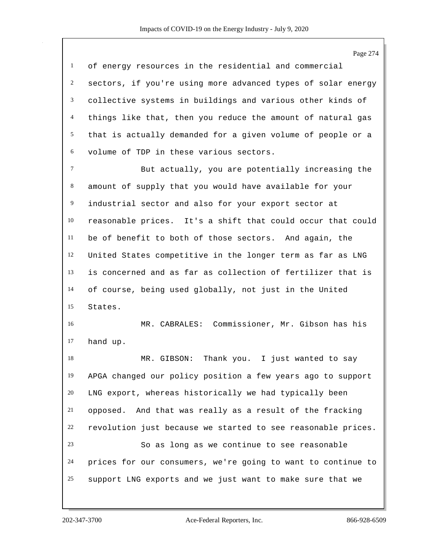Page 274 of energy resources in the residential and commercial sectors, if you're using more advanced types of solar energy collective systems in buildings and various other kinds of things like that, then you reduce the amount of natural gas that is actually demanded for a given volume of people or a volume of TDP in these various sectors. But actually, you are potentially increasing the amount of supply that you would have available for your industrial sector and also for your export sector at reasonable prices. It's a shift that could occur that could be of benefit to both of those sectors. And again, the United States competitive in the longer term as far as LNG is concerned and as far as collection of fertilizer that is of course, being used globally, not just in the United States. MR. CABRALES: Commissioner, Mr. Gibson has his hand up. MR. GIBSON: Thank you. I just wanted to say APGA changed our policy position a few years ago to support LNG export, whereas historically we had typically been opposed. And that was really as a result of the fracking revolution just because we started to see reasonable prices. So as long as we continue to see reasonable prices for our consumers, we're going to want to continue to support LNG exports and we just want to make sure that we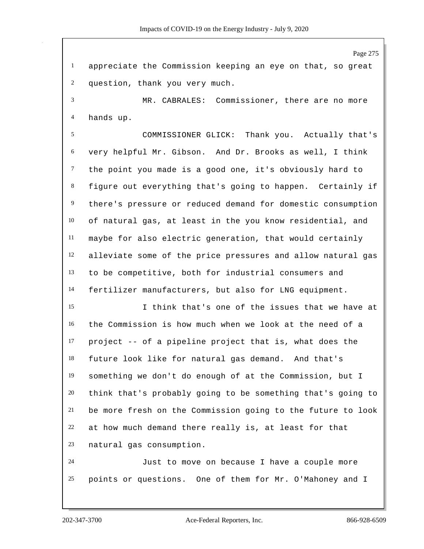appreciate the Commission keeping an eye on that, so great question, thank you very much.

 MR. CABRALES: Commissioner, there are no more hands up.

 COMMISSIONER GLICK: Thank you. Actually that's very helpful Mr. Gibson. And Dr. Brooks as well, I think the point you made is a good one, it's obviously hard to figure out everything that's going to happen. Certainly if there's pressure or reduced demand for domestic consumption of natural gas, at least in the you know residential, and maybe for also electric generation, that would certainly alleviate some of the price pressures and allow natural gas to be competitive, both for industrial consumers and fertilizer manufacturers, but also for LNG equipment.

 I think that's one of the issues that we have at the Commission is how much when we look at the need of a project -- of a pipeline project that is, what does the future look like for natural gas demand. And that's something we don't do enough of at the Commission, but I think that's probably going to be something that's going to be more fresh on the Commission going to the future to look at how much demand there really is, at least for that natural gas consumption.

 Just to move on because I have a couple more points or questions. One of them for Mr. O'Mahoney and I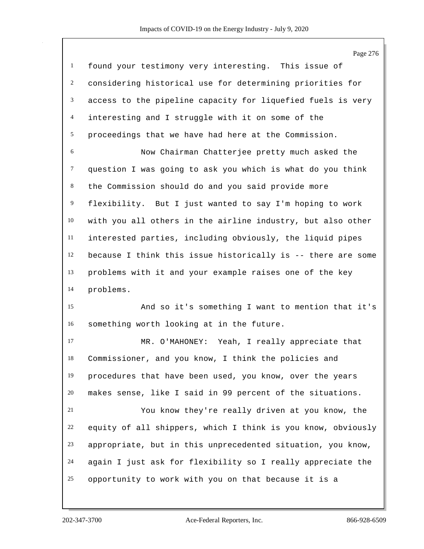|                | Page 276                                                     |
|----------------|--------------------------------------------------------------|
| $\mathbf{1}$   | found your testimony very interesting. This issue of         |
| $\overline{c}$ | considering historical use for determining priorities for    |
| 3              | access to the pipeline capacity for liquefied fuels is very  |
| $\overline{4}$ | interesting and I struggle with it on some of the            |
| 5              | proceedings that we have had here at the Commission.         |
| 6              | Now Chairman Chatterjee pretty much asked the                |
| $\tau$         | question I was going to ask you which is what do you think   |
| 8              | the Commission should do and you said provide more           |
| 9              | flexibility. But I just wanted to say I'm hoping to work     |
| 10             | with you all others in the airline industry, but also other  |
| $11\,$         | interested parties, including obviously, the liquid pipes    |
| 12             | because I think this issue historically is -- there are some |
| 13             | problems with it and your example raises one of the key      |
| 14             | problems.                                                    |
| 15             | And so it's something I want to mention that it's            |
| 16             | something worth looking at in the future.                    |
| 17             | MR. O'MAHONEY: Yeah, I really appreciate that                |
| 18             | Commissioner, and you know, I think the policies and         |
| 19             | procedures that have been used, you know, over the years     |
| 20             | makes sense, like I said in 99 percent of the situations.    |
| 21             | You know they're really driven at you know, the              |
| 22             | equity of all shippers, which I think is you know, obviously |
| 23             | appropriate, but in this unprecedented situation, you know,  |
| 24             | again I just ask for flexibility so I really appreciate the  |
| 25             | opportunity to work with you on that because it is a         |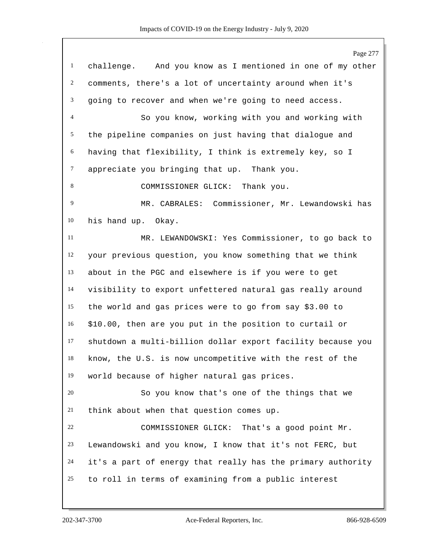|                | Page 277                                                    |
|----------------|-------------------------------------------------------------|
| $\mathbf{1}$   | challenge. And you know as I mentioned in one of my other   |
| $\overline{2}$ | comments, there's a lot of uncertainty around when it's     |
| 3              | going to recover and when we're going to need access.       |
| $\overline{4}$ | So you know, working with you and working with              |
| 5              | the pipeline companies on just having that dialogue and     |
| 6              | having that flexibility, I think is extremely key, so I     |
| $\tau$         | appreciate you bringing that up. Thank you.                 |
| 8              | COMMISSIONER GLICK: Thank you.                              |
| 9              | MR. CABRALES: Commissioner, Mr. Lewandowski has             |
| 10             | his hand up. Okay.                                          |
| 11             | MR. LEWANDOWSKI: Yes Commissioner, to go back to            |
| 12             | your previous question, you know something that we think    |
| 13             | about in the PGC and elsewhere is if you were to get        |
| 14             | visibility to export unfettered natural gas really around   |
| 15             | the world and gas prices were to go from say \$3.00 to      |
| 16             | \$10.00, then are you put in the position to curtail or     |
| 17             | shutdown a multi-billion dollar export facility because you |
| 18             | know, the U.S. is now uncompetitive with the rest of the    |
| 19             | world because of higher natural gas prices.                 |
| 20             | So you know that's one of the things that we                |
| 21             | think about when that question comes up.                    |
| 22             | COMMISSIONER GLICK: That's a good point Mr.                 |
| 23             | Lewandowski and you know, I know that it's not FERC, but    |
| 24             | it's a part of energy that really has the primary authority |
| 25             | to roll in terms of examining from a public interest        |
|                |                                                             |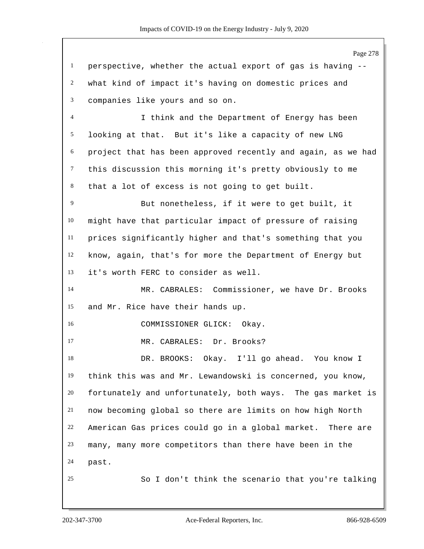Page 278 perspective, whether the actual export of gas is having -- what kind of impact it's having on domestic prices and companies like yours and so on. I think and the Department of Energy has been looking at that. But it's like a capacity of new LNG project that has been approved recently and again, as we had this discussion this morning it's pretty obviously to me that a lot of excess is not going to get built. But nonetheless, if it were to get built, it might have that particular impact of pressure of raising prices significantly higher and that's something that you know, again, that's for more the Department of Energy but it's worth FERC to consider as well. MR. CABRALES: Commissioner, we have Dr. Brooks and Mr. Rice have their hands up. COMMISSIONER GLICK: Okay. 17 MR. CABRALES: Dr. Brooks? DR. BROOKS: Okay. I'll go ahead. You know I think this was and Mr. Lewandowski is concerned, you know, fortunately and unfortunately, both ways. The gas market is now becoming global so there are limits on how high North American Gas prices could go in a global market. There are many, many more competitors than there have been in the past. So I don't think the scenario that you're talking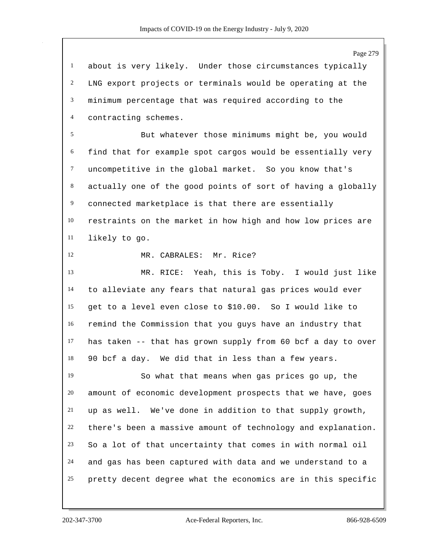Page 279 about is very likely. Under those circumstances typically LNG export projects or terminals would be operating at the minimum percentage that was required according to the contracting schemes. But whatever those minimums might be, you would find that for example spot cargos would be essentially very uncompetitive in the global market. So you know that's actually one of the good points of sort of having a globally connected marketplace is that there are essentially restraints on the market in how high and how low prices are likely to go. MR. CABRALES: Mr. Rice? MR. RICE: Yeah, this is Toby. I would just like to alleviate any fears that natural gas prices would ever get to a level even close to \$10.00. So I would like to remind the Commission that you guys have an industry that has taken -- that has grown supply from 60 bcf a day to over 90 bcf a day. We did that in less than a few years. So what that means when gas prices go up, the amount of economic development prospects that we have, goes up as well. We've done in addition to that supply growth, there's been a massive amount of technology and explanation. So a lot of that uncertainty that comes in with normal oil and gas has been captured with data and we understand to a pretty decent degree what the economics are in this specific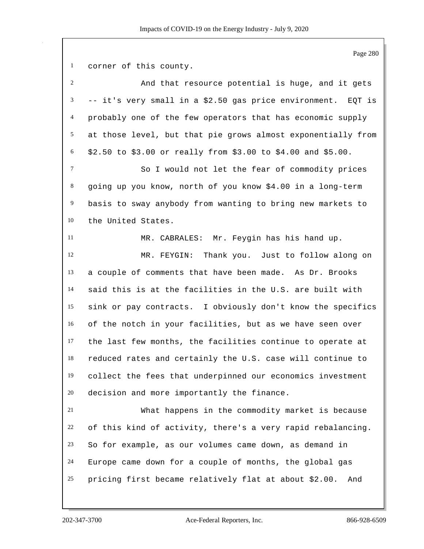corner of this county.

 And that resource potential is huge, and it gets -- it's very small in a \$2.50 gas price environment. EQT is probably one of the few operators that has economic supply at those level, but that pie grows almost exponentially from \$2.50 to \$3.00 or really from \$3.00 to \$4.00 and \$5.00. So I would not let the fear of commodity prices going up you know, north of you know \$4.00 in a long-term basis to sway anybody from wanting to bring new markets to the United States. MR. CABRALES: Mr. Feygin has his hand up. MR. FEYGIN: Thank you. Just to follow along on a couple of comments that have been made. As Dr. Brooks said this is at the facilities in the U.S. are built with sink or pay contracts. I obviously don't know the specifics of the notch in your facilities, but as we have seen over the last few months, the facilities continue to operate at reduced rates and certainly the U.S. case will continue to collect the fees that underpinned our economics investment decision and more importantly the finance. What happens in the commodity market is because of this kind of activity, there's a very rapid rebalancing. So for example, as our volumes came down, as demand in Europe came down for a couple of months, the global gas pricing first became relatively flat at about \$2.00. And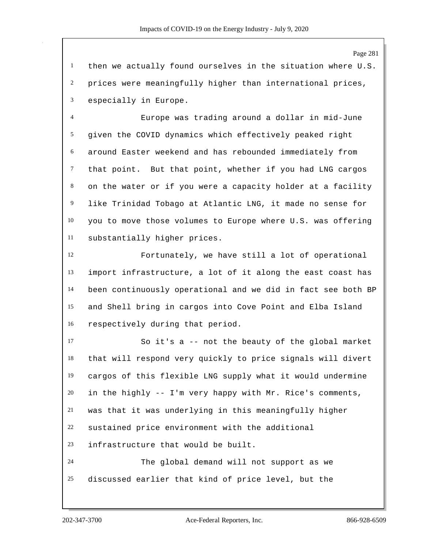then we actually found ourselves in the situation where U.S. prices were meaningfully higher than international prices, especially in Europe.

 Europe was trading around a dollar in mid-June given the COVID dynamics which effectively peaked right around Easter weekend and has rebounded immediately from that point. But that point, whether if you had LNG cargos on the water or if you were a capacity holder at a facility like Trinidad Tobago at Atlantic LNG, it made no sense for you to move those volumes to Europe where U.S. was offering substantially higher prices.

 Fortunately, we have still a lot of operational import infrastructure, a lot of it along the east coast has been continuously operational and we did in fact see both BP and Shell bring in cargos into Cove Point and Elba Island respectively during that period.

 So it's a -- not the beauty of the global market that will respond very quickly to price signals will divert cargos of this flexible LNG supply what it would undermine in the highly -- I'm very happy with Mr. Rice's comments, was that it was underlying in this meaningfully higher sustained price environment with the additional infrastructure that would be built. The global demand will not support as we

discussed earlier that kind of price level, but the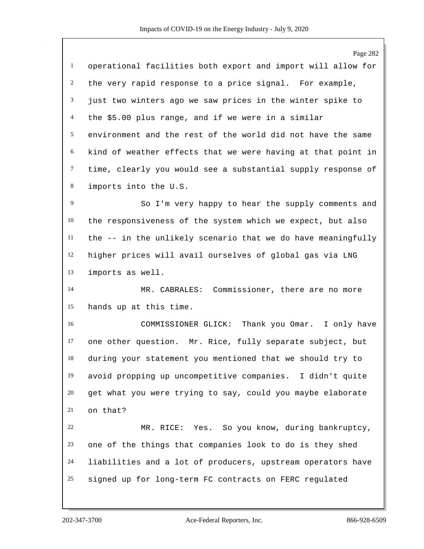Page 282 operational facilities both export and import will allow for the very rapid response to a price signal. For example, just two winters ago we saw prices in the winter spike to the \$5.00 plus range, and if we were in a similar environment and the rest of the world did not have the same kind of weather effects that we were having at that point in time, clearly you would see a substantial supply response of imports into the U.S. So I'm very happy to hear the supply comments and the responsiveness of the system which we expect, but also the -- in the unlikely scenario that we do have meaningfully higher prices will avail ourselves of global gas via LNG imports as well. MR. CABRALES: Commissioner, there are no more hands up at this time. COMMISSIONER GLICK: Thank you Omar. I only have one other question. Mr. Rice, fully separate subject, but during your statement you mentioned that we should try to avoid propping up uncompetitive companies. I didn't quite get what you were trying to say, could you maybe elaborate on that? MR. RICE: Yes. So you know, during bankruptcy, one of the things that companies look to do is they shed liabilities and a lot of producers, upstream operators have signed up for long-term FC contracts on FERC regulated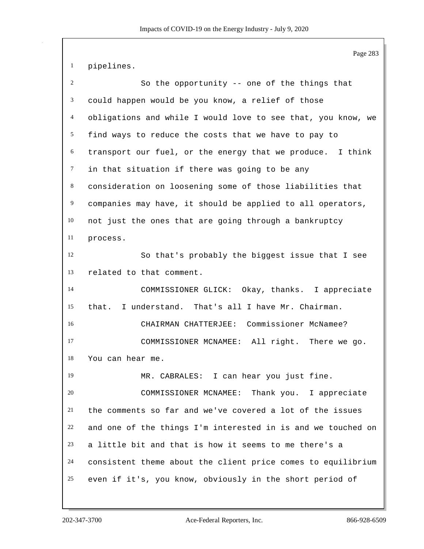pipelines.

| $\overline{2}$ | So the opportunity -- one of the things that                 |
|----------------|--------------------------------------------------------------|
| 3              | could happen would be you know, a relief of those            |
| 4              | obligations and while I would love to see that, you know, we |
| 5              | find ways to reduce the costs that we have to pay to         |
| 6              | transport our fuel, or the energy that we produce. I think   |
| $\tau$         | in that situation if there was going to be any               |
| 8              | consideration on loosening some of those liabilities that    |
| $\overline{9}$ | companies may have, it should be applied to all operators,   |
| 10             | not just the ones that are going through a bankruptcy        |
| 11             | process.                                                     |
| 12             | So that's probably the biggest issue that I see              |
| 13             | related to that comment.                                     |
| 14             | COMMISSIONER GLICK: Okay, thanks. I appreciate               |
| 15             | that. I understand. That's all I have Mr. Chairman.          |
| 16             | CHAIRMAN CHATTERJEE: Commissioner McNamee?                   |
| 17             | COMMISSIONER MCNAMEE: All right. There we go.                |
| 18             | You can hear me.                                             |
| 19             | MR. CABRALES: I can hear you just fine.                      |
| 20             | COMMISSIONER MCNAMEE: Thank you. I appreciate                |
| 21             | the comments so far and we've covered a lot of the issues    |
| 22             | and one of the things I'm interested in is and we touched on |
| 23             | a little bit and that is how it seems to me there's a        |
| 24             | consistent theme about the client price comes to equilibrium |
| 25             | even if it's, you know, obviously in the short period of     |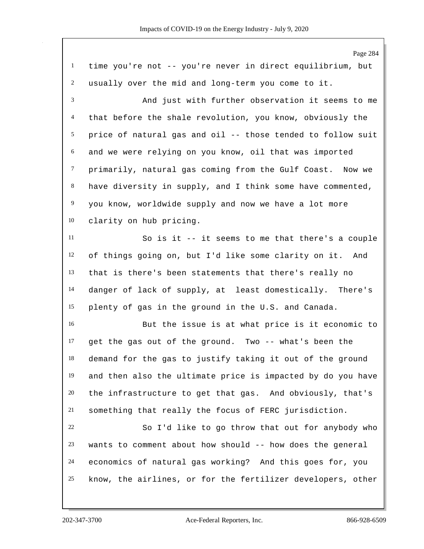Page 284 time you're not -- you're never in direct equilibrium, but usually over the mid and long-term you come to it. And just with further observation it seems to me that before the shale revolution, you know, obviously the price of natural gas and oil -- those tended to follow suit and we were relying on you know, oil that was imported primarily, natural gas coming from the Gulf Coast. Now we have diversity in supply, and I think some have commented, you know, worldwide supply and now we have a lot more clarity on hub pricing. So is it -- it seems to me that there's a couple of things going on, but I'd like some clarity on it. And that is there's been statements that there's really no danger of lack of supply, at least domestically. There's plenty of gas in the ground in the U.S. and Canada. But the issue is at what price is it economic to get the gas out of the ground. Two -- what's been the demand for the gas to justify taking it out of the ground and then also the ultimate price is impacted by do you have 20 the infrastructure to get that gas. And obviously, that's something that really the focus of FERC jurisdiction. So I'd like to go throw that out for anybody who wants to comment about how should -- how does the general economics of natural gas working? And this goes for, you know, the airlines, or for the fertilizer developers, other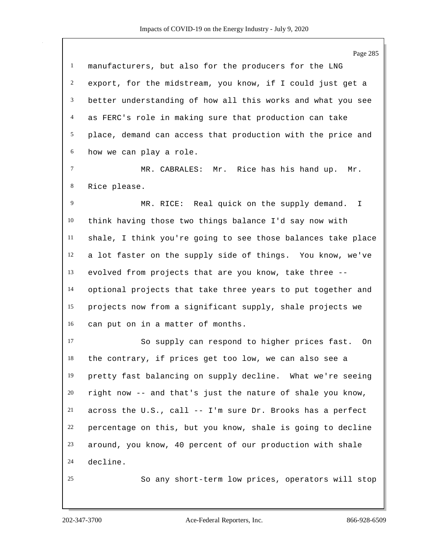Page 285 manufacturers, but also for the producers for the LNG export, for the midstream, you know, if I could just get a better understanding of how all this works and what you see as FERC's role in making sure that production can take place, demand can access that production with the price and how we can play a role. MR. CABRALES: Mr. Rice has his hand up. Mr. Rice please. MR. RICE: Real quick on the supply demand. I think having those two things balance I'd say now with shale, I think you're going to see those balances take place a lot faster on the supply side of things. You know, we've evolved from projects that are you know, take three -- optional projects that take three years to put together and projects now from a significant supply, shale projects we can put on in a matter of months. So supply can respond to higher prices fast. On the contrary, if prices get too low, we can also see a pretty fast balancing on supply decline. What we're seeing right now -- and that's just the nature of shale you know, across the U.S., call -- I'm sure Dr. Brooks has a perfect percentage on this, but you know, shale is going to decline around, you know, 40 percent of our production with shale decline. So any short-term low prices, operators will stop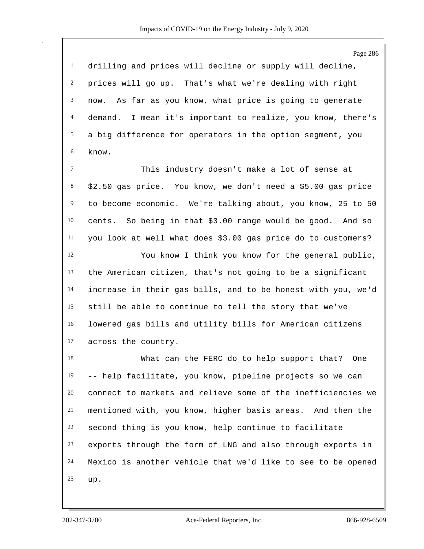Page 286 drilling and prices will decline or supply will decline, prices will go up. That's what we're dealing with right now. As far as you know, what price is going to generate demand. I mean it's important to realize, you know, there's a big difference for operators in the option segment, you know.

 This industry doesn't make a lot of sense at \$2.50 gas price. You know, we don't need a \$5.00 gas price to become economic. We're talking about, you know, 25 to 50 cents. So being in that \$3.00 range would be good. And so you look at well what does \$3.00 gas price do to customers?

 You know I think you know for the general public, the American citizen, that's not going to be a significant increase in their gas bills, and to be honest with you, we'd still be able to continue to tell the story that we've lowered gas bills and utility bills for American citizens across the country.

 What can the FERC do to help support that? One -- help facilitate, you know, pipeline projects so we can connect to markets and relieve some of the inefficiencies we mentioned with, you know, higher basis areas. And then the second thing is you know, help continue to facilitate exports through the form of LNG and also through exports in Mexico is another vehicle that we'd like to see to be opened up.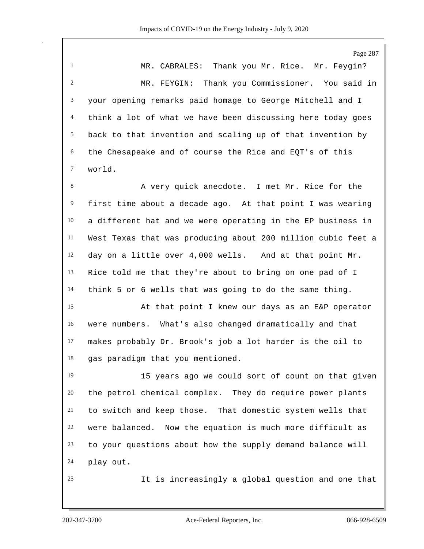Page 287 MR. CABRALES: Thank you Mr. Rice. Mr. Feygin? MR. FEYGIN: Thank you Commissioner. You said in your opening remarks paid homage to George Mitchell and I think a lot of what we have been discussing here today goes back to that invention and scaling up of that invention by the Chesapeake and of course the Rice and EQT's of this world. 8 A very quick anecdote. I met Mr. Rice for the first time about a decade ago. At that point I was wearing a different hat and we were operating in the EP business in West Texas that was producing about 200 million cubic feet a day on a little over 4,000 wells. And at that point Mr. Rice told me that they're about to bring on one pad of I think 5 or 6 wells that was going to do the same thing. At that point I knew our days as an E&P operator were numbers. What's also changed dramatically and that makes probably Dr. Brook's job a lot harder is the oil to gas paradigm that you mentioned.

 15 years ago we could sort of count on that given the petrol chemical complex. They do require power plants to switch and keep those. That domestic system wells that were balanced. Now the equation is much more difficult as to your questions about how the supply demand balance will play out.

It is increasingly a global question and one that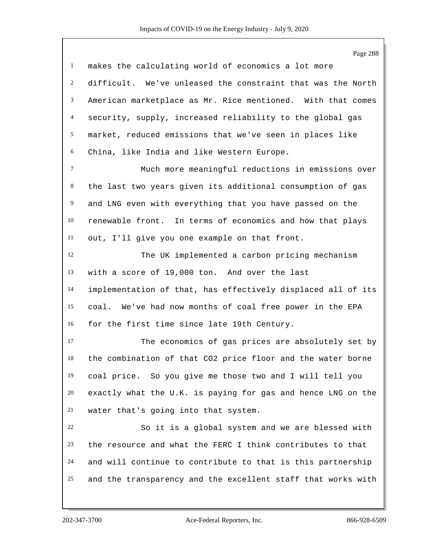Page 288 makes the calculating world of economics a lot more difficult. We've unleased the constraint that was the North American marketplace as Mr. Rice mentioned. With that comes security, supply, increased reliability to the global gas market, reduced emissions that we've seen in places like China, like India and like Western Europe. Much more meaningful reductions in emissions over the last two years given its additional consumption of gas and LNG even with everything that you have passed on the renewable front. In terms of economics and how that plays out, I'll give you one example on that front. The UK implemented a carbon pricing mechanism with a score of 19,000 ton. And over the last implementation of that, has effectively displaced all of its coal. We've had now months of coal free power in the EPA for the first time since late 19th Century. The economics of gas prices are absolutely set by the combination of that CO2 price floor and the water borne coal price. So you give me those two and I will tell you exactly what the U.K. is paying for gas and hence LNG on the water that's going into that system. So it is a global system and we are blessed with the resource and what the FERC I think contributes to that and will continue to contribute to that is this partnership and the transparency and the excellent staff that works with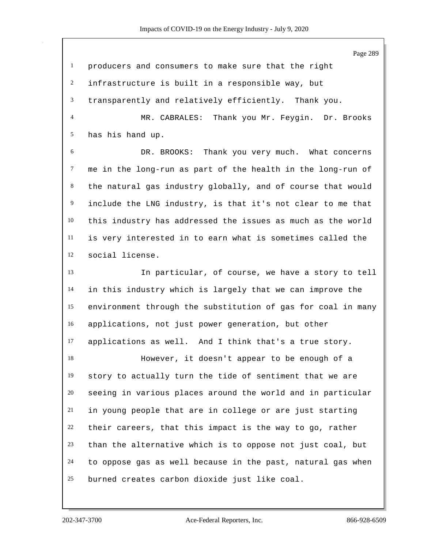| $\mathbf{1}$   | producers and consumers to make sure that the right          |
|----------------|--------------------------------------------------------------|
| $\overline{c}$ | infrastructure is built in a responsible way, but            |
| 3              | transparently and relatively efficiently. Thank you.         |
| $\overline{4}$ | MR. CABRALES: Thank you Mr. Feygin. Dr. Brooks               |
| 5              | has his hand up.                                             |
| 6              | DR. BROOKS: Thank you very much. What concerns               |
| $\tau$         | me in the long-run as part of the health in the long-run of  |
| 8              | the natural gas industry globally, and of course that would  |
| 9              | include the LNG industry, is that it's not clear to me that  |
| 10             | this industry has addressed the issues as much as the world  |
| 11             | is very interested in to earn what is sometimes called the   |
| 12             | social license.                                              |
| 13             | In particular, of course, we have a story to tell            |
| 14             | in this industry which is largely that we can improve the    |
| 15             | environment through the substitution of gas for coal in many |
| 16             | applications, not just power generation, but other           |
| 17             | applications as well. And I think that's a true story.       |
| 18             | However, it doesn't appear to be enough of a                 |
| 19             | story to actually turn the tide of sentiment that we are     |
| 20             | seeing in various places around the world and in particular  |
| 21             | in young people that are in college or are just starting     |
| 22             | their careers, that this impact is the way to go, rather     |
| 23             | than the alternative which is to oppose not just coal, but   |
| 24             | to oppose gas as well because in the past, natural gas when  |
| 25             | burned creates carbon dioxide just like coal.                |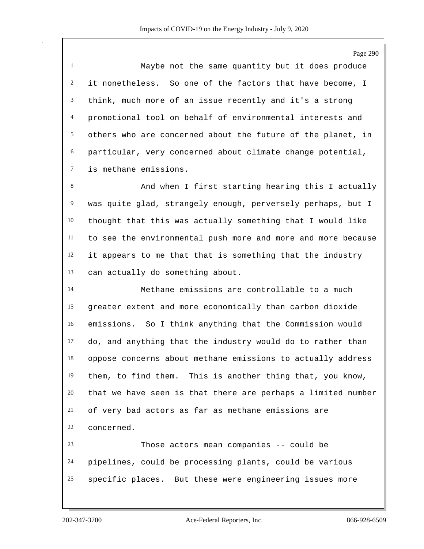Page 290

 Maybe not the same quantity but it does produce it nonetheless. So one of the factors that have become, I think, much more of an issue recently and it's a strong promotional tool on behalf of environmental interests and others who are concerned about the future of the planet, in particular, very concerned about climate change potential, is methane emissions.

8 And when I first starting hearing this I actually was quite glad, strangely enough, perversely perhaps, but I thought that this was actually something that I would like to see the environmental push more and more and more because it appears to me that that is something that the industry can actually do something about.

 Methane emissions are controllable to a much greater extent and more economically than carbon dioxide emissions. So I think anything that the Commission would do, and anything that the industry would do to rather than oppose concerns about methane emissions to actually address them, to find them. This is another thing that, you know, that we have seen is that there are perhaps a limited number of very bad actors as far as methane emissions are concerned.

 Those actors mean companies -- could be pipelines, could be processing plants, could be various specific places. But these were engineering issues more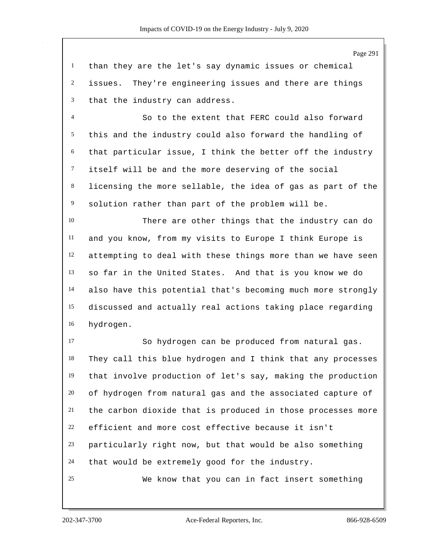than they are the let's say dynamic issues or chemical issues. They're engineering issues and there are things that the industry can address.

 So to the extent that FERC could also forward this and the industry could also forward the handling of that particular issue, I think the better off the industry itself will be and the more deserving of the social licensing the more sellable, the idea of gas as part of the solution rather than part of the problem will be.

 There are other things that the industry can do and you know, from my visits to Europe I think Europe is attempting to deal with these things more than we have seen so far in the United States. And that is you know we do also have this potential that's becoming much more strongly discussed and actually real actions taking place regarding hydrogen.

 So hydrogen can be produced from natural gas. They call this blue hydrogen and I think that any processes that involve production of let's say, making the production of hydrogen from natural gas and the associated capture of the carbon dioxide that is produced in those processes more efficient and more cost effective because it isn't particularly right now, but that would be also something that would be extremely good for the industry. We know that you can in fact insert something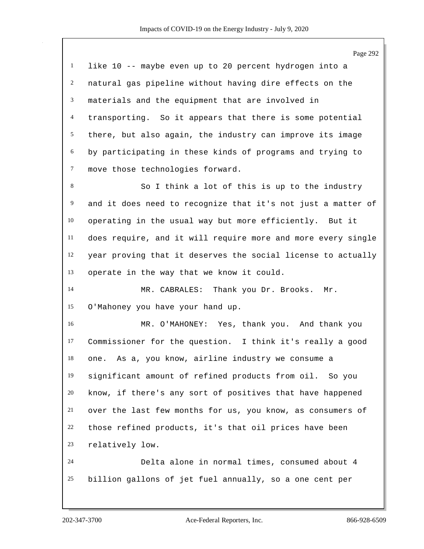|              | Page 292                                                     |
|--------------|--------------------------------------------------------------|
| $\mathbf{1}$ | like 10 -- maybe even up to 20 percent hydrogen into a       |
| 2            | natural gas pipeline without having dire effects on the      |
| 3            | materials and the equipment that are involved in             |
| 4            | transporting. So it appears that there is some potential     |
| 5            | there, but also again, the industry can improve its image    |
| 6            | by participating in these kinds of programs and trying to    |
| $\tau$       | move those technologies forward.                             |
| 8            | So I think a lot of this is up to the industry               |
| 9            | and it does need to recognize that it's not just a matter of |
| 10           | operating in the usual way but more efficiently. But it      |
| 11           | does require, and it will require more and more every single |
| 12           | year proving that it deserves the social license to actually |
| 13           | operate in the way that we know it could.                    |
| 14           | MR. CABRALES: Thank you Dr. Brooks.<br>Mr.                   |
| 15           | O'Mahoney you have your hand up.                             |
| 16           | MR. O'MAHONEY: Yes, thank you. And thank you                 |
| 17           | Commissioner for the question. I think it's really a good    |
| 18           | one. As a, you know, airline industry we consume a           |
| 19           | significant amount of refined products from oil. So you      |
| 20           | know, if there's any sort of positives that have happened    |
| 21           | over the last few months for us, you know, as consumers of   |
| 22           | those refined products, it's that oil prices have been       |
| 23           | relatively low.                                              |
| 24           | Delta alone in normal times, consumed about 4                |
| 25           | billion gallons of jet fuel annually, so a one cent per      |
|              |                                                              |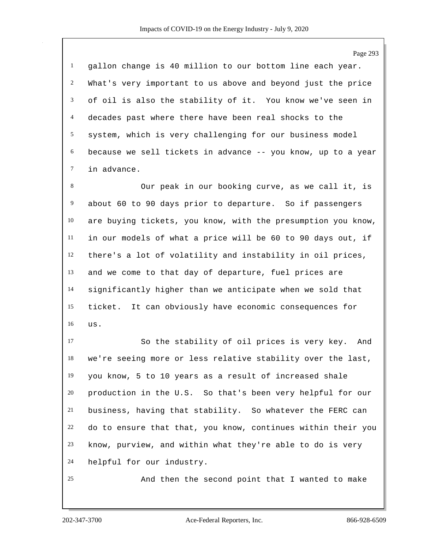gallon change is 40 million to our bottom line each year. What's very important to us above and beyond just the price of oil is also the stability of it. You know we've seen in decades past where there have been real shocks to the system, which is very challenging for our business model because we sell tickets in advance -- you know, up to a year in advance.

 Our peak in our booking curve, as we call it, is about 60 to 90 days prior to departure. So if passengers are buying tickets, you know, with the presumption you know, in our models of what a price will be 60 to 90 days out, if there's a lot of volatility and instability in oil prices, and we come to that day of departure, fuel prices are significantly higher than we anticipate when we sold that ticket. It can obviously have economic consequences for us.

 So the stability of oil prices is very key. And we're seeing more or less relative stability over the last, you know, 5 to 10 years as a result of increased shale production in the U.S. So that's been very helpful for our business, having that stability. So whatever the FERC can do to ensure that that, you know, continues within their you know, purview, and within what they're able to do is very helpful for our industry.

And then the second point that I wanted to make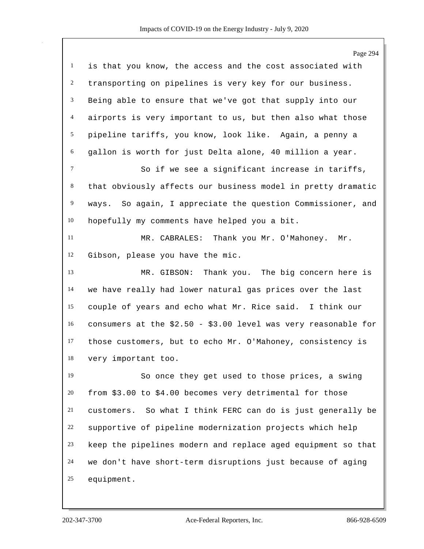|                 | Page 294                                                       |
|-----------------|----------------------------------------------------------------|
| $\mathbf{1}$    | is that you know, the access and the cost associated with      |
| $\overline{c}$  | transporting on pipelines is very key for our business.        |
| $\mathfrak{Z}$  | Being able to ensure that we've got that supply into our       |
| $\overline{4}$  | airports is very important to us, but then also what those     |
| $5\overline{)}$ | pipeline tariffs, you know, look like. Again, a penny a        |
| 6               | gallon is worth for just Delta alone, 40 million a year.       |
| $\tau$          | So if we see a significant increase in tariffs,                |
| $8\,$           | that obviously affects our business model in pretty dramatic   |
| $\overline{9}$  | ways. So again, I appreciate the question Commissioner, and    |
| 10              | hopefully my comments have helped you a bit.                   |
| 11              | MR. CABRALES: Thank you Mr. O'Mahoney.<br>Mr.                  |
| 12              | Gibson, please you have the mic.                               |
| 13              | Thank you. The big concern here is<br>MR. GIBSON:              |
| 14              | we have really had lower natural gas prices over the last      |
| 15              | couple of years and echo what Mr. Rice said. I think our       |
| 16              | consumers at the $$2.50 - $3.00$ level was very reasonable for |
| 17              | those customers, but to echo Mr. O'Mahoney, consistency is     |
| 18              | very important too.                                            |
| 19              | So once they get used to those prices, a swing                 |
| 20              | from \$3.00 to \$4.00 becomes very detrimental for those       |
| 21              | customers. So what I think FERC can do is just generally be    |
| 22              | supportive of pipeline modernization projects which help       |
| 23              | keep the pipelines modern and replace aged equipment so that   |
| 24              | we don't have short-term disruptions just because of aging     |
| 25              | equipment.                                                     |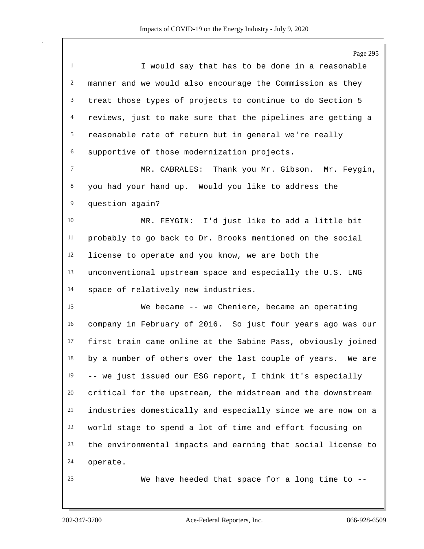Page 295

 I would say that has to be done in a reasonable manner and we would also encourage the Commission as they treat those types of projects to continue to do Section 5 reviews, just to make sure that the pipelines are getting a reasonable rate of return but in general we're really supportive of those modernization projects. MR. CABRALES: Thank you Mr. Gibson. Mr. Feygin, you had your hand up. Would you like to address the

question again?

 MR. FEYGIN: I'd just like to add a little bit probably to go back to Dr. Brooks mentioned on the social license to operate and you know, we are both the unconventional upstream space and especially the U.S. LNG space of relatively new industries.

 We became -- we Cheniere, became an operating company in February of 2016. So just four years ago was our first train came online at the Sabine Pass, obviously joined by a number of others over the last couple of years. We are -- we just issued our ESG report, I think it's especially critical for the upstream, the midstream and the downstream industries domestically and especially since we are now on a world stage to spend a lot of time and effort focusing on the environmental impacts and earning that social license to operate.

We have heeded that space for a long time to --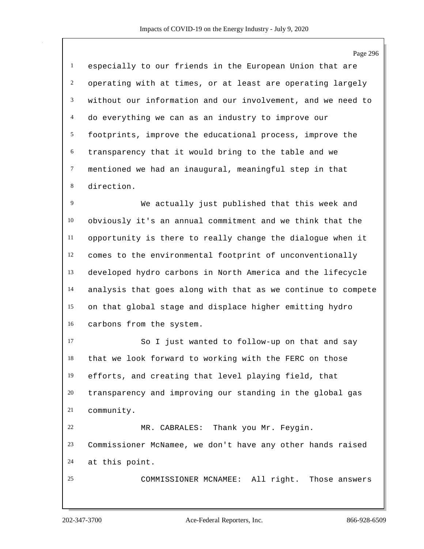Page 296 especially to our friends in the European Union that are operating with at times, or at least are operating largely without our information and our involvement, and we need to do everything we can as an industry to improve our footprints, improve the educational process, improve the transparency that it would bring to the table and we mentioned we had an inaugural, meaningful step in that direction. We actually just published that this week and obviously it's an annual commitment and we think that the opportunity is there to really change the dialogue when it comes to the environmental footprint of unconventionally developed hydro carbons in North America and the lifecycle analysis that goes along with that as we continue to compete on that global stage and displace higher emitting hydro carbons from the system. So I just wanted to follow-up on that and say that we look forward to working with the FERC on those efforts, and creating that level playing field, that

 transparency and improving our standing in the global gas community. MR. CABRALES: Thank you Mr. Feygin.

 Commissioner McNamee, we don't have any other hands raised at this point.

COMMISSIONER MCNAMEE: All right. Those answers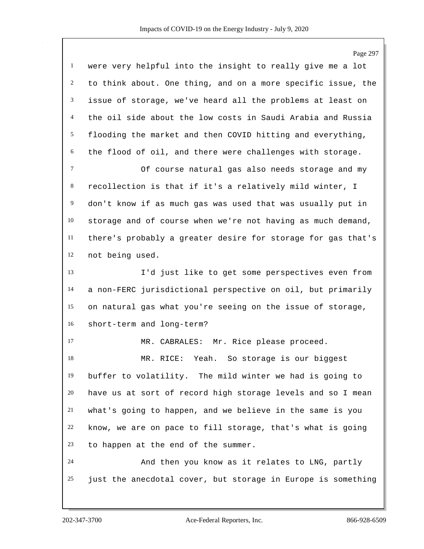|                | Page 297                                                     |
|----------------|--------------------------------------------------------------|
| $\mathbf{1}$   | were very helpful into the insight to really give me a lot   |
| $\overline{c}$ | to think about. One thing, and on a more specific issue, the |
| 3              | issue of storage, we've heard all the problems at least on   |
| $\overline{4}$ | the oil side about the low costs in Saudi Arabia and Russia  |
| 5              | flooding the market and then COVID hitting and everything,   |
| 6              | the flood of oil, and there were challenges with storage.    |
| $\tau$         | Of course natural gas also needs storage and my              |
| $\,8\,$        | recollection is that if it's a relatively mild winter, I     |
| 9              | don't know if as much gas was used that was usually put in   |
| 10             | storage and of course when we're not having as much demand,  |
| 11             | there's probably a greater desire for storage for gas that's |
| 12             | not being used.                                              |
| 13             | I'd just like to get some perspectives even from             |
| 14             | a non-FERC jurisdictional perspective on oil, but primarily  |
| 15             | on natural gas what you're seeing on the issue of storage,   |
| 16             | short-term and long-term?                                    |
| 17             | MR. CABRALES: Mr. Rice please proceed.                       |
| 18             | MR. RICE:<br>Yeah.<br>So storage is our biggest              |
| 19             | buffer to volatility. The mild winter we had is going to     |
| 20             | have us at sort of record high storage levels and so I mean  |
| 21             | what's going to happen, and we believe in the same is you    |
| 22             | know, we are on pace to fill storage, that's what is going   |
| 23             | to happen at the end of the summer.                          |
| 24             | And then you know as it relates to LNG, partly               |
| 25             | just the anecdotal cover, but storage in Europe is something |
|                |                                                              |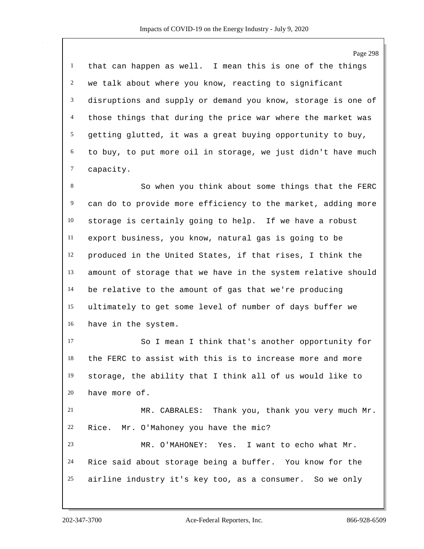that can happen as well. I mean this is one of the things we talk about where you know, reacting to significant disruptions and supply or demand you know, storage is one of those things that during the price war where the market was getting glutted, it was a great buying opportunity to buy, to buy, to put more oil in storage, we just didn't have much capacity.

 So when you think about some things that the FERC can do to provide more efficiency to the market, adding more storage is certainly going to help. If we have a robust export business, you know, natural gas is going to be produced in the United States, if that rises, I think the amount of storage that we have in the system relative should be relative to the amount of gas that we're producing ultimately to get some level of number of days buffer we have in the system.

 So I mean I think that's another opportunity for the FERC to assist with this is to increase more and more storage, the ability that I think all of us would like to have more of.

 MR. CABRALES: Thank you, thank you very much Mr. Rice. Mr. O'Mahoney you have the mic? MR. O'MAHONEY: Yes. I want to echo what Mr.

 Rice said about storage being a buffer. You know for the airline industry it's key too, as a consumer. So we only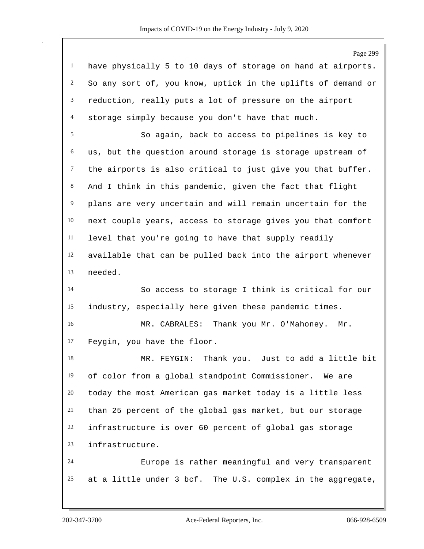Page 299 have physically 5 to 10 days of storage on hand at airports. So any sort of, you know, uptick in the uplifts of demand or reduction, really puts a lot of pressure on the airport storage simply because you don't have that much. So again, back to access to pipelines is key to us, but the question around storage is storage upstream of the airports is also critical to just give you that buffer. And I think in this pandemic, given the fact that flight plans are very uncertain and will remain uncertain for the next couple years, access to storage gives you that comfort level that you're going to have that supply readily available that can be pulled back into the airport whenever needed. So access to storage I think is critical for our industry, especially here given these pandemic times. MR. CABRALES: Thank you Mr. O'Mahoney. Mr. Feygin, you have the floor. MR. FEYGIN: Thank you. Just to add a little bit of color from a global standpoint Commissioner. We are today the most American gas market today is a little less than 25 percent of the global gas market, but our storage infrastructure is over 60 percent of global gas storage infrastructure. Europe is rather meaningful and very transparent at a little under 3 bcf. The U.S. complex in the aggregate,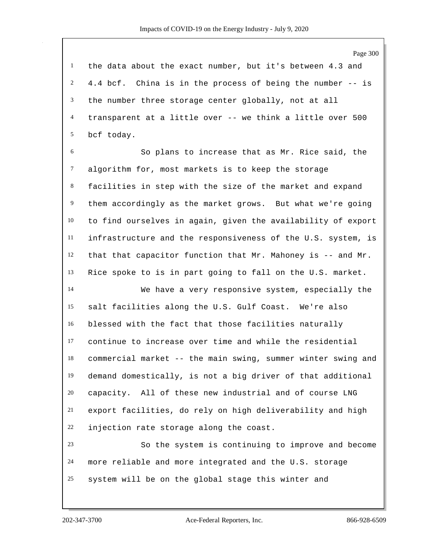the data about the exact number, but it's between 4.3 and 4.4 bcf. China is in the process of being the number -- is the number three storage center globally, not at all transparent at a little over -- we think a little over 500 bcf today.

 So plans to increase that as Mr. Rice said, the algorithm for, most markets is to keep the storage facilities in step with the size of the market and expand them accordingly as the market grows. But what we're going to find ourselves in again, given the availability of export infrastructure and the responsiveness of the U.S. system, is that that capacitor function that Mr. Mahoney is -- and Mr. Rice spoke to is in part going to fall on the U.S. market.

 We have a very responsive system, especially the salt facilities along the U.S. Gulf Coast. We're also blessed with the fact that those facilities naturally continue to increase over time and while the residential commercial market -- the main swing, summer winter swing and demand domestically, is not a big driver of that additional capacity. All of these new industrial and of course LNG export facilities, do rely on high deliverability and high injection rate storage along the coast.

 So the system is continuing to improve and become more reliable and more integrated and the U.S. storage system will be on the global stage this winter and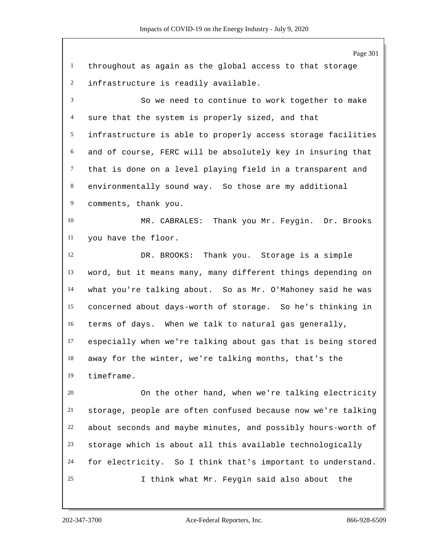| Page 301                                                     |
|--------------------------------------------------------------|
| throughout as again as the global access to that storage     |
| infrastructure is readily available.                         |
| So we need to continue to work together to make              |
| sure that the system is properly sized, and that             |
| infrastructure is able to properly access storage facilities |
| and of course, FERC will be absolutely key in insuring that  |
| that is done on a level playing field in a transparent and   |
| environmentally sound way. So those are my additional        |
| comments, thank you.                                         |
| MR. CABRALES: Thank you Mr. Feygin. Dr. Brooks               |
| you have the floor.                                          |
| Thank you. Storage is a simple<br>DR. BROOKS:                |
| word, but it means many, many different things depending on  |
| what you're talking about. So as Mr. O'Mahoney said he was   |
| concerned about days-worth of storage. So he's thinking in   |
| terms of days. When we talk to natural gas generally,        |
| especially when we're talking about gas that is being stored |
| away for the winter, we're talking months, that's the        |
| timeframe.                                                   |
| On the other hand, when we're talking electricity            |
| storage, people are often confused because now we're talking |
| about seconds and maybe minutes, and possibly hours-worth of |
| storage which is about all this available technologically    |
| for electricity. So I think that's important to understand.  |
| I think what Mr. Feygin said also about<br>the               |
|                                                              |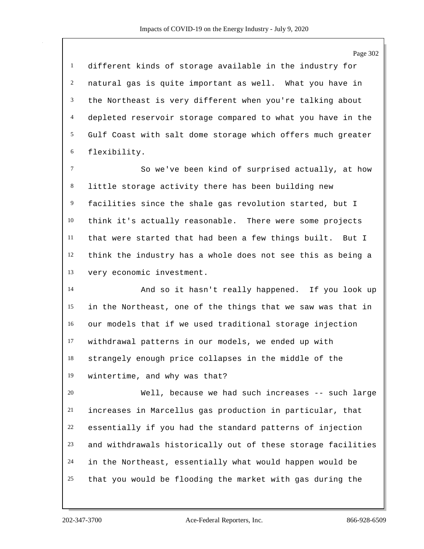Page 302 different kinds of storage available in the industry for natural gas is quite important as well. What you have in the Northeast is very different when you're talking about depleted reservoir storage compared to what you have in the Gulf Coast with salt dome storage which offers much greater flexibility. So we've been kind of surprised actually, at how little storage activity there has been building new facilities since the shale gas revolution started, but I think it's actually reasonable. There were some projects that were started that had been a few things built. But I think the industry has a whole does not see this as being a very economic investment. And so it hasn't really happened. If you look up in the Northeast, one of the things that we saw was that in our models that if we used traditional storage injection withdrawal patterns in our models, we ended up with strangely enough price collapses in the middle of the wintertime, and why was that? Well, because we had such increases -- such large increases in Marcellus gas production in particular, that essentially if you had the standard patterns of injection and withdrawals historically out of these storage facilities in the Northeast, essentially what would happen would be that you would be flooding the market with gas during the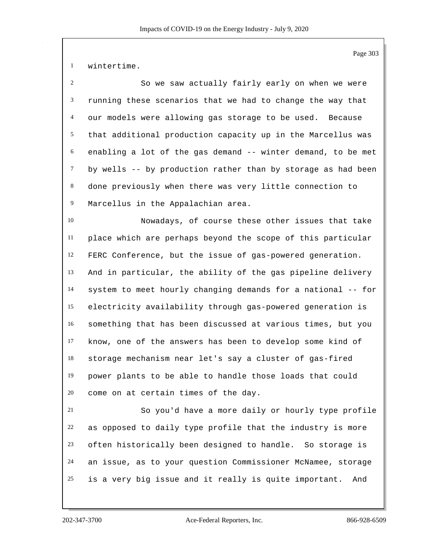wintertime.

 So we saw actually fairly early on when we were running these scenarios that we had to change the way that our models were allowing gas storage to be used. Because that additional production capacity up in the Marcellus was enabling a lot of the gas demand -- winter demand, to be met by wells -- by production rather than by storage as had been done previously when there was very little connection to Marcellus in the Appalachian area.

 Nowadays, of course these other issues that take place which are perhaps beyond the scope of this particular FERC Conference, but the issue of gas-powered generation. And in particular, the ability of the gas pipeline delivery system to meet hourly changing demands for a national -- for electricity availability through gas-powered generation is something that has been discussed at various times, but you know, one of the answers has been to develop some kind of storage mechanism near let's say a cluster of gas-fired power plants to be able to handle those loads that could come on at certain times of the day.

 So you'd have a more daily or hourly type profile as opposed to daily type profile that the industry is more often historically been designed to handle. So storage is an issue, as to your question Commissioner McNamee, storage is a very big issue and it really is quite important. And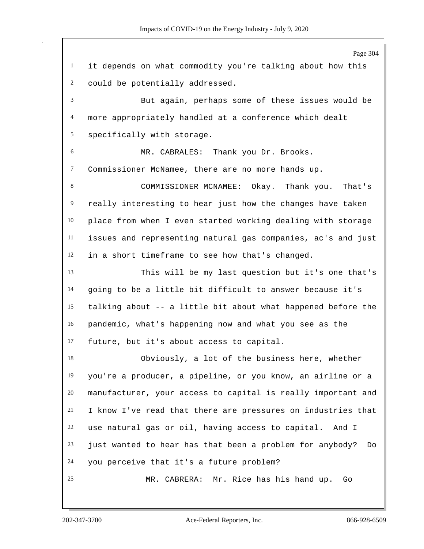Page 304 it depends on what commodity you're talking about how this could be potentially addressed. But again, perhaps some of these issues would be more appropriately handled at a conference which dealt specifically with storage. MR. CABRALES: Thank you Dr. Brooks. Commissioner McNamee, there are no more hands up. COMMISSIONER MCNAMEE: Okay. Thank you. That's really interesting to hear just how the changes have taken place from when I even started working dealing with storage issues and representing natural gas companies, ac's and just in a short timeframe to see how that's changed. This will be my last question but it's one that's going to be a little bit difficult to answer because it's talking about -- a little bit about what happened before the pandemic, what's happening now and what you see as the future, but it's about access to capital. Obviously, a lot of the business here, whether you're a producer, a pipeline, or you know, an airline or a manufacturer, your access to capital is really important and I know I've read that there are pressures on industries that use natural gas or oil, having access to capital. And I just wanted to hear has that been a problem for anybody? Do you perceive that it's a future problem? MR. CABRERA: Mr. Rice has his hand up. Go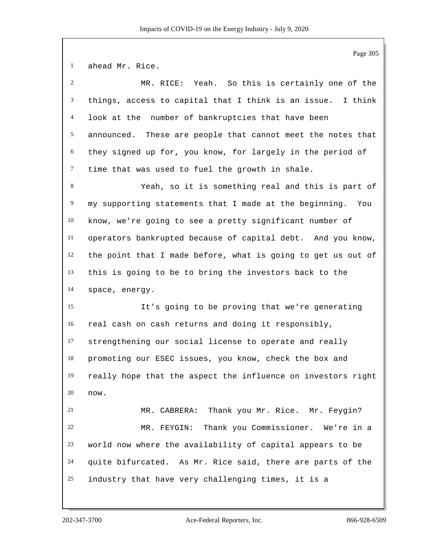|                | Page 305                                                     |
|----------------|--------------------------------------------------------------|
| $\mathbf{1}$   | ahead Mr. Rice.                                              |
| $\overline{2}$ | MR. RICE: Yeah. So this is certainly one of the              |
| 3              | things, access to capital that I think is an issue. I think  |
| 4              | look at the number of bankruptcies that have been            |
| 5              | announced. These are people that cannot meet the notes that  |
| 6              | they signed up for, you know, for largely in the period of   |
| $\tau$         | time that was used to fuel the growth in shale.              |
| 8              | Yeah, so it is something real and this is part of            |
| 9              | my supporting statements that I made at the beginning. You   |
| 10             | know, we're going to see a pretty significant number of      |
| 11             | operators bankrupted because of capital debt. And you know,  |
| 12             | the point that I made before, what is going to get us out of |
| 13             | this is going to be to bring the investors back to the       |
| 14             | space, energy.                                               |
| 15             | It's going to be proving that we're generating               |
| 16             | real cash on cash returns and doing it responsibly,          |
| 17             | strengthening our social license to operate and really       |
| 18             | promoting our ESEC issues, you know, check the box and       |
| 19             | really hope that the aspect the influence on investors right |
| 20             | now.                                                         |
| 21             | MR. CABRERA: Thank you Mr. Rice. Mr. Feygin?                 |
| 22             | MR. FEYGIN: Thank you Commissioner. We're in a               |
| 23             | world now where the availability of capital appears to be    |
| 24             | quite bifurcated. As Mr. Rice said, there are parts of the   |
| 25             | industry that have very challenging times, it is a           |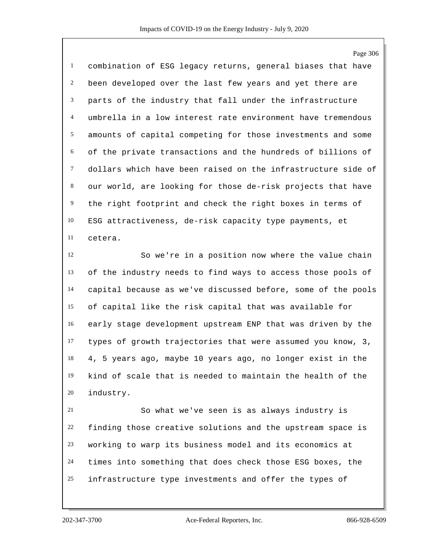Page 306 combination of ESG legacy returns, general biases that have been developed over the last few years and yet there are parts of the industry that fall under the infrastructure umbrella in a low interest rate environment have tremendous amounts of capital competing for those investments and some of the private transactions and the hundreds of billions of dollars which have been raised on the infrastructure side of our world, are looking for those de-risk projects that have the right footprint and check the right boxes in terms of ESG attractiveness, de-risk capacity type payments, et cetera.

 So we're in a position now where the value chain of the industry needs to find ways to access those pools of capital because as we've discussed before, some of the pools of capital like the risk capital that was available for early stage development upstream ENP that was driven by the types of growth trajectories that were assumed you know, 3, 4, 5 years ago, maybe 10 years ago, no longer exist in the kind of scale that is needed to maintain the health of the industry.

 So what we've seen is as always industry is finding those creative solutions and the upstream space is working to warp its business model and its economics at times into something that does check those ESG boxes, the infrastructure type investments and offer the types of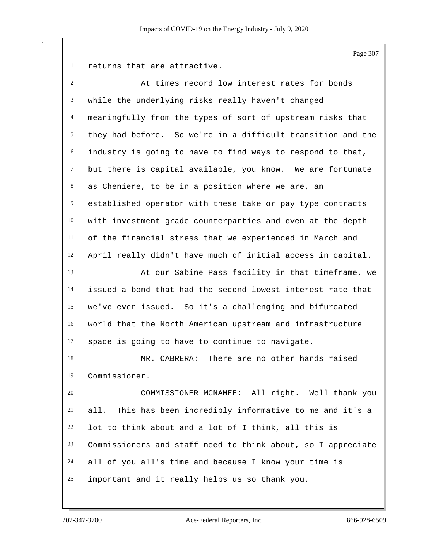Page 307

returns that are attractive.

| $\overline{c}$ | At times record low interest rates for bonds                 |
|----------------|--------------------------------------------------------------|
| 3              | while the underlying risks really haven't changed            |
| $\overline{4}$ | meaningfully from the types of sort of upstream risks that   |
| 5              | they had before. So we're in a difficult transition and the  |
| 6              | industry is going to have to find ways to respond to that,   |
| $\tau$         | but there is capital available, you know. We are fortunate   |
| 8              | as Cheniere, to be in a position where we are, an            |
| 9              | established operator with these take or pay type contracts   |
| 10             | with investment grade counterparties and even at the depth   |
| 11             | of the financial stress that we experienced in March and     |
| 12             | April really didn't have much of initial access in capital.  |
| 13             | At our Sabine Pass facility in that timeframe, we            |
| 14             | issued a bond that had the second lowest interest rate that  |
| 15             | we've ever issued. So it's a challenging and bifurcated      |
| 16             | world that the North American upstream and infrastructure    |
| 17             | space is going to have to continue to navigate.              |
| 18             | There are no other hands raised<br>MR. CABRERA:              |
| 19             | Commissioner.                                                |
| 20             | COMMISSIONER MCNAMEE: All right. Well thank you              |
| 21             | all. This has been incredibly informative to me and it's a   |
| 22             | lot to think about and a lot of I think, all this is         |
| 23             | Commissioners and staff need to think about, so I appreciate |
| 24             | all of you all's time and because I know your time is        |
| 25             | important and it really helps us so thank you.               |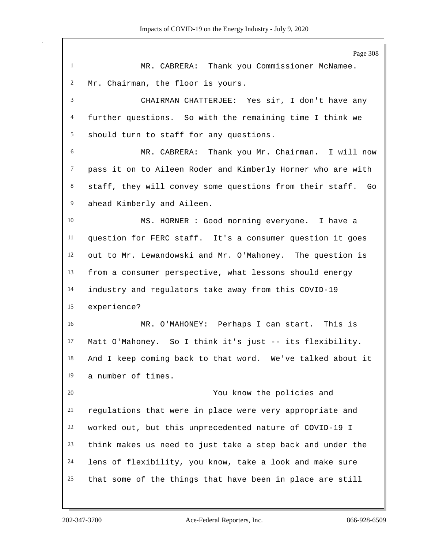Page 308 MR. CABRERA: Thank you Commissioner McNamee. Mr. Chairman, the floor is yours. CHAIRMAN CHATTERJEE: Yes sir, I don't have any further questions. So with the remaining time I think we should turn to staff for any questions. MR. CABRERA: Thank you Mr. Chairman. I will now pass it on to Aileen Roder and Kimberly Horner who are with staff, they will convey some questions from their staff. Go ahead Kimberly and Aileen. MS. HORNER : Good morning everyone. I have a question for FERC staff. It's a consumer question it goes out to Mr. Lewandowski and Mr. O'Mahoney. The question is from a consumer perspective, what lessons should energy industry and regulators take away from this COVID-19 experience? MR. O'MAHONEY: Perhaps I can start. This is Matt O'Mahoney. So I think it's just -- its flexibility. And I keep coming back to that word. We've talked about it a number of times. You know the policies and regulations that were in place were very appropriate and worked out, but this unprecedented nature of COVID-19 I think makes us need to just take a step back and under the lens of flexibility, you know, take a look and make sure that some of the things that have been in place are still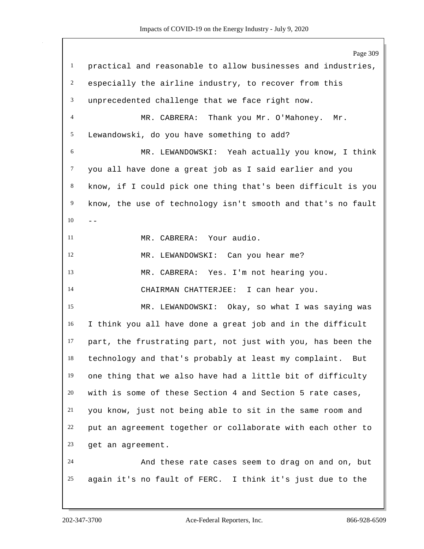Page 309 practical and reasonable to allow businesses and industries, especially the airline industry, to recover from this unprecedented challenge that we face right now. MR. CABRERA: Thank you Mr. O'Mahoney. Mr. Lewandowski, do you have something to add? MR. LEWANDOWSKI: Yeah actually you know, I think you all have done a great job as I said earlier and you know, if I could pick one thing that's been difficult is you know, the use of technology isn't smooth and that's no fault MR. CABRERA: Your audio. MR. LEWANDOWSKI: Can you hear me? MR. CABRERA: Yes. I'm not hearing you. CHAIRMAN CHATTERJEE: I can hear you. MR. LEWANDOWSKI: Okay, so what I was saying was I think you all have done a great job and in the difficult part, the frustrating part, not just with you, has been the technology and that's probably at least my complaint. But one thing that we also have had a little bit of difficulty with is some of these Section 4 and Section 5 rate cases, you know, just not being able to sit in the same room and put an agreement together or collaborate with each other to get an agreement. And these rate cases seem to drag on and on, but again it's no fault of FERC. I think it's just due to the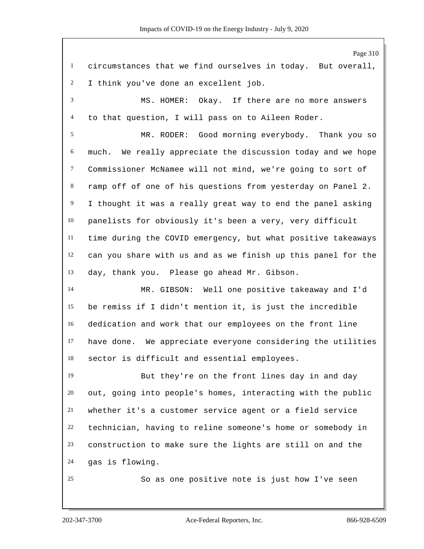|                | Page 310                                                     |
|----------------|--------------------------------------------------------------|
| $\mathbf{1}$   | circumstances that we find ourselves in today. But overall,  |
| $\overline{c}$ | I think you've done an excellent job.                        |
| $\mathfrak{Z}$ | MS. HOMER: Okay. If there are no more answers                |
| $\overline{4}$ | to that question, I will pass on to Aileen Roder.            |
| 5              | MR. RODER: Good morning everybody. Thank you so              |
| 6              | much. We really appreciate the discussion today and we hope  |
| $\tau$         | Commissioner McNamee will not mind, we're going to sort of   |
| $8\,$          | ramp off of one of his questions from yesterday on Panel 2.  |
| 9              | I thought it was a really great way to end the panel asking  |
| $10\,$         | panelists for obviously it's been a very, very difficult     |
| $11\,$         | time during the COVID emergency, but what positive takeaways |
| 12             | can you share with us and as we finish up this panel for the |
| 13             | day, thank you. Please go ahead Mr. Gibson.                  |
| 14             | MR. GIBSON: Well one positive takeaway and I'd               |
| 15             | be remiss if I didn't mention it, is just the incredible     |
| 16             | dedication and work that our employees on the front line     |
| 17             | have done. We appreciate everyone considering the utilities  |
| 18             | sector is difficult and essential employees.                 |
| 19             | But they're on the front lines day in and day                |
| 20             | out, going into people's homes, interacting with the public  |
| 21             | whether it's a customer service agent or a field service     |
| 22             | technician, having to reline someone's home or somebody in   |
| 23             | construction to make sure the lights are still on and the    |
| 24             | gas is flowing.                                              |
| 25             | So as one positive note is just how I've seen                |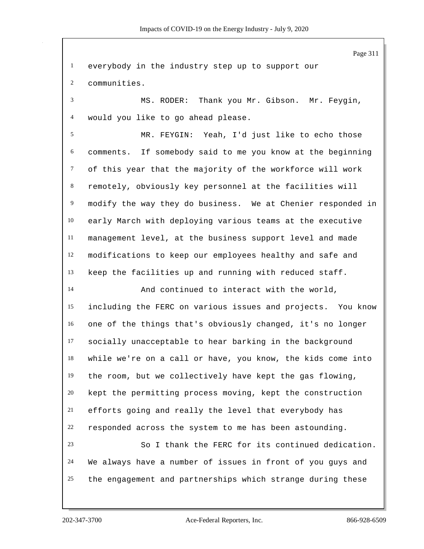everybody in the industry step up to support our communities. MS. RODER: Thank you Mr. Gibson. Mr. Feygin, would you like to go ahead please. MR. FEYGIN: Yeah, I'd just like to echo those comments. If somebody said to me you know at the beginning of this year that the majority of the workforce will work remotely, obviously key personnel at the facilities will modify the way they do business. We at Chenier responded in early March with deploying various teams at the executive management level, at the business support level and made modifications to keep our employees healthy and safe and keep the facilities up and running with reduced staff. And continued to interact with the world, including the FERC on various issues and projects. You know one of the things that's obviously changed, it's no longer socially unacceptable to hear barking in the background while we're on a call or have, you know, the kids come into the room, but we collectively have kept the gas flowing, kept the permitting process moving, kept the construction efforts going and really the level that everybody has responded across the system to me has been astounding. So I thank the FERC for its continued dedication. We always have a number of issues in front of you guys and the engagement and partnerships which strange during these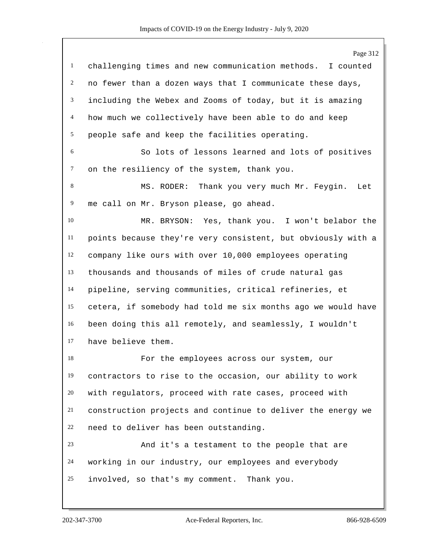| Page 312                                                     |
|--------------------------------------------------------------|
| challenging times and new communication methods. I counted   |
| no fewer than a dozen ways that I communicate these days,    |
| including the Webex and Zooms of today, but it is amazing    |
| how much we collectively have been able to do and keep       |
| people safe and keep the facilities operating.               |
| So lots of lessons learned and lots of positives             |
| on the resiliency of the system, thank you.                  |
| MS. RODER: Thank you very much Mr. Feygin.<br>Let            |
| me call on Mr. Bryson please, go ahead.                      |
| MR. BRYSON: Yes, thank you. I won't belabor the              |
| points because they're very consistent, but obviously with a |
| company like ours with over 10,000 employees operating       |
| thousands and thousands of miles of crude natural gas        |
| pipeline, serving communities, critical refineries, et       |
| cetera, if somebody had told me six months ago we would have |
| been doing this all remotely, and seamlessly, I wouldn't     |
| have believe them.                                           |
| For the employees across our system, our                     |
| contractors to rise to the occasion, our ability to work     |
| with regulators, proceed with rate cases, proceed with       |
| construction projects and continue to deliver the energy we  |
| need to deliver has been outstanding.                        |
| And it's a testament to the people that are                  |
| working in our industry, our employees and everybody         |
| involved, so that's my comment. Thank you.                   |
|                                                              |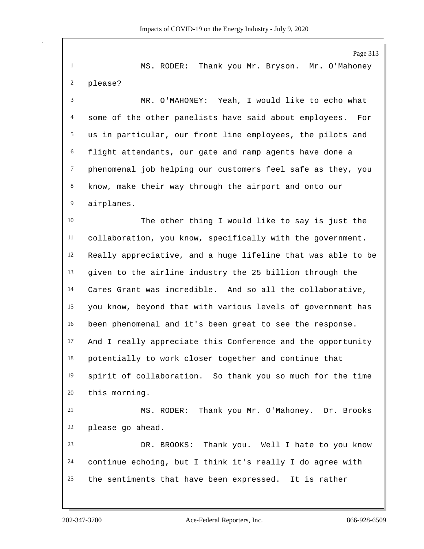Page 313 MS. RODER: Thank you Mr. Bryson. Mr. O'Mahoney please? MR. O'MAHONEY: Yeah, I would like to echo what some of the other panelists have said about employees. For us in particular, our front line employees, the pilots and flight attendants, our gate and ramp agents have done a phenomenal job helping our customers feel safe as they, you know, make their way through the airport and onto our airplanes. The other thing I would like to say is just the collaboration, you know, specifically with the government. Really appreciative, and a huge lifeline that was able to be given to the airline industry the 25 billion through the Cares Grant was incredible. And so all the collaborative, you know, beyond that with various levels of government has been phenomenal and it's been great to see the response. And I really appreciate this Conference and the opportunity potentially to work closer together and continue that spirit of collaboration. So thank you so much for the time this morning. MS. RODER: Thank you Mr. O'Mahoney. Dr. Brooks please go ahead. DR. BROOKS: Thank you. Well I hate to you know continue echoing, but I think it's really I do agree with the sentiments that have been expressed. It is rather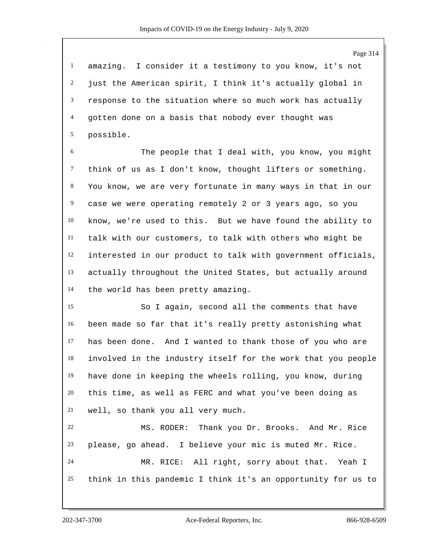amazing. I consider it a testimony to you know, it's not just the American spirit, I think it's actually global in response to the situation where so much work has actually gotten done on a basis that nobody ever thought was possible.

 The people that I deal with, you know, you might think of us as I don't know, thought lifters or something. You know, we are very fortunate in many ways in that in our case we were operating remotely 2 or 3 years ago, so you know, we're used to this. But we have found the ability to talk with our customers, to talk with others who might be interested in our product to talk with government officials, actually throughout the United States, but actually around the world has been pretty amazing.

 So I again, second all the comments that have been made so far that it's really pretty astonishing what has been done. And I wanted to thank those of you who are involved in the industry itself for the work that you people have done in keeping the wheels rolling, you know, during this time, as well as FERC and what you've been doing as well, so thank you all very much.

 MS. RODER: Thank you Dr. Brooks. And Mr. Rice please, go ahead. I believe your mic is muted Mr. Rice. MR. RICE: All right, sorry about that. Yeah I think in this pandemic I think it's an opportunity for us to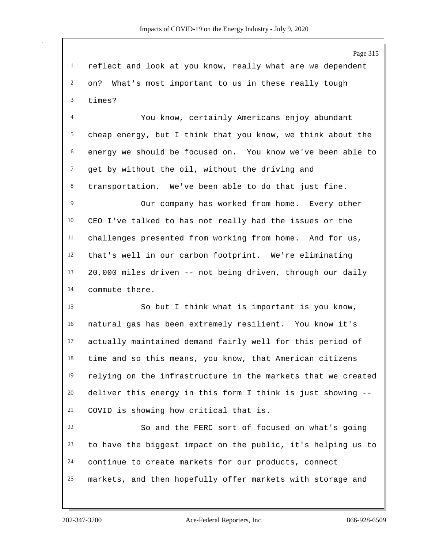reflect and look at you know, really what are we dependent on? What's most important to us in these really tough times?

 You know, certainly Americans enjoy abundant cheap energy, but I think that you know, we think about the energy we should be focused on. You know we've been able to 7 get by without the oil, without the driving and transportation. We've been able to do that just fine.

 Our company has worked from home. Every other CEO I've talked to has not really had the issues or the challenges presented from working from home. And for us, that's well in our carbon footprint. We're eliminating 20,000 miles driven -- not being driven, through our daily commute there.

 So but I think what is important is you know, natural gas has been extremely resilient. You know it's actually maintained demand fairly well for this period of time and so this means, you know, that American citizens relying on the infrastructure in the markets that we created deliver this energy in this form I think is just showing -- COVID is showing how critical that is.

 So and the FERC sort of focused on what's going to have the biggest impact on the public, it's helping us to continue to create markets for our products, connect markets, and then hopefully offer markets with storage and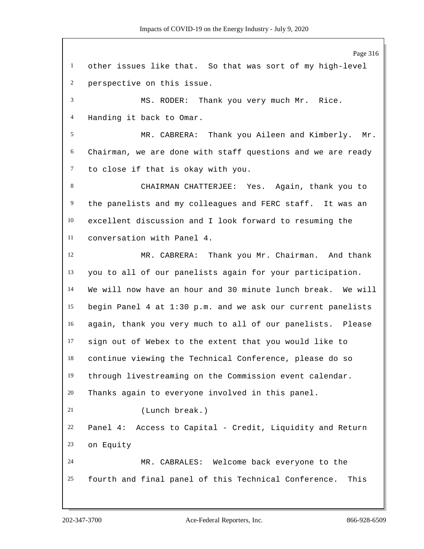Page 316 other issues like that. So that was sort of my high-level perspective on this issue. MS. RODER: Thank you very much Mr. Rice. Handing it back to Omar. MR. CABRERA: Thank you Aileen and Kimberly. Mr. Chairman, we are done with staff questions and we are ready to close if that is okay with you. CHAIRMAN CHATTERJEE: Yes. Again, thank you to the panelists and my colleagues and FERC staff. It was an excellent discussion and I look forward to resuming the conversation with Panel 4. MR. CABRERA: Thank you Mr. Chairman. And thank you to all of our panelists again for your participation. We will now have an hour and 30 minute lunch break. We will begin Panel 4 at 1:30 p.m. and we ask our current panelists again, thank you very much to all of our panelists. Please sign out of Webex to the extent that you would like to continue viewing the Technical Conference, please do so through livestreaming on the Commission event calendar. Thanks again to everyone involved in this panel. (Lunch break.) Panel 4: Access to Capital - Credit, Liquidity and Return on Equity MR. CABRALES: Welcome back everyone to the fourth and final panel of this Technical Conference. This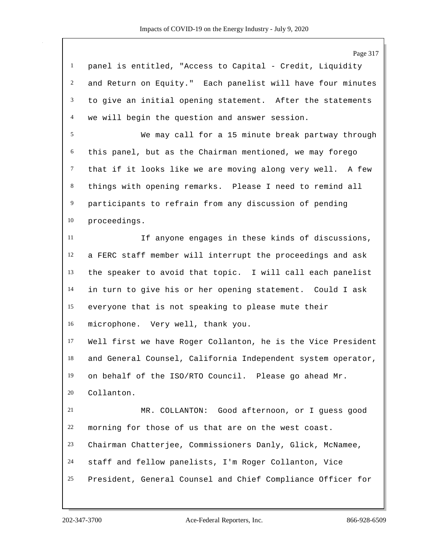Page 317 panel is entitled, "Access to Capital - Credit, Liquidity and Return on Equity." Each panelist will have four minutes to give an initial opening statement. After the statements we will begin the question and answer session. We may call for a 15 minute break partway through this panel, but as the Chairman mentioned, we may forego that if it looks like we are moving along very well. A few things with opening remarks. Please I need to remind all participants to refrain from any discussion of pending proceedings. If anyone engages in these kinds of discussions, a FERC staff member will interrupt the proceedings and ask the speaker to avoid that topic. I will call each panelist in turn to give his or her opening statement. Could I ask everyone that is not speaking to please mute their microphone. Very well, thank you. Well first we have Roger Collanton, he is the Vice President and General Counsel, California Independent system operator, on behalf of the ISO/RTO Council. Please go ahead Mr. Collanton. MR. COLLANTON: Good afternoon, or I guess good morning for those of us that are on the west coast. Chairman Chatterjee, Commissioners Danly, Glick, McNamee, staff and fellow panelists, I'm Roger Collanton, Vice

President, General Counsel and Chief Compliance Officer for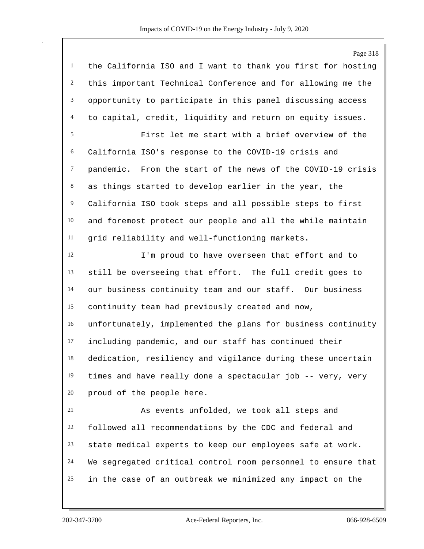Page 318 the California ISO and I want to thank you first for hosting this important Technical Conference and for allowing me the opportunity to participate in this panel discussing access to capital, credit, liquidity and return on equity issues. First let me start with a brief overview of the California ISO's response to the COVID-19 crisis and pandemic. From the start of the news of the COVID-19 crisis as things started to develop earlier in the year, the California ISO took steps and all possible steps to first and foremost protect our people and all the while maintain grid reliability and well-functioning markets. I'm proud to have overseen that effort and to still be overseeing that effort. The full credit goes to our business continuity team and our staff. Our business continuity team had previously created and now, unfortunately, implemented the plans for business continuity including pandemic, and our staff has continued their dedication, resiliency and vigilance during these uncertain times and have really done a spectacular job -- very, very proud of the people here. As events unfolded, we took all steps and followed all recommendations by the CDC and federal and state medical experts to keep our employees safe at work. We segregated critical control room personnel to ensure that in the case of an outbreak we minimized any impact on the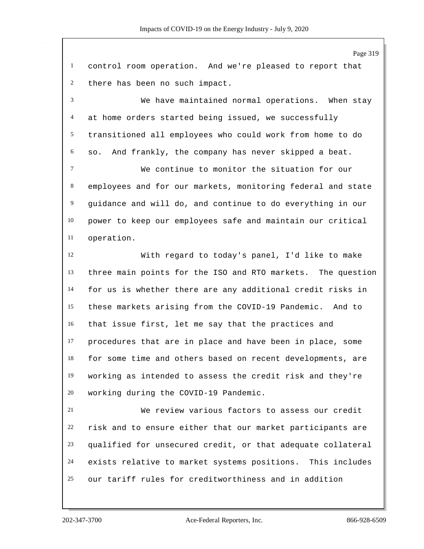Page 319 control room operation. And we're pleased to report that there has been no such impact. We have maintained normal operations. When stay at home orders started being issued, we successfully transitioned all employees who could work from home to do so. And frankly, the company has never skipped a beat. We continue to monitor the situation for our employees and for our markets, monitoring federal and state guidance and will do, and continue to do everything in our power to keep our employees safe and maintain our critical operation. With regard to today's panel, I'd like to make three main points for the ISO and RTO markets. The question for us is whether there are any additional credit risks in these markets arising from the COVID-19 Pandemic. And to that issue first, let me say that the practices and procedures that are in place and have been in place, some for some time and others based on recent developments, are working as intended to assess the credit risk and they're working during the COVID-19 Pandemic. We review various factors to assess our credit risk and to ensure either that our market participants are qualified for unsecured credit, or that adequate collateral exists relative to market systems positions. This includes our tariff rules for creditworthiness and in addition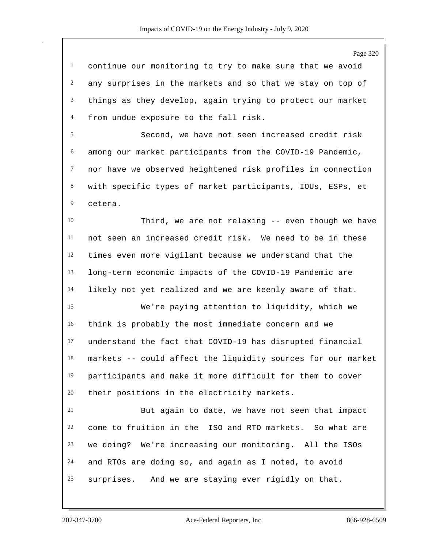continue our monitoring to try to make sure that we avoid any surprises in the markets and so that we stay on top of things as they develop, again trying to protect our market from undue exposure to the fall risk.

 Second, we have not seen increased credit risk among our market participants from the COVID-19 Pandemic, nor have we observed heightened risk profiles in connection with specific types of market participants, IOUs, ESPs, et cetera.

 Third, we are not relaxing -- even though we have not seen an increased credit risk. We need to be in these times even more vigilant because we understand that the long-term economic impacts of the COVID-19 Pandemic are likely not yet realized and we are keenly aware of that.

 We're paying attention to liquidity, which we think is probably the most immediate concern and we understand the fact that COVID-19 has disrupted financial markets -- could affect the liquidity sources for our market participants and make it more difficult for them to cover their positions in the electricity markets.

 But again to date, we have not seen that impact come to fruition in the ISO and RTO markets. So what are we doing? We're increasing our monitoring. All the ISOs and RTOs are doing so, and again as I noted, to avoid surprises. And we are staying ever rigidly on that.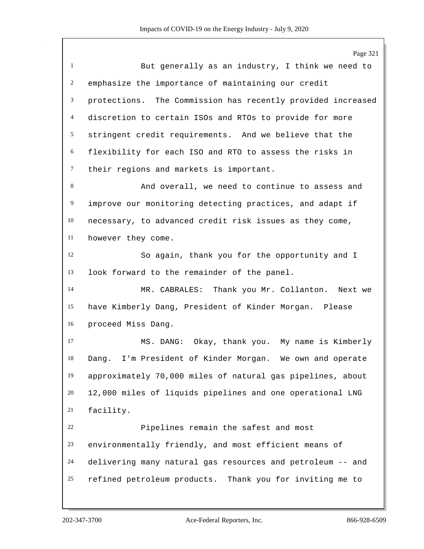Page 321 But generally as an industry, I think we need to emphasize the importance of maintaining our credit protections. The Commission has recently provided increased discretion to certain ISOs and RTOs to provide for more stringent credit requirements. And we believe that the flexibility for each ISO and RTO to assess the risks in their regions and markets is important. And overall, we need to continue to assess and improve our monitoring detecting practices, and adapt if necessary, to advanced credit risk issues as they come, however they come. So again, thank you for the opportunity and I look forward to the remainder of the panel. MR. CABRALES: Thank you Mr. Collanton. Next we have Kimberly Dang, President of Kinder Morgan. Please proceed Miss Dang. MS. DANG: Okay, thank you. My name is Kimberly Dang. I'm President of Kinder Morgan. We own and operate approximately 70,000 miles of natural gas pipelines, about 12,000 miles of liquids pipelines and one operational LNG facility. Pipelines remain the safest and most environmentally friendly, and most efficient means of delivering many natural gas resources and petroleum -- and refined petroleum products. Thank you for inviting me to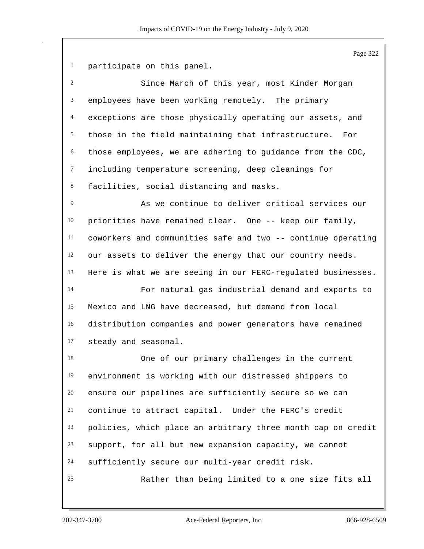participate on this panel.

| $\overline{2}$  | Since March of this year, most Kinder Morgan               |
|-----------------|------------------------------------------------------------|
| 3 <sup>7</sup>  | employees have been working remotely. The primary          |
| $\overline{4}$  | exceptions are those physically operating our assets, and  |
|                 | 5 those in the field maintaining that infrastructure. For  |
| 6               | those employees, we are adhering to guidance from the CDC, |
| $7\overline{ }$ | including temperature screening, deep cleanings for        |
| 8               | facilities, social distancing and masks.                   |

 As we continue to deliver critical services our priorities have remained clear. One -- keep our family, coworkers and communities safe and two -- continue operating our assets to deliver the energy that our country needs. Here is what we are seeing in our FERC-regulated businesses.

 For natural gas industrial demand and exports to Mexico and LNG have decreased, but demand from local distribution companies and power generators have remained steady and seasonal.

 One of our primary challenges in the current environment is working with our distressed shippers to ensure our pipelines are sufficiently secure so we can continue to attract capital. Under the FERC's credit policies, which place an arbitrary three month cap on credit support, for all but new expansion capacity, we cannot sufficiently secure our multi-year credit risk. Rather than being limited to a one size fits all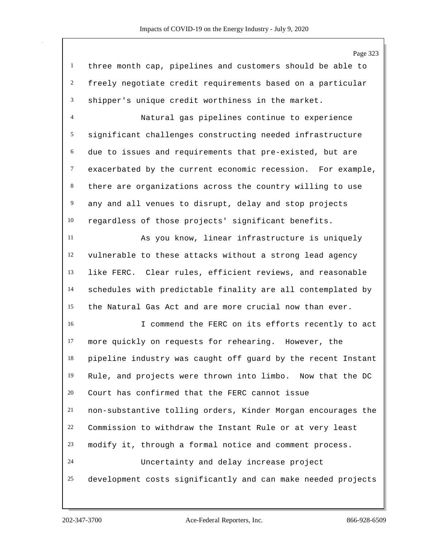Page 323

 three month cap, pipelines and customers should be able to freely negotiate credit requirements based on a particular shipper's unique credit worthiness in the market.

 Natural gas pipelines continue to experience significant challenges constructing needed infrastructure due to issues and requirements that pre-existed, but are exacerbated by the current economic recession. For example, there are organizations across the country willing to use any and all venues to disrupt, delay and stop projects regardless of those projects' significant benefits.

 As you know, linear infrastructure is uniquely vulnerable to these attacks without a strong lead agency like FERC. Clear rules, efficient reviews, and reasonable schedules with predictable finality are all contemplated by the Natural Gas Act and are more crucial now than ever.

 I commend the FERC on its efforts recently to act more quickly on requests for rehearing. However, the pipeline industry was caught off guard by the recent Instant Rule, and projects were thrown into limbo. Now that the DC Court has confirmed that the FERC cannot issue non-substantive tolling orders, Kinder Morgan encourages the Commission to withdraw the Instant Rule or at very least modify it, through a formal notice and comment process. Uncertainty and delay increase project development costs significantly and can make needed projects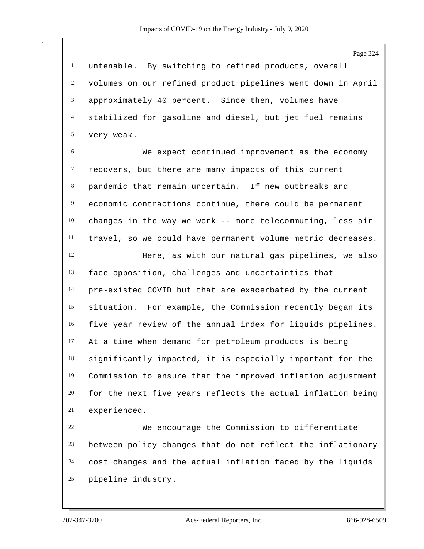untenable. By switching to refined products, overall volumes on our refined product pipelines went down in April approximately 40 percent. Since then, volumes have stabilized for gasoline and diesel, but jet fuel remains very weak.

 We expect continued improvement as the economy recovers, but there are many impacts of this current pandemic that remain uncertain. If new outbreaks and economic contractions continue, there could be permanent changes in the way we work -- more telecommuting, less air travel, so we could have permanent volume metric decreases.

 Here, as with our natural gas pipelines, we also face opposition, challenges and uncertainties that pre-existed COVID but that are exacerbated by the current situation. For example, the Commission recently began its five year review of the annual index for liquids pipelines. At a time when demand for petroleum products is being significantly impacted, it is especially important for the Commission to ensure that the improved inflation adjustment for the next five years reflects the actual inflation being experienced.

 We encourage the Commission to differentiate between policy changes that do not reflect the inflationary cost changes and the actual inflation faced by the liquids pipeline industry.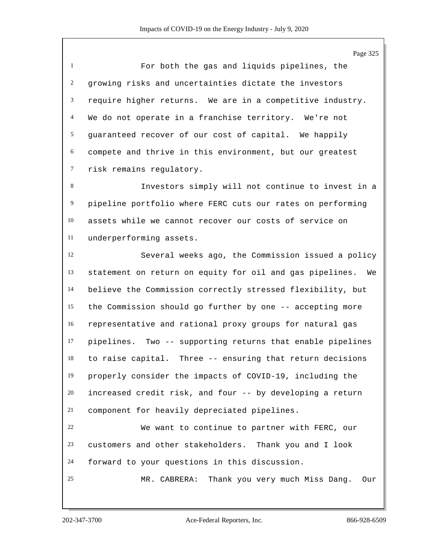For both the gas and liquids pipelines, the growing risks and uncertainties dictate the investors require higher returns. We are in a competitive industry. We do not operate in a franchise territory. We're not guaranteed recover of our cost of capital. We happily compete and thrive in this environment, but our greatest risk remains regulatory.

 Investors simply will not continue to invest in a pipeline portfolio where FERC cuts our rates on performing assets while we cannot recover our costs of service on underperforming assets.

 Several weeks ago, the Commission issued a policy statement on return on equity for oil and gas pipelines. We believe the Commission correctly stressed flexibility, but the Commission should go further by one -- accepting more representative and rational proxy groups for natural gas pipelines. Two -- supporting returns that enable pipelines to raise capital. Three -- ensuring that return decisions properly consider the impacts of COVID-19, including the increased credit risk, and four -- by developing a return component for heavily depreciated pipelines.

 We want to continue to partner with FERC, our customers and other stakeholders. Thank you and I look forward to your questions in this discussion.

MR. CABRERA: Thank you very much Miss Dang. Our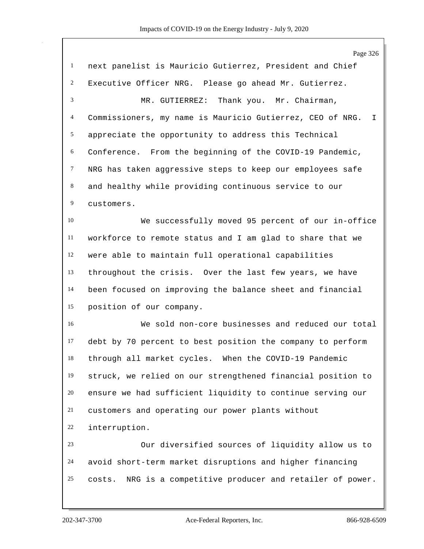|                | Page 326                                                        |
|----------------|-----------------------------------------------------------------|
| $\mathbf{1}$   | next panelist is Mauricio Gutierrez, President and Chief        |
| $\overline{c}$ | Executive Officer NRG. Please go ahead Mr. Gutierrez.           |
| 3              | Thank you. Mr. Chairman,<br>MR. GUTIERREZ:                      |
| 4              | Commissioners, my name is Mauricio Gutierrez, CEO of NRG.<br>I. |
| $\mathfrak{S}$ | appreciate the opportunity to address this Technical            |
| 6              | Conference. From the beginning of the COVID-19 Pandemic,        |
| $\tau$         | NRG has taken aggressive steps to keep our employees safe       |
| 8              | and healthy while providing continuous service to our           |
| 9              | customers.                                                      |
| 10             | We successfully moved 95 percent of our in-office               |
| 11             | workforce to remote status and I am glad to share that we       |
| 12             | were able to maintain full operational capabilities             |
| 13             | throughout the crisis. Over the last few years, we have         |
| 14             | been focused on improving the balance sheet and financial       |
| 15             | position of our company.                                        |
| 16             | We sold non-core businesses and reduced our total               |
| 17             | debt by 70 percent to best position the company to perform      |
| 18             | through all market cycles. When the COVID-19 Pandemic           |
| 19             | struck, we relied on our strengthened financial position to     |
| $20\,$         | ensure we had sufficient liquidity to continue serving our      |
| 21             | customers and operating our power plants without                |
| 22             | interruption.                                                   |
| 23             | Our diversified sources of liquidity allow us to                |
| 24             | avoid short-term market disruptions and higher financing        |
| 25             | NRG is a competitive producer and retailer of power.<br>costs.  |
|                |                                                                 |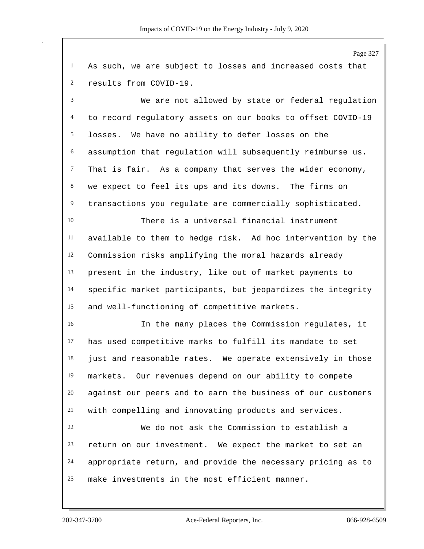Page 327 As such, we are subject to losses and increased costs that results from COVID-19. We are not allowed by state or federal regulation to record regulatory assets on our books to offset COVID-19 losses. We have no ability to defer losses on the assumption that regulation will subsequently reimburse us. That is fair. As a company that serves the wider economy, we expect to feel its ups and its downs. The firms on transactions you regulate are commercially sophisticated. There is a universal financial instrument available to them to hedge risk. Ad hoc intervention by the Commission risks amplifying the moral hazards already present in the industry, like out of market payments to specific market participants, but jeopardizes the integrity and well-functioning of competitive markets. In the many places the Commission regulates, it has used competitive marks to fulfill its mandate to set just and reasonable rates. We operate extensively in those markets. Our revenues depend on our ability to compete against our peers and to earn the business of our customers with compelling and innovating products and services. We do not ask the Commission to establish a return on our investment. We expect the market to set an appropriate return, and provide the necessary pricing as to make investments in the most efficient manner.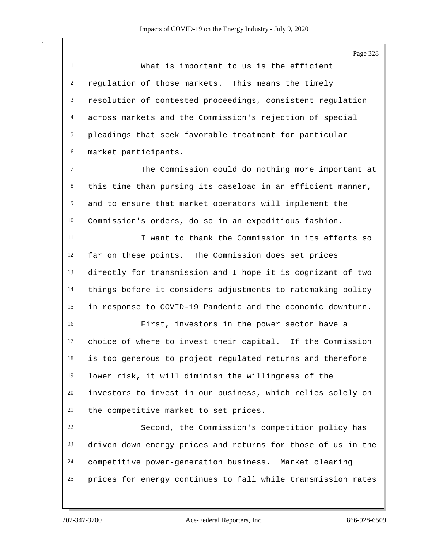Page 328

| $\overline{1}$  | What is important to us is the efficient                     |
|-----------------|--------------------------------------------------------------|
| 2               | regulation of those markets. This means the timely           |
|                 | 3 resolution of contested proceedings, consistent regulation |
| $\overline{4}$  | across markets and the Commission's rejection of special     |
|                 | 5 pleadings that seek favorable treatment for particular     |
| 6               | market participants.                                         |
| $7\phantom{.0}$ | The Commission could do nothing more important at            |

 this time than pursing its caseload in an efficient manner, and to ensure that market operators will implement the Commission's orders, do so in an expeditious fashion.

 I want to thank the Commission in its efforts so far on these points. The Commission does set prices directly for transmission and I hope it is cognizant of two things before it considers adjustments to ratemaking policy in response to COVID-19 Pandemic and the economic downturn.

 First, investors in the power sector have a choice of where to invest their capital. If the Commission is too generous to project regulated returns and therefore lower risk, it will diminish the willingness of the investors to invest in our business, which relies solely on the competitive market to set prices.

 Second, the Commission's competition policy has driven down energy prices and returns for those of us in the competitive power-generation business. Market clearing prices for energy continues to fall while transmission rates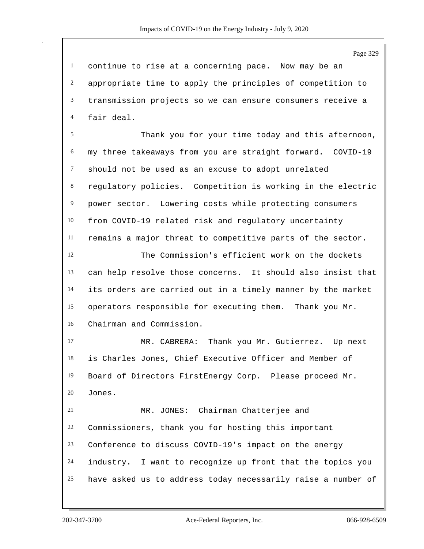continue to rise at a concerning pace. Now may be an appropriate time to apply the principles of competition to transmission projects so we can ensure consumers receive a fair deal.

 Thank you for your time today and this afternoon, my three takeaways from you are straight forward. COVID-19 should not be used as an excuse to adopt unrelated regulatory policies. Competition is working in the electric power sector. Lowering costs while protecting consumers from COVID-19 related risk and regulatory uncertainty remains a major threat to competitive parts of the sector.

 The Commission's efficient work on the dockets can help resolve those concerns. It should also insist that its orders are carried out in a timely manner by the market operators responsible for executing them. Thank you Mr. Chairman and Commission.

 MR. CABRERA: Thank you Mr. Gutierrez. Up next is Charles Jones, Chief Executive Officer and Member of Board of Directors FirstEnergy Corp. Please proceed Mr. Jones.

 MR. JONES: Chairman Chatterjee and Commissioners, thank you for hosting this important Conference to discuss COVID-19's impact on the energy industry. I want to recognize up front that the topics you have asked us to address today necessarily raise a number of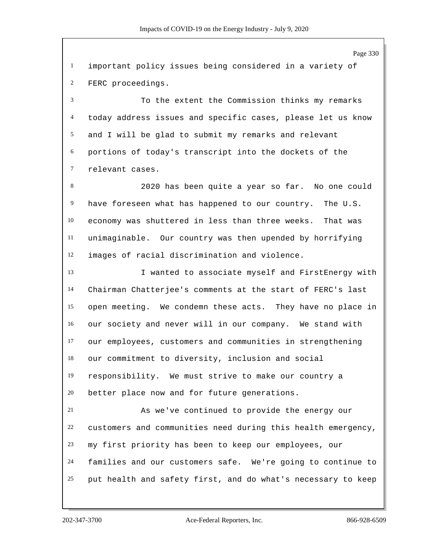Page 330 important policy issues being considered in a variety of FERC proceedings. To the extent the Commission thinks my remarks today address issues and specific cases, please let us know and I will be glad to submit my remarks and relevant portions of today's transcript into the dockets of the relevant cases. 2020 has been quite a year so far. No one could have foreseen what has happened to our country. The U.S. economy was shuttered in less than three weeks. That was unimaginable. Our country was then upended by horrifying images of racial discrimination and violence. I wanted to associate myself and FirstEnergy with Chairman Chatterjee's comments at the start of FERC's last open meeting. We condemn these acts. They have no place in our society and never will in our company. We stand with our employees, customers and communities in strengthening our commitment to diversity, inclusion and social responsibility. We must strive to make our country a better place now and for future generations. As we've continued to provide the energy our customers and communities need during this health emergency, my first priority has been to keep our employees, our families and our customers safe. We're going to continue to put health and safety first, and do what's necessary to keep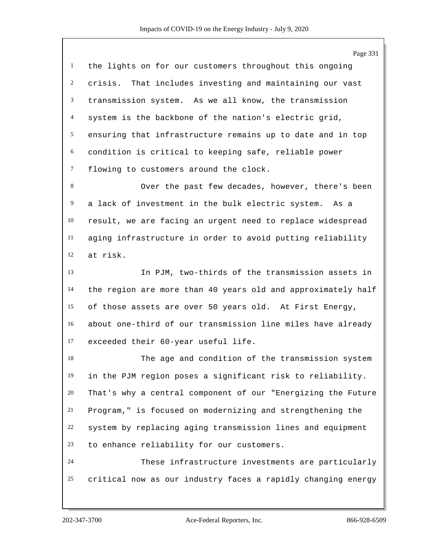|                  | Page 331                                                     |
|------------------|--------------------------------------------------------------|
| $\mathbf{1}$     | the lights on for our customers throughout this ongoing      |
| $\overline{2}$   | crisis. That includes investing and maintaining our vast     |
| 3                | transmission system. As we all know, the transmission        |
| 4                | system is the backbone of the nation's electric grid,        |
| 5                | ensuring that infrastructure remains up to date and in top   |
| 6                | condition is critical to keeping safe, reliable power        |
| $\boldsymbol{7}$ | flowing to customers around the clock.                       |
| 8                | Over the past few decades, however, there's been             |
| $\overline{9}$   | a lack of investment in the bulk electric system. As a       |
| 10               | result, we are facing an urgent need to replace widespread   |
| 11               | aging infrastructure in order to avoid putting reliability   |
| 12               | at risk.                                                     |
| 13               | In PJM, two-thirds of the transmission assets in             |
| 14               | the region are more than 40 years old and approximately half |
| 15               | of those assets are over 50 years old. At First Energy,      |
| 16               | about one-third of our transmission line miles have already  |
| 17               | exceeded their 60-year useful life.                          |
| 18               | The age and condition of the transmission system             |
| 19               | in the PJM region poses a significant risk to reliability.   |
| 20               | That's why a central component of our "Energizing the Future |
| 21               | Program," is focused on modernizing and strengthening the    |
| 22               | system by replacing aging transmission lines and equipment   |
| 23               | to enhance reliability for our customers.                    |
| 24               | These infrastructure investments are particularly            |
| 25               | critical now as our industry faces a rapidly changing energy |
|                  |                                                              |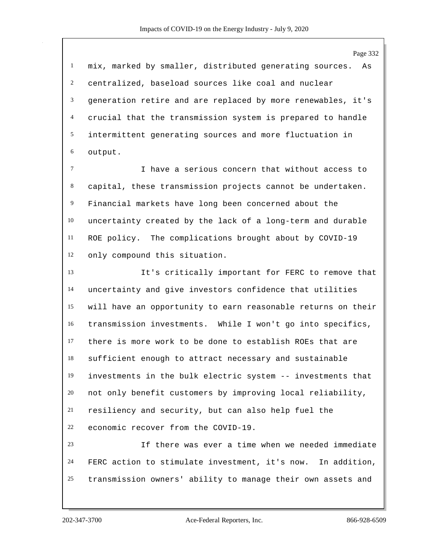Page 332 mix, marked by smaller, distributed generating sources. As centralized, baseload sources like coal and nuclear generation retire and are replaced by more renewables, it's crucial that the transmission system is prepared to handle intermittent generating sources and more fluctuation in output. I have a serious concern that without access to capital, these transmission projects cannot be undertaken. Financial markets have long been concerned about the uncertainty created by the lack of a long-term and durable ROE policy. The complications brought about by COVID-19 only compound this situation. It's critically important for FERC to remove that uncertainty and give investors confidence that utilities will have an opportunity to earn reasonable returns on their transmission investments. While I won't go into specifics, there is more work to be done to establish ROEs that are sufficient enough to attract necessary and sustainable investments in the bulk electric system -- investments that not only benefit customers by improving local reliability, resiliency and security, but can also help fuel the economic recover from the COVID-19.

 If there was ever a time when we needed immediate FERC action to stimulate investment, it's now. In addition, transmission owners' ability to manage their own assets and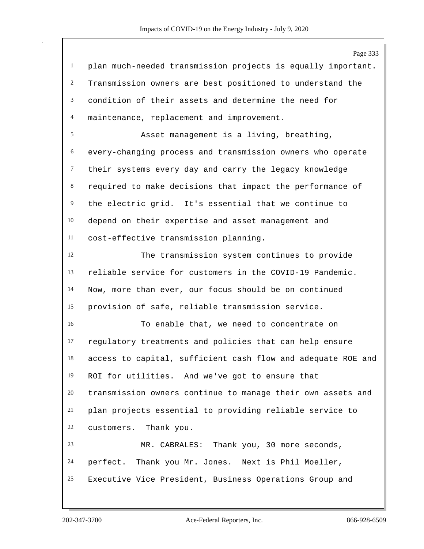Page 333 plan much-needed transmission projects is equally important. Transmission owners are best positioned to understand the condition of their assets and determine the need for maintenance, replacement and improvement. Asset management is a living, breathing, every-changing process and transmission owners who operate their systems every day and carry the legacy knowledge required to make decisions that impact the performance of the electric grid. It's essential that we continue to depend on their expertise and asset management and cost-effective transmission planning. The transmission system continues to provide reliable service for customers in the COVID-19 Pandemic. Now, more than ever, our focus should be on continued provision of safe, reliable transmission service. To enable that, we need to concentrate on regulatory treatments and policies that can help ensure access to capital, sufficient cash flow and adequate ROE and ROI for utilities. And we've got to ensure that transmission owners continue to manage their own assets and plan projects essential to providing reliable service to customers. Thank you. MR. CABRALES: Thank you, 30 more seconds, perfect. Thank you Mr. Jones. Next is Phil Moeller, Executive Vice President, Business Operations Group and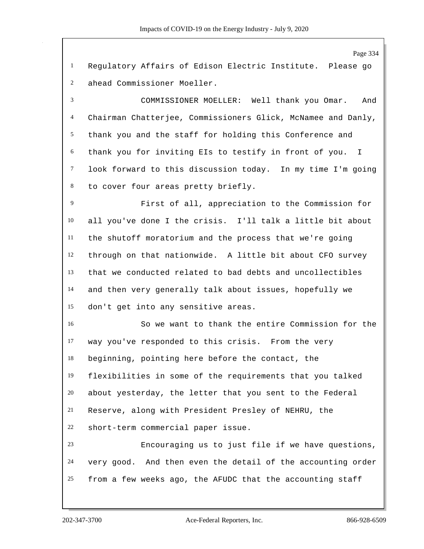Page 334 Regulatory Affairs of Edison Electric Institute. Please go ahead Commissioner Moeller. COMMISSIONER MOELLER: Well thank you Omar. And Chairman Chatterjee, Commissioners Glick, McNamee and Danly, thank you and the staff for holding this Conference and thank you for inviting EIs to testify in front of you. I look forward to this discussion today. In my time I'm going to cover four areas pretty briefly. First of all, appreciation to the Commission for all you've done I the crisis. I'll talk a little bit about the shutoff moratorium and the process that we're going through on that nationwide. A little bit about CFO survey that we conducted related to bad debts and uncollectibles and then very generally talk about issues, hopefully we don't get into any sensitive areas. So we want to thank the entire Commission for the way you've responded to this crisis. From the very beginning, pointing here before the contact, the flexibilities in some of the requirements that you talked about yesterday, the letter that you sent to the Federal Reserve, along with President Presley of NEHRU, the short-term commercial paper issue. Encouraging us to just file if we have questions, very good. And then even the detail of the accounting order from a few weeks ago, the AFUDC that the accounting staff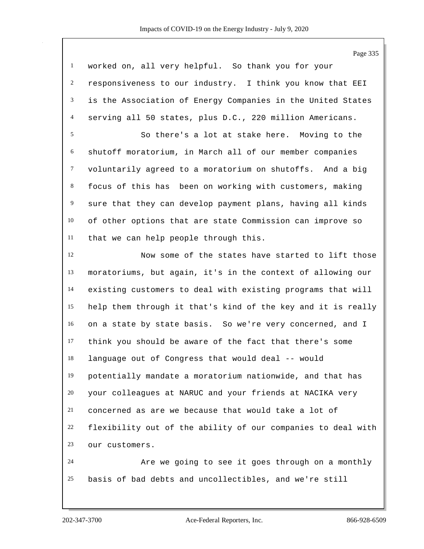Page 335 worked on, all very helpful. So thank you for your responsiveness to our industry. I think you know that EEI is the Association of Energy Companies in the United States serving all 50 states, plus D.C., 220 million Americans. So there's a lot at stake here. Moving to the shutoff moratorium, in March all of our member companies voluntarily agreed to a moratorium on shutoffs. And a big focus of this has been on working with customers, making sure that they can develop payment plans, having all kinds of other options that are state Commission can improve so that we can help people through this. Now some of the states have started to lift those moratoriums, but again, it's in the context of allowing our existing customers to deal with existing programs that will help them through it that's kind of the key and it is really on a state by state basis. So we're very concerned, and I think you should be aware of the fact that there's some language out of Congress that would deal -- would potentially mandate a moratorium nationwide, and that has your colleagues at NARUC and your friends at NACIKA very concerned as are we because that would take a lot of flexibility out of the ability of our companies to deal with our customers. Are we going to see it goes through on a monthly basis of bad debts and uncollectibles, and we're still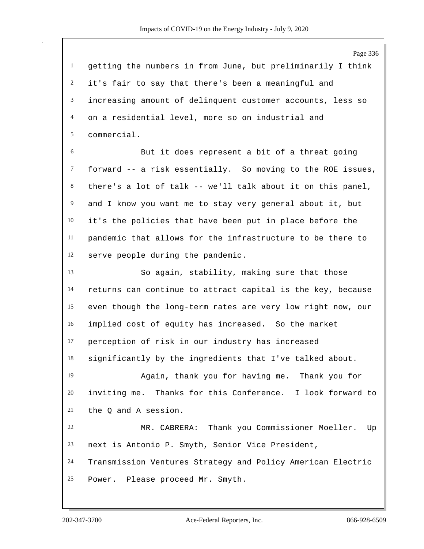Page 336 getting the numbers in from June, but preliminarily I think it's fair to say that there's been a meaningful and increasing amount of delinquent customer accounts, less so on a residential level, more so on industrial and commercial. But it does represent a bit of a threat going forward -- a risk essentially. So moving to the ROE issues, there's a lot of talk -- we'll talk about it on this panel, and I know you want me to stay very general about it, but it's the policies that have been put in place before the pandemic that allows for the infrastructure to be there to serve people during the pandemic. So again, stability, making sure that those returns can continue to attract capital is the key, because even though the long-term rates are very low right now, our implied cost of equity has increased. So the market perception of risk in our industry has increased significantly by the ingredients that I've talked about. Again, thank you for having me. Thank you for inviting me. Thanks for this Conference. I look forward to the Q and A session. MR. CABRERA: Thank you Commissioner Moeller. Up next is Antonio P. Smyth, Senior Vice President, Transmission Ventures Strategy and Policy American Electric Power. Please proceed Mr. Smyth.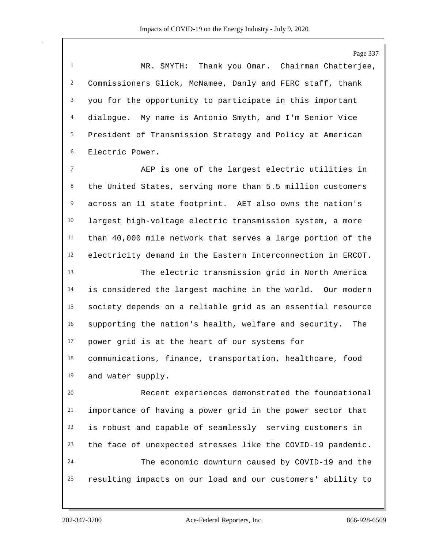Page 337 MR. SMYTH: Thank you Omar. Chairman Chatterjee, Commissioners Glick, McNamee, Danly and FERC staff, thank you for the opportunity to participate in this important dialogue. My name is Antonio Smyth, and I'm Senior Vice President of Transmission Strategy and Policy at American Electric Power. AEP is one of the largest electric utilities in the United States, serving more than 5.5 million customers across an 11 state footprint. AET also owns the nation's largest high-voltage electric transmission system, a more than 40,000 mile network that serves a large portion of the electricity demand in the Eastern Interconnection in ERCOT. The electric transmission grid in North America is considered the largest machine in the world. Our modern society depends on a reliable grid as an essential resource supporting the nation's health, welfare and security. The power grid is at the heart of our systems for communications, finance, transportation, healthcare, food and water supply. Recent experiences demonstrated the foundational importance of having a power grid in the power sector that is robust and capable of seamlessly serving customers in the face of unexpected stresses like the COVID-19 pandemic. The economic downturn caused by COVID-19 and the resulting impacts on our load and our customers' ability to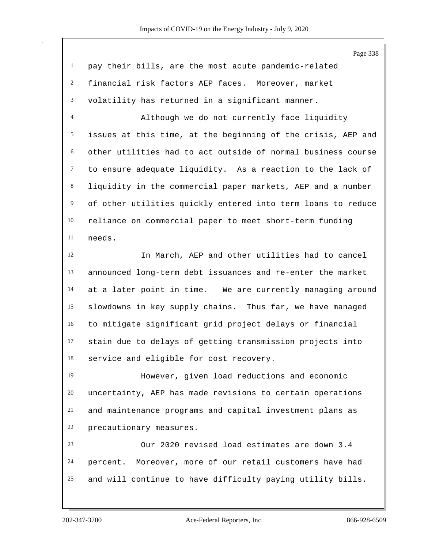| $\mathbf{1}$     | pay their bills, are the most acute pandemic-related         |
|------------------|--------------------------------------------------------------|
| $\overline{c}$   | financial risk factors AEP faces. Moreover, market           |
| 3                | volatility has returned in a significant manner.             |
| $\overline{4}$   | Although we do not currently face liquidity                  |
| 5                | issues at this time, at the beginning of the crisis, AEP and |
| 6                | other utilities had to act outside of normal business course |
| $\tau$           | to ensure adequate liquidity. As a reaction to the lack of   |
| $\,8\,$          | liquidity in the commercial paper markets, AEP and a number  |
| $\boldsymbol{9}$ | of other utilities quickly entered into term loans to reduce |
| 10               | reliance on commercial paper to meet short-term funding      |
| 11               | needs.                                                       |
| 12               | In March, AEP and other utilities had to cancel              |
| 13               | announced long-term debt issuances and re-enter the market   |
| 14               | at a later point in time. We are currently managing around   |
| 15               | slowdowns in key supply chains. Thus far, we have managed    |
| 16               | to mitigate significant grid project delays or financial     |
| 17               | stain due to delays of getting transmission projects into    |
| 18               | service and eligible for cost recovery.                      |
| 19               | However, given load reductions and economic                  |
| 20               | uncertainty, AEP has made revisions to certain operations    |
| 21               | and maintenance programs and capital investment plans as     |
| 22               | precautionary measures.                                      |
| 23               | Our 2020 revised load estimates are down 3.4                 |
| 24               | percent. Moreover, more of our retail customers have had     |
| 25               | and will continue to have difficulty paying utility bills.   |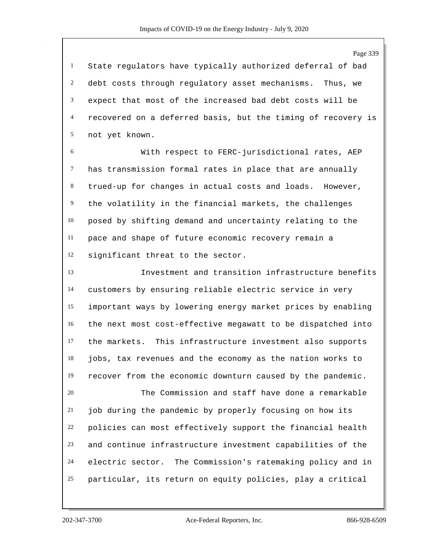State regulators have typically authorized deferral of bad debt costs through regulatory asset mechanisms. Thus, we expect that most of the increased bad debt costs will be recovered on a deferred basis, but the timing of recovery is not yet known.

 With respect to FERC-jurisdictional rates, AEP has transmission formal rates in place that are annually trued-up for changes in actual costs and loads. However, the volatility in the financial markets, the challenges posed by shifting demand and uncertainty relating to the pace and shape of future economic recovery remain a significant threat to the sector.

 Investment and transition infrastructure benefits customers by ensuring reliable electric service in very important ways by lowering energy market prices by enabling the next most cost-effective megawatt to be dispatched into the markets. This infrastructure investment also supports jobs, tax revenues and the economy as the nation works to recover from the economic downturn caused by the pandemic.

 The Commission and staff have done a remarkable job during the pandemic by properly focusing on how its policies can most effectively support the financial health and continue infrastructure investment capabilities of the electric sector. The Commission's ratemaking policy and in particular, its return on equity policies, play a critical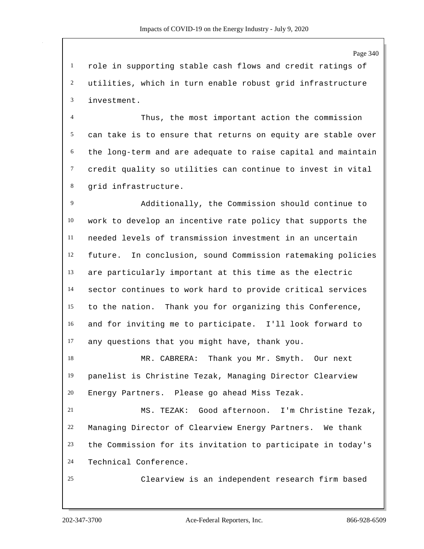Page 340

 role in supporting stable cash flows and credit ratings of utilities, which in turn enable robust grid infrastructure investment.

 Thus, the most important action the commission can take is to ensure that returns on equity are stable over the long-term and are adequate to raise capital and maintain credit quality so utilities can continue to invest in vital grid infrastructure.

 Additionally, the Commission should continue to work to develop an incentive rate policy that supports the needed levels of transmission investment in an uncertain future. In conclusion, sound Commission ratemaking policies are particularly important at this time as the electric sector continues to work hard to provide critical services to the nation. Thank you for organizing this Conference, and for inviting me to participate. I'll look forward to any questions that you might have, thank you.

 MR. CABRERA: Thank you Mr. Smyth. Our next panelist is Christine Tezak, Managing Director Clearview Energy Partners. Please go ahead Miss Tezak.

 MS. TEZAK: Good afternoon. I'm Christine Tezak, Managing Director of Clearview Energy Partners. We thank the Commission for its invitation to participate in today's Technical Conference.

Clearview is an independent research firm based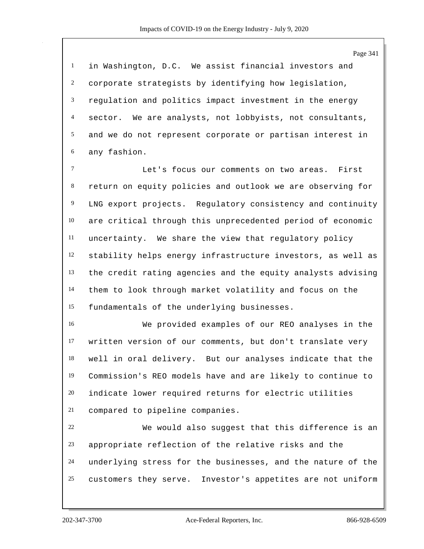in Washington, D.C. We assist financial investors and corporate strategists by identifying how legislation, regulation and politics impact investment in the energy sector. We are analysts, not lobbyists, not consultants, and we do not represent corporate or partisan interest in any fashion.

 Let's focus our comments on two areas. First return on equity policies and outlook we are observing for LNG export projects. Regulatory consistency and continuity are critical through this unprecedented period of economic uncertainty. We share the view that regulatory policy stability helps energy infrastructure investors, as well as the credit rating agencies and the equity analysts advising them to look through market volatility and focus on the fundamentals of the underlying businesses.

 We provided examples of our REO analyses in the written version of our comments, but don't translate very well in oral delivery. But our analyses indicate that the Commission's REO models have and are likely to continue to indicate lower required returns for electric utilities compared to pipeline companies.

 We would also suggest that this difference is an appropriate reflection of the relative risks and the underlying stress for the businesses, and the nature of the customers they serve. Investor's appetites are not uniform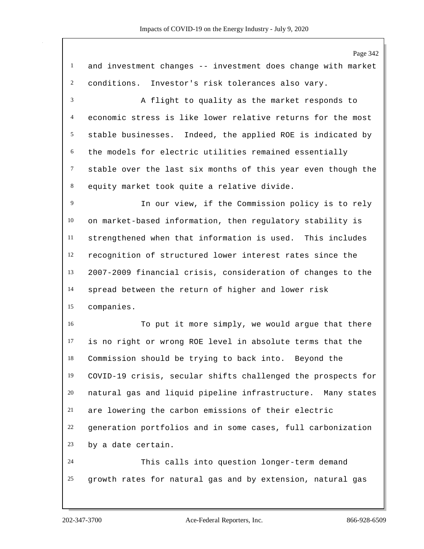Page 342 and investment changes -- investment does change with market conditions. Investor's risk tolerances also vary. A flight to quality as the market responds to economic stress is like lower relative returns for the most stable businesses. Indeed, the applied ROE is indicated by the models for electric utilities remained essentially stable over the last six months of this year even though the equity market took quite a relative divide. In our view, if the Commission policy is to rely on market-based information, then regulatory stability is strengthened when that information is used. This includes recognition of structured lower interest rates since the 2007-2009 financial crisis, consideration of changes to the spread between the return of higher and lower risk companies. To put it more simply, we would argue that there is no right or wrong ROE level in absolute terms that the Commission should be trying to back into. Beyond the COVID-19 crisis, secular shifts challenged the prospects for natural gas and liquid pipeline infrastructure. Many states are lowering the carbon emissions of their electric generation portfolios and in some cases, full carbonization by a date certain. This calls into question longer-term demand growth rates for natural gas and by extension, natural gas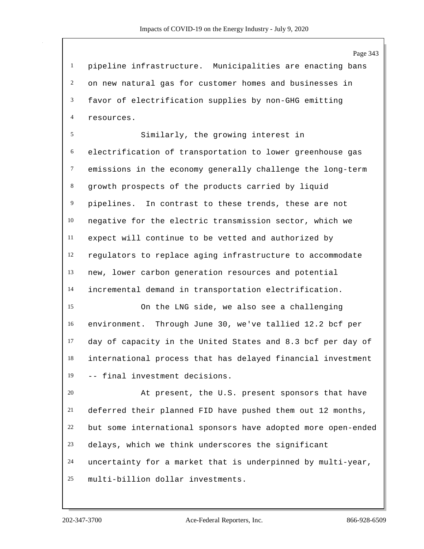pipeline infrastructure. Municipalities are enacting bans on new natural gas for customer homes and businesses in favor of electrification supplies by non-GHG emitting resources.

 Similarly, the growing interest in electrification of transportation to lower greenhouse gas emissions in the economy generally challenge the long-term growth prospects of the products carried by liquid pipelines. In contrast to these trends, these are not negative for the electric transmission sector, which we expect will continue to be vetted and authorized by regulators to replace aging infrastructure to accommodate new, lower carbon generation resources and potential incremental demand in transportation electrification.

 On the LNG side, we also see a challenging environment. Through June 30, we've tallied 12.2 bcf per day of capacity in the United States and 8.3 bcf per day of international process that has delayed financial investment -- final investment decisions.

 At present, the U.S. present sponsors that have deferred their planned FID have pushed them out 12 months, but some international sponsors have adopted more open-ended delays, which we think underscores the significant uncertainty for a market that is underpinned by multi-year, multi-billion dollar investments.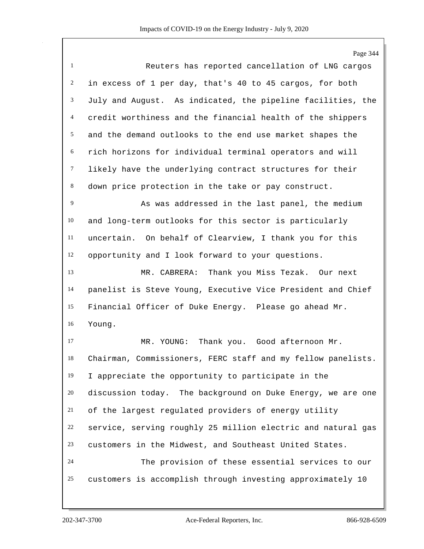Page 344 Reuters has reported cancellation of LNG cargos in excess of 1 per day, that's 40 to 45 cargos, for both July and August. As indicated, the pipeline facilities, the credit worthiness and the financial health of the shippers and the demand outlooks to the end use market shapes the rich horizons for individual terminal operators and will likely have the underlying contract structures for their down price protection in the take or pay construct. 9 As was addressed in the last panel, the medium and long-term outlooks for this sector is particularly uncertain. On behalf of Clearview, I thank you for this opportunity and I look forward to your questions. MR. CABRERA: Thank you Miss Tezak. Our next panelist is Steve Young, Executive Vice President and Chief Financial Officer of Duke Energy. Please go ahead Mr. Young. MR. YOUNG: Thank you. Good afternoon Mr. Chairman, Commissioners, FERC staff and my fellow panelists. I appreciate the opportunity to participate in the discussion today. The background on Duke Energy, we are one of the largest regulated providers of energy utility service, serving roughly 25 million electric and natural gas customers in the Midwest, and Southeast United States. The provision of these essential services to our customers is accomplish through investing approximately 10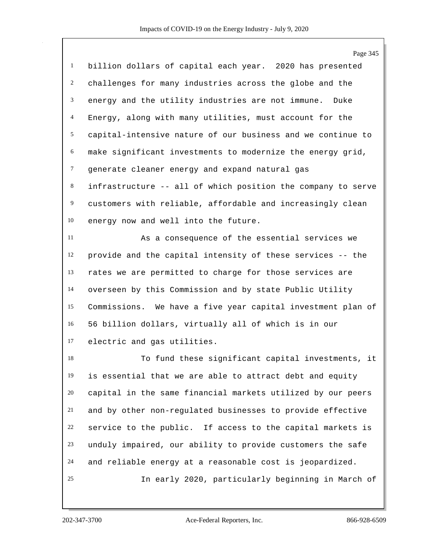Page 345 billion dollars of capital each year. 2020 has presented challenges for many industries across the globe and the energy and the utility industries are not immune. Duke Energy, along with many utilities, must account for the capital-intensive nature of our business and we continue to make significant investments to modernize the energy grid, generate cleaner energy and expand natural gas infrastructure -- all of which position the company to serve customers with reliable, affordable and increasingly clean energy now and well into the future.

 As a consequence of the essential services we provide and the capital intensity of these services -- the rates we are permitted to charge for those services are overseen by this Commission and by state Public Utility Commissions. We have a five year capital investment plan of 56 billion dollars, virtually all of which is in our electric and gas utilities.

 To fund these significant capital investments, it is essential that we are able to attract debt and equity capital in the same financial markets utilized by our peers and by other non-regulated businesses to provide effective service to the public. If access to the capital markets is unduly impaired, our ability to provide customers the safe and reliable energy at a reasonable cost is jeopardized. In early 2020, particularly beginning in March of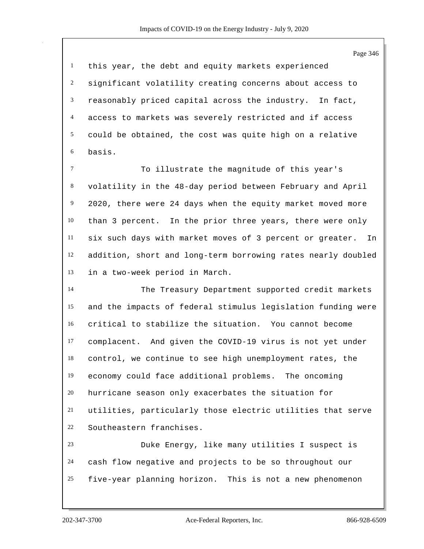Page 346 this year, the debt and equity markets experienced significant volatility creating concerns about access to reasonably priced capital across the industry. In fact, access to markets was severely restricted and if access could be obtained, the cost was quite high on a relative basis. To illustrate the magnitude of this year's volatility in the 48-day period between February and April 2020, there were 24 days when the equity market moved more than 3 percent. In the prior three years, there were only six such days with market moves of 3 percent or greater. In addition, short and long-term borrowing rates nearly doubled in a two-week period in March. The Treasury Department supported credit markets and the impacts of federal stimulus legislation funding were critical to stabilize the situation. You cannot become complacent. And given the COVID-19 virus is not yet under control, we continue to see high unemployment rates, the economy could face additional problems. The oncoming hurricane season only exacerbates the situation for utilities, particularly those electric utilities that serve Southeastern franchises. Duke Energy, like many utilities I suspect is cash flow negative and projects to be so throughout our

five-year planning horizon. This is not a new phenomenon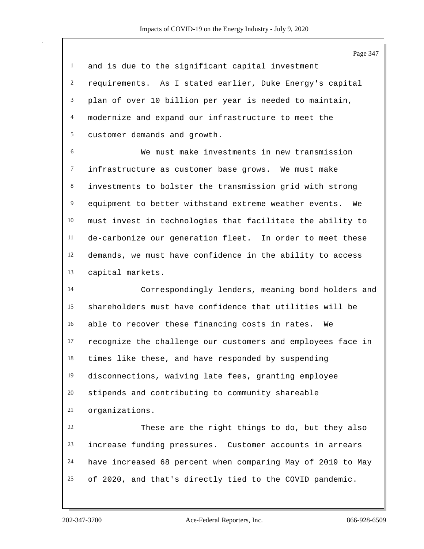| 1 and is due to the significant capital investment         |
|------------------------------------------------------------|
| 2 requirements. As I stated earlier, Duke Energy's capital |
| 3 plan of over 10 billion per year is needed to maintain,  |
| 4 modernize and expand our infrastructure to meet the      |
| 5 customer demands and growth.                             |

 We must make investments in new transmission infrastructure as customer base grows. We must make investments to bolster the transmission grid with strong equipment to better withstand extreme weather events. We must invest in technologies that facilitate the ability to de-carbonize our generation fleet. In order to meet these demands, we must have confidence in the ability to access capital markets.

 Correspondingly lenders, meaning bond holders and shareholders must have confidence that utilities will be able to recover these financing costs in rates. We recognize the challenge our customers and employees face in times like these, and have responded by suspending disconnections, waiving late fees, granting employee stipends and contributing to community shareable organizations.

 These are the right things to do, but they also increase funding pressures. Customer accounts in arrears have increased 68 percent when comparing May of 2019 to May of 2020, and that's directly tied to the COVID pandemic.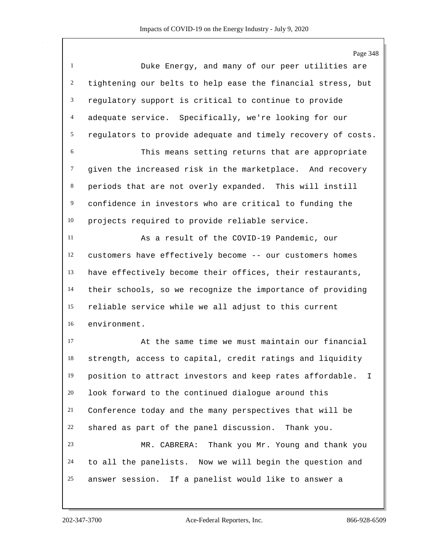Page 348 Duke Energy, and many of our peer utilities are tightening our belts to help ease the financial stress, but regulatory support is critical to continue to provide adequate service. Specifically, we're looking for our regulators to provide adequate and timely recovery of costs. This means setting returns that are appropriate given the increased risk in the marketplace. And recovery periods that are not overly expanded. This will instill confidence in investors who are critical to funding the projects required to provide reliable service. As a result of the COVID-19 Pandemic, our customers have effectively become -- our customers homes have effectively become their offices, their restaurants, their schools, so we recognize the importance of providing reliable service while we all adjust to this current environment. At the same time we must maintain our financial strength, access to capital, credit ratings and liquidity position to attract investors and keep rates affordable. I look forward to the continued dialogue around this Conference today and the many perspectives that will be shared as part of the panel discussion. Thank you. MR. CABRERA: Thank you Mr. Young and thank you to all the panelists. Now we will begin the question and answer session. If a panelist would like to answer a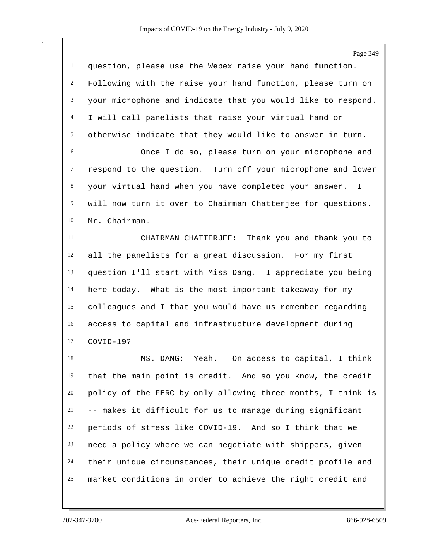|                | Page 349                                                               |
|----------------|------------------------------------------------------------------------|
| $\mathbf{1}$   | question, please use the Webex raise your hand function.               |
| $\overline{c}$ | Following with the raise your hand function, please turn on            |
| 3              | your microphone and indicate that you would like to respond.           |
| $\overline{4}$ | I will call panelists that raise your virtual hand or                  |
| 5              | otherwise indicate that they would like to answer in turn.             |
| $\sqrt{6}$     | Once I do so, please turn on your microphone and                       |
| $\tau$         | respond to the question. Turn off your microphone and lower            |
| 8              | your virtual hand when you have completed your answer.<br>$\mathbb{I}$ |
| $\overline{9}$ | will now turn it over to Chairman Chatterjee for questions.            |
| 10             | Mr. Chairman.                                                          |
| 11             | CHAIRMAN CHATTERJEE: Thank you and thank you to                        |
| 12             | all the panelists for a great discussion. For my first                 |
| 13             | question I'll start with Miss Dang. I appreciate you being             |
| 14             | here today. What is the most important takeaway for my                 |
| 15             | colleagues and I that you would have us remember regarding             |
| 16             | access to capital and infrastructure development during                |
| 17             | COVID-19?                                                              |
| 18             | MS. DANG:<br>Yeah. On access to capital, I think                       |
| 19             | that the main point is credit. And so you know, the credit             |
| 20             | policy of the FERC by only allowing three months, I think is           |
| 21             | -- makes it difficult for us to manage during significant              |
| 22             | periods of stress like COVID-19. And so I think that we                |
| 23             | need a policy where we can negotiate with shippers, given              |
| 24             | their unique circumstances, their unique credit profile and            |
| 25             | market conditions in order to achieve the right credit and             |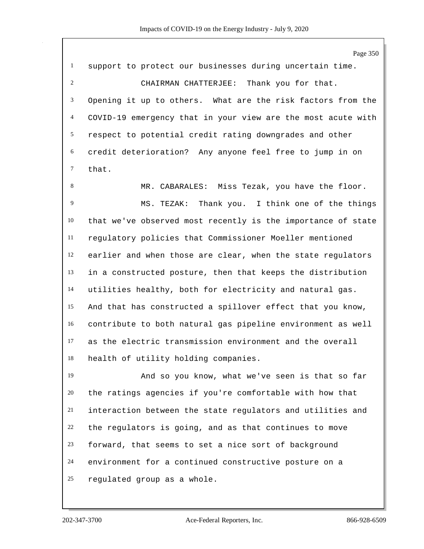Page 350 support to protect our businesses during uncertain time. CHAIRMAN CHATTERJEE: Thank you for that. Opening it up to others. What are the risk factors from the COVID-19 emergency that in your view are the most acute with respect to potential credit rating downgrades and other credit deterioration? Any anyone feel free to jump in on that.

 MR. CABARALES: Miss Tezak, you have the floor. MS. TEZAK: Thank you. I think one of the things that we've observed most recently is the importance of state regulatory policies that Commissioner Moeller mentioned earlier and when those are clear, when the state regulators in a constructed posture, then that keeps the distribution utilities healthy, both for electricity and natural gas. And that has constructed a spillover effect that you know, contribute to both natural gas pipeline environment as well as the electric transmission environment and the overall health of utility holding companies.

 And so you know, what we've seen is that so far the ratings agencies if you're comfortable with how that interaction between the state regulators and utilities and the regulators is going, and as that continues to move forward, that seems to set a nice sort of background environment for a continued constructive posture on a regulated group as a whole.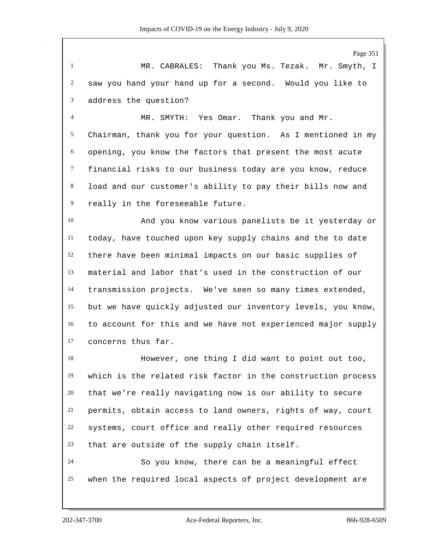Page 351

 MR. CABRALES: Thank you Ms. Tezak. Mr. Smyth, I saw you hand your hand up for a second. Would you like to address the question?

 MR. SMYTH: Yes Omar. Thank you and Mr. Chairman, thank you for your question. As I mentioned in my opening, you know the factors that present the most acute financial risks to our business today are you know, reduce load and our customer's ability to pay their bills now and really in the foreseeable future.

 And you know various panelists be it yesterday or today, have touched upon key supply chains and the to date there have been minimal impacts on our basic supplies of material and labor that's used in the construction of our transmission projects. We've seen so many times extended, but we have quickly adjusted our inventory levels, you know, to account for this and we have not experienced major supply concerns thus far.

 However, one thing I did want to point out too, which is the related risk factor in the construction process that we're really navigating now is our ability to secure permits, obtain access to land owners, rights of way, court systems, court office and really other required resources that are outside of the supply chain itself. So you know, there can be a meaningful effect when the required local aspects of project development are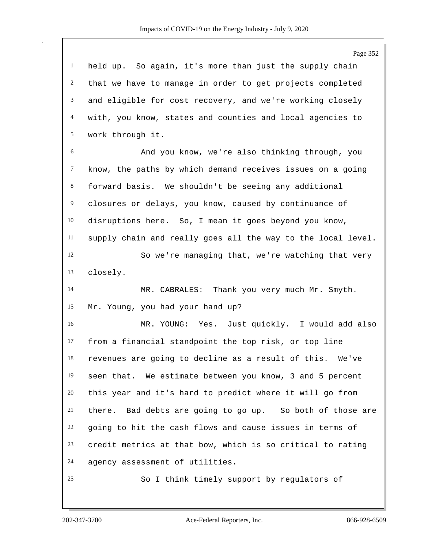Page 352 held up. So again, it's more than just the supply chain that we have to manage in order to get projects completed and eligible for cost recovery, and we're working closely with, you know, states and counties and local agencies to work through it. And you know, we're also thinking through, you know, the paths by which demand receives issues on a going forward basis. We shouldn't be seeing any additional closures or delays, you know, caused by continuance of disruptions here. So, I mean it goes beyond you know, supply chain and really goes all the way to the local level. So we're managing that, we're watching that very closely. 14 MR. CABRALES: Thank you very much Mr. Smyth. Mr. Young, you had your hand up? MR. YOUNG: Yes. Just quickly. I would add also from a financial standpoint the top risk, or top line revenues are going to decline as a result of this. We've seen that. We estimate between you know, 3 and 5 percent this year and it's hard to predict where it will go from there. Bad debts are going to go up. So both of those are going to hit the cash flows and cause issues in terms of credit metrics at that bow, which is so critical to rating agency assessment of utilities. So I think timely support by regulators of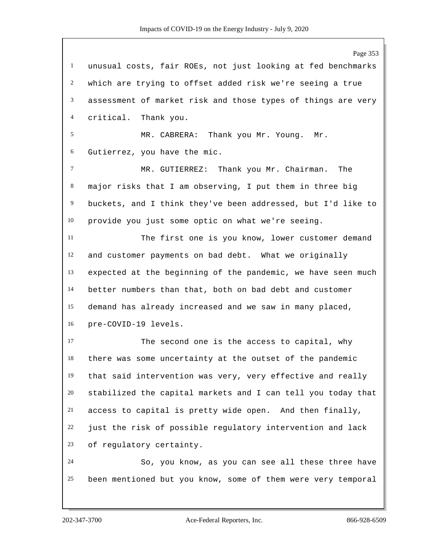Page 353 unusual costs, fair ROEs, not just looking at fed benchmarks which are trying to offset added risk we're seeing a true assessment of market risk and those types of things are very critical. Thank you. MR. CABRERA: Thank you Mr. Young. Mr. Gutierrez, you have the mic. MR. GUTIERREZ: Thank you Mr. Chairman. The major risks that I am observing, I put them in three big buckets, and I think they've been addressed, but I'd like to provide you just some optic on what we're seeing. The first one is you know, lower customer demand and customer payments on bad debt. What we originally expected at the beginning of the pandemic, we have seen much better numbers than that, both on bad debt and customer demand has already increased and we saw in many placed, pre-COVID-19 levels. The second one is the access to capital, why there was some uncertainty at the outset of the pandemic that said intervention was very, very effective and really stabilized the capital markets and I can tell you today that access to capital is pretty wide open. And then finally, just the risk of possible regulatory intervention and lack of regulatory certainty. So, you know, as you can see all these three have been mentioned but you know, some of them were very temporal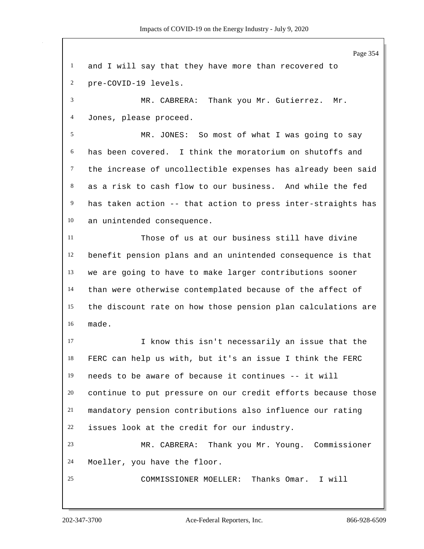Page 354 and I will say that they have more than recovered to pre-COVID-19 levels. MR. CABRERA: Thank you Mr. Gutierrez. Mr. Jones, please proceed. MR. JONES: So most of what I was going to say has been covered. I think the moratorium on shutoffs and the increase of uncollectible expenses has already been said as a risk to cash flow to our business. And while the fed has taken action -- that action to press inter-straights has an unintended consequence. Those of us at our business still have divine benefit pension plans and an unintended consequence is that we are going to have to make larger contributions sooner than were otherwise contemplated because of the affect of the discount rate on how those pension plan calculations are made. I know this isn't necessarily an issue that the FERC can help us with, but it's an issue I think the FERC needs to be aware of because it continues -- it will continue to put pressure on our credit efforts because those mandatory pension contributions also influence our rating issues look at the credit for our industry. MR. CABRERA: Thank you Mr. Young. Commissioner Moeller, you have the floor. COMMISSIONER MOELLER: Thanks Omar. I will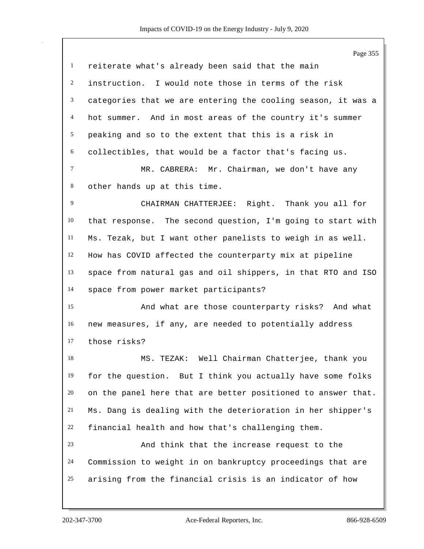|              | Page 355                                                     |
|--------------|--------------------------------------------------------------|
| $\mathbf{1}$ | reiterate what's already been said that the main             |
| 2            | instruction. I would note those in terms of the risk         |
| 3            | categories that we are entering the cooling season, it was a |
| 4            | hot summer. And in most areas of the country it's summer     |
| 5            | peaking and so to the extent that this is a risk in          |
| 6            | collectibles, that would be a factor that's facing us.       |
| $\tau$       | MR. CABRERA: Mr. Chairman, we don't have any                 |
| 8            | other hands up at this time.                                 |
| 9            | CHAIRMAN CHATTERJEE: Right. Thank you all for                |
| 10           | that response. The second question, I'm going to start with  |
| 11           | Ms. Tezak, but I want other panelists to weigh in as well.   |
| 12           | How has COVID affected the counterparty mix at pipeline      |
| 13           | space from natural gas and oil shippers, in that RTO and ISO |
| 14           | space from power market participants?                        |
| 15           | And what are those counterparty risks? And what              |
| 16           | new measures, if any, are needed to potentially address      |
| 17           | those risks?                                                 |
| 18           | TEZAK: Well Chairman Chatterjee, thank you<br>MS.            |
| 19           | for the question. But I think you actually have some folks   |
| 20           | on the panel here that are better positioned to answer that. |
| 21           | Ms. Dang is dealing with the deterioration in her shipper's  |
| 22           | financial health and how that's challenging them.            |
| 23           | And think that the increase request to the                   |
| 24           | Commission to weight in on bankruptcy proceedings that are   |
| 25           | arising from the financial crisis is an indicator of how     |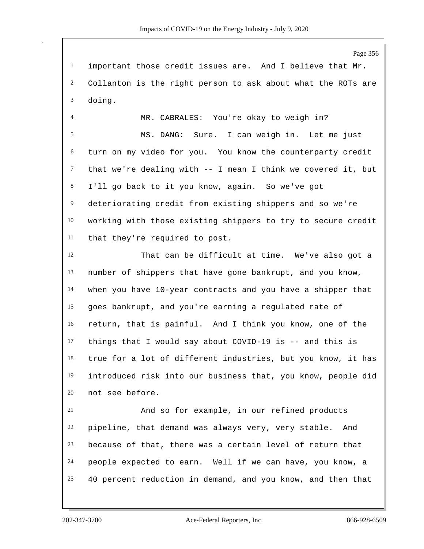important those credit issues are. And I believe that Mr. Collanton is the right person to ask about what the ROTs are doing.

 MR. CABRALES: You're okay to weigh in? MS. DANG: Sure. I can weigh in. Let me just turn on my video for you. You know the counterparty credit that we're dealing with -- I mean I think we covered it, but I'll go back to it you know, again. So we've got deteriorating credit from existing shippers and so we're working with those existing shippers to try to secure credit that they're required to post.

 That can be difficult at time. We've also got a number of shippers that have gone bankrupt, and you know, when you have 10-year contracts and you have a shipper that goes bankrupt, and you're earning a regulated rate of return, that is painful. And I think you know, one of the things that I would say about COVID-19 is -- and this is true for a lot of different industries, but you know, it has introduced risk into our business that, you know, people did not see before.

 And so for example, in our refined products pipeline, that demand was always very, very stable. And because of that, there was a certain level of return that people expected to earn. Well if we can have, you know, a 40 percent reduction in demand, and you know, and then that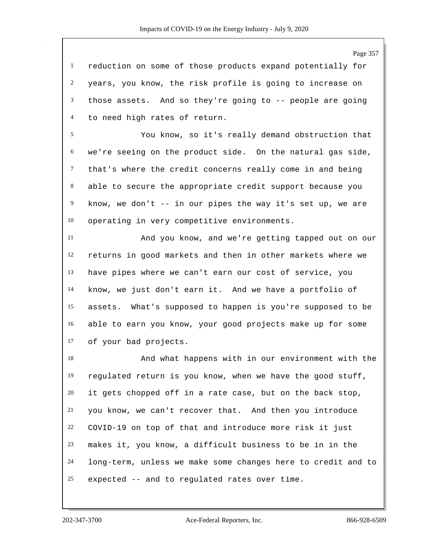Page 357

 reduction on some of those products expand potentially for years, you know, the risk profile is going to increase on those assets. And so they're going to -- people are going to need high rates of return.

 You know, so it's really demand obstruction that we're seeing on the product side. On the natural gas side, that's where the credit concerns really come in and being able to secure the appropriate credit support because you know, we don't -- in our pipes the way it's set up, we are operating in very competitive environments.

 And you know, and we're getting tapped out on our returns in good markets and then in other markets where we have pipes where we can't earn our cost of service, you know, we just don't earn it. And we have a portfolio of assets. What's supposed to happen is you're supposed to be able to earn you know, your good projects make up for some of your bad projects.

 And what happens with in our environment with the regulated return is you know, when we have the good stuff, it gets chopped off in a rate case, but on the back stop, you know, we can't recover that. And then you introduce COVID-19 on top of that and introduce more risk it just makes it, you know, a difficult business to be in in the long-term, unless we make some changes here to credit and to expected -- and to regulated rates over time.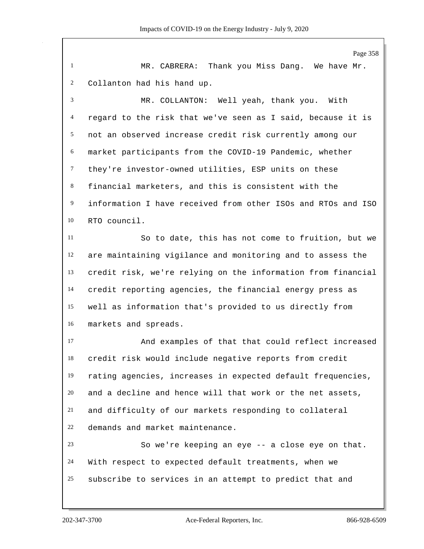Page 358 MR. CABRERA: Thank you Miss Dang. We have Mr. Collanton had his hand up. MR. COLLANTON: Well yeah, thank you. With regard to the risk that we've seen as I said, because it is not an observed increase credit risk currently among our market participants from the COVID-19 Pandemic, whether they're investor-owned utilities, ESP units on these financial marketers, and this is consistent with the information I have received from other ISOs and RTOs and ISO RTO council. So to date, this has not come to fruition, but we are maintaining vigilance and monitoring and to assess the credit risk, we're relying on the information from financial credit reporting agencies, the financial energy press as well as information that's provided to us directly from markets and spreads. And examples of that that could reflect increased credit risk would include negative reports from credit rating agencies, increases in expected default frequencies, and a decline and hence will that work or the net assets, and difficulty of our markets responding to collateral demands and market maintenance. So we're keeping an eye -- a close eye on that. With respect to expected default treatments, when we subscribe to services in an attempt to predict that and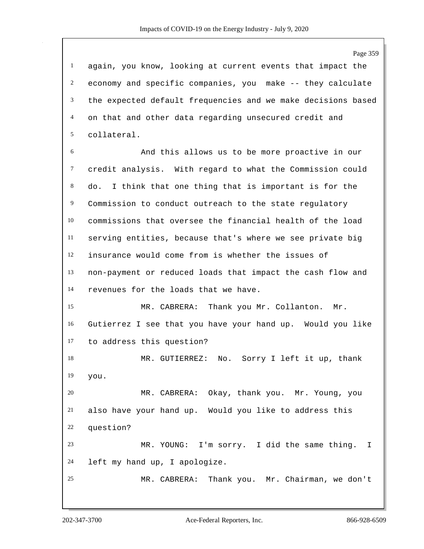again, you know, looking at current events that impact the economy and specific companies, you make -- they calculate the expected default frequencies and we make decisions based on that and other data regarding unsecured credit and collateral.

 And this allows us to be more proactive in our credit analysis. With regard to what the Commission could do. I think that one thing that is important is for the 9 Commission to conduct outreach to the state regulatory commissions that oversee the financial health of the load serving entities, because that's where we see private big insurance would come from is whether the issues of non-payment or reduced loads that impact the cash flow and revenues for the loads that we have.

 MR. CABRERA: Thank you Mr. Collanton. Mr. Gutierrez I see that you have your hand up. Would you like to address this question?

 MR. GUTIERREZ: No. Sorry I left it up, thank you.

 MR. CABRERA: Okay, thank you. Mr. Young, you also have your hand up. Would you like to address this question?

 MR. YOUNG: I'm sorry. I did the same thing. I left my hand up, I apologize.

MR. CABRERA: Thank you. Mr. Chairman, we don't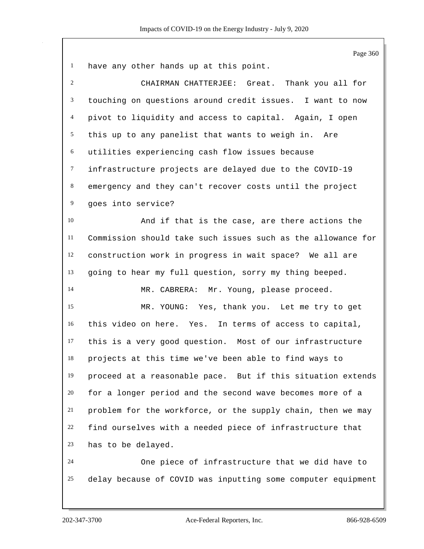| $\mathbf{1}$   | have any other hands up at this point.                       |
|----------------|--------------------------------------------------------------|
| $\overline{c}$ | CHAIRMAN CHATTERJEE: Great. Thank you all for                |
| 3              | touching on questions around credit issues. I want to now    |
| 4              | pivot to liquidity and access to capital. Again, I open      |
| 5              | this up to any panelist that wants to weigh in. Are          |
| 6              | utilities experiencing cash flow issues because              |
| $\tau$         | infrastructure projects are delayed due to the COVID-19      |
| $8\,$          | emergency and they can't recover costs until the project     |
| 9              | goes into service?                                           |
| 10             | And if that is the case, are there actions the               |
| 11             | Commission should take such issues such as the allowance for |
| 12             | construction work in progress in wait space? We all are      |
| 13             | going to hear my full question, sorry my thing beeped.       |
| 14             | MR. CABRERA: Mr. Young, please proceed.                      |
| 15             | MR. YOUNG: Yes, thank you. Let me try to get                 |
| 16             | this video on here. Yes. In terms of access to capital,      |
| 17             | this is a very good question. Most of our infrastructure     |
| 18             | projects at this time we've been able to find ways to        |
| 19             | proceed at a reasonable pace. But if this situation extends  |
| 20             | for a longer period and the second wave becomes more of a    |
| 21             | problem for the workforce, or the supply chain, then we may  |
| 22             | find ourselves with a needed piece of infrastructure that    |
| 23             | has to be delayed.                                           |
| 24             | One piece of infrastructure that we did have to              |
| 25             | delay because of COVID was inputting some computer equipment |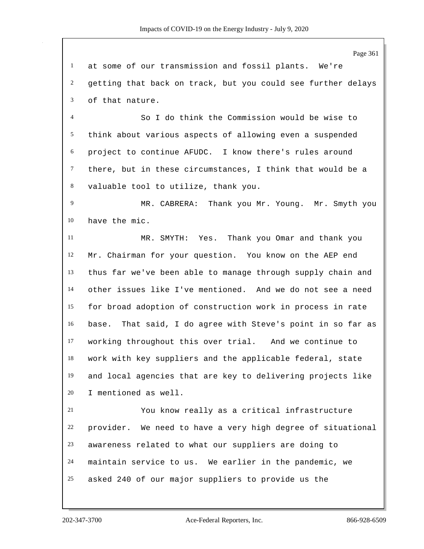at some of our transmission and fossil plants. We're getting that back on track, but you could see further delays of that nature.

 So I do think the Commission would be wise to think about various aspects of allowing even a suspended project to continue AFUDC. I know there's rules around there, but in these circumstances, I think that would be a valuable tool to utilize, thank you.

9 MR. CABRERA: Thank you Mr. Young. Mr. Smyth you have the mic.

 MR. SMYTH: Yes. Thank you Omar and thank you Mr. Chairman for your question. You know on the AEP end thus far we've been able to manage through supply chain and other issues like I've mentioned. And we do not see a need for broad adoption of construction work in process in rate base. That said, I do agree with Steve's point in so far as working throughout this over trial. And we continue to work with key suppliers and the applicable federal, state and local agencies that are key to delivering projects like I mentioned as well.

 You know really as a critical infrastructure provider. We need to have a very high degree of situational awareness related to what our suppliers are doing to maintain service to us. We earlier in the pandemic, we asked 240 of our major suppliers to provide us the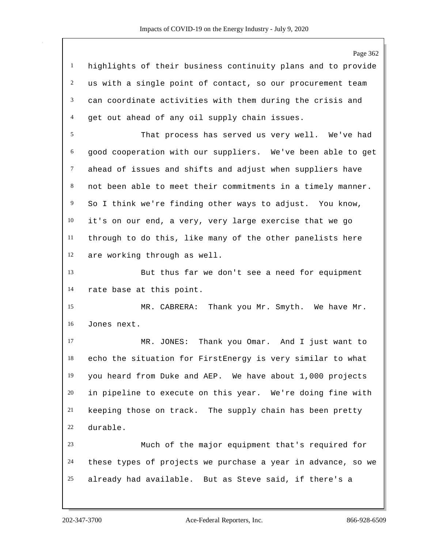Page 362 highlights of their business continuity plans and to provide us with a single point of contact, so our procurement team can coordinate activities with them during the crisis and get out ahead of any oil supply chain issues. That process has served us very well. We've had good cooperation with our suppliers. We've been able to get ahead of issues and shifts and adjust when suppliers have not been able to meet their commitments in a timely manner. So I think we're finding other ways to adjust. You know, it's on our end, a very, very large exercise that we go through to do this, like many of the other panelists here are working through as well. But thus far we don't see a need for equipment rate base at this point. MR. CABRERA: Thank you Mr. Smyth. We have Mr. Jones next. MR. JONES: Thank you Omar. And I just want to echo the situation for FirstEnergy is very similar to what you heard from Duke and AEP. We have about 1,000 projects in pipeline to execute on this year. We're doing fine with keeping those on track. The supply chain has been pretty durable. Much of the major equipment that's required for these types of projects we purchase a year in advance, so we already had available. But as Steve said, if there's a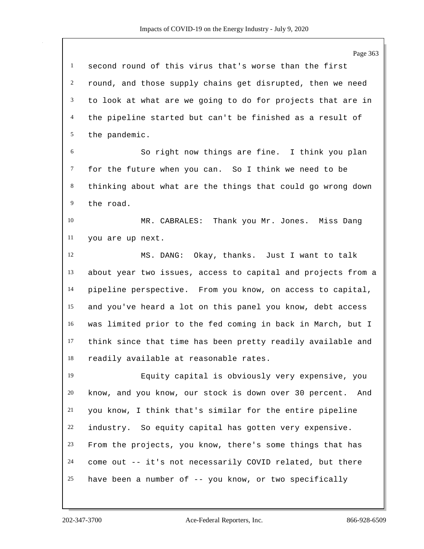|                | Page 363                                                      |
|----------------|---------------------------------------------------------------|
| $\mathbf{1}$   | second round of this virus that's worse than the first        |
| $\overline{2}$ | round, and those supply chains get disrupted, then we need    |
| 3              | to look at what are we going to do for projects that are in   |
| 4              | the pipeline started but can't be finished as a result of     |
| 5              | the pandemic.                                                 |
| 6              | So right now things are fine. I think you plan                |
| 7              | for the future when you can. So I think we need to be         |
| 8              | thinking about what are the things that could go wrong down   |
| 9              | the road.                                                     |
| 10             | MR. CABRALES: Thank you Mr. Jones. Miss Dang                  |
| 11             | you are up next.                                              |
| 12             | MS. DANG: Okay, thanks. Just I want to talk                   |
| 13             | about year two issues, access to capital and projects from a  |
| 14             | pipeline perspective. From you know, on access to capital,    |
| 15             | and you've heard a lot on this panel you know, debt access    |
| 16             | was limited prior to the fed coming in back in March, but I   |
| 17             | think since that time has been pretty readily available and   |
| 18             | readily available at reasonable rates.                        |
| 19             | Equity capital is obviously very expensive, you               |
| 20             | know, and you know, our stock is down over 30 percent.<br>And |
| 21             | you know, I think that's similar for the entire pipeline      |
| 22             | industry. So equity capital has gotten very expensive.        |
| 23             | From the projects, you know, there's some things that has     |
| 24             | come out -- it's not necessarily COVID related, but there     |
| 25             | have been a number of -- you know, or two specifically        |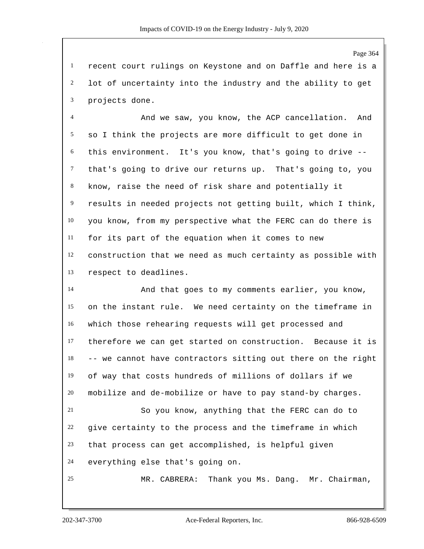Page 364

 recent court rulings on Keystone and on Daffle and here is a lot of uncertainty into the industry and the ability to get projects done.

 And we saw, you know, the ACP cancellation. And so I think the projects are more difficult to get done in this environment. It's you know, that's going to drive -- that's going to drive our returns up. That's going to, you know, raise the need of risk share and potentially it results in needed projects not getting built, which I think, you know, from my perspective what the FERC can do there is for its part of the equation when it comes to new construction that we need as much certainty as possible with respect to deadlines.

 And that goes to my comments earlier, you know, on the instant rule. We need certainty on the timeframe in which those rehearing requests will get processed and therefore we can get started on construction. Because it is -- we cannot have contractors sitting out there on the right of way that costs hundreds of millions of dollars if we mobilize and de-mobilize or have to pay stand-by charges.

 So you know, anything that the FERC can do to give certainty to the process and the timeframe in which that process can get accomplished, is helpful given everything else that's going on.

MR. CABRERA: Thank you Ms. Dang. Mr. Chairman,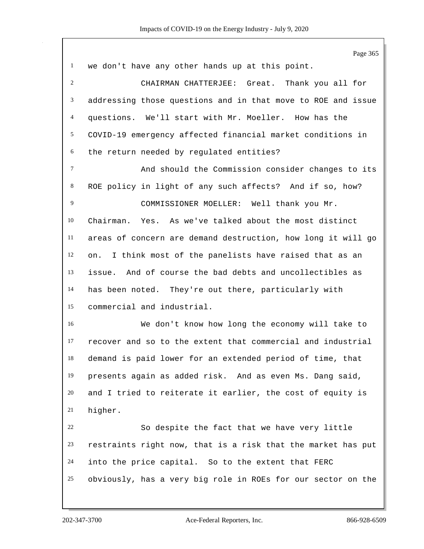|                | Page 365                                                     |
|----------------|--------------------------------------------------------------|
| $\mathbf{1}$   | we don't have any other hands up at this point.              |
| $\overline{2}$ | CHAIRMAN CHATTERJEE: Great. Thank you all for                |
| 3              | addressing those questions and in that move to ROE and issue |
| 4              | questions. We'll start with Mr. Moeller. How has the         |
| 5              | COVID-19 emergency affected financial market conditions in   |
| 6              | the return needed by regulated entities?                     |
| $\tau$         | And should the Commission consider changes to its            |
| $8\,$          | ROE policy in light of any such affects? And if so, how?     |
| 9              | COMMISSIONER MOELLER: Well thank you Mr.                     |
| 10             | Chairman. Yes. As we've talked about the most distinct       |
| 11             | areas of concern are demand destruction, how long it will go |
| 12             | on. I think most of the panelists have raised that as an     |
| 13             | issue. And of course the bad debts and uncollectibles as     |
| 14             | has been noted. They're out there, particularly with         |
| 15             | commercial and industrial.                                   |
| 16             | We don't know how long the economy will take to              |
| 17             | recover and so to the extent that commercial and industrial  |
| 18             | demand is paid lower for an extended period of time, that    |
| 19             | presents again as added risk. And as even Ms. Dang said,     |
| 20             | and I tried to reiterate it earlier, the cost of equity is   |
| 21             | higher.                                                      |
| 22             | So despite the fact that we have very little                 |
| 23             | restraints right now, that is a risk that the market has put |
| 24             | into the price capital. So to the extent that FERC           |
| 25             | obviously, has a very big role in ROEs for our sector on the |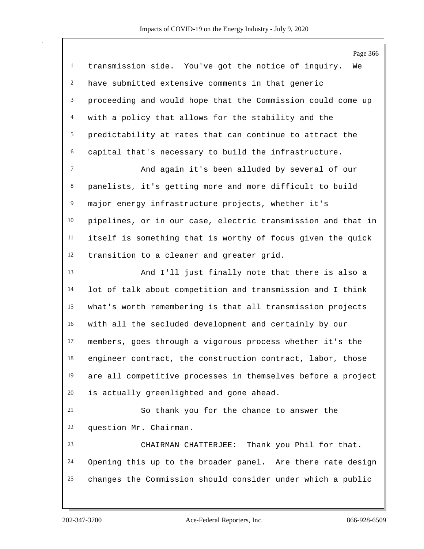|                | Page 366                                                     |
|----------------|--------------------------------------------------------------|
| $\mathbf{1}$   | transmission side. You've got the notice of inquiry.<br>We   |
| $\overline{c}$ | have submitted extensive comments in that generic            |
| 3              | proceeding and would hope that the Commission could come up  |
| $\overline{4}$ | with a policy that allows for the stability and the          |
| 5              | predictability at rates that can continue to attract the     |
| 6              | capital that's necessary to build the infrastructure.        |
| $\tau$         | And again it's been alluded by several of our                |
| 8              | panelists, it's getting more and more difficult to build     |
| $\overline{9}$ | major energy infrastructure projects, whether it's           |
| 10             | pipelines, or in our case, electric transmission and that in |
| 11             | itself is something that is worthy of focus given the quick  |
| 12             | transition to a cleaner and greater grid.                    |
| 13             | And I'll just finally note that there is also a              |
| 14             | lot of talk about competition and transmission and I think   |
| 15             | what's worth remembering is that all transmission projects   |
| 16             | with all the secluded development and certainly by our       |
| 17             | members, goes through a vigorous process whether it's the    |
| 18             | engineer contract, the construction contract, labor, those   |
| 19             | are all competitive processes in themselves before a project |
| 20             | is actually greenlighted and gone ahead.                     |
| 21             | So thank you for the chance to answer the                    |
| 22             | question Mr. Chairman.                                       |
| 23             | CHAIRMAN CHATTERJEE: Thank you Phil for that.                |
| 24             | Opening this up to the broader panel. Are there rate design  |
| 25             | changes the Commission should consider under which a public  |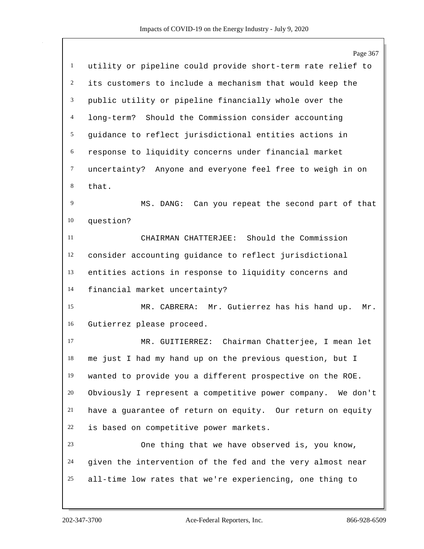|                | Page 367                                                    |
|----------------|-------------------------------------------------------------|
| $\mathbf{1}$   | utility or pipeline could provide short-term rate relief to |
| $\overline{c}$ | its customers to include a mechanism that would keep the    |
| 3              | public utility or pipeline financially whole over the       |
| $\overline{4}$ | Should the Commission consider accounting<br>long-term?     |
| 5              | guidance to reflect jurisdictional entities actions in      |
| 6              | response to liquidity concerns under financial market       |
| $\tau$         | uncertainty? Anyone and everyone feel free to weigh in on   |
| 8              | that.                                                       |
| $\overline{9}$ | MS. DANG: Can you repeat the second part of that            |
| 10             | question?                                                   |
| 11             | CHAIRMAN CHATTERJEE: Should the Commission                  |
| 12             | consider accounting guidance to reflect jurisdictional      |
| 13             | entities actions in response to liquidity concerns and      |
| 14             | financial market uncertainty?                               |
| 15             | MR. CABRERA: Mr. Gutierrez has his hand up.<br>Mr.          |
| 16             | Gutierrez please proceed.                                   |
| 17             | MR. GUITIERREZ: Chairman Chatterjee, I mean let             |
| 18             | me just I had my hand up on the previous question, but I    |
| 19             | wanted to provide you a different prospective on the ROE.   |
| 20             | Obviously I represent a competitive power company. We don't |
| 21             | have a guarantee of return on equity. Our return on equity  |
| 22             | is based on competitive power markets.                      |
| 23             | One thing that we have observed is, you know,               |
| 24             | given the intervention of the fed and the very almost near  |
| 25             | all-time low rates that we're experiencing, one thing to    |
|                |                                                             |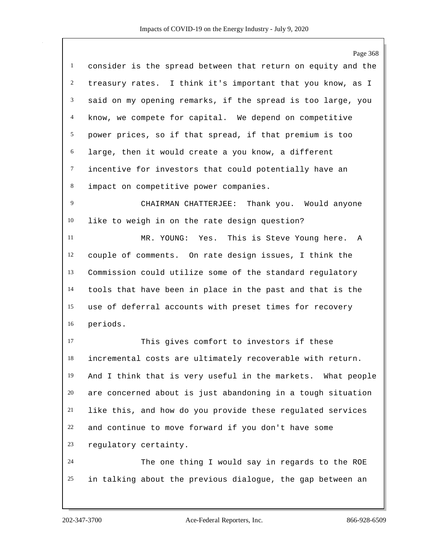|                | Page 368                                                     |
|----------------|--------------------------------------------------------------|
| $\mathbf{1}$   | consider is the spread between that return on equity and the |
| $\overline{c}$ | treasury rates. I think it's important that you know, as I   |
| 3              | said on my opening remarks, if the spread is too large, you  |
| $\overline{4}$ | know, we compete for capital. We depend on competitive       |
| 5              | power prices, so if that spread, if that premium is too      |
| 6              | large, then it would create a you know, a different          |
| $\tau$         | incentive for investors that could potentially have an       |
| 8              | impact on competitive power companies.                       |
| 9              | CHAIRMAN CHATTERJEE: Thank you. Would anyone                 |
| 10             | like to weigh in on the rate design question?                |
| 11             | MR. YOUNG: Yes. This is Steve Young here. A                  |
| 12             | couple of comments. On rate design issues, I think the       |
| 13             | Commission could utilize some of the standard regulatory     |
| 14             | tools that have been in place in the past and that is the    |
| 15             | use of deferral accounts with preset times for recovery      |
| 16             | periods.                                                     |
| 17             | This gives comfort to investors if these                     |
| 18             | incremental costs are ultimately recoverable with return.    |
| 19             | And I think that is very useful in the markets. What people  |
| 20             | are concerned about is just abandoning in a tough situation  |
| 21             | like this, and how do you provide these regulated services   |
| 22             | and continue to move forward if you don't have some          |
| 23             | regulatory certainty.                                        |
| 24             | The one thing I would say in regards to the ROE              |
| 25             | in talking about the previous dialogue, the gap between an   |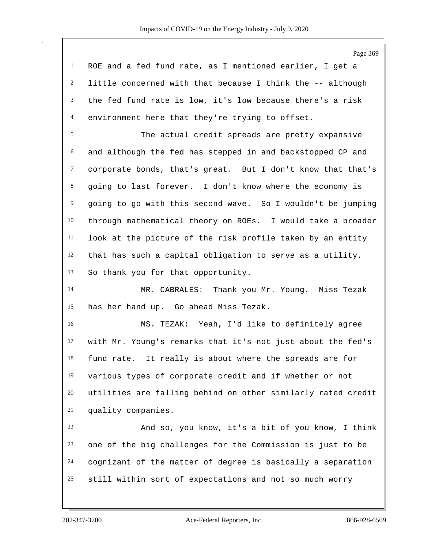Page 369

 ROE and a fed fund rate, as I mentioned earlier, I get a little concerned with that because I think the -- although the fed fund rate is low, it's low because there's a risk environment here that they're trying to offset.

 The actual credit spreads are pretty expansive and although the fed has stepped in and backstopped CP and corporate bonds, that's great. But I don't know that that's going to last forever. I don't know where the economy is going to go with this second wave. So I wouldn't be jumping through mathematical theory on ROEs. I would take a broader look at the picture of the risk profile taken by an entity that has such a capital obligation to serve as a utility. So thank you for that opportunity.

 MR. CABRALES: Thank you Mr. Young. Miss Tezak has her hand up. Go ahead Miss Tezak.

 MS. TEZAK: Yeah, I'd like to definitely agree with Mr. Young's remarks that it's not just about the fed's fund rate. It really is about where the spreads are for various types of corporate credit and if whether or not utilities are falling behind on other similarly rated credit quality companies.

 And so, you know, it's a bit of you know, I think one of the big challenges for the Commission is just to be cognizant of the matter of degree is basically a separation still within sort of expectations and not so much worry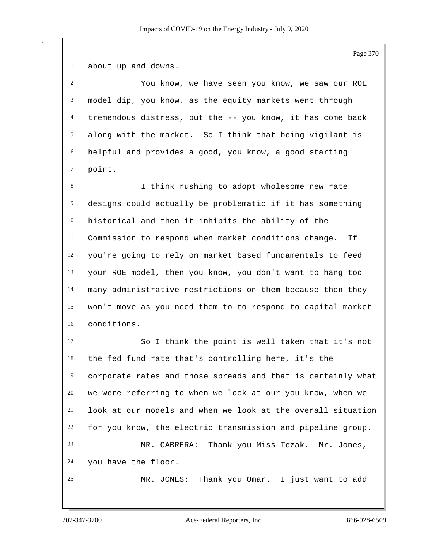about up and downs.

 You know, we have seen you know, we saw our ROE model dip, you know, as the equity markets went through tremendous distress, but the -- you know, it has come back along with the market. So I think that being vigilant is helpful and provides a good, you know, a good starting point.

 I think rushing to adopt wholesome new rate designs could actually be problematic if it has something historical and then it inhibits the ability of the Commission to respond when market conditions change. If you're going to rely on market based fundamentals to feed your ROE model, then you know, you don't want to hang too many administrative restrictions on them because then they won't move as you need them to to respond to capital market conditions.

 So I think the point is well taken that it's not the fed fund rate that's controlling here, it's the corporate rates and those spreads and that is certainly what we were referring to when we look at our you know, when we look at our models and when we look at the overall situation for you know, the electric transmission and pipeline group. MR. CABRERA: Thank you Miss Tezak. Mr. Jones, you have the floor. MR. JONES: Thank you Omar. I just want to add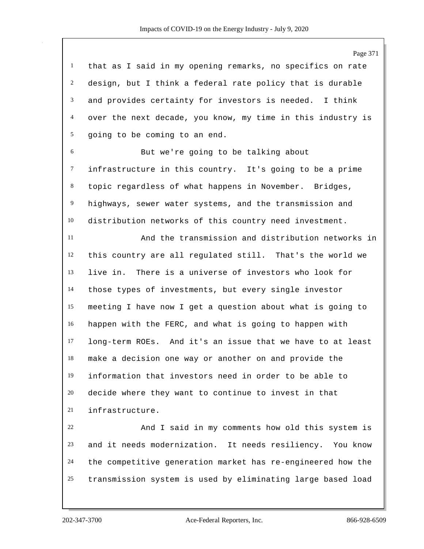that as I said in my opening remarks, no specifics on rate design, but I think a federal rate policy that is durable and provides certainty for investors is needed. I think over the next decade, you know, my time in this industry is going to be coming to an end.

 But we're going to be talking about infrastructure in this country. It's going to be a prime topic regardless of what happens in November. Bridges, highways, sewer water systems, and the transmission and distribution networks of this country need investment.

 And the transmission and distribution networks in this country are all regulated still. That's the world we live in. There is a universe of investors who look for those types of investments, but every single investor meeting I have now I get a question about what is going to happen with the FERC, and what is going to happen with long-term ROEs. And it's an issue that we have to at least make a decision one way or another on and provide the information that investors need in order to be able to decide where they want to continue to invest in that infrastructure.

 And I said in my comments how old this system is and it needs modernization. It needs resiliency. You know the competitive generation market has re-engineered how the transmission system is used by eliminating large based load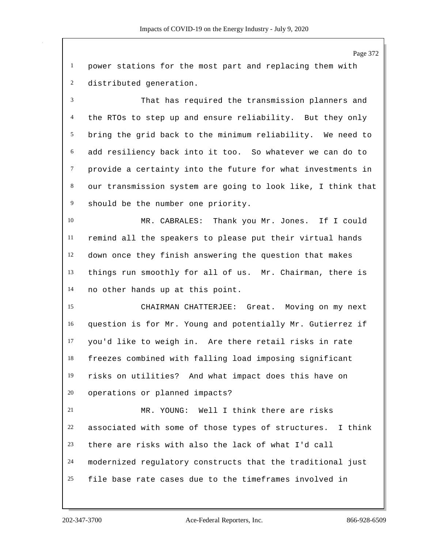power stations for the most part and replacing them with distributed generation.

 That has required the transmission planners and the RTOs to step up and ensure reliability. But they only bring the grid back to the minimum reliability. We need to add resiliency back into it too. So whatever we can do to provide a certainty into the future for what investments in our transmission system are going to look like, I think that should be the number one priority.

 MR. CABRALES: Thank you Mr. Jones. If I could remind all the speakers to please put their virtual hands down once they finish answering the question that makes things run smoothly for all of us. Mr. Chairman, there is no other hands up at this point.

 CHAIRMAN CHATTERJEE: Great. Moving on my next question is for Mr. Young and potentially Mr. Gutierrez if you'd like to weigh in. Are there retail risks in rate freezes combined with falling load imposing significant risks on utilities? And what impact does this have on operations or planned impacts?

 MR. YOUNG: Well I think there are risks associated with some of those types of structures. I think there are risks with also the lack of what I'd call modernized regulatory constructs that the traditional just file base rate cases due to the timeframes involved in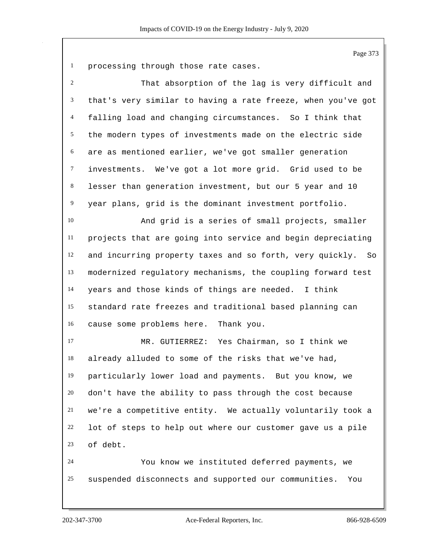processing through those rate cases.

| 2              | That absorption of the lag is very difficult and             |
|----------------|--------------------------------------------------------------|
| 3              | that's very similar to having a rate freeze, when you've got |
| $\overline{4}$ | falling load and changing circumstances. So I think that     |
| 5              | the modern types of investments made on the electric side    |
| 6              | are as mentioned earlier, we've got smaller generation       |
| $\tau$         | investments. We've got a lot more grid. Grid used to be      |
| $\,8\,$        | lesser than generation investment, but our 5 year and 10     |
| 9              | year plans, grid is the dominant investment portfolio.       |
| 10             | And grid is a series of small projects, smaller              |
| 11             | projects that are going into service and begin depreciating  |
| 12             | and incurring property taxes and so forth, very quickly. So  |
| 13             | modernized regulatory mechanisms, the coupling forward test  |
| 14             | years and those kinds of things are needed. I think          |
| 15             | standard rate freezes and traditional based planning can     |
| 16             | cause some problems here.<br>Thank you.                      |
| 17             | MR. GUTIERREZ: Yes Chairman, so I think we                   |
| 18             | already alluded to some of the risks that we've had,         |
| 19             | particularly lower load and payments. But you know, we       |
| 20             | don't have the ability to pass through the cost because      |
| 21             | we're a competitive entity. We actually voluntarily took a   |
| 22             | lot of steps to help out where our customer gave us a pile   |
| 23             | of debt.                                                     |
| 24             | You know we instituted deferred payments, we                 |
| 25             | suspended disconnects and supported our communities.<br>You  |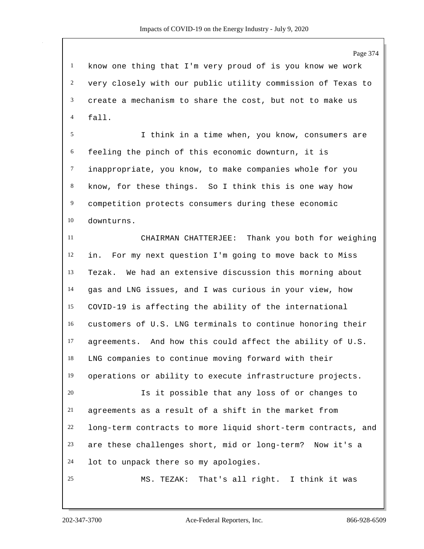know one thing that I'm very proud of is you know we work very closely with our public utility commission of Texas to create a mechanism to share the cost, but not to make us fall.

 I think in a time when, you know, consumers are feeling the pinch of this economic downturn, it is inappropriate, you know, to make companies whole for you know, for these things. So I think this is one way how competition protects consumers during these economic downturns.

 CHAIRMAN CHATTERJEE: Thank you both for weighing in. For my next question I'm going to move back to Miss Tezak. We had an extensive discussion this morning about gas and LNG issues, and I was curious in your view, how COVID-19 is affecting the ability of the international customers of U.S. LNG terminals to continue honoring their agreements. And how this could affect the ability of U.S. LNG companies to continue moving forward with their operations or ability to execute infrastructure projects. Is it possible that any loss of or changes to

 agreements as a result of a shift in the market from long-term contracts to more liquid short-term contracts, and are these challenges short, mid or long-term? Now it's a lot to unpack there so my apologies.

MS. TEZAK: That's all right. I think it was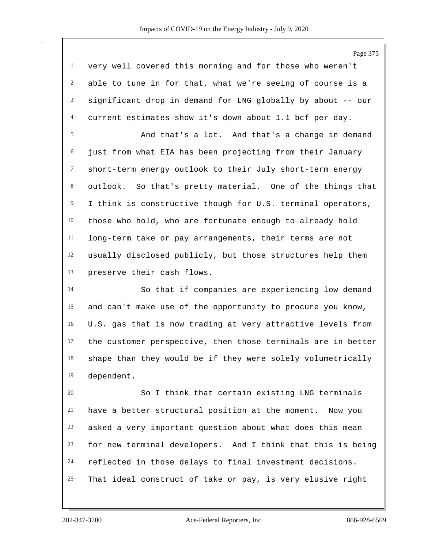very well covered this morning and for those who weren't able to tune in for that, what we're seeing of course is a significant drop in demand for LNG globally by about -- our current estimates show it's down about 1.1 bcf per day. And that's a lot. And that's a change in demand just from what EIA has been projecting from their January short-term energy outlook to their July short-term energy outlook. So that's pretty material. One of the things that

 those who hold, who are fortunate enough to already hold long-term take or pay arrangements, their terms are not usually disclosed publicly, but those structures help them preserve their cash flows.

I think is constructive though for U.S. terminal operators,

 So that if companies are experiencing low demand and can't make use of the opportunity to procure you know, U.S. gas that is now trading at very attractive levels from the customer perspective, then those terminals are in better shape than they would be if they were solely volumetrically dependent.

 So I think that certain existing LNG terminals have a better structural position at the moment. Now you asked a very important question about what does this mean for new terminal developers. And I think that this is being reflected in those delays to final investment decisions. That ideal construct of take or pay, is very elusive right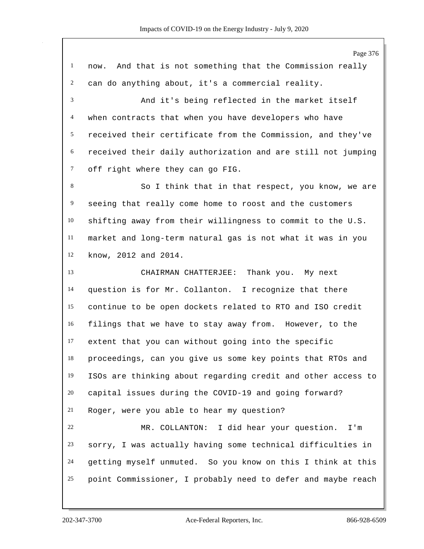Page 376 now. And that is not something that the Commission really can do anything about, it's a commercial reality. And it's being reflected in the market itself when contracts that when you have developers who have received their certificate from the Commission, and they've received their daily authorization and are still not jumping off right where they can go FIG. 8 So I think that in that respect, you know, we are seeing that really come home to roost and the customers shifting away from their willingness to commit to the U.S. market and long-term natural gas is not what it was in you know, 2012 and 2014. CHAIRMAN CHATTERJEE: Thank you. My next question is for Mr. Collanton. I recognize that there continue to be open dockets related to RTO and ISO credit filings that we have to stay away from. However, to the extent that you can without going into the specific proceedings, can you give us some key points that RTOs and ISOs are thinking about regarding credit and other access to capital issues during the COVID-19 and going forward? Roger, were you able to hear my question? MR. COLLANTON: I did hear your question. I'm sorry, I was actually having some technical difficulties in getting myself unmuted. So you know on this I think at this point Commissioner, I probably need to defer and maybe reach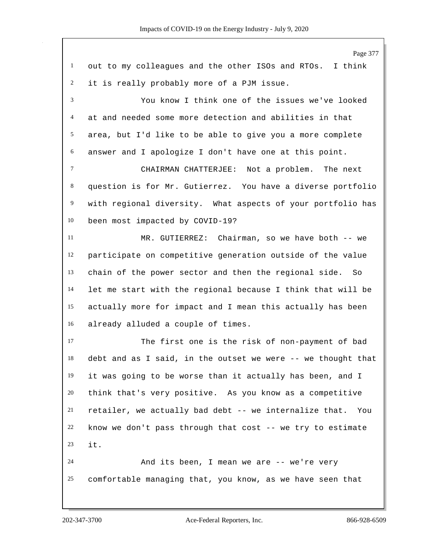Page 377 out to my colleagues and the other ISOs and RTOs. I think it is really probably more of a PJM issue. You know I think one of the issues we've looked at and needed some more detection and abilities in that area, but I'd like to be able to give you a more complete answer and I apologize I don't have one at this point. CHAIRMAN CHATTERJEE: Not a problem. The next question is for Mr. Gutierrez. You have a diverse portfolio with regional diversity. What aspects of your portfolio has been most impacted by COVID-19? MR. GUTIERREZ: Chairman, so we have both -- we participate on competitive generation outside of the value chain of the power sector and then the regional side. So let me start with the regional because I think that will be actually more for impact and I mean this actually has been already alluded a couple of times. The first one is the risk of non-payment of bad debt and as I said, in the outset we were -- we thought that it was going to be worse than it actually has been, and I think that's very positive. As you know as a competitive retailer, we actually bad debt -- we internalize that. You know we don't pass through that cost -- we try to estimate it. And its been, I mean we are -- we're very comfortable managing that, you know, as we have seen that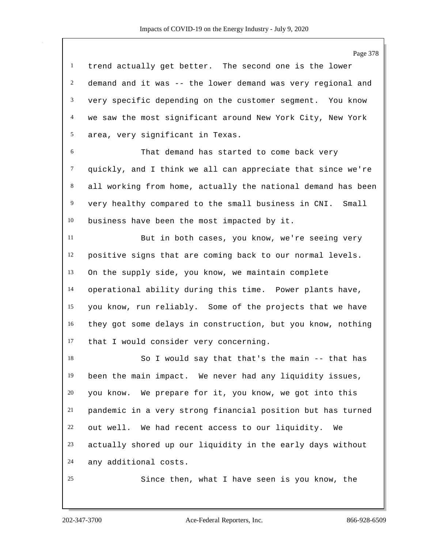Page 378 trend actually get better. The second one is the lower demand and it was -- the lower demand was very regional and very specific depending on the customer segment. You know we saw the most significant around New York City, New York area, very significant in Texas. That demand has started to come back very quickly, and I think we all can appreciate that since we're all working from home, actually the national demand has been very healthy compared to the small business in CNI. Small business have been the most impacted by it. But in both cases, you know, we're seeing very positive signs that are coming back to our normal levels. On the supply side, you know, we maintain complete operational ability during this time. Power plants have, you know, run reliably. Some of the projects that we have they got some delays in construction, but you know, nothing that I would consider very concerning. So I would say that that's the main -- that has been the main impact. We never had any liquidity issues, you know. We prepare for it, you know, we got into this pandemic in a very strong financial position but has turned out well. We had recent access to our liquidity. We actually shored up our liquidity in the early days without any additional costs. Since then, what I have seen is you know, the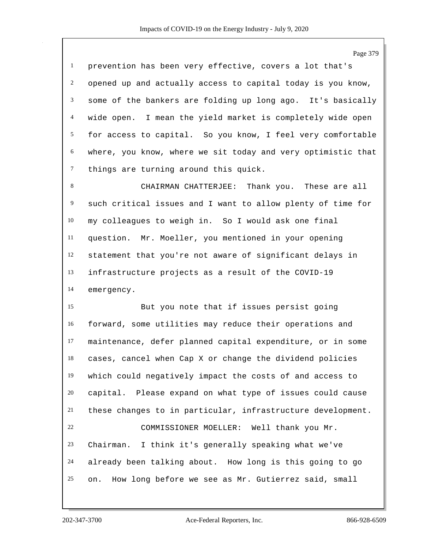prevention has been very effective, covers a lot that's opened up and actually access to capital today is you know, some of the bankers are folding up long ago. It's basically wide open. I mean the yield market is completely wide open for access to capital. So you know, I feel very comfortable where, you know, where we sit today and very optimistic that things are turning around this quick.

 CHAIRMAN CHATTERJEE: Thank you. These are all such critical issues and I want to allow plenty of time for my colleagues to weigh in. So I would ask one final question. Mr. Moeller, you mentioned in your opening statement that you're not aware of significant delays in infrastructure projects as a result of the COVID-19 emergency.

 But you note that if issues persist going forward, some utilities may reduce their operations and maintenance, defer planned capital expenditure, or in some cases, cancel when Cap X or change the dividend policies which could negatively impact the costs of and access to capital. Please expand on what type of issues could cause these changes to in particular, infrastructure development. COMMISSIONER MOELLER: Well thank you Mr. Chairman. I think it's generally speaking what we've already been talking about. How long is this going to go on. How long before we see as Mr. Gutierrez said, small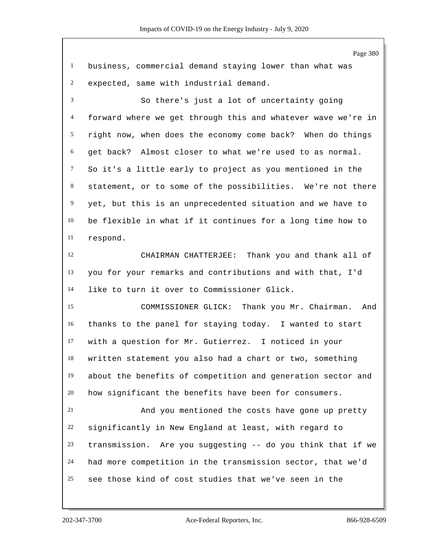Page 380 business, commercial demand staying lower than what was expected, same with industrial demand. So there's just a lot of uncertainty going forward where we get through this and whatever wave we're in right now, when does the economy come back? When do things get back? Almost closer to what we're used to as normal. So it's a little early to project as you mentioned in the statement, or to some of the possibilities. We're not there yet, but this is an unprecedented situation and we have to be flexible in what if it continues for a long time how to respond. CHAIRMAN CHATTERJEE: Thank you and thank all of you for your remarks and contributions and with that, I'd like to turn it over to Commissioner Glick. COMMISSIONER GLICK: Thank you Mr. Chairman. And thanks to the panel for staying today. I wanted to start with a question for Mr. Gutierrez. I noticed in your written statement you also had a chart or two, something about the benefits of competition and generation sector and how significant the benefits have been for consumers. And you mentioned the costs have gone up pretty significantly in New England at least, with regard to transmission. Are you suggesting -- do you think that if we had more competition in the transmission sector, that we'd see those kind of cost studies that we've seen in the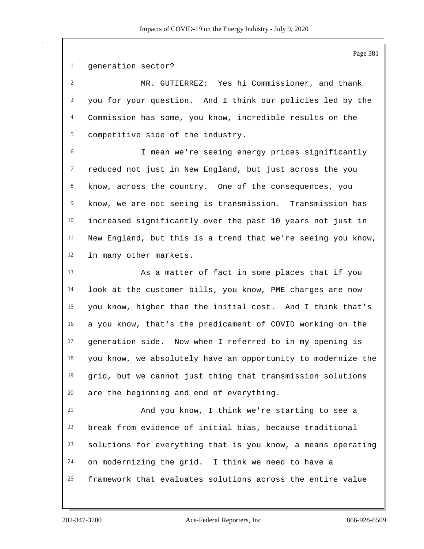generation sector?

 MR. GUTIERREZ: Yes hi Commissioner, and thank you for your question. And I think our policies led by the Commission has some, you know, incredible results on the competitive side of the industry.

 I mean we're seeing energy prices significantly reduced not just in New England, but just across the you know, across the country. One of the consequences, you know, we are not seeing is transmission. Transmission has increased significantly over the past 10 years not just in New England, but this is a trend that we're seeing you know, in many other markets.

 As a matter of fact in some places that if you look at the customer bills, you know, PME charges are now you know, higher than the initial cost. And I think that's a you know, that's the predicament of COVID working on the generation side. Now when I referred to in my opening is you know, we absolutely have an opportunity to modernize the grid, but we cannot just thing that transmission solutions are the beginning and end of everything.

 And you know, I think we're starting to see a break from evidence of initial bias, because traditional solutions for everything that is you know, a means operating on modernizing the grid. I think we need to have a framework that evaluates solutions across the entire value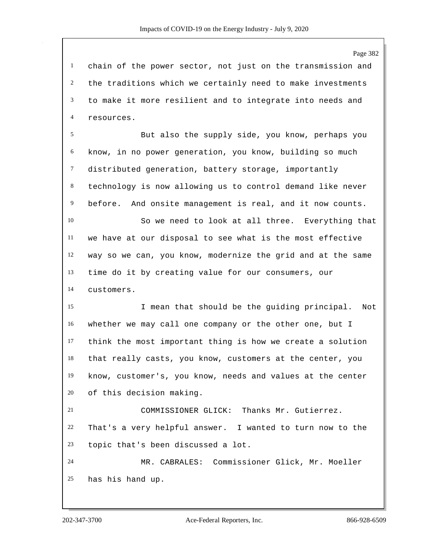chain of the power sector, not just on the transmission and the traditions which we certainly need to make investments to make it more resilient and to integrate into needs and resources.

 But also the supply side, you know, perhaps you know, in no power generation, you know, building so much distributed generation, battery storage, importantly technology is now allowing us to control demand like never before. And onsite management is real, and it now counts.

 So we need to look at all three. Everything that we have at our disposal to see what is the most effective way so we can, you know, modernize the grid and at the same time do it by creating value for our consumers, our customers.

 I mean that should be the guiding principal. Not whether we may call one company or the other one, but I think the most important thing is how we create a solution that really casts, you know, customers at the center, you know, customer's, you know, needs and values at the center of this decision making.

 COMMISSIONER GLICK: Thanks Mr. Gutierrez. That's a very helpful answer. I wanted to turn now to the topic that's been discussed a lot.

 MR. CABRALES: Commissioner Glick, Mr. Moeller has his hand up.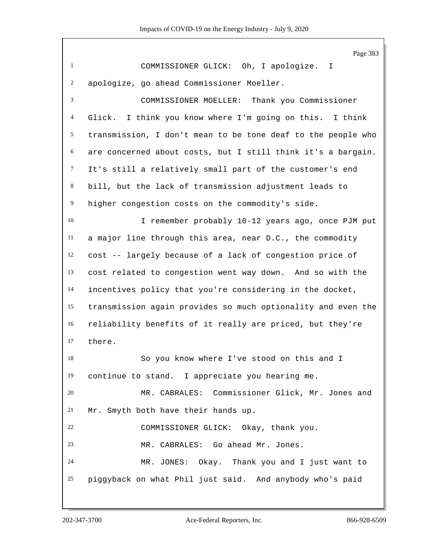Page 383 COMMISSIONER GLICK: Oh, I apologize. I apologize, go ahead Commissioner Moeller. COMMISSIONER MOELLER: Thank you Commissioner Glick. I think you know where I'm going on this. I think transmission, I don't mean to be tone deaf to the people who are concerned about costs, but I still think it's a bargain. It's still a relatively small part of the customer's end bill, but the lack of transmission adjustment leads to higher congestion costs on the commodity's side. 10 I remember probably 10-12 years ago, once PJM put a major line through this area, near D.C., the commodity cost -- largely because of a lack of congestion price of cost related to congestion went way down. And so with the incentives policy that you're considering in the docket, transmission again provides so much optionality and even the reliability benefits of it really are priced, but they're there. So you know where I've stood on this and I continue to stand. I appreciate you hearing me. MR. CABRALES: Commissioner Glick, Mr. Jones and Mr. Smyth both have their hands up. COMMISSIONER GLICK: Okay, thank you. MR. CABRALES: Go ahead Mr. Jones. MR. JONES: Okay. Thank you and I just want to piggyback on what Phil just said. And anybody who's paid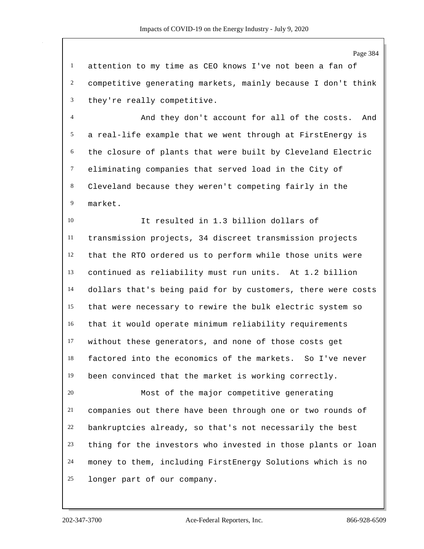Page 384

 attention to my time as CEO knows I've not been a fan of competitive generating markets, mainly because I don't think they're really competitive.

 And they don't account for all of the costs. And a real-life example that we went through at FirstEnergy is the closure of plants that were built by Cleveland Electric eliminating companies that served load in the City of Cleveland because they weren't competing fairly in the market.

 It resulted in 1.3 billion dollars of transmission projects, 34 discreet transmission projects that the RTO ordered us to perform while those units were continued as reliability must run units. At 1.2 billion dollars that's being paid for by customers, there were costs that were necessary to rewire the bulk electric system so that it would operate minimum reliability requirements without these generators, and none of those costs get factored into the economics of the markets. So I've never been convinced that the market is working correctly.

 Most of the major competitive generating companies out there have been through one or two rounds of bankruptcies already, so that's not necessarily the best thing for the investors who invested in those plants or loan money to them, including FirstEnergy Solutions which is no longer part of our company.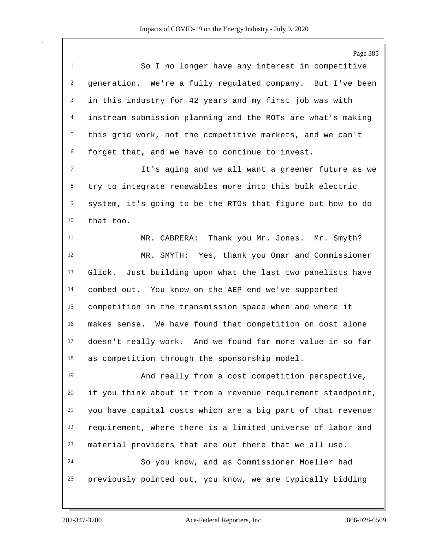Page 385 So I no longer have any interest in competitive generation. We're a fully regulated company. But I've been in this industry for 42 years and my first job was with instream submission planning and the ROTs are what's making this grid work, not the competitive markets, and we can't forget that, and we have to continue to invest. It's aging and we all want a greener future as we try to integrate renewables more into this bulk electric system, it's going to be the RTOs that figure out how to do that too. MR. CABRERA: Thank you Mr. Jones. Mr. Smyth? MR. SMYTH: Yes, thank you Omar and Commissioner Glick. Just building upon what the last two panelists have combed out. You know on the AEP end we've supported competition in the transmission space when and where it makes sense. We have found that competition on cost alone doesn't really work. And we found far more value in so far as competition through the sponsorship model. And really from a cost competition perspective, if you think about it from a revenue requirement standpoint, you have capital costs which are a big part of that revenue requirement, where there is a limited universe of labor and material providers that are out there that we all use. So you know, and as Commissioner Moeller had previously pointed out, you know, we are typically bidding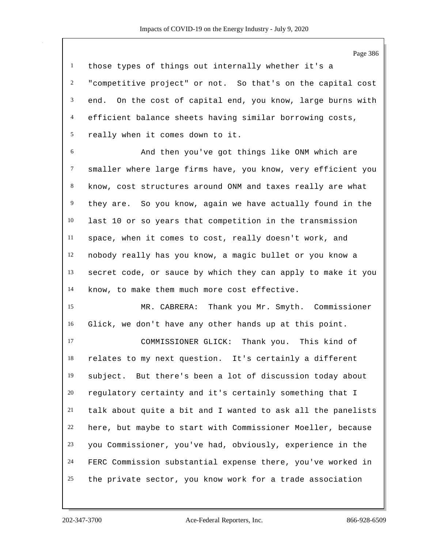those types of things out internally whether it's a "competitive project" or not. So that's on the capital cost end. On the cost of capital end, you know, large burns with efficient balance sheets having similar borrowing costs, really when it comes down to it.

 And then you've got things like ONM which are smaller where large firms have, you know, very efficient you know, cost structures around ONM and taxes really are what they are. So you know, again we have actually found in the last 10 or so years that competition in the transmission space, when it comes to cost, really doesn't work, and nobody really has you know, a magic bullet or you know a secret code, or sauce by which they can apply to make it you know, to make them much more cost effective.

 MR. CABRERA: Thank you Mr. Smyth. Commissioner Glick, we don't have any other hands up at this point.

 COMMISSIONER GLICK: Thank you. This kind of relates to my next question. It's certainly a different subject. But there's been a lot of discussion today about regulatory certainty and it's certainly something that I talk about quite a bit and I wanted to ask all the panelists here, but maybe to start with Commissioner Moeller, because you Commissioner, you've had, obviously, experience in the FERC Commission substantial expense there, you've worked in the private sector, you know work for a trade association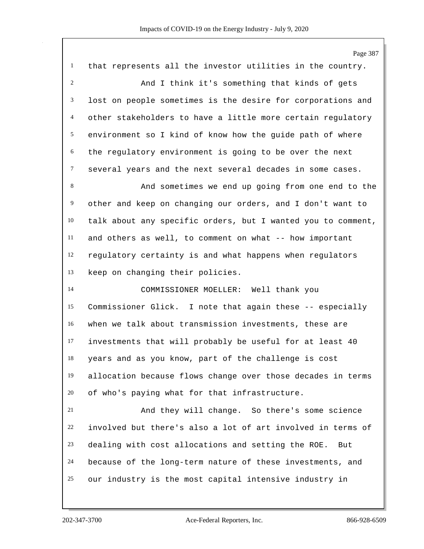Page 387 that represents all the investor utilities in the country. And I think it's something that kinds of gets lost on people sometimes is the desire for corporations and other stakeholders to have a little more certain regulatory environment so I kind of know how the guide path of where the regulatory environment is going to be over the next several years and the next several decades in some cases. And sometimes we end up going from one end to the other and keep on changing our orders, and I don't want to talk about any specific orders, but I wanted you to comment, and others as well, to comment on what -- how important regulatory certainty is and what happens when regulators keep on changing their policies. COMMISSIONER MOELLER: Well thank you Commissioner Glick. I note that again these -- especially when we talk about transmission investments, these are investments that will probably be useful for at least 40 years and as you know, part of the challenge is cost allocation because flows change over those decades in terms of who's paying what for that infrastructure. And they will change. So there's some science involved but there's also a lot of art involved in terms of dealing with cost allocations and setting the ROE. But because of the long-term nature of these investments, and our industry is the most capital intensive industry in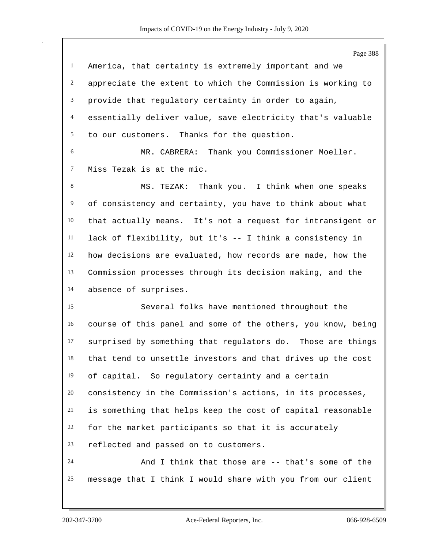Page 388 America, that certainty is extremely important and we appreciate the extent to which the Commission is working to provide that regulatory certainty in order to again, essentially deliver value, save electricity that's valuable to our customers. Thanks for the question. MR. CABRERA: Thank you Commissioner Moeller. Miss Tezak is at the mic. MS. TEZAK: Thank you. I think when one speaks of consistency and certainty, you have to think about what that actually means. It's not a request for intransigent or lack of flexibility, but it's -- I think a consistency in how decisions are evaluated, how records are made, how the Commission processes through its decision making, and the absence of surprises. Several folks have mentioned throughout the course of this panel and some of the others, you know, being surprised by something that regulators do. Those are things that tend to unsettle investors and that drives up the cost of capital. So regulatory certainty and a certain consistency in the Commission's actions, in its processes, is something that helps keep the cost of capital reasonable for the market participants so that it is accurately reflected and passed on to customers. And I think that those are -- that's some of the message that I think I would share with you from our client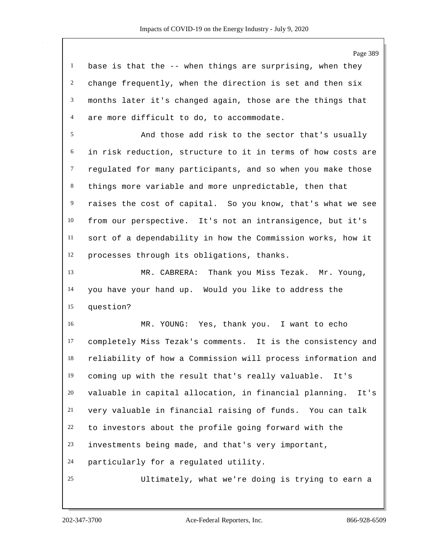Page 389

| 1 base is that the -- when things are surprising, when they  |
|--------------------------------------------------------------|
| 2 change frequently, when the direction is set and then six  |
| 3 months later it's changed again, those are the things that |
| 4 are more difficult to do, to accommodate.                  |

 And those add risk to the sector that's usually in risk reduction, structure to it in terms of how costs are regulated for many participants, and so when you make those things more variable and more unpredictable, then that raises the cost of capital. So you know, that's what we see from our perspective. It's not an intransigence, but it's sort of a dependability in how the Commission works, how it processes through its obligations, thanks.

 MR. CABRERA: Thank you Miss Tezak. Mr. Young, you have your hand up. Would you like to address the question?

 MR. YOUNG: Yes, thank you. I want to echo completely Miss Tezak's comments. It is the consistency and reliability of how a Commission will process information and coming up with the result that's really valuable. It's valuable in capital allocation, in financial planning. It's very valuable in financial raising of funds. You can talk to investors about the profile going forward with the investments being made, and that's very important, particularly for a regulated utility.

Ultimately, what we're doing is trying to earn a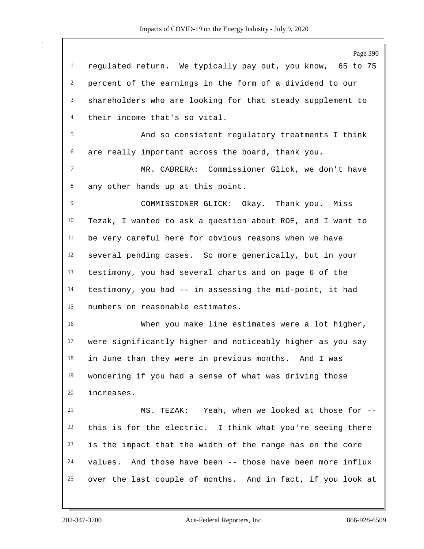Page 390 regulated return. We typically pay out, you know, 65 to 75 percent of the earnings in the form of a dividend to our shareholders who are looking for that steady supplement to their income that's so vital. And so consistent regulatory treatments I think are really important across the board, thank you. MR. CABRERA: Commissioner Glick, we don't have any other hands up at this point. COMMISSIONER GLICK: Okay. Thank you. Miss Tezak, I wanted to ask a question about ROE, and I want to be very careful here for obvious reasons when we have several pending cases. So more generically, but in your testimony, you had several charts and on page 6 of the testimony, you had -- in assessing the mid-point, it had numbers on reasonable estimates. When you make line estimates were a lot higher, were significantly higher and noticeably higher as you say in June than they were in previous months. And I was wondering if you had a sense of what was driving those increases. MS. TEZAK: Yeah, when we looked at those for -- this is for the electric. I think what you're seeing there is the impact that the width of the range has on the core values. And those have been -- those have been more influx over the last couple of months. And in fact, if you look at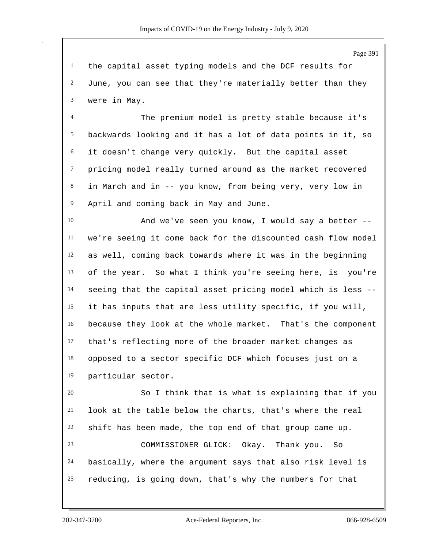the capital asset typing models and the DCF results for June, you can see that they're materially better than they were in May.

 The premium model is pretty stable because it's backwards looking and it has a lot of data points in it, so it doesn't change very quickly. But the capital asset pricing model really turned around as the market recovered in March and in -- you know, from being very, very low in April and coming back in May and June.

 And we've seen you know, I would say a better -- we're seeing it come back for the discounted cash flow model as well, coming back towards where it was in the beginning of the year. So what I think you're seeing here, is you're seeing that the capital asset pricing model which is less -- it has inputs that are less utility specific, if you will, because they look at the whole market. That's the component that's reflecting more of the broader market changes as opposed to a sector specific DCF which focuses just on a particular sector.

 So I think that is what is explaining that if you look at the table below the charts, that's where the real shift has been made, the top end of that group came up. COMMISSIONER GLICK: Okay. Thank you. So basically, where the argument says that also risk level is reducing, is going down, that's why the numbers for that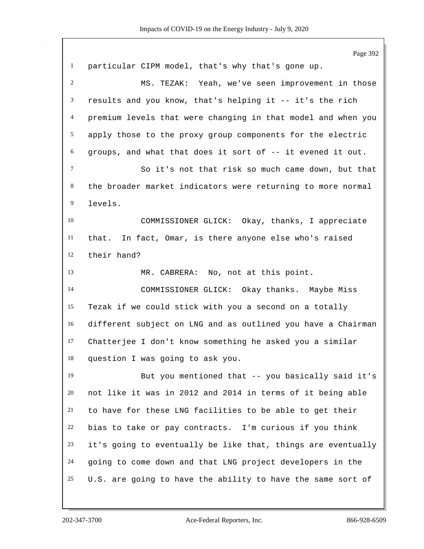Page 392 particular CIPM model, that's why that's gone up. MS. TEZAK: Yeah, we've seen improvement in those results and you know, that's helping it -- it's the rich premium levels that were changing in that model and when you apply those to the proxy group components for the electric groups, and what that does it sort of -- it evened it out. So it's not that risk so much came down, but that the broader market indicators were returning to more normal levels. COMMISSIONER GLICK: Okay, thanks, I appreciate that. In fact, Omar, is there anyone else who's raised their hand? MR. CABRERA: No, not at this point. COMMISSIONER GLICK: Okay thanks. Maybe Miss Tezak if we could stick with you a second on a totally different subject on LNG and as outlined you have a Chairman Chatterjee I don't know something he asked you a similar question I was going to ask you. But you mentioned that -- you basically said it's not like it was in 2012 and 2014 in terms of it being able to have for these LNG facilities to be able to get their bias to take or pay contracts. I'm curious if you think it's going to eventually be like that, things are eventually going to come down and that LNG project developers in the U.S. are going to have the ability to have the same sort of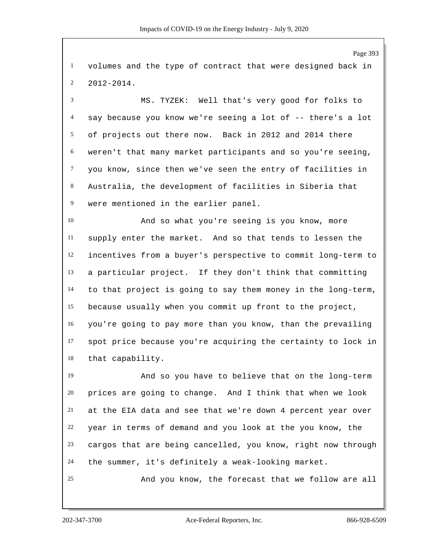volumes and the type of contract that were designed back in 2012-2014.

 MS. TYZEK: Well that's very good for folks to say because you know we're seeing a lot of -- there's a lot of projects out there now. Back in 2012 and 2014 there weren't that many market participants and so you're seeing, you know, since then we've seen the entry of facilities in Australia, the development of facilities in Siberia that were mentioned in the earlier panel.

 And so what you're seeing is you know, more supply enter the market. And so that tends to lessen the incentives from a buyer's perspective to commit long-term to a particular project. If they don't think that committing to that project is going to say them money in the long-term, because usually when you commit up front to the project, you're going to pay more than you know, than the prevailing spot price because you're acquiring the certainty to lock in that capability.

 And so you have to believe that on the long-term prices are going to change. And I think that when we look at the EIA data and see that we're down 4 percent year over year in terms of demand and you look at the you know, the cargos that are being cancelled, you know, right now through the summer, it's definitely a weak-looking market.

And you know, the forecast that we follow are all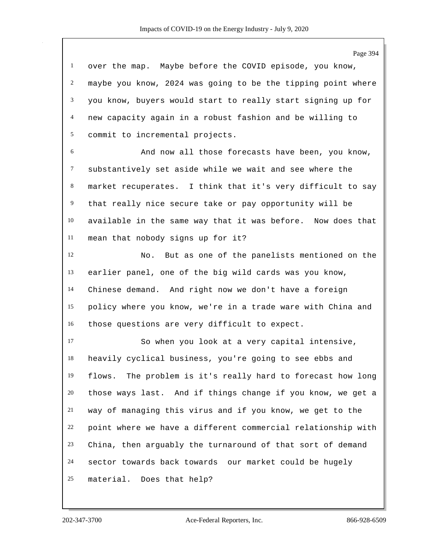Page 394 over the map. Maybe before the COVID episode, you know, maybe you know, 2024 was going to be the tipping point where you know, buyers would start to really start signing up for new capacity again in a robust fashion and be willing to commit to incremental projects. And now all those forecasts have been, you know, substantively set aside while we wait and see where the market recuperates. I think that it's very difficult to say that really nice secure take or pay opportunity will be available in the same way that it was before. Now does that mean that nobody signs up for it? No. But as one of the panelists mentioned on the earlier panel, one of the big wild cards was you know, Chinese demand. And right now we don't have a foreign policy where you know, we're in a trade ware with China and those questions are very difficult to expect. So when you look at a very capital intensive, heavily cyclical business, you're going to see ebbs and flows. The problem is it's really hard to forecast how long those ways last. And if things change if you know, we get a way of managing this virus and if you know, we get to the point where we have a different commercial relationship with China, then arguably the turnaround of that sort of demand sector towards back towards our market could be hugely material. Does that help?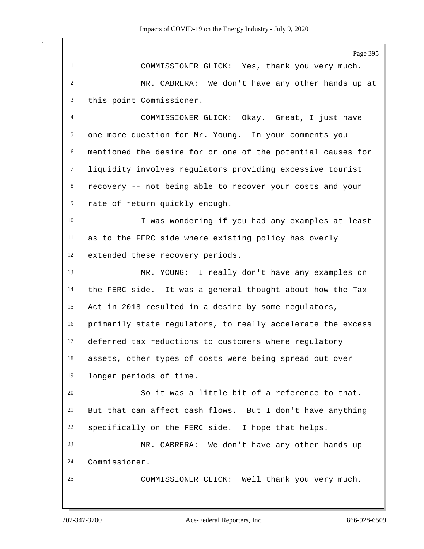Page 395 COMMISSIONER GLICK: Yes, thank you very much. MR. CABRERA: We don't have any other hands up at this point Commissioner. COMMISSIONER GLICK: Okay. Great, I just have one more question for Mr. Young. In your comments you mentioned the desire for or one of the potential causes for liquidity involves regulators providing excessive tourist recovery -- not being able to recover your costs and your rate of return quickly enough. 10 I was wondering if you had any examples at least as to the FERC side where existing policy has overly extended these recovery periods. MR. YOUNG: I really don't have any examples on the FERC side. It was a general thought about how the Tax Act in 2018 resulted in a desire by some regulators, primarily state regulators, to really accelerate the excess deferred tax reductions to customers where regulatory assets, other types of costs were being spread out over longer periods of time. So it was a little bit of a reference to that. But that can affect cash flows. But I don't have anything specifically on the FERC side. I hope that helps. MR. CABRERA: We don't have any other hands up Commissioner. COMMISSIONER CLICK: Well thank you very much.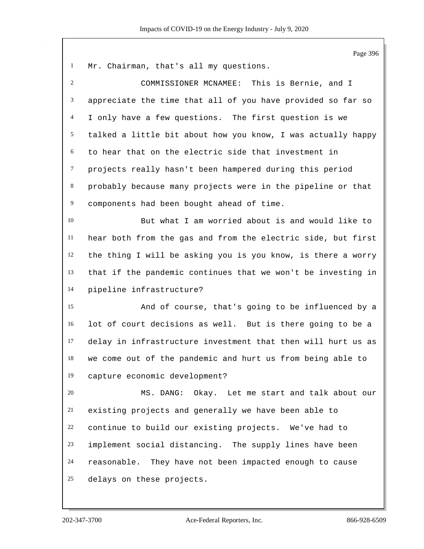Page 396 Mr. Chairman, that's all my questions. COMMISSIONER MCNAMEE: This is Bernie, and I appreciate the time that all of you have provided so far so I only have a few questions. The first question is we talked a little bit about how you know, I was actually happy to hear that on the electric side that investment in projects really hasn't been hampered during this period probably because many projects were in the pipeline or that components had been bought ahead of time. But what I am worried about is and would like to hear both from the gas and from the electric side, but first the thing I will be asking you is you know, is there a worry that if the pandemic continues that we won't be investing in pipeline infrastructure? And of course, that's going to be influenced by a lot of court decisions as well. But is there going to be a delay in infrastructure investment that then will hurt us as we come out of the pandemic and hurt us from being able to capture economic development? MS. DANG: Okay. Let me start and talk about our existing projects and generally we have been able to continue to build our existing projects. We've had to implement social distancing. The supply lines have been reasonable. They have not been impacted enough to cause delays on these projects.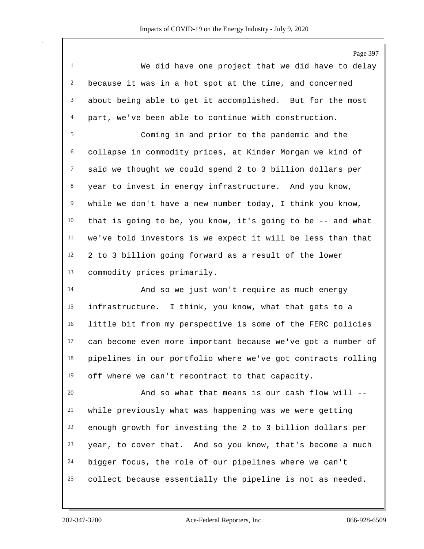We did have one project that we did have to delay because it was in a hot spot at the time, and concerned about being able to get it accomplished. But for the most part, we've been able to continue with construction.

 Coming in and prior to the pandemic and the collapse in commodity prices, at Kinder Morgan we kind of said we thought we could spend 2 to 3 billion dollars per year to invest in energy infrastructure. And you know, while we don't have a new number today, I think you know, that is going to be, you know, it's going to be -- and what we've told investors is we expect it will be less than that 2 to 3 billion going forward as a result of the lower commodity prices primarily.

 And so we just won't require as much energy infrastructure. I think, you know, what that gets to a little bit from my perspective is some of the FERC policies can become even more important because we've got a number of pipelines in our portfolio where we've got contracts rolling off where we can't recontract to that capacity.

 And so what that means is our cash flow will -- while previously what was happening was we were getting enough growth for investing the 2 to 3 billion dollars per year, to cover that. And so you know, that's become a much bigger focus, the role of our pipelines where we can't collect because essentially the pipeline is not as needed.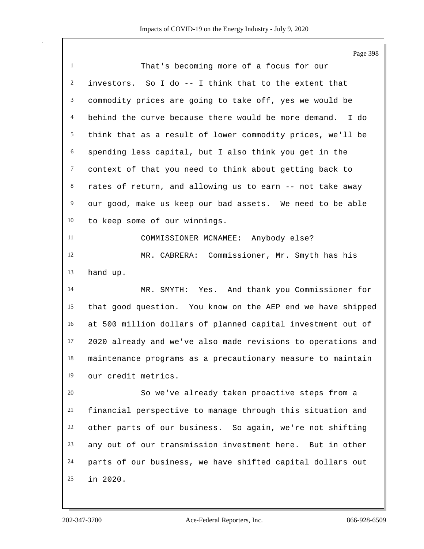Page 398 That's becoming more of a focus for our investors. So I do -- I think that to the extent that commodity prices are going to take off, yes we would be behind the curve because there would be more demand. I do think that as a result of lower commodity prices, we'll be spending less capital, but I also think you get in the context of that you need to think about getting back to rates of return, and allowing us to earn -- not take away our good, make us keep our bad assets. We need to be able to keep some of our winnings. COMMISSIONER MCNAMEE: Anybody else? MR. CABRERA: Commissioner, Mr. Smyth has his hand up. MR. SMYTH: Yes. And thank you Commissioner for that good question. You know on the AEP end we have shipped at 500 million dollars of planned capital investment out of 2020 already and we've also made revisions to operations and maintenance programs as a precautionary measure to maintain our credit metrics. So we've already taken proactive steps from a financial perspective to manage through this situation and other parts of our business. So again, we're not shifting any out of our transmission investment here. But in other parts of our business, we have shifted capital dollars out in 2020.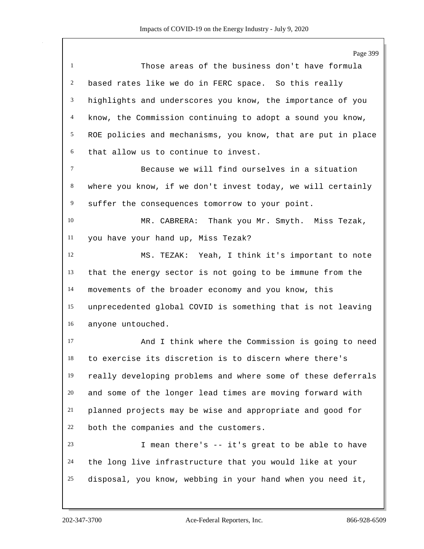Page 399 Those areas of the business don't have formula based rates like we do in FERC space. So this really highlights and underscores you know, the importance of you know, the Commission continuing to adopt a sound you know, ROE policies and mechanisms, you know, that are put in place that allow us to continue to invest. Because we will find ourselves in a situation where you know, if we don't invest today, we will certainly suffer the consequences tomorrow to your point. MR. CABRERA: Thank you Mr. Smyth. Miss Tezak, you have your hand up, Miss Tezak? MS. TEZAK: Yeah, I think it's important to note that the energy sector is not going to be immune from the movements of the broader economy and you know, this unprecedented global COVID is something that is not leaving anyone untouched. And I think where the Commission is going to need to exercise its discretion is to discern where there's really developing problems and where some of these deferrals and some of the longer lead times are moving forward with planned projects may be wise and appropriate and good for both the companies and the customers. I mean there's -- it's great to be able to have the long live infrastructure that you would like at your disposal, you know, webbing in your hand when you need it,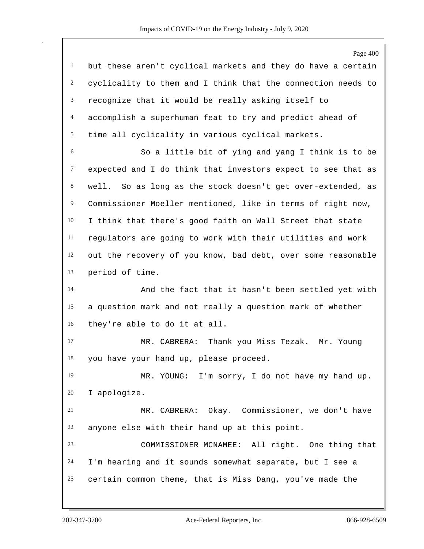|                | Page 400                                                     |
|----------------|--------------------------------------------------------------|
| $\mathbf{1}$   | but these aren't cyclical markets and they do have a certain |
| $\overline{c}$ | cyclicality to them and I think that the connection needs to |
| $\mathfrak{Z}$ | recognize that it would be really asking itself to           |
| $\overline{4}$ | accomplish a superhuman feat to try and predict ahead of     |
| 5              | time all cyclicality in various cyclical markets.            |
| 6              | So a little bit of ying and yang I think is to be            |
| $\tau$         | expected and I do think that investors expect to see that as |
| $\,8\,$        | well. So as long as the stock doesn't get over-extended, as  |
| 9              | Commissioner Moeller mentioned, like in terms of right now,  |
| 10             | I think that there's good faith on Wall Street that state    |
| 11             | regulators are going to work with their utilities and work   |
| 12             | out the recovery of you know, bad debt, over some reasonable |
| 13             | period of time.                                              |
| 14             | And the fact that it hasn't been settled yet with            |
| 15             | a question mark and not really a question mark of whether    |
| 16             | they're able to do it at all.                                |
| 17             | MR. CABRERA: Thank you Miss Tezak.<br>Mr. Young              |
| 18             | you have your hand up, please proceed.                       |
| 19             | MR. YOUNG: I'm sorry, I do not have my hand up.              |
| 20             | I apologize.                                                 |
| 21             | MR. CABRERA: Okay. Commissioner, we don't have               |
| 22             | anyone else with their hand up at this point.                |
| 23             | COMMISSIONER MCNAMEE: All right. One thing that              |
| 24             | I'm hearing and it sounds somewhat separate, but I see a     |
| 25             | certain common theme, that is Miss Dang, you've made the     |
|                |                                                              |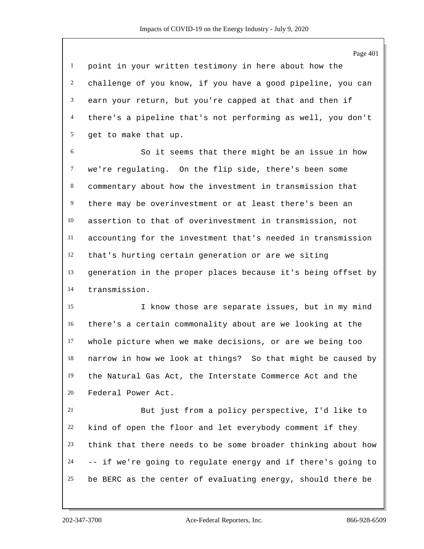point in your written testimony in here about how the challenge of you know, if you have a good pipeline, you can earn your return, but you're capped at that and then if there's a pipeline that's not performing as well, you don't get to make that up.

 So it seems that there might be an issue in how we're regulating. On the flip side, there's been some commentary about how the investment in transmission that there may be overinvestment or at least there's been an assertion to that of overinvestment in transmission, not accounting for the investment that's needed in transmission that's hurting certain generation or are we siting generation in the proper places because it's being offset by transmission.

 I know those are separate issues, but in my mind there's a certain commonality about are we looking at the whole picture when we make decisions, or are we being too narrow in how we look at things? So that might be caused by the Natural Gas Act, the Interstate Commerce Act and the Federal Power Act.

 But just from a policy perspective, I'd like to kind of open the floor and let everybody comment if they think that there needs to be some broader thinking about how -- if we're going to regulate energy and if there's going to be BERC as the center of evaluating energy, should there be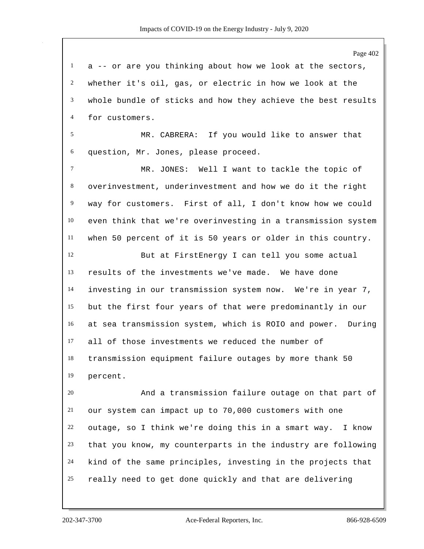Page 402 a  $-$ - or are you thinking about how we look at the sectors, whether it's oil, gas, or electric in how we look at the whole bundle of sticks and how they achieve the best results for customers. MR. CABRERA: If you would like to answer that question, Mr. Jones, please proceed. MR. JONES: Well I want to tackle the topic of overinvestment, underinvestment and how we do it the right way for customers. First of all, I don't know how we could even think that we're overinvesting in a transmission system when 50 percent of it is 50 years or older in this country. But at FirstEnergy I can tell you some actual results of the investments we've made. We have done investing in our transmission system now. We're in year 7, but the first four years of that were predominantly in our at sea transmission system, which is ROIO and power. During all of those investments we reduced the number of transmission equipment failure outages by more thank 50 percent. And a transmission failure outage on that part of our system can impact up to 70,000 customers with one outage, so I think we're doing this in a smart way. I know that you know, my counterparts in the industry are following kind of the same principles, investing in the projects that really need to get done quickly and that are delivering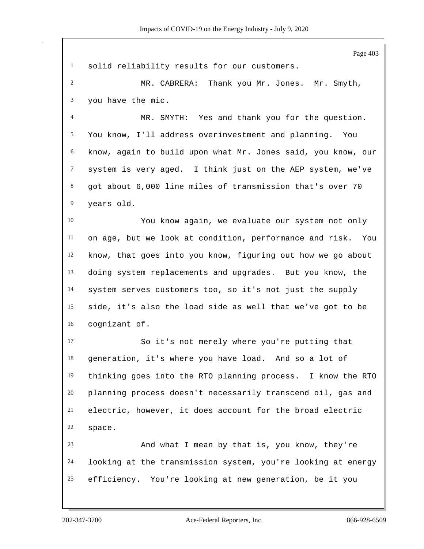Page 403 solid reliability results for our customers. MR. CABRERA: Thank you Mr. Jones. Mr. Smyth, you have the mic. MR. SMYTH: Yes and thank you for the question. You know, I'll address overinvestment and planning. You know, again to build upon what Mr. Jones said, you know, our system is very aged. I think just on the AEP system, we've got about 6,000 line miles of transmission that's over 70 years old. You know again, we evaluate our system not only on age, but we look at condition, performance and risk. You know, that goes into you know, figuring out how we go about doing system replacements and upgrades. But you know, the system serves customers too, so it's not just the supply side, it's also the load side as well that we've got to be cognizant of. So it's not merely where you're putting that generation, it's where you have load. And so a lot of thinking goes into the RTO planning process. I know the RTO planning process doesn't necessarily transcend oil, gas and electric, however, it does account for the broad electric space. And what I mean by that is, you know, they're looking at the transmission system, you're looking at energy efficiency. You're looking at new generation, be it you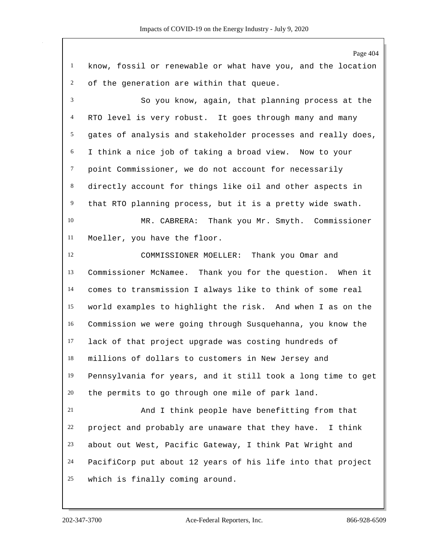Page 404 know, fossil or renewable or what have you, and the location of the generation are within that queue. So you know, again, that planning process at the RTO level is very robust. It goes through many and many gates of analysis and stakeholder processes and really does, I think a nice job of taking a broad view. Now to your point Commissioner, we do not account for necessarily directly account for things like oil and other aspects in that RTO planning process, but it is a pretty wide swath. MR. CABRERA: Thank you Mr. Smyth. Commissioner Moeller, you have the floor. COMMISSIONER MOELLER: Thank you Omar and Commissioner McNamee. Thank you for the question. When it comes to transmission I always like to think of some real world examples to highlight the risk. And when I as on the Commission we were going through Susquehanna, you know the lack of that project upgrade was costing hundreds of millions of dollars to customers in New Jersey and Pennsylvania for years, and it still took a long time to get the permits to go through one mile of park land. And I think people have benefitting from that project and probably are unaware that they have. I think about out West, Pacific Gateway, I think Pat Wright and PacifiCorp put about 12 years of his life into that project which is finally coming around.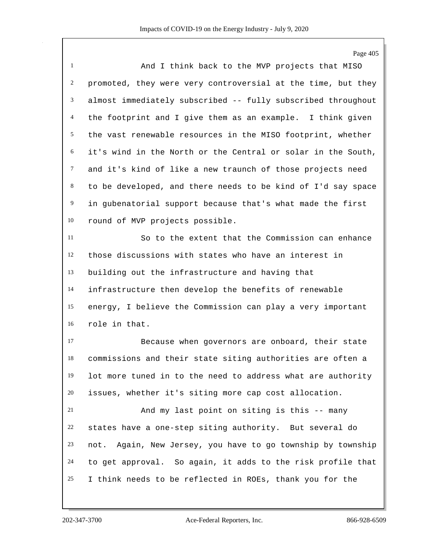Page 405

 And I think back to the MVP projects that MISO promoted, they were very controversial at the time, but they almost immediately subscribed -- fully subscribed throughout the footprint and I give them as an example. I think given the vast renewable resources in the MISO footprint, whether it's wind in the North or the Central or solar in the South, and it's kind of like a new traunch of those projects need to be developed, and there needs to be kind of I'd say space in gubenatorial support because that's what made the first round of MVP projects possible.

 So to the extent that the Commission can enhance those discussions with states who have an interest in building out the infrastructure and having that infrastructure then develop the benefits of renewable energy, I believe the Commission can play a very important role in that.

 Because when governors are onboard, their state commissions and their state siting authorities are often a lot more tuned in to the need to address what are authority issues, whether it's siting more cap cost allocation.

 And my last point on siting is this -- many states have a one-step siting authority. But several do not. Again, New Jersey, you have to go township by township to get approval. So again, it adds to the risk profile that I think needs to be reflected in ROEs, thank you for the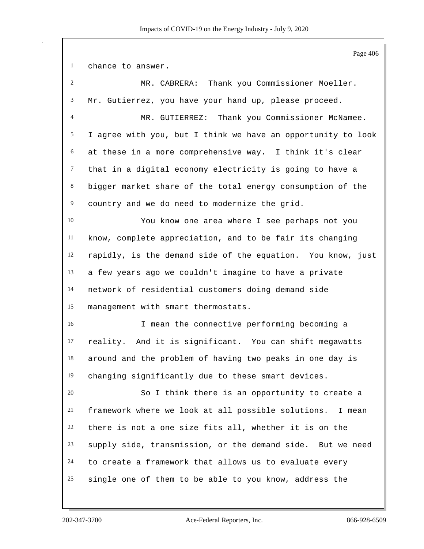Page 406 chance to answer. MR. CABRERA: Thank you Commissioner Moeller. Mr. Gutierrez, you have your hand up, please proceed. MR. GUTIERREZ: Thank you Commissioner McNamee. I agree with you, but I think we have an opportunity to look at these in a more comprehensive way. I think it's clear that in a digital economy electricity is going to have a bigger market share of the total energy consumption of the country and we do need to modernize the grid. You know one area where I see perhaps not you know, complete appreciation, and to be fair its changing rapidly, is the demand side of the equation. You know, just a few years ago we couldn't imagine to have a private network of residential customers doing demand side management with smart thermostats. I mean the connective performing becoming a reality. And it is significant. You can shift megawatts around and the problem of having two peaks in one day is changing significantly due to these smart devices. So I think there is an opportunity to create a framework where we look at all possible solutions. I mean there is not a one size fits all, whether it is on the supply side, transmission, or the demand side. But we need to create a framework that allows us to evaluate every single one of them to be able to you know, address the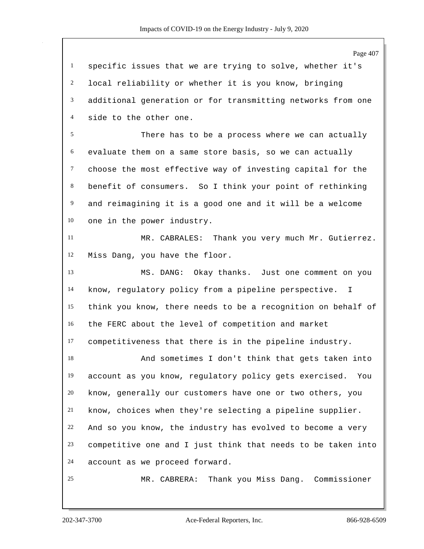Page 407 specific issues that we are trying to solve, whether it's local reliability or whether it is you know, bringing additional generation or for transmitting networks from one side to the other one. There has to be a process where we can actually evaluate them on a same store basis, so we can actually choose the most effective way of investing capital for the benefit of consumers. So I think your point of rethinking and reimagining it is a good one and it will be a welcome one in the power industry. MR. CABRALES: Thank you very much Mr. Gutierrez. Miss Dang, you have the floor. MS. DANG: Okay thanks. Just one comment on you know, regulatory policy from a pipeline perspective. I think you know, there needs to be a recognition on behalf of the FERC about the level of competition and market competitiveness that there is in the pipeline industry. And sometimes I don't think that gets taken into account as you know, regulatory policy gets exercised. You know, generally our customers have one or two others, you know, choices when they're selecting a pipeline supplier. And so you know, the industry has evolved to become a very competitive one and I just think that needs to be taken into account as we proceed forward. MR. CABRERA: Thank you Miss Dang. Commissioner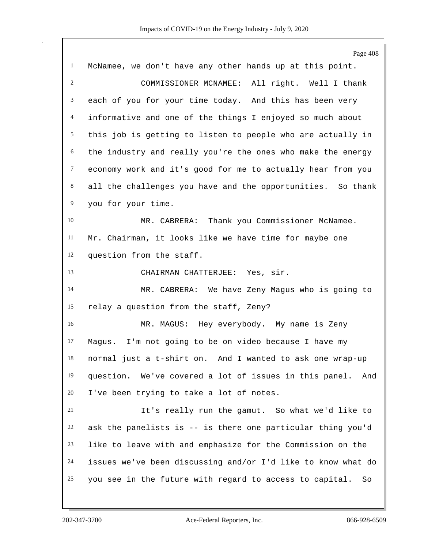|                | Page 408                                                      |
|----------------|---------------------------------------------------------------|
| $\mathbf{1}$   | McNamee, we don't have any other hands up at this point.      |
| $\overline{c}$ | COMMISSIONER MCNAMEE: All right. Well I thank                 |
| 3              | each of you for your time today. And this has been very       |
| $\overline{4}$ | informative and one of the things I enjoyed so much about     |
| 5              | this job is getting to listen to people who are actually in   |
| 6              | the industry and really you're the ones who make the energy   |
| $\tau$         | economy work and it's good for me to actually hear from you   |
| $\,8\,$        | all the challenges you have and the opportunities. So thank   |
| 9              | you for your time.                                            |
| 10             | MR. CABRERA: Thank you Commissioner McNamee.                  |
| 11             | Mr. Chairman, it looks like we have time for maybe one        |
| 12             | question from the staff.                                      |
| 13             | CHAIRMAN CHATTERJEE: Yes, sir.                                |
| 14             | MR. CABRERA: We have Zeny Magus who is going to               |
| 15             | relay a question from the staff, Zeny?                        |
| 16             | MR. MAGUS: Hey everybody. My name is Zeny                     |
| 17             | Magus. I'm not going to be on video because I have my         |
| 18             | normal just a t-shirt on. And I wanted to ask one wrap-up     |
| 19             | question. We've covered a lot of issues in this panel. And    |
| 20             | I've been trying to take a lot of notes.                      |
| 21             | It's really run the gamut. So what we'd like to               |
| 22             | ask the panelists is -- is there one particular thing you'd   |
| 23             | like to leave with and emphasize for the Commission on the    |
| 24             | issues we've been discussing and/or I'd like to know what do  |
| 25             | you see in the future with regard to access to capital.<br>So |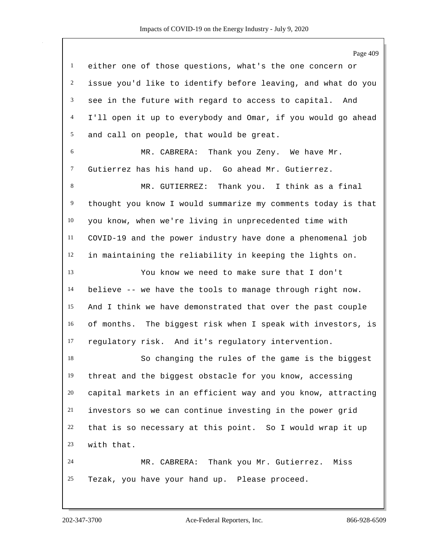Page 409 either one of those questions, what's the one concern or issue you'd like to identify before leaving, and what do you see in the future with regard to access to capital. And I'll open it up to everybody and Omar, if you would go ahead and call on people, that would be great. MR. CABRERA: Thank you Zeny. We have Mr. Gutierrez has his hand up. Go ahead Mr. Gutierrez. MR. GUTIERREZ: Thank you. I think as a final thought you know I would summarize my comments today is that you know, when we're living in unprecedented time with COVID-19 and the power industry have done a phenomenal job in maintaining the reliability in keeping the lights on. You know we need to make sure that I don't believe -- we have the tools to manage through right now. And I think we have demonstrated that over the past couple of months. The biggest risk when I speak with investors, is regulatory risk. And it's regulatory intervention. So changing the rules of the game is the biggest threat and the biggest obstacle for you know, accessing capital markets in an efficient way and you know, attracting investors so we can continue investing in the power grid that is so necessary at this point. So I would wrap it up with that. MR. CABRERA: Thank you Mr. Gutierrez. Miss Tezak, you have your hand up. Please proceed.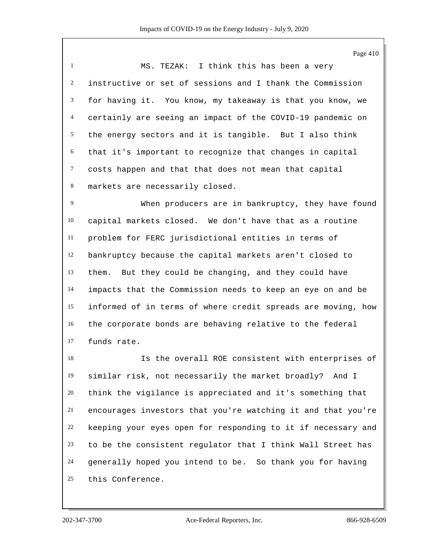Page 410

 MS. TEZAK: I think this has been a very instructive or set of sessions and I thank the Commission for having it. You know, my takeaway is that you know, we certainly are seeing an impact of the COVID-19 pandemic on the energy sectors and it is tangible. But I also think that it's important to recognize that changes in capital costs happen and that that does not mean that capital markets are necessarily closed.

 When producers are in bankruptcy, they have found capital markets closed. We don't have that as a routine problem for FERC jurisdictional entities in terms of bankruptcy because the capital markets aren't closed to them. But they could be changing, and they could have impacts that the Commission needs to keep an eye on and be informed of in terms of where credit spreads are moving, how the corporate bonds are behaving relative to the federal funds rate.

 Is the overall ROE consistent with enterprises of similar risk, not necessarily the market broadly? And I think the vigilance is appreciated and it's something that encourages investors that you're watching it and that you're keeping your eyes open for responding to it if necessary and to be the consistent regulator that I think Wall Street has generally hoped you intend to be. So thank you for having this Conference.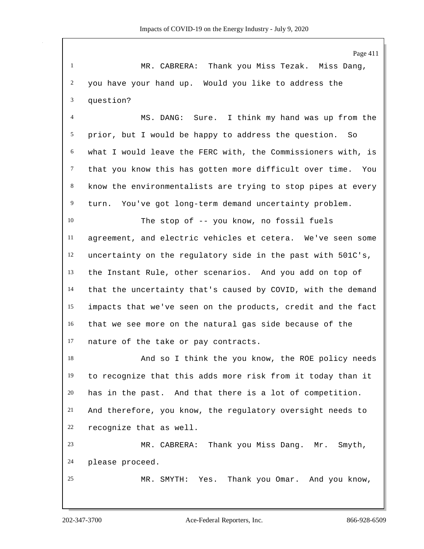Page 411 MR. CABRERA: Thank you Miss Tezak. Miss Dang, you have your hand up. Would you like to address the question? MS. DANG: Sure. I think my hand was up from the prior, but I would be happy to address the question. So what I would leave the FERC with, the Commissioners with, is that you know this has gotten more difficult over time. You know the environmentalists are trying to stop pipes at every turn. You've got long-term demand uncertainty problem. The stop of -- you know, no fossil fuels agreement, and electric vehicles et cetera. We've seen some uncertainty on the regulatory side in the past with 501C's, the Instant Rule, other scenarios. And you add on top of that the uncertainty that's caused by COVID, with the demand impacts that we've seen on the products, credit and the fact that we see more on the natural gas side because of the nature of the take or pay contracts. 18 And so I think the you know, the ROE policy needs to recognize that this adds more risk from it today than it has in the past. And that there is a lot of competition. And therefore, you know, the regulatory oversight needs to recognize that as well.

 MR. CABRERA: Thank you Miss Dang. Mr. Smyth, please proceed.

MR. SMYTH: Yes. Thank you Omar. And you know,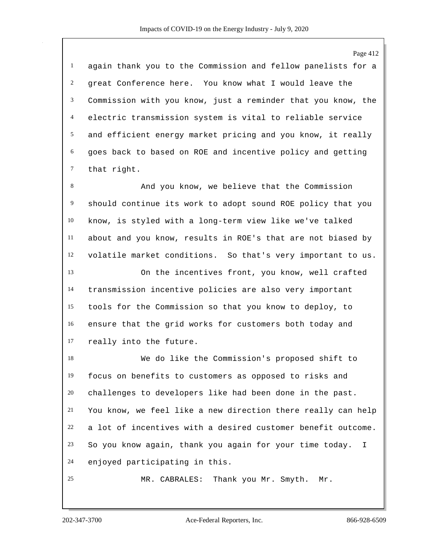again thank you to the Commission and fellow panelists for a great Conference here. You know what I would leave the Commission with you know, just a reminder that you know, the electric transmission system is vital to reliable service and efficient energy market pricing and you know, it really goes back to based on ROE and incentive policy and getting that right.

 And you know, we believe that the Commission should continue its work to adopt sound ROE policy that you know, is styled with a long-term view like we've talked about and you know, results in ROE's that are not biased by volatile market conditions. So that's very important to us.

 On the incentives front, you know, well crafted transmission incentive policies are also very important tools for the Commission so that you know to deploy, to ensure that the grid works for customers both today and really into the future.

 We do like the Commission's proposed shift to focus on benefits to customers as opposed to risks and challenges to developers like had been done in the past. You know, we feel like a new direction there really can help a lot of incentives with a desired customer benefit outcome. So you know again, thank you again for your time today. I enjoyed participating in this.

MR. CABRALES: Thank you Mr. Smyth. Mr.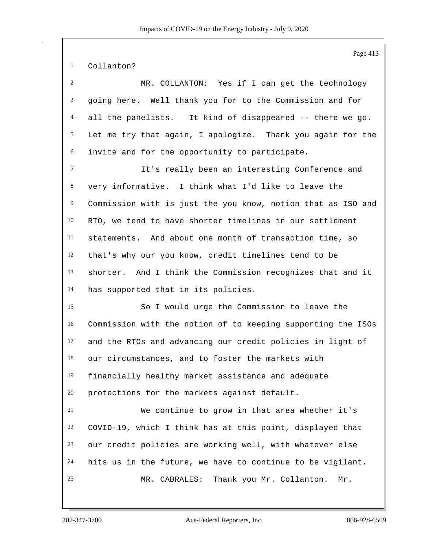Collanton?

| 2                | MR. COLLANTON: Yes if I can get the technology               |
|------------------|--------------------------------------------------------------|
| 3                | going here. Well thank you for to the Commission and for     |
| $\overline{4}$   | all the panelists. It kind of disappeared -- there we go.    |
| 5 <sup>5</sup>   | Let me try that again, I apologize. Thank you again for the  |
| $6\,$            | invite and for the opportunity to participate.               |
| $\tau$           | It's really been an interesting Conference and               |
| $\,8\,$          | very informative. I think what I'd like to leave the         |
| $\boldsymbol{9}$ | Commission with is just the you know, notion that as ISO and |
| 10               | RTO, we tend to have shorter timelines in our settlement     |
| 11               | statements. And about one month of transaction time, so      |
| 12               | that's why our you know, credit timelines tend to be         |
| 13               | shorter. And I think the Commission recognizes that and it   |
| 14               | has supported that in its policies.                          |
| 15               | So I would urge the Commission to leave the                  |
| 16               | Commission with the notion of to keeping supporting the ISOs |
| 17               | and the RTOs and advancing our credit policies in light of   |
| 18               | our circumstances, and to foster the markets with            |
| 19               | financially healthy market assistance and adequate           |
| 20               | protections for the markets against default.                 |
| 21               | We continue to grow in that area whether it's                |
| 22               | COVID-19, which I think has at this point, displayed that    |
| 23               | our credit policies are working well, with whatever else     |
| 24               | hits us in the future, we have to continue to be vigilant.   |
| 25               | MR. CABRALES:<br>Thank you Mr. Collanton.<br>Mr.             |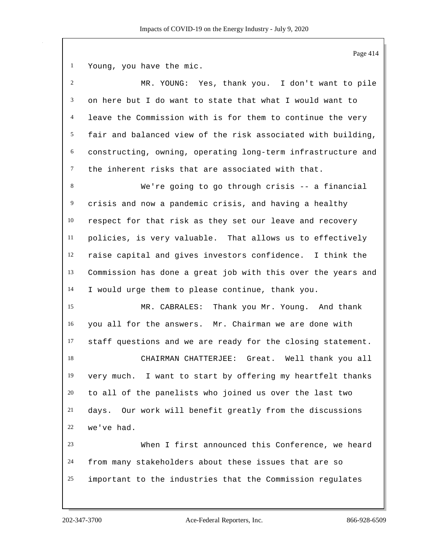Young, you have the mic.

| $\overline{2}$ | MR. YOUNG: Yes, thank you. I don't want to pile              |
|----------------|--------------------------------------------------------------|
| 3              | on here but I do want to state that what I would want to     |
| 4              | leave the Commission with is for them to continue the very   |
| 5              | fair and balanced view of the risk associated with building, |
| 6              | constructing, owning, operating long-term infrastructure and |
| $\tau$         | the inherent risks that are associated with that.            |
| 8              | We're going to go through crisis -- a financial              |
| 9              | crisis and now a pandemic crisis, and having a healthy       |
| 10             | respect for that risk as they set our leave and recovery     |
| 11             | policies, is very valuable. That allows us to effectively    |
| 12             | raise capital and gives investors confidence. I think the    |
| 13             | Commission has done a great job with this over the years and |
| 14             | I would urge them to please continue, thank you.             |
| 15             | MR. CABRALES: Thank you Mr. Young. And thank                 |
| 16             | you all for the answers. Mr. Chairman we are done with       |
| 17             | staff questions and we are ready for the closing statement.  |
| 18             | CHAIRMAN CHATTERJEE: Great. Well thank you all               |
| 19             | very much. I want to start by offering my heartfelt thanks   |
| 20             | to all of the panelists who joined us over the last two      |
| 21             | Our work will benefit greatly from the discussions<br>days.  |
| 22             | we've had.                                                   |
| 23             | When I first announced this Conference, we heard             |
| 24             | from many stakeholders about these issues that are so        |
| 25             | important to the industries that the Commission regulates    |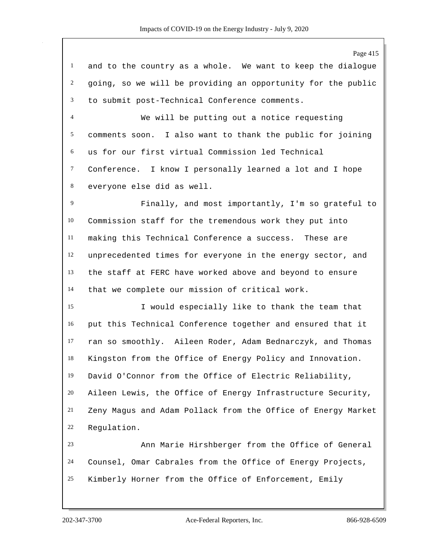Page 415

 and to the country as a whole. We want to keep the dialogue going, so we will be providing an opportunity for the public to submit post-Technical Conference comments.

 We will be putting out a notice requesting comments soon. I also want to thank the public for joining us for our first virtual Commission led Technical Conference. I know I personally learned a lot and I hope everyone else did as well.

 Finally, and most importantly, I'm so grateful to Commission staff for the tremendous work they put into making this Technical Conference a success. These are unprecedented times for everyone in the energy sector, and the staff at FERC have worked above and beyond to ensure that we complete our mission of critical work.

 I would especially like to thank the team that put this Technical Conference together and ensured that it ran so smoothly. Aileen Roder, Adam Bednarczyk, and Thomas Kingston from the Office of Energy Policy and Innovation. David O'Connor from the Office of Electric Reliability, Aileen Lewis, the Office of Energy Infrastructure Security, Zeny Magus and Adam Pollack from the Office of Energy Market Regulation.

 Ann Marie Hirshberger from the Office of General Counsel, Omar Cabrales from the Office of Energy Projects, Kimberly Horner from the Office of Enforcement, Emily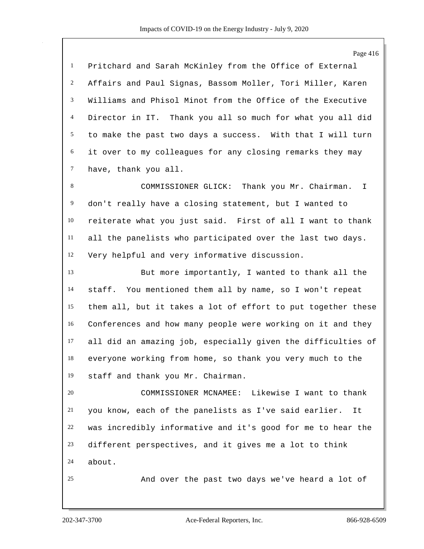Pritchard and Sarah McKinley from the Office of External Affairs and Paul Signas, Bassom Moller, Tori Miller, Karen Williams and Phisol Minot from the Office of the Executive Director in IT. Thank you all so much for what you all did to make the past two days a success. With that I will turn it over to my colleagues for any closing remarks they may have, thank you all. 8 COMMISSIONER GLICK: Thank you Mr. Chairman. I

 don't really have a closing statement, but I wanted to reiterate what you just said. First of all I want to thank all the panelists who participated over the last two days. Very helpful and very informative discussion.

 But more importantly, I wanted to thank all the staff. You mentioned them all by name, so I won't repeat them all, but it takes a lot of effort to put together these Conferences and how many people were working on it and they all did an amazing job, especially given the difficulties of everyone working from home, so thank you very much to the staff and thank you Mr. Chairman.

 COMMISSIONER MCNAMEE: Likewise I want to thank you know, each of the panelists as I've said earlier. It was incredibly informative and it's good for me to hear the different perspectives, and it gives me a lot to think about.

And over the past two days we've heard a lot of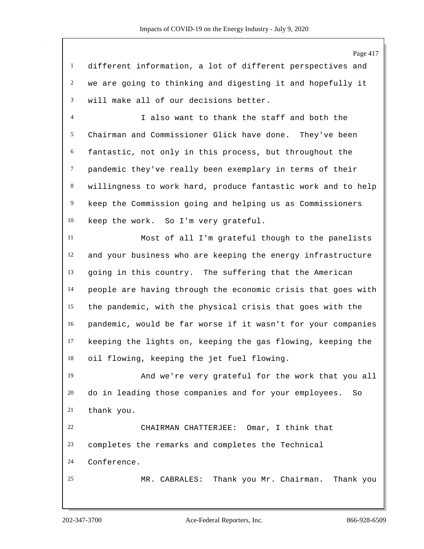different information, a lot of different perspectives and we are going to thinking and digesting it and hopefully it will make all of our decisions better.

 I also want to thank the staff and both the Chairman and Commissioner Glick have done. They've been fantastic, not only in this process, but throughout the pandemic they've really been exemplary in terms of their willingness to work hard, produce fantastic work and to help keep the Commission going and helping us as Commissioners keep the work. So I'm very grateful.

 Most of all I'm grateful though to the panelists and your business who are keeping the energy infrastructure going in this country. The suffering that the American people are having through the economic crisis that goes with the pandemic, with the physical crisis that goes with the pandemic, would be far worse if it wasn't for your companies keeping the lights on, keeping the gas flowing, keeping the oil flowing, keeping the jet fuel flowing.

 And we're very grateful for the work that you all do in leading those companies and for your employees. So thank you. CHAIRMAN CHATTERJEE: Omar, I think that

completes the remarks and completes the Technical

Conference.

MR. CABRALES: Thank you Mr. Chairman. Thank you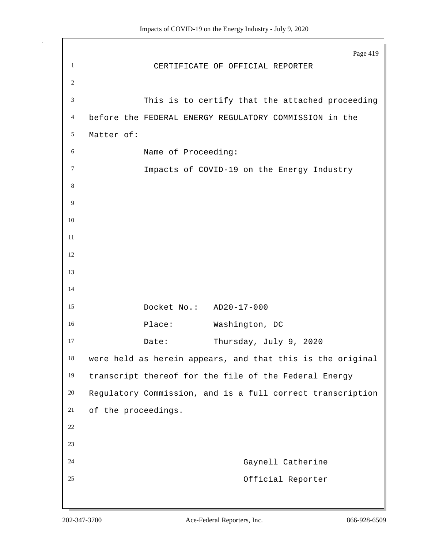Page 419 CERTIFICATE OF OFFICIAL REPORTER This is to certify that the attached proceeding before the FEDERAL ENERGY REGULATORY COMMISSION in the Matter of: Name of Proceeding: **Impacts of COVID-19 on the Energy Industry**  Docket No.: AD20-17-000 16 Place: Washington, DC 17 Date: Thursday, July 9, 2020 were held as herein appears, and that this is the original transcript thereof for the file of the Federal Energy Regulatory Commission, and is a full correct transcription of the proceedings. Gaynell Catherine Official Reporter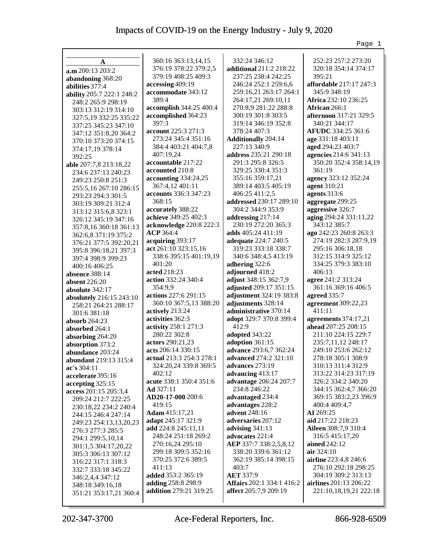|                                                  |                                           |                                           | Page 1                                     |
|--------------------------------------------------|-------------------------------------------|-------------------------------------------|--------------------------------------------|
|                                                  |                                           |                                           |                                            |
| A                                                | 360:16 363:13,14,15                       | 332:24 346:12                             | 252:23 257:2 273:20                        |
| a.m 200:13 203:2                                 | 376:19 378:22 379:2,5                     | additional 211:2 218:22                   | 320:18 354:14 374:17                       |
| abandoning 368:20                                | 379:19 408:25 409:3                       | 237:25 238:4 242:25                       | 395:21                                     |
| abilities 377:4                                  | accessing 409:19                          | 246:24 252:1 259:6,6                      | affordable 217:17 247:3                    |
| ability 205:7 222:1 248:2                        | accommodate 343:12                        | 259:16,21 263:17 264:1                    | 345:9 348:19                               |
| 248:2 265:9 298:19                               | 389:4                                     | 264:17,21 269:10,11                       | Africa 232:10 236:25                       |
| 303:13 312:19 314:10                             | accomplish 344:25 400:4                   | 270:8,9 281:22 288:8                      | <b>African</b> 266:1                       |
| 327:5,19 332:25 335:22                           | accomplished 364:23                       | 300:19 301:8 303:5                        | afternoon 317:21 329:5                     |
| 337:25 345:23 347:10                             | 397:3                                     | 319:14 346:19 352:8                       | 340:21 344:17                              |
| 347:12 351:8,20 364:2                            | account 225:3 271:3                       | 378:24 407:3                              | AFUDC 334:25 361:6                         |
| 370:10 373:20 374:15                             | 273:24 345:4 351:16                       | <b>Additionally 204:14</b>                | age 331:18 403:11                          |
| 374:17,19 378:14                                 | 384:4 403:21 404:7,8                      | 227:13 340:9                              | aged 294:23 403:7                          |
| 392:25                                           | 407:19,24                                 | address 235:21 290:18                     | agencies 214:6 341:13                      |
| able 207:7,8 213:18,22                           | accountable 217:22                        | 291:3 295:8 326:5                         | 350:20 352:4 358:14,19                     |
| 234:6 237:13 240:23                              | accounted 210:8                           | 329:25 330:4 351:3                        | 361:19                                     |
| 249:23 250:8 251:3                               | accounting 334:24,25                      | 355:16 359:17,21                          | agency 323:12 352:24                       |
| 255:5,16 267:10 286:15                           | 367:4,12 401:11                           | 389:14 403:5 405:19                       | agent 310:21                               |
| 293:23 294:3 301:5                               | accounts 336:3 347:23<br>368:15           | 406:25 411:2,5<br>addressed 230:17 289:10 | agents 313:6                               |
| 303:19 309:21 312:4                              |                                           | 304:2 344:9 353:9                         | aggregate 299:25                           |
| 313:12 315:6,8 323:1                             | accurately 388:22<br>achieve 349:25 402:3 |                                           | aggressive 326:7<br>aging 294:24 331:11,22 |
| 326:12 345:19 347:16                             | acknowledge 220:8 222:3                   | addressing 217:14<br>230:19 272:20 365:3  | 343:12 385:7                               |
| 357:8,16 360:18 361:13                           | ACP 364:4                                 | adds 405:24 411:19                        | ago 242:23 260:8 263:3                     |
| 362:6,8 371:19 375:2                             | acquiring 393:17                          | adequate 224:7 240:5                      | 274:19 282:3 287:9,19                      |
| 376:21 377:5 392:20,21                           | act 261:10 323:15,16                      | 319:23 333:18 338:7                       | 295:16 306:18,18                           |
| 395:8 396:18,21 397:3                            | 338:6 395:15 401:19,19                    | 340:6 348:4,5 413:19                      | 312:15 314:9 325:12                        |
| 397:4 398:9 399:23                               | 401:20                                    | adhering 322:6                            | 334:25 379:3 383:10                        |
| 400:16 406:25                                    | acted 218:23                              | adjourned 418:2                           | 406:13                                     |
| <b>absence</b> 388:14                            | action 332:24 340:4                       | adjust 348:15 362:7,9                     | agree 241:2 313:24                         |
| absent $226:20$                                  | 354:9,9                                   | adjusted 209:17 351:15                    | 361:16 369:16 406:5                        |
| absolute 342:17                                  | actions 227:6 291:15                      | adjustment 324:19 383:8                   | agreed 335:7                               |
| absolutely 216:15 243:10<br>258:21 264:21 288:17 | 360:10 367:5,13 388:20                    | adjustments 328:14                        | agreement 309:22,23                        |
| 301:6 381:18                                     | actively 213:24                           | administrative 370:14                     | 411:11                                     |
| absorb $264:23$                                  | activities 362:3                          | adopt 329:7 370:8 399:4                   | agreements 374:17,21                       |
| absorbed 264:1                                   | activity 258:1 271:3                      | 412:9                                     | ahead 207:25 208:15                        |
| absorbing 264:20                                 | 280:22 302:8                              | adopted 343:22                            | 211:10 224:15 229:7                        |
| absorption 373:2                                 | actors 290:21,23                          | adoption 361:15                           | 235:7,11,12 248:17                         |
| abundance 203:24                                 | acts 206:14 330:15                        | advance 293:6,7 362:24                    | 249:10 253:6 262:12                        |
| abundant 219:13 315:4                            | actual 213:3 254:3 278:1                  | advanced 274:2 321:10                     | 278:18 305:1 308:9                         |
| ac's 304:11                                      | 324:20,24 339:8 369:5                     | advances 273:19                           | 310:13 311:4 312:9                         |
| accelerate 395:16                                | 402:12                                    | advancing 413:17                          | 313:22 314:23 317:19                       |
| accepting $325:15$                               | acute 338:1 350:4 351:6                   | advantage 206:24 207:7                    | 326:2 334:2 340:20                         |
| access 201:15 205:3,4                            | Ad 327:11                                 | 234:8 246:22                              | 344:15 362:4,7 366:20                      |
| 209:24 212:7 222:25                              | AD20-17-000 200:6                         | advantaged 234:4                          | 369:15 383:2,23 396:9                      |
| 230:18,22 234:2 240:4                            | 419:15                                    | advantages 228:2                          | 400:4 409:4,7                              |
| 244:15 246:4 247:14                              | Adam 415:17,21                            | advent 248:16                             | AI 269:25                                  |
| 249:23 254:13,13,20,23                           | adapt 245:17 321:9                        | adversaries 207:12                        | aid 217:22 218:23                          |
| 276:3 277:3 285:5                                | add 224:8 245:11,11                       | advising $341:13$                         | Aileen 308:7,9 310:4                       |
| 294:1 299:5,10,14                                | 248:24 251:18 269:2                       | advocates 221:4                           | 316:5 415:17,20                            |
| 301:1,5 304:17,20,22                             | 270:16,24 295:10                          | AEP 337:7 338:2,5,8,12                    | aimed $242:12$                             |
| 305:3 306:13 307:12                              | 299:18 309:5 352:16                       | 338:20 339:6 361:12                       | air 324:10                                 |
| 316:22 317:1 318:3                               | 370:25 372:6 389:5                        | 362:19 385:14 398:15                      | airline 223:4,8 246:6                      |
| 332:7 333:18 345:22                              | 411:13                                    | 403:7                                     | 276:10 292:18 298:25                       |
| 346:2,4,4 347:12                                 | added 353:2 365:19                        | <b>AET</b> 337:9                          | 304:19 309:2 313:13                        |
| 348:18 349:16,18                                 | adding 258:8 298:9                        | Affairs 202:1 334:1 416:2                 | airlines 201:13 206:22                     |
| 351:21 353:17,21 360:4                           | addition 279:21 319:25                    | affect 205:7,9 209:19                     | 221:10,18,19,21 222:18                     |
|                                                  |                                           |                                           |                                            |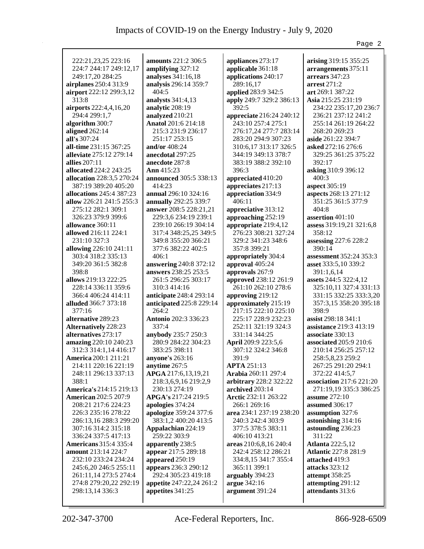|                                                     |                                            |                             | Page 2                                  |
|-----------------------------------------------------|--------------------------------------------|-----------------------------|-----------------------------------------|
|                                                     |                                            |                             |                                         |
| 222:21,23,25 223:16                                 | <b>amounts</b> 221:2 306:5                 | appliances 273:17           | arising 319:15 355:25                   |
| 224:7 244:17 249:12,17                              | amplifying 327:12                          | applicable 361:18           | arrangements 375:11                     |
| 249:17,20 284:25                                    | analyses 341:16,18                         | applications 240:17         | arrears 347:23                          |
| airplanes 250:4 313:9                               | analysis 296:14 359:7                      | 289:16,17                   | arrest $271:2$                          |
| airport 222:12 299:3,12                             | 404:5                                      | applied 283:9 342:5         | art 269:1 387:22                        |
| 313:8                                               | analysts 341:4,13                          | apply 249:7 329:2 386:13    | Asia 215:25 231:19                      |
| airports 222:4,4,16,20                              | analytic 208:19                            | 392:5                       | 234:22 235:17,20 236:7                  |
| 294:4 299:1,7                                       | analyzed 210:21                            | appreciate 216:24 240:12    | 236:21 237:12 241:2                     |
| algorithm 300:7                                     | <b>Anatol</b> 201:6 214:18                 | 243:10 257:4 275:1          | 255:14 261:19 264:22                    |
| aligned 262:14                                      | 215:3 231:9 236:17                         | 276:17,24 277:7 283:14      | 268:20 269:23                           |
| all's $307:24$                                      | 251:17 253:15                              | 283:20 294:9 307:23         | aside 261:22 394:7                      |
| all-time 231:15 367:25                              | and/or 408:24                              | 310:6, 17 313:17 326:5      | asked 272:16 276:6                      |
| alleviate 275:12 279:14                             | anecdotal 297:25                           | 344:19 349:13 378:7         | 329:25 361:25 375:22                    |
| allies 207:11                                       | anecdote 287:8                             | 383:19 388:2 392:10         | 392:17                                  |
| allocated 224:2 243:25                              | Ann $415:23$                               | 396:3                       | asking 310:9 396:12                     |
| allocation 228:3,5 270:24                           | announced 305:5 338:13                     | appreciated 410:20          | 400:3                                   |
| 387:19 389:20 405:20                                | 414:23                                     | appreciates 217:13          | aspect 305:19                           |
| allocations 245:4 387:23                            | annual 296:10 324:16                       | appreciation 334:9          | aspects 268:13 271:12                   |
| allow 226:21 241:5 255:3                            | annually 292:25 339:7                      | 406:11                      | 351:25 361:5 377:9                      |
| 275:12 282:1 309:1                                  | answer 208:5 228:21,21                     | appreciative 313:12         | 404:8                                   |
| 326:23 379:9 399:6                                  | 229:3,6 234:19 239:1                       | approaching 252:19          | assertion 401:10                        |
| allowance 360:11                                    | 239:10 266:19 304:14                       | appropriate 219:4,12        | assess 319:19,21 321:6,8                |
| allowed 216:11 224:1                                | 317:4 348:25,25 349:5                      | 276:23 308:21 327:24        | 358:12                                  |
| 231:10 327:3                                        | 349:8 355:20 366:21                        | 329:2 341:23 348:6          | assessing 227:6 228:2                   |
| allowing 226:10 241:11                              | 377:6 382:22 402:5                         | 357:8 399:21                | 390:14                                  |
| 303:4 318:2 335:13                                  | 406:1                                      | appropriately 304:4         | <b>assessment</b> 352:24 353:3          |
| 349:20 361:5 382:8                                  | answering 240:8 372:12                     | approval 405:24             | asset 333:5,10 339:2                    |
| 398:8                                               | answers 238:25 253:5                       | approvals 267:9             | 391:1,6,14                              |
| allows 219:13 222:25                                | 261:5 296:25 303:17                        | approved 238:12 261:9       | assets 244:5 322:4,12                   |
| 228:14 336:11 359:6                                 | 310:3 414:16                               | 261:10 262:10 278:6         | 325:10,11 327:4 331:13                  |
| 366:4 406:24 414:11                                 | anticipate 248:4 293:14                    | approving 219:12            | 331:15 332:25 333:3,20                  |
| <b>alluded</b> 366:7 373:18                         | anticipated 225:8 229:14                   | approximately 215:19        | 357:3,15 358:20 395:18                  |
| 377:16                                              | 264:2                                      | 217:15 222:10 225:10        | 398:9                                   |
| alternative 289:23                                  | Antonio 202:3 336:23                       | 225:17 228:9 232:23         | assist 298:18 341:1                     |
| <b>Alternatively 228:23</b>                         | 337:4                                      | 252:11 321:19 324:3         | assistance 219:3 413:19                 |
| alternatives 273:17                                 | anybody 235:7 250:3<br>280:9 284:22 304:23 | 331:14 344:25               | associate 330:13                        |
| amazing 220:10 240:23                               |                                            | April 209:9 223:5,6         | associated 205:9 210:6                  |
| 312:3 314:1,14 416:17                               | 383:25 398:11                              | 307:12 324:2 346:8          | 210:14 256:25 257:12                    |
| <b>America</b> 200:1 211:21<br>214:11 220:16 221:19 | anyone's 263:16<br>anytime 267:5           | 391:9<br><b>APTA 251:13</b> | 258:5,8,23 259:2<br>267:25 291:20 294:1 |
| 248:11 296:13 337:13                                | APGA 217:6,13,19,21                        | <b>Arabia</b> 260:11 297:4  | 372:22 414:5,7                          |
| 388:1                                               | 218:3,6,9,16 219:2,9                       | arbitrary 228:2 322:22      | association $217:6221:20$               |
| America's 214:15 219:13                             | 230:13 274:19                              | archived 203:14             | 271:19,19 335:3 386:25                  |
| <b>American 202:5 207:9</b>                         | APGA's 217:24 219:5                        | Arctic 232:11 263:22        | assume $272:10$                         |
| 208:21 217:6 224:23                                 | apologies 374:24                           | 266:1 269:16                | assumed 306:17                          |
| 226:3 235:16 278:22                                 | apologize 359:24 377:6                     | area 234:1 237:19 238:20    | assumption 327:6                        |
| 286:13,16 288:3 299:20                              | 383:1,2 400:20 413:5                       | 240:3 242:4 303:9           | astonishing 314:16                      |
| 307:16 314:2 315:18                                 | Appalachian 224:19                         | 377:5 378:5 383:11          | astounding 236:23                       |
| 336:24 337:5 417:13                                 | 259:22 303:9                               | 406:10 413:21               | 311:22                                  |
| <b>Americans</b> 315:4 335:4                        | apparently 238:5                           | areas 210:6,8,16 240:4      | <b>Atlanta</b> 222:5,12                 |
| amount 213:14 224:7                                 | appear 217:5 289:18                        | 242:4 258:12 286:21         | <b>Atlantic 227:8 281:9</b>             |
| 232:10 233:24 234:24                                | appeared 250:19                            | 334:8,15 341:7 355:4        | attached 419:3                          |
| 245:6,20 246:5 255:11                               | appears 236:3 290:12                       | 365:11 399:1                | attacks 323:12                          |
| 261:11,14 273:5 274:4                               | 292:4 305:23 419:18                        | arguably 394:23             | attempt 358:25                          |
| 274:8 279:20,22 292:19                              | appetite 247:22,24 261:2                   | argue 342:16                | attempting 291:12                       |
| 298:13,14 336:3                                     | appetites 341:25                           | argument 391:24             | attendants 313:6                        |
|                                                     |                                            |                             |                                         |
|                                                     |                                            |                             |                                         |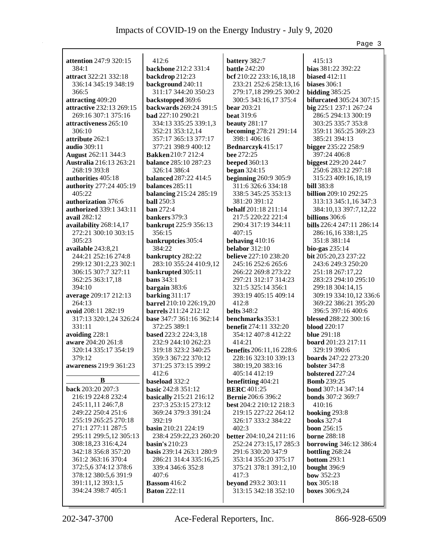|                                |                              |                                 | Page 3                          |
|--------------------------------|------------------------------|---------------------------------|---------------------------------|
|                                |                              |                                 |                                 |
| attention 247:9 320:15         | 412:6                        | battery 382:7                   | 415:13                          |
| 384:1                          | backbone 212:2 331:4         | <b>battle</b> 242:20            | bias 381:22 392:22              |
| attract 322:21 332:18          | backdrop 212:23              | bcf 210:22 233:16,18,18         | <b>biased</b> 412:11            |
| 336:14 345:19 348:19           | background 240:11            | 233:21 252:6 258:13,16          | biases 306:1                    |
| 366:5                          | 311:17 344:20 350:23         | 279:17,18 299:25 300:2          | bidding $385:25$                |
| attracting 409:20              | backstopped 369:6            | 300:5 343:16,17 375:4           | <b>bifurcated</b> 305:24 307:15 |
| attractive 232:13 269:15       | backwards 269:24 391:5       | bear $203:21$                   | big 225:1 237:1 267:24          |
| 269:16 307:1 375:16            | <b>bad</b> $227:10\,290:21$  | <b>beat</b> 319:6               | 286:5 294:13 300:19             |
| attractiveness 265:10          | 334:13 335:25 339:1,3        | <b>beauty</b> 281:17            | 303:25 335:7 353:8              |
| 306:10                         | 352:21 353:12,14             | becoming 278:21 291:14          | 359:11 365:25 369:23            |
| attribute 262:1                | 357:17 365:13 377:17         | 398:1 406:16                    | 385:21 394:13                   |
| <b>audio</b> 309:11            | 377:21 398:9 400:12          | Bednarczyk 415:17               | bigger 235:22 258:9             |
| <b>August</b> 262:11 344:3     | <b>Bakken</b> 210:7 212:4    | bee 272:25                      | 397:24 406:8                    |
| <b>Australia</b> 216:13 263:21 | <b>balance</b> 285:10 287:23 | <b>beeped</b> 360:13            | biggest 229:20 244:7            |
| 268:19 393:8                   | 326:14 386:4                 | began $324:15$                  | 250:6 283:12 297:18             |
| authorities 405:18             | <b>balanced</b> 287:22 414:5 | <b>beginning 260:9 305:9</b>    | 315:23 409:16,18,19             |
| authority 277:24 405:19        | balances 285:11              | 311:6 326:6 334:18              | <b>bill</b> 383:8               |
| 405:22                         | balancing 215:24 285:19      | 338:5 345:25 353:13             | <b>billion</b> 209:10 292:25    |
| authorization 376:6            | <b>ball</b> 250:3            | 381:20 391:12                   | 313:13 345:1,16 347:3           |
| authorized 339:1 343:11        | <b>ban</b> 272:4             | behalf 201:18 211:14            | 384:10,13 397:7,12,22           |
| avail 282:12                   | bankers 379:3                | 217:5 220:22 221:4              | billions 306:6                  |
| availability 268:14,17         | bankrupt 225:9 356:13        | 290:4 317:19 344:11             | bills 226:4 247:11 286:14       |
| 272:21 300:10 303:15           | 356:15                       | 407:15                          | 286:16,16 338:1,25              |
| 305:23                         | bankruptcies 305:4           | behaving $410:16$               | 351:8 381:14                    |
| available 243:8,21             | 384:22                       | <b>belabor</b> 312:10           | bio-gas $235:14$                |
| 244:21 252:16 274:8            | bankruptcy 282:22            | believe 227:10 238:20           | bit 205:20,23 237:22            |
| 299:12 301:2,23 302:1          | 283:10 355:24 410:9,12       | 245:16 252:6 265:6              | 243:6 249:3 250:20              |
| 306:15 307:7 327:11            | bankrupted 305:11            | 266:22 269:8 273:22             | 251:18 267:17,22                |
| 362:25 363:17,18               | bans $343:1$                 | 297:21 312:17 314:23            | 283:23 294:10 295:10            |
| 394:10                         | bargain 383:6                | 321:5 325:14 356:1              | 299:18 304:14,15                |
| average 209:17 212:13          | barking $311:17$             | 393:19 405:15 409:14            | 309:19 334:10,12 336:6          |
| 264:13                         | barrel 210:10 226:19,20      | 412:8                           | 369:22 386:21 395:20            |
| avoid 208:11 282:19            | barrels 211:24 212:12        | <b>belts</b> 348:2              | 396:5 397:16 400:6              |
| 317:13 320:1,24 326:24         | base 347:7 361:16 362:14     | benchmarks 353:1                | blessed 288:22 300:16           |
| 331:11                         | 372:25 389:1                 | benefit 274:11 332:20           | <b>blood</b> 220:17             |
| avoiding 228:1                 | based 223:2 224:3,18         | 354:12 407:8 412:22             | <b>blue</b> 291:18              |
| aware 204:20 261:8             | 232:9 244:10 262:23          | 414:21                          | board 201:23 217:11             |
| 320:14 335:17 354:19           | 319:18 323:2 340:25          | <b>benefits</b> 206:11,16 228:6 | 329:19 390:6                    |
| 379:12                         | 359:3 367:22 370:12          | 228:16 323:10 339:13            | boards 247:22 273:20            |
| awareness 219:9 361:23         | 371:25 373:15 399:2          | 380:19,20 383:16                | bolster 347:8                   |
|                                | 412:6                        | 405:14 412:19                   | bolstered 227:24                |
| B                              | baseload 332:2               | benefitting 404:21              | <b>Bomb</b> 239:25              |
| back 203:20 207:3              | basic 242:8 351:12           | <b>BERC</b> 401:25              | bond 307:14 347:14              |
| 216:19 224:8 232:4             | basically 215:21 216:12      | <b>Bernie</b> 206:6 396:2       | bonds 307:2 369:7               |
| 245:11,11 246:7,8              | 237:3 253:15 273:12          | best 204:2 210:12 218:3         | 410:16                          |
| 249:22 250:4 251:6             | 369:24 379:3 391:24          | 219:15 227:22 264:12            | booking 293:8                   |
| 255:19 265:25 270:18           | 392:19                       | 326:17 333:2 384:22             | <b>books</b> 327:4              |
| 271:1 277:11 287:5             | basin 210:21 224:19          | 402:3                           | boon $256:15$                   |
| 295:11 299:5,12 305:13         | 238:4 259:22,23 260:20       | better 204:10,24 211:16         | <b>borne 288:18</b>             |
| 308:18,23 316:4,24             | basin's $210:23$             | 252:24 273:15,17 285:3          | <b>borrowing</b> 346:12 386:4   |
| 342:18 356:8 357:20            | basis 239:14 263:1 280:9     | 291:6 330:20 347:9              | bottling 268:24                 |
| 361:2 363:16 370:4             | 286:21 314:4 335:16,25       | 353:14 355:20 375:17            | bottom $293:1$                  |
| 372:5,6 374:12 378:6           | 339:4 346:6 352:8            | 375:21 378:1 391:2,10           | bought 396:9                    |
| 378:12 380:5,6 391:9           | 407:6                        | 417:3                           | bow 352:23                      |
| 391:11,12 393:1,5              | <b>Bassom</b> 416:2          | beyond 293:2 303:11             | box 305:18                      |
| 394:24 398:7 405:1             | <b>Baton 222:11</b>          | 313:15 342:18 352:10            | <b>boxes</b> 306:9,24           |
|                                |                              |                                 |                                 |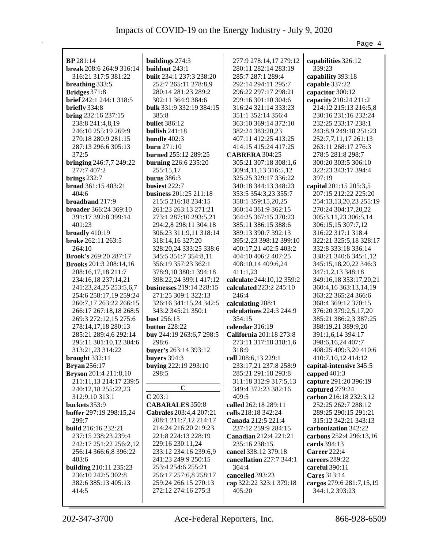|                                                 |                                 |                                             | Page 4                                      |
|-------------------------------------------------|---------------------------------|---------------------------------------------|---------------------------------------------|
|                                                 |                                 |                                             |                                             |
| <b>BP</b> 281:14                                | buildings 274:3                 | 277:9 278:14,17 279:12                      | capabilities 326:12                         |
| break 208:6 264:9 316:14                        | buildout 243:1                  | 280:11 282:14 283:19                        | 339:23                                      |
| 316:21 317:5 381:22                             | <b>built</b> 234:1 237:3 238:20 | 285:7 287:1 289:4                           | capability 393:18                           |
| breathing 333:5                                 | 252:7 265:11 278:8,9            | 292:14 294:11 295:7                         | capable 337:22                              |
| Bridges 371:8                                   | 280:14 281:23 289:2             | 296:22 297:17 298:21                        | capacitor 300:12                            |
| brief 242:1 244:1 318:5                         | 302:11 364:9 384:6              | 299:16 301:10 304:6                         | capacity 210:24 211:2                       |
| briefly 334:8                                   | bulk 331:9 332:19 384:15        | 316:24 321:14 333:23                        | 214:12 215:13 216:5,8                       |
| bring 232:16 237:15                             | 385:8                           | 351:1 352:14 356:4                          | 230:16 231:16 232:24                        |
| 238:8 241:4,8,19                                | <b>bullet</b> 386:12            | 363:10 369:14 372:10                        | 232:25 233:17 238:1                         |
| 246:10 255:19 269:9                             | bullish $241:18$                | 382:24 383:20,23                            | 243:8,9 249:18 251:23                       |
| 270:18 280:9 281:15                             | bundle $402:3$                  | 407:11 412:25 413:25                        | 252:7,7,11,17 261:13                        |
| 287:13 296:6 305:13                             | <b>burn</b> 271:10              | 414:15 415:24 417:25                        | 263:11 268:17 276:3                         |
| 372:5                                           | <b>burned</b> 255:12 289:25     | <b>CABRERA 304:25</b>                       | 278:5 281:8 298:7                           |
| <b>bringing</b> 246:7,7 249:22                  | burning 226:6 235:20            | 305:21 307:18 308:1,6                       | 300:20 303:5 306:10                         |
| 277:7 407:2                                     | 255:15,17                       | 309:4,11,13 316:5,12                        | 322:23 343:17 394:4                         |
| brings $232:7$                                  | <b>burns</b> 386:3              | 325:25 329:17 336:22                        | 397:19                                      |
| broad 361:15 403:21                             | busiest 222:7                   | 340:18 344:13 348:23                        | capital 201:15 205:3,5                      |
| 404:6                                           | <b>business</b> 201:25 211:18   | 353:5 354:3,23 355:7                        | 207:15 212:22 225:20                        |
| broadband 217:9                                 | 215:5 216:18 234:15             | 358:1 359:15,20,25                          | 254:13,13,20,23 255:19                      |
| broader 366:24 369:10                           | 261:23 263:13 271:21            | 360:14 361:9 362:15                         | 270:24 304:17,20,22                         |
| 391:17 392:8 399:14                             | 273:1 287:10 293:5,21           | 364:25 367:15 370:23                        | 305:3,11,23 306:5,14                        |
| 401:23                                          | 294:2,8 298:11 304:18           | 385:11 386:15 388:6                         | 306:15,15 307:7,12                          |
| broadly $410:19$                                | 306:23 311:9,11 318:14          | 389:13 390:7 392:13                         | 316:22 317:1 318:4                          |
| <b>broke</b> 262:11 263:5                       | 318:14,16 327:20                | 395:2,23 398:12 399:10                      | 322:21 325:5,18 328:17                      |
| 264:10                                          | 328:20,24 333:25 338:6          | 400:17,21 402:5 403:2                       | 332:8 333:18 336:14                         |
| <b>Brook's</b> 269:20 287:17                    | 345:5 351:7 354:8,11            | 404:10 406:2 407:25                         | 338:21 340:6 345:1,12                       |
| <b>Brooks</b> 201:3 208:14,16                   | 356:19 357:23 362:1             | 408:10,14 409:6,24                          | 345:15,18,20,22 346:3                       |
| 208:16,17,18 211:7                              | 378:9,10 380:1 394:18           | 411:1,23                                    | 347:1,2,13 348:18                           |
| 234:16,18 237:14,21                             | 398:22,24 399:1 417:12          | calculate 244:10,12 359:2                   | 349:16,18 353:17,20,21                      |
| 241:23,24,25 253:5,6,7                          | <b>businesses</b> 219:14 228:15 | calculated 223:2 245:10                     | 360:4,16 363:13,14,19                       |
| 254:6 258:17,19 259:24                          | 271:25 309:1 322:13             | 246:4                                       | 363:22 365:24 366:6                         |
| 260:7,17 263:22 266:15                          | 326:16 341:15,24 342:5          | calculating 288:1                           | 368:4 369:12 370:15                         |
| 266:17 267:18,18 268:5                          | 343:2 345:21 350:1              | calculations 224:3 244:9                    | 376:20 379:2,5,17,20                        |
| 269:3 272:12,15 275:6                           | <b>bust</b> 256:15              | 354:15                                      | 385:21 386:2,3 387:25                       |
| 278:14,17,18 280:13                             | <b>button</b> 228:22            | calendar 316:19                             | 388:19,21 389:9,20                          |
| 285:21 289:4,6 292:14                           | buy 244:19 263:6,7 298:5        | California 201:18 273:8                     | 391:1,6,14 394:17                           |
| 295:11 301:10,12 304:6                          | 298:6                           | 273:11 317:18 318:1,6                       | 398:6,16,24 407:7                           |
| 313:21,23 314:22                                | buyer's 263:14 393:12           | 318:9                                       | 408:25 409:3,20 410:6                       |
| brought 332:11                                  | buyers 394:3                    | call 208:6,13 229:1                         | 410:7,10,12 414:12                          |
| <b>Bryan</b> 256:17                             | buying 222:19 293:10            | 233:17,21 237:8 258:9                       | capital-intensive 345:5                     |
| <b>Bryson</b> 201:4 211:8,10                    | 298:5                           | 285:21 291:18 293:8                         | capped 401:3                                |
| 211:11,13 214:17 239:5                          | $\mathbf C$                     | 311:18 312:9 317:5,13                       | capture 291:20 396:19                       |
| 240:12,18 255:22,23                             | C203:1                          | 349:4 372:23 382:16                         | captured 279:24                             |
| 312:9,10 313:1                                  | <b>CABARALES</b> 350:8          | 409:5                                       | carbon 216:18 232:3,12                      |
| buckets 353:9<br><b>buffer</b> 297:19 298:15,24 | Cabrales 203:4,4 207:21         | called 262:18 289:11<br>calls 218:18 342:24 | 252:25 262:7 288:12<br>289:25 290:15 291:21 |
| 299:7                                           | 208:1 211:7,12 214:17           | Canada 212:5 221:4                          | 315:12 342:21 343:13                        |
| build 216:16 232:21                             | 214:24 216:20 219:23            | 237:12 259:9 284:15                         | carbonization 342:22                        |
| 237:15 238:23 239:4                             | 221:8 224:13 228:19             | Canadian 212:4 221:21                       | carbons 252:4 296:13,16                     |
| 242:17 251:22 256:2,12                          | 229:16 230:11,24                | 235:16 238:15                               | cards 394:13                                |
| 256:14 366:6,8 396:22                           | 233:12 234:16 239:6,9           | cancel 338:12 379:18                        | <b>Career</b> 222:4                         |
| 403:6                                           | 241:23 249:9 250:15             | cancellation 227:7 344:1                    | careers 289:22                              |
| <b>building</b> 210:11 235:23                   | 253:4 254:6 255:21              | 364:4                                       | careful 390:11                              |
| 236:10 242:5 302:8                              | 256:17 257:6,8 258:17           | cancelled 393:23                            | Cares 313:14                                |
| 382:6 385:13 405:13                             | 259:24 266:15 270:13            | cap 322:22 323:1 379:18                     | cargos 279:6 281:7,15,19                    |
| 414:5                                           | 272:12 274:16 275:3             | 405:20                                      | 344:1,2 393:23                              |
|                                                 |                                 |                                             |                                             |
|                                                 |                                 |                                             |                                             |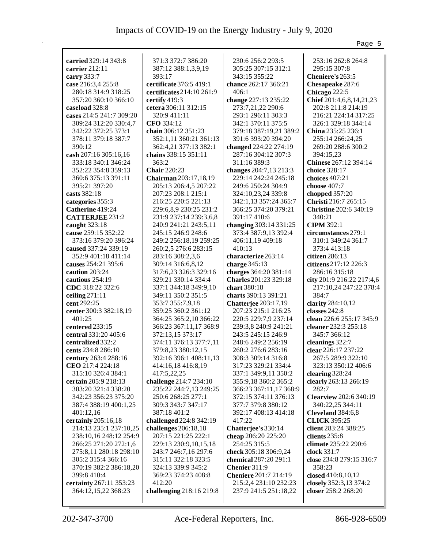|                                            |                                                  |                                          | Page 5                                 |
|--------------------------------------------|--------------------------------------------------|------------------------------------------|----------------------------------------|
|                                            |                                                  |                                          |                                        |
| carried 329:14 343:8                       | 371:3 372:7 386:20                               | 230:6 256:2 293:5                        | 253:16 262:8 264:8                     |
| carrier 212:11                             | 387:12 388:1,3,9,19                              | 305:25 307:15 312:1                      | 295:15 307:8                           |
| carry 333:7                                | 393:17                                           | 343:15 355:22                            | Cheniere's 263:5                       |
| case 216:3,4 255:8                         | certificate 376:5 419:1                          | chance 262:17 366:21                     | Chesapeake 287:6                       |
| 280:18 314:9 318:25                        | certificates 214:10 261:9                        | 406:1                                    | Chicago 222:5                          |
| 357:20 360:10 366:10                       | certify $419:3$                                  | change 227:13 235:22                     | Chief 201:4,6,8,14,21,23               |
| caseload 328:8                             | cetera 306:11 312:15                             | 273:7,21,22 290:6                        | 202:8 211:8 214:19                     |
| cases 214:5 241:7 309:20                   | 320:9 411:11                                     | 293:1 296:11 303:3                       | 216:21 224:14 317:25                   |
| 309:24 312:20 330:4,7                      | CFO 334:12                                       | 342:1 370:11 375:5                       | 326:1 329:18 344:14                    |
| 342:22 372:25 373:1                        | chain 306:12 351:23                              | 379:18 387:19,21 389:2                   | China 235:25 236:1                     |
| 378:11 379:18 387:7                        | 352:1,11 360:21 361:13                           | 391:6 393:20 394:20                      | 255:14 266:24,25                       |
| 390:12                                     | 362:4,21 377:13 382:1                            | changed 224:22 274:19                    | 269:20 288:6 300:2                     |
| cash 207:16 305:16,16                      | chains 338:15 351:11                             | 287:16 304:12 307:3                      | 394:15,23                              |
| 333:18 340:1 346:24                        | 363:2                                            | 311:16 389:3                             | Chinese 267:12 394:14                  |
| 352:22 354:8 359:13                        | <b>Chair</b> 220:23                              | changes 204:7,13 213:3                   | choice 328:17                          |
| 360:6 375:13 391:11                        | Chairman 203:17,18,19                            | 229:14 242:24 245:18                     | choices $407:21$                       |
| 395:21 397:20                              | 205:13 206:4,5 207:22                            | 249:6 250:24 304:9                       | choose $407:7$                         |
| casts 382:18                               | 207:23 208:1 215:1                               | 324:10,23,24 339:8                       | chopped 357:20<br>Christi 216:7 265:15 |
| categories 355:3                           | 216:25 220:5 221:13                              | 342:1,13 357:24 365:7                    | <b>Christine 202:6 340:19</b>          |
| Catherine 419:24<br><b>CATTERJEE 231:2</b> | 229:6,8,9 230:25 231:2<br>231:9 237:14 239:3,6,8 | 366:25 374:20 379:21<br>391:17 410:6     | 340:21                                 |
| caught 323:18                              |                                                  | changing 303:14 331:25                   | <b>CIPM 392:1</b>                      |
| cause 259:15 352:22                        | 240:9 241:21 243:5,11<br>245:15 246:9 248:6      |                                          | circumstances 279:1                    |
| 373:16 379:20 396:24                       |                                                  | 373:4 387:9,13 392:4                     | 310:1 349:24 361:7                     |
| caused 337:24 339:19                       | 249:2 256:18,19 259:25<br>260:2,5 276:6 283:15   | 406:11,19 409:18<br>410:13               | 373:4 413:18                           |
| 352:9 401:18 411:14                        |                                                  | characterize 263:14                      | $citizen$ 286:13                       |
| causes 254:21 395:6                        | 283:16 308:2,3,6                                 |                                          | citizens 217:12 226:3                  |
| caution 203:24                             | 309:14 316:6,8,12<br>317:6,23 326:3 329:16       | charge $345:13$<br>charges 364:20 381:14 | 286:16 315:18                          |
| cautious 254:19                            | 329:21 330:14 334:4                              | <b>Charles</b> 201:23 329:18             | city 201:9 216:22 217:4,6              |
| CDC 318:22 322:6                           | 337:1 344:18 349:9,10                            | chart 380:18                             | 217:10,24 247:22 378:4                 |
| ceiling $271:11$                           | 349:11 350:2 351:5                               | charts 390:13 391:21                     | 384:7                                  |
| cent 292:25                                | 353:7 355:7,9,18                                 | <b>Chatterjee</b> 203:17,19              | clarity 284:10,12                      |
| center 300:3 382:18,19                     | 359:25 360:2 361:12                              | 207:23 215:1 216:25                      | classes 242:8                          |
| 401:25                                     | 364:25 365:2,10 366:22                           | 220:5 229:7,9 237:14                     | clean 226:6 255:17 345:9               |
| centered 233:15                            | 366:23 367:11,17 368:9                           | 239:3,8 240:9 241:21                     | cleaner 232:3 255:18                   |
| central 331:20 405:6                       | 372:13,15 373:17                                 | 243:5 245:15 246:9                       | 345:7 366:12                           |
| centralized 332:2                          | 374:11 376:13 377:7,11                           | 248:6 249:2 256:19                       | cleanings 322:7                        |
| cents 234:8 286:10                         | 379:8,23 380:12,15                               | 260:2 276:6 283:16                       | clear 226:17 237:22                    |
| century 263:4 288:16                       | 392:16 396:1 408:11,13                           | 308:3 309:14 316:8                       | 267:5 289:9 322:10                     |
| CEO 217:4 224:18                           | 414:16,18 416:8,19                               | 317:23 329:21 334:4                      | 323:13 350:12 406:6                    |
| 315:10 326:4 384:1                         | 417:5,22,25                                      | 337:1 349:9,11 350:2                     | clearing 328:24                        |
| certain 205:9 218:13                       | challenge 214:7 234:10                           | 355:9,18 360:2 365:2                     | clearly 263:13 266:19                  |
| 303:20 321:4 338:20                        | 235:22 244:7,13 249:25                           | 366:23 367:11,17 368:9                   | 282:7                                  |
| 342:23 356:23 375:20                       | 250:6 268:25 277:1                               | 372:15 374:11 376:13                     | <b>Clearview</b> 202:6 340:19          |
| 387:4 388:19 400:1,25                      | 309:3 343:7 347:17                               | 377:7 379:8 380:12                       | 340:22,25 344:11                       |
| 401:12,16                                  | 387:18 401:2                                     | 392:17 408:13 414:18                     | Cleveland 384:6,8                      |
| certainly 205:16,18                        | challenged 224:8 342:19                          | 417:22                                   | <b>CLICK 395:25</b>                    |
| 214:13 235:1 237:10,25                     | challenges 206:18,18                             | Chatterjee's 330:14                      | client 283:24 388:25                   |
| 238:10,16 248:12 254:9                     | 207:15 221:25 222:1                              | cheap 206:20 225:20                      | clients 235:8                          |
| 266:25 271:20 272:1,6                      | 229:13 230:9,10,15,18                            | 254:25 315:5                             | climate 235:22 290:6                   |
| 275:8,11 280:18 298:10                     | 243:7 246:7,16 297:6                             | check 305:18 306:9,24                    | clock 331:7                            |
| 305:2 315:4 366:16                         | 315:11 322:18 323:5                              | chemical 287:20 291:1                    | close 234:8 279:15 316:7               |
| 370:19 382:2 386:18,20                     | 324:13 339:9 345:2                               | Chenier 311:9                            | 358:23                                 |
| 399:8 410:4                                | 369:23 374:23 408:8                              | <b>Cheniere</b> 201:7 214:19             | closed 410:8,10,12                     |
| certainty 267:11 353:23                    | 412:20                                           | 215:2,4 231:10 232:23                    | closely 352:3,13 374:2                 |
| 364:12,15,22 368:23                        | challenging 218:16 219:8                         | 237:9 241:5 251:18,22                    | closer 258:2 268:20                    |
|                                            |                                                  |                                          |                                        |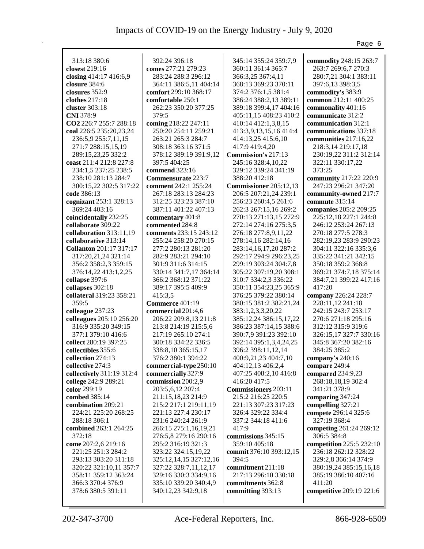|                                                   |                                              |                                             | Page 6                                 |
|---------------------------------------------------|----------------------------------------------|---------------------------------------------|----------------------------------------|
|                                                   |                                              |                                             |                                        |
| 313:18 380:6                                      | 392:24 396:18                                | 345:14 355:24 359:7,9                       | commodity 248:15 263:7                 |
| closest 219:16                                    | comes 277:21 279:23                          | 360:11 361:4 365:7                          | 263:7 269:6,7 270:3                    |
| closing 414:17 416:6,9                            | 283:24 288:3 296:12                          | 366:3,25 367:4,11                           | 280:7,21 304:1 383:11                  |
| closure 384:6                                     | 364:11 386:5,11 404:14                       | 368:13 369:23 370:11                        | 397:6,13 398:3,5                       |
| closures 352:9                                    | comfort 299:10 368:17                        | 374:2 376:1,5 381:4                         | commodity's 383:9                      |
| clothes 217:18                                    | comfortable 250:1                            | 386:24 388:2,13 389:11                      | common 212:11 400:25                   |
| cluster 303:18                                    | 262:23 350:20 377:25                         | 389:18 399:4,17 404:16                      | commonality 401:16                     |
| CNI 378:9                                         | 379:5                                        | 405:11,15 408:23 410:2                      | communicate 312:2                      |
| CO2 226:7 255:7 288:18                            | coming 218:22 247:11                         | 410:14 412:1,3,8,15                         | communication 312:1                    |
| coal 226:5 235:20,23,24                           | 250:20 254:11 259:21                         | 413:3,9,13,15,16 414:4                      | communications 337:18                  |
| 236:5,9 255:7,11,15                               | 263:21 265:3 284:7                           | 414:13,25 415:6,10                          | communities 217:16,22                  |
| 271:7 288:15,15,19                                | 308:18 363:16 371:5                          | 417:9 419:4,20                              | 218:3,14 219:17,18                     |
| 289:15,23,25 332:2                                | 378:12 389:19 391:9,12                       | Commission's 217:13                         | 230:19,22 311:2 312:14                 |
| coast 211:4 212:8 227:8                           | 397:5 404:25                                 | 245:16 328:4,10,22                          | 322:11 330:17,22                       |
| 234:1,5 237:25 238:5                              | commend 323:16                               | 329:12 339:24 341:19                        | 373:25                                 |
| 238:10 281:13 284:7                               | <b>Commensurate 223:7</b>                    | 388:20 412:18                               | community 217:22 220:9                 |
| 300:15,22 302:5 317:22                            | comment 242:1 255:24                         | Commissioner 205:12,13                      | 247:23 296:21 347:20                   |
| code 386:13                                       | 267:18 283:13 284:23                         | 206:5 207:21,24 239:1                       | community-owned 217:7                  |
| cognizant 253:1 328:13                            | 312:25 323:23 387:10                         | 256:23 260:4,5 261:6                        | commute 315:14                         |
| 369:24 403:16                                     | 387:11 401:22 407:13                         | 262:3 267:15,16 269:2                       | companies 205:2 209:25                 |
| coincidentally 232:25                             | commentary 401:8                             | 270:13 271:13,15 272:9                      | 225:12,18 227:1 244:8                  |
| collaborate 309:22                                | commented 284:8                              | 272:14 274:16 275:3,5                       | 246:12 253:24 267:13                   |
| collaboration $313:11,19$                         | comments 233:15 243:12                       | 276:18 277:8,9,11,22                        | 270:18 277:5 278:3                     |
| collaborative 313:14                              | 255:24 258:20 270:15                         | 278:14,16 282:14,16                         | 282:19,23 283:9 290:23                 |
| <b>Collanton</b> 201:17 317:17                    | 277:2 280:13 281:20                          | 283:14, 16, 17, 20 287:2                    | 304:11 322:16 335:3,6                  |
| 317:20,21,24 321:14                               | 282:9 283:21 294:10                          | 292:17 294:9 296:23,25                      | 335:22 341:21 342:15                   |
| 356:2 358:2,3 359:15                              | 301:9 311:6 314:15                           | 299:19 303:24 304:7,8                       | 350:18 359:2 368:8                     |
| 376:14,22 413:1,2,25                              | 330:14 341:7,17 364:14                       | 305:22 307:19,20 308:1                      | 369:21 374:7,18 375:14                 |
| collapse 397:6                                    | 366:2 368:12 371:22                          | 310:7 334:2,3 336:22                        | 384:7,21 399:22 417:16                 |
| collapses 302:18                                  | 389:17 395:5 409:9                           | 350:11 354:23,25 365:9                      | 417:20                                 |
| collateral 319:23 358:21                          | 415:3,5                                      | 376:25 379:22 380:14                        | company 226:24 228:7                   |
| 359:5                                             | Commerce 401:19                              | 380:15 381:2 382:21,24                      | 228:11,12 241:18                       |
| colleague 237:23                                  | commercial 201:4,6                           | 383:1,2,3,3,20,22                           | 242:15 243:7 253:17                    |
| colleagues 205:10 256:20                          | 206:22 209:8,13 211:8                        | 385:12,24 386:15,17,22                      | 270:6 271:18 295:16                    |
| 316:9 335:20 349:15                               | 213:8 214:19 215:5,6                         | 386:23 387:14,15 388:6                      | 312:12 315:9 319:6                     |
| 377:1 379:10 416:6                                | 217:19 265:10 274:1                          | 390:7,9 391:23 392:10                       | 326:15,17 327:7 330:16                 |
| collect 280:19 397:25                             | 300:18 334:22 336:5                          | 392:14 395:1,3,4,24,25                      | 345:8 367:20 382:16                    |
| collectibles 355:6                                | 338:8,10 365:15,17                           | 396:2 398:11,12,14                          | 384:25 385:2                           |
| collection 274:13                                 | 376:2 380:1 394:22                           | 400:9,21,23 404:7,10                        | company's 240:16                       |
| collective 274:3                                  | commercial-type 250:10                       | 404:12,13 406:2,4                           | compare 249:4                          |
| collectively 311:19 312:4<br>college 242:9 289:21 | commercially 327:9<br>commission 200:2,9     | 407:25 408:2,10 416:8                       | compared 234:9,23                      |
|                                                   |                                              | 416:20 417:5<br><b>Commissioners</b> 203:11 | 268:18,18,19 302:4                     |
| color 299:19<br>combed 385:14                     | 203:5,6,12 207:4                             | 215:2 216:25 220:5                          | 341:21 378:9                           |
| combination 209:21                                | 211:15,18,23 214:9                           | 221:13 307:23 317:23                        | comparing 347:24                       |
|                                                   | 215:2 217:1 219:11,19<br>221:13 227:4 230:17 |                                             | compelling 327:21                      |
| 224:21 225:20 268:25<br>288:18 306:1              | 231:6 240:24 261:9                           | 326:4 329:22 334:4                          | compete 296:14 325:6                   |
| combined 263:1 264:25                             | 266:15 275:1,16,19,21                        | 337:2 344:18 411:6<br>417:9                 | 327:19 368:4                           |
| 372:18                                            | 276:5,8 279:16 290:16                        | commissions 345:15                          | competing 261:24 269:12<br>306:5 384:8 |
| come 207:2,6 219:16                               | 295:2 316:19 321:3                           | 359:10 405:18                               | competition 225:5 232:10               |
| 221:25 251:3 284:2                                | 323:22 324:15,19,22                          | commit 376:10 393:12,15                     | 236:18 262:12 328:22                   |
| 293:13 303:20 311:18                              | 325:12,14,15 327:12,16                       | 394:5                                       | 329:2,8 366:14 374:9                   |
|                                                   |                                              |                                             |                                        |
| 320:22 321:10,11 357:7                            | 327:22 328:7,11,12,17                        | commitment 211:18<br>217:13 296:10 330:18   | 380:19,24 385:15,16,18                 |
| 358:11 359:12 363:24                              | 329:16 330:3 334:9,16                        |                                             | 385:19 386:10 407:16                   |
| 366:3 370:4 376:9                                 | 335:10 339:20 340:4,9                        | commitments 362:8                           | 411:20                                 |
| 378:6 380:5 391:11                                | 340:12,23 342:9,18                           | committing 393:13                           | competitive 209:19 221:6               |
|                                                   |                                              |                                             |                                        |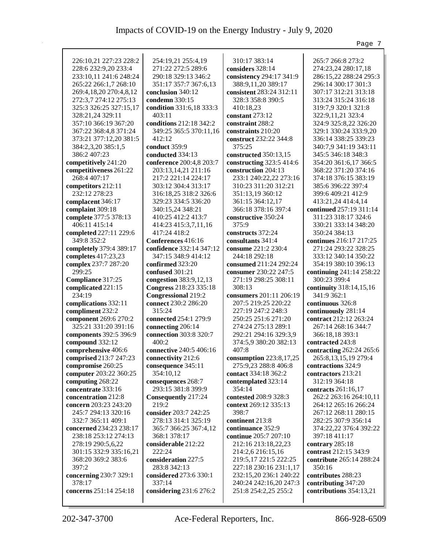|                                         |                                            |                              | Page 7                                |
|-----------------------------------------|--------------------------------------------|------------------------------|---------------------------------------|
|                                         |                                            |                              |                                       |
| 226:10,21 227:23 228:2                  | 254:19,21 255:4,19                         | 310:17 383:14                | 265:7 266:8 273:2                     |
| 228:6 232:9,20 233:4                    | 271:22 272:5 289:6                         | considers 328:14             | 274:23,24 280:17,18                   |
| 233:10,11 241:6 248:24                  | 290:18 329:13 346:2                        | consistency 294:17 341:9     | 286:15,22 288:24 295:3                |
| 265:22 266:1,7 268:10                   | 351:17 357:7 367:6,13                      | 388:9,11,20 389:17           | 296:14 300:17 301:3                   |
| 269:4,18,20 270:4,8,12                  | conclusion 340:12                          | consistent 283:24 312:11     | 307:17 312:21 313:18                  |
| 272:3,7 274:12 275:13                   | condemn 330:15                             | 328:3 358:8 390:5            | 313:24 315:24 316:18                  |
| 325:3 326:25 327:15,17                  | condition 331:6,18 333:3                   | 410:18,23                    | 319:7,9 320:1 321:8                   |
| 328:21,24 329:11                        | 403:11                                     | constant 273:12              | 322:9,11,21 323:4                     |
| 357:10 366:19 367:20                    | conditions 212:18 342:2                    | constraint 288:2             | 324:9 325:8,22 326:20                 |
| 367:22 368:4,8 371:24                   | 349:25 365:5 370:11,16                     | constraints 210:20           | 329:1 330:24 333:9,20                 |
| 373:21 377:12,20 381:5                  | 412:12                                     | construct 232:22 344:8       | 336:14 338:25 339:23                  |
| 384:2,3,20 385:1,5                      | conduct 359:9                              | 375:25                       | 340:7,9 341:19 343:11                 |
| 386:2 407:23                            | conducted 334:13                           | constructed 350:13,15        | 345:5 346:18 348:3                    |
| competitively 241:20                    | conference 200:4,8 203:7                   | constructing 323:5 414:6     | 354:20 361:6,17 366:5                 |
| competitiveness 261:22                  | 203:13,14,21 211:16                        | construction 204:13          | 368:22 371:20 374:16                  |
| 268:4 407:17                            | 217:2 221:14 224:17                        | 233:1 240:22,22 273:16       | 374:18 376:15 383:19                  |
| competitors 212:11                      | 303:12 304:4 313:17                        | 310:23 311:20 312:21         | 385:6 396:22 397:4                    |
| 232:12 278:23                           | 316:18,25 318:2 326:6                      | 351:13,19 360:12             | 399:6 409:21 412:9                    |
| complacent 346:17                       | 329:23 334:5 336:20                        | 361:15 364:12,17             | 413:21,24 414:4,14                    |
| complaint 309:18                        | 340:15,24 348:21                           | 366:18 378:16 397:4          | continued 257:19 311:14               |
| complete 377:5 378:13                   | 410:25 412:2 413:7<br>414:23 415:3,7,11,16 | constructive 350:24<br>375:9 | 311:23 318:17 324:6                   |
| 406:11 415:14<br>completed 227:11 229:6 | 417:24 418:2                               | constructs 372:24            | 330:21 333:14 348:20<br>350:24 384:13 |
| 349:8 352:2                             | Conferences 416:16                         | consultants 341:4            | continues 216:17 217:25               |
| completely 379:4 389:17                 | confidence 332:14 347:12                   | consume 221:2 230:4          | 271:24 293:22 328:25                  |
| completes 417:23,23                     | 347:15 348:9 414:12                        | 244:18 292:18                | 333:12 340:14 350:22                  |
| complex 237:7 287:20                    | confirmed 323:20                           | consumed 211:24 292:24       | 354:19 380:10 396:13                  |
| 299:25                                  | confused 301:21                            | consumer 230:22 247:5        | continuing 241:14 258:22              |
| Compliance 317:25                       | congestion 383:9,12,13                     | 271:19 298:25 308:11         | 300:23 399:4                          |
| complicated 221:15                      | Congress 218:23 335:18                     | 308:13                       | continuity 318:14,15,16               |
| 234:19                                  | <b>Congressional 219:2</b>                 | consumers 201:11 206:19      | 341:9 362:1                           |
| complications 332:11                    | connect 230:2 286:20                       | 207:5 219:25 220:22          | continuous 326:8                      |
| compliment 232:2                        | 315:24                                     | 227:19 247:2 248:3           | continuously 281:14                   |
| component 269:6 270:2                   | connected 254:1 279:9                      | 250:25 251:6 271:20          | contract 212:12 263:24                |
| 325:21 331:20 391:16                    | connecting 206:14                          | 274:24 275:13 289:1          | 267:14 268:16 344:7                   |
| components 392:5 396:9                  | connection 303:8 320:7                     | 292:21 294:16 329:3,9        | 366:18,18 393:1                       |
| compound 332:12                         | 400:2                                      | 374:5,9 380:20 382:13        | contracted 243:8                      |
| comprehensive 406:6                     | connective 240:5 406:16                    | 407:8                        | contracting 262:24 265:6              |
| comprised 213:7 247:23                  | connectivity 212:6                         | consumption 223:8,17,25      | 265:8, 13, 15, 19 279:4               |
| compromise 260:25                       | consequence 345:11                         | 275:9,23 288:8 406:8         | contractions 324:9                    |
| computer 203:22 360:25                  | 354:10,12                                  | contact 334:18 362:2         | contractors 213:21                    |
| computing 268:22                        | consequences 268:7                         | contemplated 323:14          | 312:19 364:18                         |
| concentrate 333:16                      | 293:15 381:8 399:9                         | 354:14                       | contracts 261:16,17                   |
| concentration 212:8                     | Consequently 217:24                        | contested 208:9 328:3        | 262:2 263:16 264:10,11                |
| concern 203:23 243:20                   | 219:2                                      | context 269:12 335:13        | 264:12 265:16 266:24                  |
| 245:7 294:13 320:16                     | consider 203:7 242:25                      | 398:7                        | 267:12 268:11 280:15                  |
| 332:7 365:11 409:1                      | 278:13 314:1 325:19                        | continent 213:8              | 282:25 307:9 356:14                   |
| concerned 234:23 238:17                 | 365:7 366:25 367:4,12                      | continuance 352:9            | 374:22,22 376:4 392:22                |
| 238:18 253:12 274:13                    | 368:1 378:17                               | continue 205:7 207:10        | 397:18 411:17                         |
| 278:19 290:5,6,22                       | considerable 212:22                        | 212:16 213:18,22,23          | contrary 285:18                       |
| 301:15 332:9 335:16,21                  | 222:24                                     | 214:2,6 216:15,16            | contrast 212:15 343:9                 |
| 368:20 369:2 383:6                      | consideration 227:5                        | 219:5,17 221:5 222:25        | contribute 265:14 288:24              |
| 397:2                                   | 283:8 342:13                               | 227:18 230:16 231:1,17       | 350:16                                |
| concerning 230:7 329:1                  | considered 273:6 330:1                     | 232:15,20 236:1 240:22       | contributes 288:23                    |
| 378:17                                  | 337:14                                     | 240:24 242:16,20 247:3       | contributing 347:20                   |
| concerns 251:14 254:18                  | considering 231:6 276:2                    | 251:8 254:2,25 255:2         | contributions 354:13,21               |
|                                         |                                            |                              |                                       |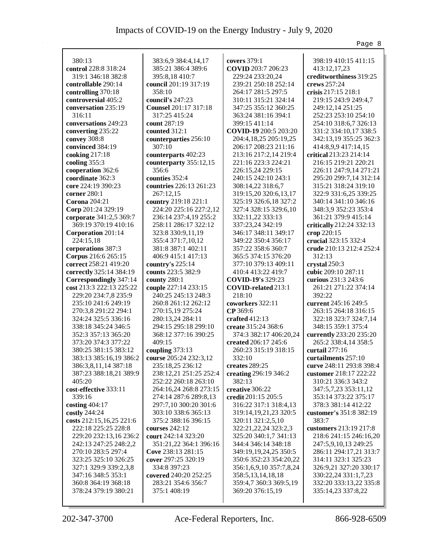|                                           |                                             |                                             | Page 8                                       |
|-------------------------------------------|---------------------------------------------|---------------------------------------------|----------------------------------------------|
|                                           |                                             |                                             |                                              |
| 380:13                                    | 383:6,9 384:4,14,17                         | covers 379:1                                | 398:19 410:15 411:15                         |
| control 228:8 318:24                      | 385:21 386:4 389:6                          | COVID 203:7 206:23                          | 413:12,17,23                                 |
| 319:1 346:18 382:8                        | 395:8,18410:7                               | 229:24 233:20,24                            | creditworthiness 319:25                      |
| controllable 290:14                       | council 201:19 317:19                       | 239:21 250:18 252:14                        | crews 257:24                                 |
| controlling 370:18                        | 358:10                                      | 264:17 281:5 297:5                          | crisis 217:15 218:1                          |
| controversial 405:2                       | council's 247:23                            | 310:11 315:21 324:14                        | 219:15 243:9 249:4,7                         |
| conversation 235:19                       | Counsel 201:17 317:18                       | 347:25 355:12 360:25                        | 249:12,14 251:25                             |
| 316:11                                    | 317:25 415:24                               | 363:24 381:16 394:1                         | 252:23 253:10 254:10                         |
| conversations 249:23                      | count 287:19                                | 399:15 411:14                               | 254:10 318:6,7 326:13                        |
| converting 235:22                         | counted 312:1                               | COVID-19 200:5 203:20                       | 331:2 334:10,17 338:5                        |
| convey 308:8                              | counterparties 256:10                       | 204:4,18,25 205:19,25                       | 342:13,19 355:25 362:3                       |
| convinced 384:19                          | 307:10                                      | 206:17 208:23 211:16                        | 414:8,9,9 417:14,15                          |
| cooking 217:18                            | counterparts 402:23                         | 213:16 217:2,14 219:4                       | critical 213:23 214:14                       |
| cooling 355:3                             | counterparty 355:12,15                      | 221:16 223:3 224:21                         | 216:15 219:21 220:21                         |
| cooperation 362:6                         | 356:6                                       | 226:15,24 229:15                            | 226:11 247:9,14 271:21                       |
| coordinate 362:3                          | counties 352:4                              | 240:15 242:10 243:1                         | 295:20 299:7,14 312:14                       |
| core 224:19 390:23                        | countries 226:13 261:23                     | 308:14,22 318:6,7                           | 315:21 318:24 319:10                         |
| corner 280:1                              | 267:12,15                                   | 319:15,20 320:6,13,17                       | 322:9 331:6,25 339:25                        |
| Corona 204:21                             | country 219:18 221:1                        | 325:19 326:6,18 327:2                       | 340:14 341:10 346:16                         |
| Corp 201:24 329:19                        | 224:20 225:16 227:2,12                      | 327:4 328:15 329:6,10                       | 348:3,9 352:23 353:4                         |
| corporate 341:2,5 369:7                   | 236:14 237:4,19 255:2                       | 332:11,22 333:13                            | 361:21 379:9 415:14                          |
| 369:19 370:19 410:16                      | 258:11 286:17 322:12                        | 337:23,24 342:19                            | critically 212:24 332:13                     |
| Corporation 201:14                        | 323:8 330:9,11,19                           | 346:17 348:11 349:17                        | crop 220:15                                  |
| 224:15,18                                 | 355:4 371:7,10,12                           | 349:22 350:4 356:17                         | crucial 323:15 332:4                         |
| corporations 387:3                        | 381:8 387:1 402:11                          | 357:22 358:6 360:7                          | crude 210:13 212:4 252:4                     |
| Corpus 216:6 265:15                       | 406:9 415:1 417:13                          | 365:5 374:15 376:20                         | 312:13                                       |
| correct 258:21 419:20                     | country's $225:14$                          | 377:10 379:13 409:11                        | crystal 250:3                                |
| correctly 325:14 384:19                   | counts 223:5 382:9                          | 410:4 413:22 419:7                          | cubic 209:10 287:11                          |
| Correspondingly 347:14                    | county 280:1                                | <b>COVID-19's 329:23</b>                    | curious 231:3 243:6                          |
| cost 213:3 222:13 225:22                  | couple 227:14 233:15                        | COVID-related 213:1                         | 261:21 271:22 374:14                         |
| 229:20 234:7,8 235:9                      | 240:25 245:13 248:3                         | 218:10                                      | 392:22                                       |
| 235:10 241:6 249:19                       | 260:8 261:12 262:12                         | coworkers 322:11                            | current 245:16 249:5                         |
| 270:3,8 291:22 294:1                      | 270:15,19 275:24                            | CP 369:6                                    | 263:15 264:18 316:15                         |
| 324:24 325:5 336:16                       | 280:13,24 284:11                            | crafted $412:13$                            | 322:18 323:7 324:7,14                        |
| 338:18 345:24 346:5                       | 294:15 295:18 299:10                        | create 315:24 368:6                         | 348:15 359:1 375:4                           |
| 352:3 357:13 365:20                       | 368:12 377:16 390:25                        | 374:3 382:17 406:20,24                      | currently 233:20 235:20                      |
| 373:20 374:3 377:22                       | 409:15                                      | created 206:17 245:6                        | 265:2 338:4,14 358:5                         |
| 380:25 381:15 383:12                      | coupling $373:13$                           | 260:23 315:19 318:15                        | curtail $277:16$                             |
| 383:13 385:16,19 386:2                    | course 205:24 232:3,12                      | 332:10                                      | curtailments 257:10                          |
| 386:3,8,11,14 387:18                      | 235:18,25 236:12                            | creates 289:25                              | curve 248:11 293:8 398:4                     |
| 387:23 388:18,21 389:9                    | 238:12,21 251:25 252:4                      | creating 296:19 346:2                       | customer 218:17 222:22                       |
| 405:20                                    | 252:22 260:18 263:10                        | 382:13                                      | 310:21 336:3 343:2                           |
| cost-effective 333:11                     | 264:16,24 268:8 273:15                      | creative 306:22                             | 347:5,7,23 353:11,12                         |
| 339:16                                    | 274:14 287:6 289:8,13                       | credit 201:15 205:5                         | 353:14 373:22 375:17                         |
| costing 404:17                            | 297:7,10 300:20 301:6                       | 316:22 317:1 318:4,13                       | 378:3 381:14 412:22                          |
| costly 244:24                             | 303:10 338:6 365:13                         | 319:14, 19, 21, 23 3 20:5                   | customer's 351:8 382:19                      |
| costs 212:15,16,25 221:6                  | 375:2 388:16 396:15                         | 320:11 321:2,5,10                           | 383:7                                        |
| 222:18 225:25 228:8                       | courses 242:12                              | 322:21, 22, 24 323:2, 3                     | customers 213:19 217:8                       |
| 229:20 232:13,16 236:2                    | court 242:14 323:20                         | 325:20 340:1,7 341:13                       | 218:6 241:15 246:16,20                       |
| 242:13 247:25 248:2,2                     | 351:21,22 364:1 396:16                      | 344:4 346:14 348:18                         | 247:5,9,10,13 249:25                         |
| 270:10 283:5 297:4                        | Cove 238:13 281:15                          | 349:19,19,24,25 350:5                       | 286:11 294:17,21 313:7                       |
| 323:25 325:10 326:25                      | cover 297:25 320:19                         | 350:6 352:23 354:20,22                      | 314:11 323:1 325:23                          |
| 327:1 329:9 339:2,3,8                     | 334:8 397:23                                | 356:1,6,9,10 357:7,8,24                     | 326:9,21 327:20 330:17                       |
| 347:16 348:5 353:1<br>360:8 364:19 368:18 | covered 240:20 252:25<br>283:21 354:6 356:7 | 358:5,13,14,18,18<br>359:4,7 360:3 369:5,19 | 330:22,24 331:1,7,23                         |
| 378:24 379:19 380:21                      | 375:1 408:19                                | 369:20 376:15,19                            | 332:20 333:13,22 335:8<br>335:14,23 337:8,22 |
|                                           |                                             |                                             |                                              |
|                                           |                                             |                                             |                                              |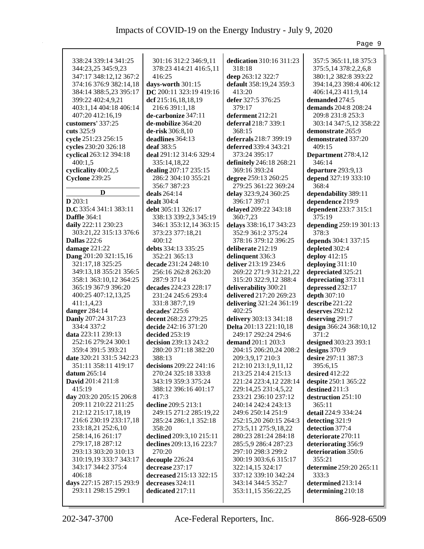|                                        |                                              |                                                  | Page 9                           |
|----------------------------------------|----------------------------------------------|--------------------------------------------------|----------------------------------|
| 338:24 339:14 341:25                   | 301:16 312:2 346:9,11                        | dedication 310:16 311:23                         | 357:5 365:11,18 375:3            |
| 344:23,25 345:9,23                     | 378:23 414:21 416:5,11                       | 318:18                                           |                                  |
| 347:17 348:12,12 367:2                 | 416:25                                       | deep 263:12 322:7                                | 375:5,14 378:2,2,6,8             |
|                                        |                                              | default 358:19,24 359:3                          | 380:1,2 382:8 393:22             |
| 374:16 376:9 382:14,18                 | days-worth 301:15<br>DC 200:11 323:19 419:16 | 413:20                                           | 394:14,23 398:4 406:12           |
| 384:14 388:5,23 395:17                 |                                              | defer 327:5 376:25                               | 406:14,23 411:9,14               |
| 399:22 402:4,9,21                      | dcf 215:16,18,18,19                          |                                                  | demanded 274:5                   |
| 403:1,14 404:18 406:14                 | 216:6 391:1,18                               | 379:17                                           | <b>demands</b> 204:8 208:24      |
| 407:20 412:16,19                       | de-carbonize 347:11                          | deferment 212:21                                 | 209:8 231:8 253:3                |
| customers' 337:25                      | de-mobilize 364:20                           | deferral 218:7 339:1                             | 303:14 347:5,12 358:22           |
| cuts 325:9                             | de-risk 306:8,10                             | 368:15                                           | demonstrate 265:9                |
| cycle 251:23 256:15                    | deadlines 364:13                             | deferrals 218:7 399:19                           | demonstrated 337:20              |
| cycles 230:20 326:18                   | deaf $383:5$                                 | deferred 339:4 343:21                            | 409:15                           |
| cyclical 263:12 394:18                 | deal 291:12 314:6 329:4                      | 373:24 395:17                                    | Department 278:4,12              |
| 400:1,5                                | 335:14,18,22                                 | definitely 246:18 268:21                         | 346:14                           |
| cyclicality 400:2,5                    | dealing 207:17 235:15                        | 369:16 393:24                                    | departure 293:9,13               |
| <b>Cyclone 239:25</b>                  | 286:2 304:10 355:21                          | degree 259:13 260:25                             | depend 327:19 333:10             |
|                                        | 356:7 387:23                                 | 279:25 361:22 369:24                             | 368:4                            |
| D                                      | deals 264:14                                 | delay 323:9,24 360:25                            | dependability 389:11             |
| $D$ 203:1                              | dealt 304:4                                  | 396:17 397:1                                     | dependence 219:9                 |
| D.C 335:4 341:1 383:11                 | debt 305:11 326:17                           | delayed 209:22 343:18                            | dependent 233:7 315:1            |
| <b>Daffle</b> 364:1                    | 338:13 339:2,3 345:19                        | 360:7,23                                         | 375:19                           |
| daily 222:11 230:23                    | 346:1 353:12,14 363:15                       | delays 338:16,17 343:23                          | depending 259:19 301:13          |
| 303:21,22 315:13 376:6                 | 373:23 377:18,21                             | 352:9 361:2 375:24                               | 378:3                            |
| <b>Dallas</b> 222:6                    | 400:12                                       | 378:16 379:12 396:25                             | depends 304:1 337:15             |
| damage 221:22                          | debts 334:13 335:25                          | deliberate 212:19                                | depleted 302:4                   |
| Dang 201:20 321:15,16                  | 352:21 365:13                                | delinquent 336:3                                 | deploy 412:15                    |
| 321:17,18 325:25                       | decade 231:24 248:10                         | deliver 213:19 234:6                             | deploying 311:10                 |
| 349:13,18 355:21 356:5                 | 256:16 262:8 263:20                          | 269:22 271:9 312:21,22                           | depreciated 325:21               |
| 358:1 363:10,12 364:25                 | 287:9 371:4                                  | 315:20 322:9,12 388:4                            | depreciating 373:11              |
| 365:19 367:9 396:20                    | decades 224:23 228:17                        | deliverability 300:21                            | depressed 232:17                 |
| 400:25 407:12,13,25                    | 231:24 245:6 293:4                           | delivered 217:20 269:23                          | depth 307:10                     |
| 411:1,4,23                             | 331:8 387:7,19                               | delivering 321:24 361:19<br>402:25               | describe 221:22                  |
| danger $284:14$<br>Danly 207:24 317:23 | decades' 225:6                               |                                                  | deserves $292:12$                |
| 334:4 337:2                            | decent 268:23 279:25<br>decide 242:16 371:20 | delivery 303:13 341:18<br>Delta 201:13 221:10,18 | deserving 291:7                  |
| data 223:11 239:13                     | decided 253:19                               | 249:17 292:24 294:6                              | design 366:24 368:10,12<br>371:2 |
| 252:16 279:24 300:1                    | decision 239:13 243:2                        | demand 201:1 203:3                               | designed 303:23 393:1            |
| 359:4 391:5 393:21                     | 280:20 371:18 382:20                         | 204:15 206:20,24 208:2                           | designs $370:9$                  |
| date 320:21 331:5 342:23               | 388:13                                       | 209:3,9,17 210:3                                 | desire 297:11 387:3              |
| 351:11 358:11 419:17                   | decisions 209:22 241:16                      | 212:10 213:1,9,11,12                             | 395:6,15                         |
| datum $265:14$                         | 270:24 325:18 333:8                          | 213:25 214:4 215:13                              | desired 412:22                   |
| David 201:4 211:8                      | 343:19 359:3 375:24                          | 221:24 223:4,12 228:14                           | despite 250:1 365:22             |
| 415:19                                 | 388:12 396:16 401:17                         | 229:14,25 231:4,5,22                             | destined 211:3                   |
| day 203:20 205:15 206:8                | 417:3                                        | 233:21 236:10 237:12                             | destruction 251:10               |
| 209:11 210:22 211:25                   | decline 209:5 213:1                          | 240:14 242:4 243:13                              | 365:11                           |
| 212:12 215:17,18,19                    | 249:15 271:2 285:19,22                       | 249:6 250:14 251:9                               | detail 224:9 334:24              |
| 216:6 230:19 233:17,18                 | 285:24 286:1,1 352:18                        | 252:15,20 260:15 264:3                           | detecting 321:9                  |
| 233:18,21 252:6,10                     | 358:20                                       | 273:5,11 275:9,18,22                             | detection 377:4                  |
| 258:14,16 261:17                       | declined 209:3,10 215:11                     | 280:23 281:24 284:18                             | deteriorate 270:11               |
| 279:17,18 287:12                       | declines 209:13,16 223:7                     | 285:5,9 286:4 287:23                             | deteriorating 356:9              |
| 293:13 303:20 310:13                   | 270:20                                       | 297:10 298:3 299:2                               | deterioration 350:6              |
| 310:19,19 333:7 343:17                 | decouple 226:24                              | 300:19 303:6,6 315:17                            | 355:21                           |
| 343:17 344:2 375:4                     | decrease 237:17                              | 322:14,15 324:17                                 | determine 259:20 265:11          |
| 406:18                                 | decreased 215:13 322:15                      | 337:12 339:10 342:24                             | 333:3                            |
| days 227:15 287:15 293:9               | decreases 324:11                             | 343:14 344:5 352:7                               | determined 213:14                |
| 293:11 298:15 299:1                    | dedicated 217:11                             | 353:11,15 356:22,25                              | determining 210:18               |
|                                        |                                              |                                                  |                                  |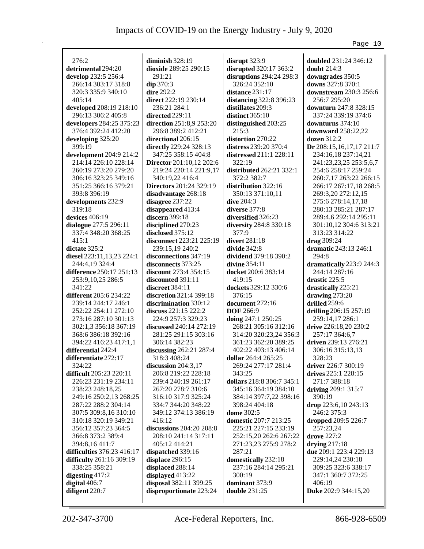|                            |                                            |                                         | Page 10                             |
|----------------------------|--------------------------------------------|-----------------------------------------|-------------------------------------|
| 276:2                      |                                            |                                         | doubled 231:24 346:12               |
| detrimental 294:20         | diminish 328:19                            | disrupt $323:9$                         | doubt 214:3                         |
|                            | dioxide 289:25 290:15                      | disrupted 320:17 363:2                  |                                     |
| develop 232:5 256:4        | 291:21                                     | disruptions 294:24 298:3                | downgrades 350:5                    |
| 266:14 303:17 318:8        | dip 370:3                                  | 326:24 352:10                           | downs 327:8 370:1                   |
| 320:3 335:9 340:10         | dire 292:2                                 | distance $231:17$                       | downstream 230:3 256:6              |
| 405:14                     | direct 222:19 230:14                       | distancing 322:8 396:23                 | 256:7 295:20                        |
| developed 208:19 218:10    | 236:21 284:1                               | distillates 209:3                       | downturn 247:8 328:15               |
| 296:13 306:2 405:8         | directed 229:11                            | distinct $365:10$                       | 337:24 339:19 374:6                 |
| developers 284:25 375:23   | direction 251:8,9 253:20                   | distinguished 203:25                    | downturns 374:10                    |
| 376:4 392:24 412:20        | 296:8 389:2 412:21                         | 215:3                                   | downward 258:22,22                  |
| developing 325:20          | directional 206:15                         | distortion 270:22                       | dozen $312:2$                       |
| 399:19                     | directly 229:24 328:13                     | distress 239:20 370:4                   | Dr 208:15,16,17,17 211:7            |
| development 204:9 214:2    | 347:25 358:15 404:8                        | <b>distressed</b> 211:1 228:11          | 234:16,18 237:14,21                 |
| 214:14 226:10 228:14       | <b>Director</b> 201:10,12 202:6            | 322:19                                  | 241:23,23,25 253:5,6,7              |
| 260:19 273:20 279:20       | 219:24 220:14 221:9,17                     | distributed 262:21 332:1                | 254:6 258:17 259:24                 |
| 306:16 323:25 349:16       | 340:19,22 416:4                            | 372:2 382:7                             | 260:7,17 263:22 266:15              |
| 351:25 366:16 379:21       | <b>Directors</b> 201:24 329:19             | distribution 322:16                     | 266:17 267:17,18 268:5              |
| 393:8 396:19               | disadvantage 268:18                        | 350:13 371:10,11                        | 269:3,20 272:12,15                  |
| developments 232:9         | disagree 237:22                            | dive $204:3$                            | 275:6 278:14,17,18                  |
| 319:18                     | disappeared 413:4                          | diverse 377:8                           | 280:13 285:21 287:17                |
| devices 406:19             | discern 399:18                             | diversified 326:23                      | 289:4,6 292:14 295:11               |
| dialogue 277:5 296:11      | disciplined 270:23                         | diversity 284:8 330:18                  | 301:10,12 304:6 313:21              |
| 337:4 348:20 368:25        | disclosed 375:12                           | 377:9                                   | 313:23 314:22                       |
| 415:1                      | disconnect 223:21 225:19                   | divert 281:18                           | drag 309:24                         |
| dictate 325:2              | 239:15,19 240:2                            | divide $342:8$                          | dramatic 243:13 246:1               |
| diesel 223:11,13,23 224:1  | disconnections 347:19                      | dividend 379:18 390:2                   | 294:8                               |
| 244:4,19 324:4             | disconnects 373:25                         | divine $354:11$                         | dramatically 223:9 244:3            |
| difference 250:17 251:13   | discount 273:4 354:15                      | docket 200:6 383:14                     | 244:14 287:16                       |
| 253:9,10,25 286:5          | discounted 391:11                          | 419:15                                  | drastic 225:5                       |
| 341:22                     | discreet 384:11                            | dockets 329:12 330:6                    | drastically 225:21                  |
| different 205:6 234:22     | discretion 321:4 399:18                    | 376:15                                  | drawing $273:20$                    |
| 239:14 244:17 246:1        | discrimination 330:12                      | document 272:16                         | drilled $259:6$                     |
| 252:22 254:11 272:10       | discuss $221:15\,222:2$                    | <b>DOE</b> 266:9                        | drilling 206:15 257:19              |
| 273:16 287:10 301:13       | 224:9 257:3 329:23                         | doing 247:1 250:25                      | 259:14,17 286:1                     |
| 302:1,3 356:18 367:19      | discussed 240:14 272:19                    | 268:21 305:16 312:16                    | drive 226:18,20 230:2               |
| 368:6 386:18 392:16        | 281:25 291:15 303:16                       | 314:20 320:23,24 356:3                  | 257:17 364:6,7                      |
| 394:22 416:23 417:1,1      | 306:14 382:23                              | 361:23 362:20 389:25                    | driven 239:13 276:21                |
| differential 242:4         | discussing 262:21 287:4                    | 402:22 403:13 406:14                    | 306:16 315:13,13                    |
| differentiate 272:17       | 318:3 408:24                               | dollar 264:4 265:25                     | 328:23                              |
| 324:22                     | discussion $204:3,17$                      | 269:24 277:17 281:4                     | driver 226:7 300:19                 |
| difficult 205:23 220:11    | 206:8 219:22 228:18                        | 343:25                                  | drives $225:1 228:15$               |
| 226:23 231:19 234:11       |                                            | dollars 218:8 306:7 345:1               | 271:7 388:18                        |
| 238:23 248:18,25           | 239:4 240:19 261:17<br>267:20 278:7 310:6  | 345:16 364:19 384:10                    | driving 209:1 315:7                 |
|                            |                                            |                                         |                                     |
| 249:16 250:2,13 268:25     | 316:10 317:9 325:24<br>334:7 344:20 348:22 | 384:14 397:7,22 398:16<br>398:24 404:18 | 390:19                              |
| 287:22 288:2 304:14        |                                            |                                         | drop 223:6,10 243:13<br>246:2 375:3 |
| 307:5 309:8,16 310:10      | 349:12 374:13 386:19                       | dome 302:5                              |                                     |
| 310:18 320:19 349:21       | 416:12<br>discussions 204:20 208:8         | domestic 207:7 213:25                   | dropped 209:5 226:7                 |
| 356:12 357:23 364:5        |                                            | 225:21 227:15 233:19                    | 257:23,24                           |
| 366:8 373:2 389:4          | 208:10 241:14 317:11                       | 252:15,20 262:6 267:22                  | drove 227:2                         |
| 394:8,16411:7              | 405:12 414:21                              | 271:23,23 275:9 278:2                   | drying $217:18$                     |
| difficulties 376:23 416:17 | dispatched 339:16                          | 287:21                                  | due 209:1 223:4 229:13              |
| difficulty 261:16 309:19   | displace 296:15                            | domestically 232:18                     | 229:14,24 230:18                    |
| 338:25 358:21              | displaced 288:14                           | 237:16 284:14 295:21                    | 309:25 323:6 338:17                 |
| digesting $417:2$          | displayed 413:22                           | 300:19                                  | 347:1 360:7 372:25                  |
| digital $406:7$            | disposal 382:11 399:25                     | dominant 373:9                          | 406:19                              |
| diligent 220:7             | disproportionate 223:24                    | double $231:25$                         | Duke 202:9 344:15,20                |
|                            |                                            |                                         |                                     |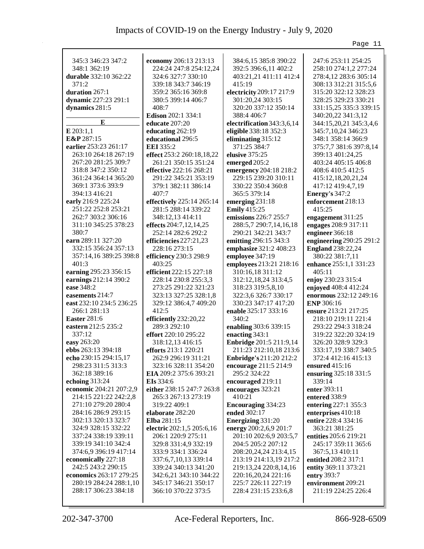|                          |                           |                                | Page 11                  |
|--------------------------|---------------------------|--------------------------------|--------------------------|
|                          |                           |                                |                          |
| 345:3 346:23 347:2       | economy 206:13 213:13     | 384:6,15 385:8 390:22          | 247:6 253:11 254:25      |
| 348:1 362:19             | 224:24 247:8 254:12,24    | 392:5 396:6,11 402:2           | 258:10 274:1,2 277:24    |
| durable 332:10 362:22    | 324:6 327:7 330:10        | 403:21,21 411:11 412:4         | 278:4,12 283:6 305:14    |
| 371:2                    | 339:18 343:7 346:19       | 415:19                         | 308:13 312:21 315:5,6    |
| duration 267:1           | 359:2 365:16 369:8        | electricity 209:17 217:9       | 315:20 322:12 328:23     |
| dynamic 227:23 291:1     | 380:5 399:14 406:7        | 301:20,24 303:15               | 328:25 329:23 330:21     |
| dynamics 281:5           | 408:7                     | 320:20 337:12 350:14           | 331:15,25 335:3 339:15   |
|                          | Edison 202:1 334:1        | 388:4 406:7                    | 340:20,22 341:3,12       |
| E                        | educate $207:20$          | electrification 343:3,6,14     | 344:15,20,21 345:3,4,6   |
| $E$ 203:1,1              | educating 262:19          | eligible 338:18 352:3          | 345:7, 10, 24 346: 23    |
| E&P 287:15               | educational 296:5         | eliminating 315:12             | 348:1 358:14 366:9       |
| earlier 253:23 261:17    | <b>EEI</b> 335:2          | 371:25 384:7                   | 375:7,7 381:6 397:8,14   |
| 263:10 264:18 267:19     | effect 253:2 260:18,18,22 | elusive 375:25                 | 399:13 401:24,25         |
| 267:20 281:25 309:7      | 261:21 350:15 351:24      | emerged 205:2                  | 403:24 405:15 406:8      |
| 318:8 347:2 350:12       | effective 222:16 268:21   | emergency 204:18 218:2         | 408:6 410:5 412:5        |
| 361:24 364:14 365:20     | 291:22 345:21 353:19      | 229:15 239:20 310:11           | 415:12,18,20,21,24       |
| 369:1 373:6 393:9        | 379:1 382:11 386:14       | 330:22 350:4 360:8             |                          |
|                          | 407:7                     |                                | 417:12 419:4,7,19        |
| 394:13 416:21            |                           | 365:5 379:14                   | Energy's $347:2$         |
| early 216:9 225:24       | effectively 225:14 265:14 | emerging 231:18                | enforcement 218:13       |
| 251:22 252:8 253:21      | 281:5 288:14 339:22       | <b>Emily</b> 415:25            | 415:25                   |
| 262:7 303:2 306:16       | 348:12,13 414:11          | emissions 226:7 255:7          | engagement 311:25        |
| 311:10 345:25 378:23     | effects 204:7,12,14,25    | 288:5,7 290:7,14,16,18         | engages 208:9 317:11     |
| 380:7                    | 252:14 282:6 292:2        | 290:21 342:21 343:7            | engineer 366:18          |
| earn 289:11 327:20       | efficiencies $227:21,23$  | emitting 296:15 343:3          | engineering 290:25 291:2 |
| 332:15 356:24 357:13     | 228:16 273:15             | emphasize 321:2 408:23         | <b>England</b> 238:22,24 |
| 357:14,16 389:25 398:8   | efficiency 230:3 298:9    | employee 347:19                | 380:22 381:7,11          |
| 401:3                    | 403:25                    | employees 213:21 218:16        | enhance 255:1,1 331:23   |
| earning 295:23 356:15    | efficient 222:15 227:18   | 310:16,18 311:12               | 405:11                   |
| earnings 212:14 390:2    | 228:14 230:8 255:3,3      | 312:12, 18, 24 313:4, 5        | enjoy 230:23 315:4       |
| ease 348:2               | 273:25 291:22 321:23      | 318:23 319:5,8,10              | enjoyed 408:4 412:24     |
| easements 214:7          | 323:13 327:25 328:1,8     | 322:3,6 326:7 330:17           | enormous 232:12 249:16   |
| east 232:10 234:5 236:25 | 329:12 386:4,7 409:20     | 330:23 347:17 417:20           | <b>ENP</b> 306:16        |
| 266:1 281:13             | 412:5                     | enable 325:17 333:16           | ensure 213:21 217:25     |
| <b>Easter</b> 281:6      | efficiently 232:20,22     | 340:2                          | 218:10 219:11 221:4      |
| eastern 212:5 235:2      | 289:3 292:10              | enabling 303:6 339:15          | 293:22 294:3 318:24      |
| 337:12                   | effort 220:10 295:22      | enacting 343:1                 | 319:22 322:20 324:19     |
| easy 263:20              | 318:12,13 416:15          | <b>Enbridge</b> 201:5 211:9,14 | 326:20 328:9 329:3       |
| ebbs 263:13 394:18       | efforts 213:1 220:21      | 211:23 212:10,18 213:6         | 333:17,19 338:7 340:5    |
| echo 230:15 294:15,17    | 262:9 296:19 311:21       | <b>Enbridge's</b> 211:20 212:2 | 372:4 412:16 415:13      |
| 298:23 311:5 313:3       | 323:16 328:11 354:20      | encourage 211:5 214:9          | ensured 415:16           |
| 362:18 389:16            | EIA 209:2 375:6 393:21    | 295:2 324:22                   | ensuring 325:18 331:5    |
| echoing $313:24$         | <b>EIs</b> 334:6          | encouraged 219:11              | 339:14                   |
| economic 204:21 207:2,9  | either 238:15 247:7 263:8 | encourages 323:21              | enter 393:11             |
| 214:15 221:22 242:2,8    | 265:3 267:13 273:19       | 410:21                         | entered 338:9            |
| 271:10 279:20 280:4      | 319:22 409:1              | <b>Encouraging 334:23</b>      | entering 227:1 355:3     |
| 284:16 286:9 293:15      | elaborate 282:20          | ended 302:17                   |                          |
|                          |                           |                                | enterprises 410:18       |
| 302:13 320:13 323:7      | Elba 281:15               | Energizing 331:20              | entire 228:4 334:16      |
| 324:9 328:15 332:22      | electric 202:1,5 205:6,16 | energy 200:2,6,9 201:7         | 363:21 381:25            |
| 337:24 338:19 339:11     | 206:1 220:9 275:11        | 201:10 202:6,9 203:5,7         | entities 205:6 219:21    |
| 339:19 341:10 342:4      | 329:8 331:4,9 332:19      | 204:5 205:2 207:12             | 245:17 359:11 365:6      |
| 374:6,9 396:19 417:14    | 333:9 334:1 336:24        | 208:20,24,24 213:4,15          | 367:5,13 410:11          |
| economically 227:18      | 337:6,7,10,13 339:14      | 213:19 214:13,19 217:2         | entitled 208:2 317:1     |
| 242:5 243:2 290:15       | 339:24 340:13 341:20      | 219:13,24 220:8,14,16          | entity 369:11 373:21     |
| economics 263:17 279:25  | 342:6,21 343:10 344:22    | 220:16,20,24 221:16            | entry 393:7              |
| 280:19 284:24 288:1,10   | 345:17 346:21 350:17      | 225:7 226:11 227:19            | environment 209:21       |
| 288:17 306:23 384:18     | 366:10 370:22 373:5       | 228:4 231:15 233:6,8           | 211:19 224:25 226:4      |
|                          |                           |                                |                          |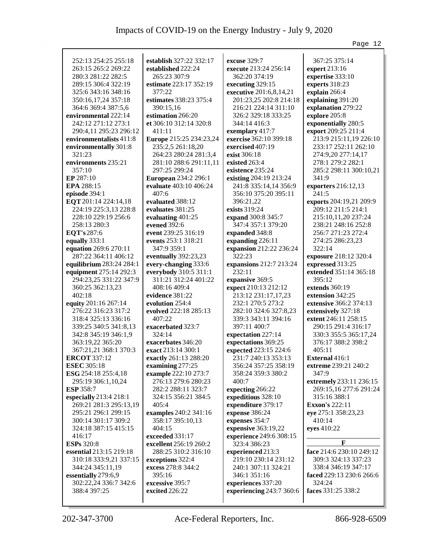|                            |                             |                          | Page 12                       |
|----------------------------|-----------------------------|--------------------------|-------------------------------|
|                            |                             |                          |                               |
| 252:13 254:25 255:18       | establish 327:22 332:17     | excuse 329:7             | 367:25 375:14                 |
| 263:15 265:2 269:22        | established 222:24          | execute 213:24 256:14    | expert 213:16                 |
| 280:3 281:22 282:5         | 265:23 307:9                | 362:20 374:19            | expertise 333:10              |
| 289:15 306:4 322:19        | estimate 223:17 352:19      | executing 329:15         | experts 318:23                |
| 325:6 343:16 348:16        | 377:22                      | executive 201:6,8,14,21  | explain 266:4                 |
| 350:16,17,24 357:18        | estimates 338:23 375:4      | 201:23,25 202:8 214:18   | explaining 391:20             |
| 364:6 369:4 387:5,6        | 390:15,16                   | 216:21 224:14 311:10     | explanation 279:22            |
| environmental 222:14       | estimation 266:20           | 326:2 329:18 333:25      | explore 205:8                 |
| 242:12 271:12 273:1        | et 306:10 312:14 320:8      | 344:14 416:3             | exponentially 280:5           |
| 290:4,11 295:23 296:12     | 411:11                      | exemplary 417:7          | export 209:25 211:4           |
| environmentalists 411:8    | Europe 215:25 234:23,24     | exercise 362:10 399:18   | 213:9 215:11,19 226:10        |
| environmentally 301:8      | 235:2,5 261:18,20           | exercised 407:19         | 233:17 252:11 262:10          |
| 321:23                     | 264:23 280:24 281:3,4       | exist 306:18             | 274:9,20 277:14,17            |
| environments 235:21        | 281:10 288:6 291:11,11      | existed 263:4            | 278:1 279:2 282:1             |
| 357:10                     | 297:25 299:24               | existence 235:24         | 285:2 298:11 300:10,21        |
| EP 287:10                  | <b>European 234:2 296:1</b> | existing 204:19 213:24   | 341:9                         |
| EPA 288:15                 | evaluate 403:10 406:24      | 241:8 335:14,14 356:9    | exporters 216:12,13           |
| episode 394:1              | 407:6                       | 356:10 375:20 395:11     | 241:5                         |
| EQT 201:14 224:14,18       | evaluated 388:12            | 396:21,22                | exports 204:19,21 209:9       |
| 224:19 225:3,13 228:8      | evaluates 381:25            | exists 319:24            | 209:12 211:5 214:1            |
| 228:10 229:19 256:6        | evaluating 401:25           | expand 300:8 345:7       | 215:10,11,20 237:24           |
| 258:13 280:3               | evened 392:6                | 347:4 357:1 379:20       | 238:21 248:16 252:8           |
| EQT's 287:6                | event 239:25 316:19         | expanded 348:8           | 256:7 271:23 272:4            |
| equally 333:1              | events 253:1 318:21         | expanding 226:11         | 274:25 286:23,23              |
| equation 269:6 270:11      | 347:9 359:1                 | expansion 212:22 236:24  | 322:14                        |
| 287:22 364:11 406:12       | eventually 392:23,23        | 322:23                   | exposure 218:12 320:4         |
| equilibrium 283:24 284:1   | every-changing 333:6        | expansions 212:7 213:24  | expressed 313:25              |
| equipment 275:14 292:3     | everybody 310:5 311:1       | 232:11                   | extended 351:14 365:18        |
| 294:23,25 331:22 347:9     | 311:21 312:24 401:22        | expansive 369:5          | 395:12                        |
| 360:25 362:13,23           | 408:16 409:4                | expect 210:13 212:12     | extends 360:19                |
| 402:18                     | evidence 381:22             | 213:12 231:17,17,23      | extension 342:25              |
| equity 201:16 267:14       | evolution 254:4             | 232:1 270:5 273:2        | <b>extensive</b> 366:2 374:13 |
| 276:22 316:23 317:2        | evolved 222:18 285:13       | 282:10 324:6 327:8,23    | extensively 327:18            |
| 318:4 325:13 336:16        | 407:22                      | 339:3 343:11 394:16      | extent 246:11 258:15          |
| 339:25 340:5 341:8,13      | exacerbated 323:7           | 397:11 400:7             | 290:15 291:4 316:17           |
| 342:8 345:19 346:1,9       | 324:14                      | expectation 227:14       | 330:3 355:5 365:17,24         |
| 363:19,22 365:20           | exacerbates 346:20          | expectations 369:25      | 376:17 388:2 398:2            |
| 367:21,21 368:1 370:3      | exact 213:14 300:1          | expected 223:15 224:6    | 405:11                        |
| <b>ERCOT 337:12</b>        | exactly 261:13 288:20       | 231:7 240:13 353:13      | <b>External</b> 416:1         |
| <b>ESEC</b> 305:18         | examining 277:25            | 356:24 357:25 358:19     | extreme 239:21 240:2          |
| <b>ESG</b> 254:18 255:4,18 | example 222:10 273:7        | 358:24 359:3 380:2       | 347:9                         |
| 295:19 306:1,10,24         | 276:13 279:6 280:23         | 400:7                    | extremely 233:11 236:15       |
| <b>ESP</b> 358:7           | 282:2 288:11 323:7          | expecting 266:22         | 269:15,16 277:6 291:24        |
| especially 213:4 218:1     | 324:15 356:21 384:5         | expeditious 328:10       | 315:16 388:1                  |
| 269:21 281:3 295:13,19     | 405:4                       | expenditure 379:17       | <b>Exxon's 222:11</b>         |
| 295:21 296:1 299:15        | examples 240:2 341:16       | expense 386:24           | eye 275:1 358:23,23           |
| 300:14 301:17 309:2        | 358:17 395:10,13            | expenses 354:7           | 410:14                        |
| 324:18 387:15 415:15       | 404:15                      | expensive 363:19,22      | eyes 410:22                   |
| 416:17                     | exceeded 331:17             | experience 249:6 308:15  |                               |
| <b>ESPs</b> 320:8          | excellent 256:19 260:2      | 323:4 386:23             | F                             |
| essential 213:15 219:18    | 288:25 310:2 316:10         | experienced 213:3        | face 214:6 230:10 249:12      |
| 310:18 333:9,21 337:15     | exceptions 322:4            | 219:10 230:14 231:12     | 309:3 324:13 337:23           |
| 344:24 345:11,19           | excess 278:8 344:2          | 240:1 307:11 324:21      | 338:4 346:19 347:17           |
| essentially 279:6,9        | 395:16                      | 346:1 351:16             | faced 229:13 230:6 266:6      |
| 302:22,24 336:7 342:6      | excessive 395:7             | experiences 337:20       | 324:24                        |
| 388:4 397:25               | excited 226:22              | experiencing 243:7 360:6 | faces 331:25 338:2            |
|                            |                             |                          |                               |
|                            |                             |                          |                               |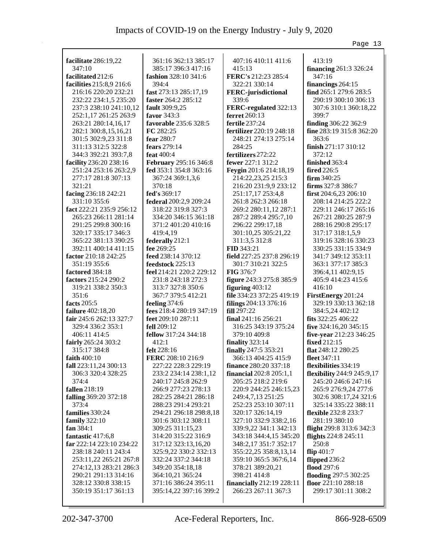|                                             |                                                |                                                  | Page 13                                    |
|---------------------------------------------|------------------------------------------------|--------------------------------------------------|--------------------------------------------|
|                                             |                                                |                                                  |                                            |
| facilitate 286:19,22                        | 361:16 362:13 385:17                           | 407:16 410:11 411:6                              | 413:19                                     |
| 347:10                                      | 385:17 396:3 417:16                            | 415:13                                           | <b>financing</b> 261:3 326:24              |
| facilitated 212:6                           | fashion 328:10 341:6                           | FERC's 212:23 285:4                              | 347:16                                     |
| facilities 215:8,9 216:6                    | 394:4                                          | 322:21 330:14                                    | financings 264:15                          |
| 216:16 220:20 232:21                        | fast 273:13 285:17,19                          | <b>FERC-jurisdictional</b>                       | find 265:1 279:6 283:5                     |
| 232:22 234:1,5 235:20                       | faster 264:2 285:12                            | 339:6                                            | 290:19 300:10 306:13                       |
| 237:3 238:10 241:10,12                      | <b>fault</b> 309:9,25                          | FERC-regulated 322:13                            | 307:6 310:1 360:18,22                      |
| 252:1,17 261:25 263:9                       | favor $343:3$                                  | ferret 260:13                                    | 399:7                                      |
| 263:21 280:14,16,17                         | favorable 235:6 328:5                          | fertile 237:24                                   | finding 306:22 362:9                       |
| 282:1 300:8,15,16,21                        | FC 282:25                                      | <b>fertilizer</b> 220:19 248:18                  | fine 283:19 315:8 362:20                   |
| 301:5 302:9,23 311:8                        | fear 280:7                                     | 248:21 274:13 275:14                             | 363:6                                      |
| 311:13 312:5 322:8                          | fears 279:14                                   | 284:25                                           | finish 271:17 310:12                       |
| 344:3 392:21 393:7,8                        | feat $400:4$                                   | fertilizers 272:22                               | 372:12                                     |
| facility 236:20 238:16                      | <b>February</b> 295:16 346:8                   | fewer 227:1 312:2                                | finished 363:4                             |
| 251:24 253:16 263:2,9                       | fed 353:1 354:8 363:16                         | Feygin 201:6 214:18,19                           | <b>fired</b> 226:5                         |
| 277:17 281:8 307:13                         | 367:24 369:1,3,6                               | 214:22,23,25 215:3                               | $firm 340:25$                              |
| 321:21                                      | 370:18                                         | 216:20 231:9,9 233:12                            | firms 327:8 386:7                          |
| facing 236:18 242:21                        | fed's 369:17                                   | 251:17,17 253:4,8                                | first $204:6,23206:10$                     |
| 331:10 355:6                                | federal 200:2,9 209:24                         | 261:8 262:3 266:18                               | 208:14 214:25 222:2                        |
| fact 222:21 235:9 256:12                    | 318:22 319:8 327:3                             | 269:2 280:11,12 287:1                            | 229:11 246:17 265:16                       |
| 265:23 266:11 281:14                        | 334:20 346:15 361:18                           | 287:2 289:4 295:7,10                             | 267:21 280:25 287:9                        |
| 291:25 299:8 300:16                         | 371:2 401:20 410:16                            | 296:22 299:17,18                                 | 288:16 290:8 295:17                        |
| 320:17 335:17 346:3                         | 419:4,19                                       | 301:10,25 305:21,22                              | 317:17 318:1,5,9                           |
| 365:22 381:13 390:25                        | federally 212:1                                | 311:3,5 312:8                                    | 319:16 328:16 330:23                       |
| 392:11 400:14 411:15                        | fee 269:25                                     | <b>FID 343:21</b>                                | 330:25 331:15 334:9                        |
| factor 210:18 242:25                        | feed 238:14 370:12                             | field 227:25 237:8 296:19                        | 341:7 349:12 353:11                        |
| 351:19 355:6                                | feedstock 225:13                               | 301:7 310:21 322:5                               | 363:1 377:17 385:3                         |
| factored 384:18                             | feel 214:21 220:2 229:12                       | <b>FIG 376:7</b>                                 | 396:4,11 402:9,15                          |
| factors 215:24 290:2                        | 231:8 243:18 272:3                             | figure 243:3 275:8 385:9                         | 405:9 414:23 415:6                         |
| 319:21 338:2 350:3                          | 313:7 327:8 350:6                              | figuring $403:12$                                | 416:10                                     |
| 351:6                                       | 367:7 379:5 412:21                             | file 334:23 372:25 419:19                        | FirstEnergy 201:24                         |
| facts $205:5$                               | feeling 374:6                                  | filings 204:13 376:16                            | 329:19 330:13 362:18                       |
| failure 402:18,20                           | fees $218:4280:19347:19$                       | fill 297:22                                      | 384:5,24 402:12                            |
| fair $245:6262:13327:7$                     | feet 209:10 287:11                             | final $241:16256:21$                             | fits 322:25 406:22                         |
| 329:4 336:2 353:1                           | fell $209:12$                                  | 316:25 343:19 375:24                             | five 324:16,20 345:15                      |
| 406:11 414:5                                | fellow 317:24 344:18                           | 379:10 409:8                                     | five-year 212:23 346:25                    |
| fairly 265:24 303:2                         | 412:1                                          | finality 323:14                                  | fixed 212:15                               |
| 315:17 384:8                                | felt 228:16                                    | finally 247:5 353:21                             | flat 248:12 280:25                         |
| faith 400:10                                | FERC 208:10 216:9                              | 366:13 404:25 415:9                              | fleet 347:11                               |
| fall 223:11,24 300:13                       | 227:22 228:3 229:19                            | finance 280:20 337:18                            | flexibilities 334:19                       |
| 306:3 320:4 328:25                          | 233:2 234:14 238:1,12                          | <b>financial</b> 202:8 205:1,1                   | flexibility 244:9 245:9,17                 |
| 374:4                                       | 240:17 245:8 262:9                             | 205:25 218:2 219:6                               | 245:20 246:6 247:16                        |
| fallen 218:19                               | 266:9 277:23 278:13                            | 220:9 244:25 246:15,23                           | 265:9 276:9,24 277:6                       |
| falling 369:20 372:18                       | 282:25 284:21 286:18                           | 249:4,7,13 251:25                                | 302:6 308:17,24 321:6                      |
| 373:4                                       | 288:23 291:4 293:21                            | 252:23 253:10 307:11                             | 325:14 335:22 388:11                       |
| families 330:24                             | 294:21 296:18 298:8,18                         | 320:17 326:14,19                                 | flexible 232:8 233:7                       |
| family $322:10$                             | 301:6 303:12 308:11                            | 327:10 332:9 338:2,16                            | 281:19 380:10                              |
| fan 384:1                                   | 309:25 311:15,23                               | 339:9,22 341:1 342:13                            | flight 299:8 313:6 342:3                   |
| fantastic 417:6,8                           | 314:20 315:22 316:9                            | 343:18 344:4,15 345:20                           | flights 224:8 245:11                       |
| far 222:14 223:10 234:22                    | 317:12 323:13,16,20                            | 348:2,17 351:7 352:17                            | 250:8                                      |
| 238:18 240:11 243:4                         | 325:9,22 330:2 332:13                          | 355:22,25 358:8,13,14                            | flip $401:7$                               |
| 253:11,22 265:21 267:8                      | 332:24 337:2 344:18                            | 359:10 365:5 367:6,14                            | flipped 236:2                              |
| 274:12,13 283:21 286:3                      | 349:20 354:18,18                               | 378:21 389:20,21                                 | flood 297:6                                |
| 290:21 291:13 314:16                        | 364:10,21 365:24                               | 398:21 414:8                                     | flooding 297:5 302:25                      |
| 328:12 330:8 338:15<br>350:19 351:17 361:13 | 371:16 386:24 395:11<br>395:14,22 397:16 399:2 | financially 212:19 228:11<br>266:23 267:11 367:3 | floor 221:10 288:18<br>299:17 301:11 308:2 |
|                                             |                                                |                                                  |                                            |
|                                             |                                                |                                                  |                                            |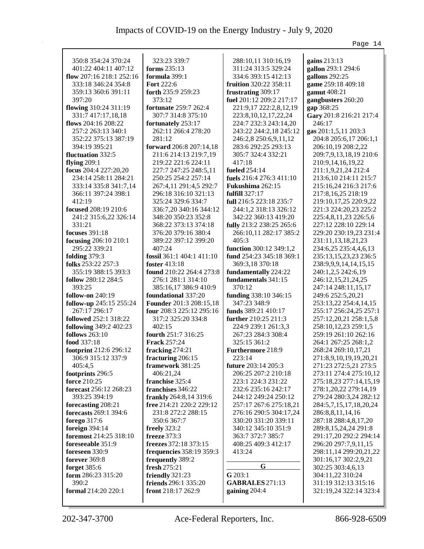|                          |                                 |                           | Page 14                 |
|--------------------------|---------------------------------|---------------------------|-------------------------|
|                          |                                 |                           |                         |
| 350:8 354:24 370:24      | 323:23 339:7                    | 288:10,11 310:16,19       | gains 213:13            |
| 401:22 404:11 407:12     | forms 235:13                    | 311:24 313:5 329:24       | gallon 293:1 294:6      |
| flow $207:16218:1252:16$ | formula 399:1                   | 334:6 393:15 412:13       | gallons 292:25          |
| 333:18 346:24 354:8      | <b>Fort</b> 222:6               | fruition 320:22 358:11    | game 259:18 409:18      |
| 359:13 360:6 391:11      | forth 235:9 259:23              | frustrating 309:17        | gamut 408:21            |
| 397:20                   | 373:12                          | fuel 201:12 209:2 217:17  | gangbusters 260:20      |
| flowing 310:24 311:19    | fortunate 259:7 262:4           | 221:9,17 222:2,8,12,19    | gap 368:25              |
| 331:7 417:17,18,18       | 307:7 314:8 375:10              | 223:8, 10, 12, 17, 22, 24 | Gary 201:8 216:21 217:4 |
| flows $204:16\,208:22$   | fortunately 253:17              | 224:7 232:3 243:14,20     | 246:17                  |
| 257:2 263:13 340:1       | 262:11 266:4 278:20             | 243:22 244:2,18 245:12    | gas 201:1,5,11 203:3    |
| 352:22 375:13 387:19     | 281:12                          | 246:2,8 250:6,9,11,12     | 204:8 205:6,17 206:1,1  |
| 394:19 395:21            | forward 206:8 207:14,18         | 283:6 292:25 293:13       | 206:10,19 208:2,22      |
| fluctuation 332:5        | 211:6 214:13 219:7,19           | 305:7 324:4 332:21        | 209:7,9,13,18,19 210:6  |
| flying $209:1$           | 219:22 221:6 224:11             | 417:18                    | 210:9,14,16,19,22       |
| focus 204:4 227:20,20    | 227:7 247:25 248:5,11           | <b>fueled</b> 254:14      | 211:1,9,21,24 212:4     |
| 234:14 258:11 284:21     | 250:25 254:2 257:14             | fuels 216:4 276:3 411:10  | 213:6,10 214:11 215:7   |
| 333:14 335:8 341:7,14    | 267:4,11 291:4,5 292:7          | Fukushima 262:15          | 215:16,24 216:3 217:6   |
| 366:11 397:24 398:1      | 296:18 316:10 321:13            | fulfill 327:17            | 217:8, 16, 25 218:19    |
| 412:19                   | 325:24 329:6 334:7              | full 216:5 223:18 235:7   | 219:10,17,25 220:9,22   |
| focused 208:19 210:6     | 336:7,20 340:16 344:12          | 244:1,2 318:13 326:12     | 221:3 224:20,23 225:2   |
| 241:2 315:6,22 326:14    | 348:20 350:23 352:8             | 342:22 360:13 419:20      | 225:4,8,11,23 226:5,6   |
| 331:21                   | 368:22 373:13 374:18            | fully 213:2 238:25 265:6  | 227:12 228:10 229:14    |
| focuses 391:18           | 376:20 379:16 380:4             | 266:10,11 282:17 385:2    | 229:20 230:19,23 231:4  |
| focusing 206:10 210:1    | 389:22 397:12 399:20            | 405:3                     | 231:11,13,18,21,23      |
| 295:22 339:21            | 407:24                          | function 300:12 349:1,2   | 234:6,25 235:4,4,6,13   |
| folding 379:3            | fossil 361:1 404:1 411:10       | fund 254:23 345:18 369:1  | 235:13,15,23,23 236:5   |
| folks 253:22 257:3       | foster 413:18                   | 369:3,18 370:18           | 238:9,9,9,14,14,15,15   |
| 355:19 388:15 393:3      | found 210:22 264:4 273:8        | fundamentally 224:22      | 240:1,2,5 242:6,19      |
| follow 280:12 284:5      | 276:1 281:1 314:10              | fundamentals 341:15       | 246:12,15,21,24,25      |
| 393:25                   | 385:16,17 386:9 410:9           | 370:12                    | 247:14 248:11,15,17     |
| follow-on $240:19$       | foundational 337:20             | funding 338:10 346:15     | 249:6 252:5,20,21       |
| follow-up 245:15 255:24  | <b>Founder</b> 201:3 208:15,18  | 347:23 348:9              | 253:13,22 254:4,14,15   |
| 267:17 296:17            | four 208:3 225:12 295:16        | funds 389:21 410:17       | 255:17 256:24,25 257:1  |
| followed 252:1 318:22    | 317:2 325:20 334:8              | further 210:25 211:3      | 257:12,20,21 258:1,5,8  |
| following 349:2 402:23   | 402:15                          | 224:9 239:1 261:3,3       | 258:10,12,23 259:1,5    |
| <b>follows</b> 263:10    | fourth 251:7 316:25             | 267:23 284:3 308:4        | 259:19 261:10 262:16    |
| food 337:18              | <b>Frack 257:24</b>             | 325:15 361:2              | 264:1 267:25 268:1,2    |
| footprint 212:6 296:12   | fracking 274:21                 | Furthermore 218:9         | 268:24 269:10,17,21     |
| 306:9 315:12 337:9       | fracturing 206:15               | 223:14                    | 271:8,9,10,19,19,20,21  |
| 405:4,5                  | framework 381:25                | future 203:14 205:3       | 271:23 272:5,21 273:5   |
| footprints 296:5         | 406:21,24                       | 206:25 207:2 210:18       | 273:11 274:4 275:10,12  |
| force 210:25             | franchise 325:4                 | 223:1 224:3 231:22        | 275:18,23 277:14,15,19  |
| forecast 256:12 268:23   | franchises 346:22               | 232:6 235:16 242:17       | 278:1,20,22 279:14,19   |
| 393:25 394:19            | frankly 264:8,14 319:6          | 244:12 249:24 250:12      | 279:24 280:3,24 282:12  |
| forecasting 208:21       | free 214:21 220:2 229:12        | 257:17 267:6 275:18,21    | 284:5,7,15,17,18,20,24  |
| forecasts 269:1 394:6    | 231:8 272:2 288:15              | 276:16 290:5 304:17,24    | 286:8,8,11,14,16        |
| forego 317:6             | 350:6 367:7                     | 330:20 331:20 339:11      | 287:18 288:4,8,17,20    |
| foreign 394:14           | freely $323:2$                  | 340:12 345:10 351:9       | 289:8,15,24,24 291:8    |
| foremost 214:25 318:10   | <b>freeze</b> 373:3             | 363:7 372:7 385:7         | 291:17,20 292:2 294:14  |
| foreseeable 351:9        | freezes 372:18 373:15           | 408:25 409:3 412:17       | 296:20 297:7,9,11,15    |
| foreseen 330:9           | <b>frequencies</b> 358:19 359:3 | 413:24                    | 298:11,14 299:20,21,22  |
| forever 369:8            | frequently 389:2                |                           | 301:16,17 302:2,9,21    |
| forget 385:6             | fresh 275:21                    | G                         | 302:25 303:4,6,13       |
| form 286:23 315:20       | friendly 321:23                 | G 203:1                   | 304:11,22 310:24        |
| 390:2                    | friends 296:1 335:20            | <b>GABRALES</b> 271:13    | 311:19 312:13 315:16    |
| formal 214:20 220:1      | front 218:17 262:9              | gaining 204:4             | 321:19,24 322:14 323:4  |
|                          |                                 |                           |                         |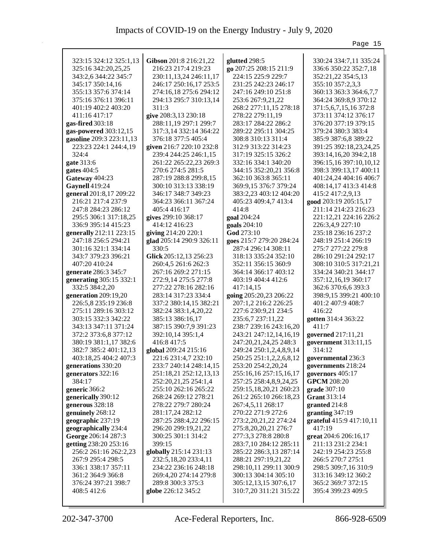|                          |                          |                          | Page 15                  |
|--------------------------|--------------------------|--------------------------|--------------------------|
| 323:15 324:12 325:1,13   | Gibson 201:8 216:21,22   | glutted 298:5            | 330:24 334:7,11 335:24   |
| 325:16 342:20,25,25      | 216:23 217:4 219:23      | go 207:25 208:15 211:9   | 336:6 350:22 352:7,18    |
| 343:2,6 344:22 345:7     |                          | 224:15 225:9 229:7       | 352:21,22 354:5,13       |
|                          | 230:11,13,24 246:11,17   |                          |                          |
| 345:17 350:14,16         | 246:17 250:16,17 253:5   | 231:25 242:23 246:17     | 355:10 357:2,3,3         |
| 355:13 357:6 374:14      | 274:16,18 275:6 294:12   | 247:16 249:10 251:8      | 360:13 363:3 364:6,7,7   |
| 375:16 376:11 396:11     | 294:13 295:7 310:13,14   | 253:6 267:9,21,22        | 364:24 369:8,9 370:12    |
| 401:19 402:2 403:20      | 311:3                    | 268:2 277:11,15 278:18   | 371:5,6,7,15,16 372:8    |
| 411:16 417:17            | give 208:3,13 230:18     | 278:22 279:11,19         | 373:11 374:12 376:17     |
| gas-fired 303:18         | 288:11,19 297:1 299:7    | 283:17 284:22 286:2      | 376:20 377:19 379:15     |
| gas-powered 303:12,15    | 317:3,14 332:14 364:22   | 289:22 295:11 304:25     | 379:24 380:3 383:4       |
| gasoline 209:3 223:11,13 | 376:18 377:5 405:4       | 308:8 310:13 311:4       | 385:9 387:6,8 389:22     |
| 223:23 224:1 244:4,19    | given 216:7 220:10 232:8 | 312:9 313:22 314:23      | 391:25 392:18,23,24,25   |
| 324:4                    | 239:4 244:25 246:1,15    | 317:19 325:15 326:2      | 393:14,16,20 394:2,18    |
| gate 313:6               | 261:22 265:22,23 269:3   | 332:16 334:1 340:20      | 396:15,16 397:10,10,12   |
| gates $404:5$            | 270:6 274:5 281:5        | 344:15 352:20,21 356:8   | 398:3 399:13,17 400:11   |
| Gateway 404:23           | 287:19 288:8 299:8,15    | 362:10 363:8 365:11      | 401:24,24 404:16 406:7   |
| Gaynell 419:24           | 300:10 313:13 338:19     | 369:9,15 376:7 379:24    | 408:14,17 413:3 414:8    |
| general 201:8,17 209:22  | 346:17 348:7 349:23      | 383:2,23 403:12 404:20   | 415:2 417:2,9,13         |
| 216:21 217:4 237:9       | 364:23 366:11 367:24     | 405:23 409:4,7 413:4     | good 203:19 205:15,17    |
| 247:8 284:23 286:12      | 405:4 416:17             | 414:8                    | 211:14 214:23 216:23     |
| 295:5 306:1 317:18,25    | gives 299:10 368:17      | goal 204:24              | 221:12,21 224:16 226:2   |
| 336:9 395:14 415:23      | 414:12 416:23            | goals 204:10             | 226:3,4,9 227:10         |
| generally 212:11 223:15  | giving 214:20 220:1      | God 273:10               | 235:18 236:16 237:2      |
| 247:18 256:5 294:21      | glad 205:14 290:9 326:11 | goes 215:7 279:20 284:24 | 248:19 251:4 266:19      |
| 301:16 321:1 334:14      | 330:5                    | 287:4 296:14 308:11      | 275:7 277:22 279:8       |
| 343:7 379:23 396:21      | Glick 205:12,13 256:23   | 318:13 335:24 352:10     | 286:10 291:24 292:17     |
| 407:20 410:24            | 260:4,5 261:6 262:3      | 352:11 356:15 360:9      | 308:10 310:5 317:21,21   |
| generate 286:3 345:7     | 267:16 269:2 271:15      | 364:14 366:17 403:12     | 334:24 340:21 344:17     |
|                          |                          | 403:19 404:4 412:6       |                          |
| generating 305:15 332:1  | 272:9,14 275:5 277:8     |                          | 357:12,16,19 360:17      |
| 332:5 384:2,20           | 277:22 278:16 282:16     | 417:14,15                | 362:6 370:6,6 393:3      |
| generation 209:19,20     | 283:14 317:23 334:4      | going 205:20,23 206:22   | 398:9,15 399:21 400:10   |
| 226:5,8 235:19 236:8     | 337:2 380:14,15 382:21   | 207:1,2 216:2 226:25     | 401:2 407:9 408:7        |
| 275:11 289:16 303:12     | 382:24 383:1,4,20,22     | 227:6 230:9,21 234:5     | 416:22                   |
| 303:15 332:3 342:22      | 385:13 386:16,17         | 235:6,7 237:11,22        | gotten 314:4 363:22      |
| 343:13 347:11 371:24     | 387:15 390:7,9 391:23    | 238:7 239:16 243:16,20   | 411:7                    |
| 372:2 373:6,8 377:12     | 392:10,14 395:1,4        | 243:21 247:12,14,16,19   | governed 217:11,21       |
| 380:19 381:1,17 382:6    | 416:8 417:5              | 247:20,21,24,25 248:3    | government 313:11,15     |
| 382:7 385:2 401:12,13    | global 209:24 215:16     | 249:24 250:1,2,4,8,9,14  | 314:12                   |
| 403:18,25 404:2 407:3    | 221:6 231:4,7 232:10     | 250:25 251:1,2,2,6,8,12  | governmental 236:3       |
| generations 330:20       | 233:7 240:14 248:14,15   | 253:20 254:2,20,24       | governments 218:24       |
| generators 322:16        | 251:18,21 252:12,13,13   | 255:16,16 257:15,16,17   | governors 405:17         |
| 384:17                   | 252:20,21,25 254:1,4     | 257:25 258:4,8,9,24,25   | <b>GPCM</b> 208:20       |
| generic 366:2            | 255:10 262:16 265:22     | 259:15,18,20,21 260:23   | grade 307:10             |
| generically 390:12       | 268:24 269:12 278:21     | 261:2 265:10 266:18,23   | Grant 313:14             |
| generous 328:18          | 278:22 279:7 280:24      | 267:4,5,11 268:17        | granted 214:8            |
| genuinely 268:12         | 281:17,24 282:12         | 270:22 271:9 272:6       | granting $347:19$        |
| geographic 237:19        | 287:25 288:4,22 296:15   | 273:2,20,21,22 274:24    | grateful 415:9 417:10,11 |
| geographically 234:4     | 296:20 299:19,21,22      | 275:8, 20, 20, 21 276:7  | 417:19                   |
| George 206:14 287:3      | 300:25 301:1 314:2       | 277:3,3 278:8 280:8      | great 204:6 206:16,17    |
| getting 238:20 253:16    | 399:15                   | 283:7,10 284:12 285:11   | 211:13 231:2 234:1       |
| 256:2 261:16 262:2,23    | globally 215:14 231:13   | 285:22 286:3,13 287:14   | 242:19 254:23 255:8      |
| 267:9 295:4 298:5        | 232:5, 18, 20 233:4, 11  | 288:21 297:19,21,22      | 266:5 270:7 275:1        |
| 336:1 338:17 357:11      | 234:22 236:16 248:18     | 298:10,11 299:11 300:9   | 298:5 309:7,16 310:9     |
| 361:2 364:9 366:8        | 269:4,20 274:14 279:8    | 300:13 304:14 305:10     | 313:16 349:12 360:2      |
| 376:24 397:21 398:7      | 289:8 300:3 375:3        | 305:12,13,15 307:6,17    | 365:2 369:7 372:15       |
| 408:5 412:6              | globe 226:12 345:2       | 310:7,20 311:21 315:22   | 395:4 399:23 409:5       |
|                          |                          |                          |                          |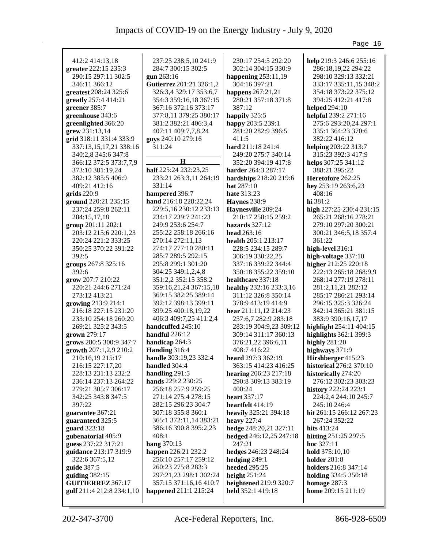|                           |                          |                         | Page 16                  |
|---------------------------|--------------------------|-------------------------|--------------------------|
|                           |                          |                         |                          |
| 412:2 414:13,18           | 237:25 238:5,10 241:9    | 230:17 254:5 292:20     | help 219:3 246:6 255:16  |
| greater 222:15 235:3      | 284:7 300:15 302:5       | 302:14 304:15 330:9     | 286:18,19,22 294:22      |
| 290:15 297:11 302:5       | gun 263:16               | happening $253:11,19$   | 298:10 329:13 332:21     |
| 346:11 366:12             | Gutierrez 201:21 326:1,2 | 304:16 397:21           | 333:17 335:11,15 348:2   |
| greatest 208:24 325:6     | 326:3,4 329:17 353:6,7   | happens 267:21,21       | 354:18 373:22 375:12     |
| greatly 257:4 414:21      | 354:3 359:16,18 367:15   | 280:21 357:18 371:8     | 394:25 412:21 417:8      |
| greener 385:7             | 367:16 372:16 373:17     | 387:12                  | <b>helped</b> 294:10     |
| greenhouse 343:6          | 377:8,11 379:25 380:17   | happily 325:5           | helpful 239:2 271:16     |
| greenlighted 366:20       | 381:2 382:21 406:3,4     | happy 203:5 239:1       | 275:6 293:20,24 297:1    |
| grew 231:13,14            | 407:11 409:7,7,8,24      | 281:20 282:9 396:5      | 335:1 364:23 370:6       |
| grid 318:11 331:4 333:9   | guys 240:10 279:16       | 411:5                   | 382:22 416:12            |
| 337:13,15,17,21 338:16    | 311:24                   | hard 211:18 241:4       | helping 203:22 313:7     |
| 340:2,8 345:6 347:8       |                          | 249:20 275:7 340:14     | 315:23 392:3 417:9       |
| 366:12 372:5 373:7,7,9    | н                        | 352:20 394:19 417:8     | helps 307:25 341:12      |
| 373:10 381:19,24          | half 225:24 232:23,25    | harder 264:3 287:17     | 388:21 395:22            |
| 382:12 385:5 406:9        | 233:21 263:3,11 264:19   | hardships 218:20 219:6  | Heretofore 262:25        |
| 409:21 412:16             | 331:14                   | <b>hat</b> $287:10$     | hey 253:19 263:6,23      |
| grids $220:9$             | hampered 396:7           | <b>hate</b> 313:23      | 408:16                   |
| ground 220:21 235:15      | hand 216:18 228:22,24    | <b>Haynes</b> 238:9     | hi 381:2                 |
| 237:24 259:8 262:11       | 229:5,16 230:12 233:13   | Haynesville 209:24      | high 227:25 230:4 231:15 |
| 284:15,17,18              | 234:17 239:7 241:23      | 210:17 258:15 259:2     | 265:21 268:16 278:21     |
| group 201:11 202:1        | 249:9 253:6 254:7        | hazards $327:12$        | 279:10 297:20 300:21     |
| 203:12 215:6 220:1,23     | 255:22 258:18 266:16     | head $263:16$           | 300:21 346:5,18 357:4    |
| 220:24 221:2 333:25       | 270:14 272:11,13         | health 205:1 213:17     | 361:22                   |
| 350:25 370:22 391:22      | 274:17 277:10 280:11     | 228:5 234:15 289:7      | high-level 316:1         |
| 392:5                     | 285:7 289:5 292:15       | 306:19 330:22,25        | high-voltage 337:10      |
| groups 267:8 325:16       | 295:8 299:1 301:20       | 337:16 339:22 344:4     | higher 212:25 220:18     |
| 392:6                     | 304:25 349:1,2,4,8       | 350:18 355:22 359:10    | 222:13 265:18 268:9,9    |
| grow 207:7 210:22         | 351:2,2 352:15 358:2     | healthcare 337:18       | 268:14 277:19 278:11     |
| 220:21 244:6 271:24       | 359:16,21,24 367:15,18   | healthy 232:16 233:3,16 | 281:2,11,21 282:12       |
| 273:12 413:21             | 369:15 382:25 389:14     | 311:12 326:8 350:14     | 285:17 286:21 293:14     |
| growing 213:9 214:1       | 392:12 398:13 399:11     | 378:9 413:19 414:9      | 296:15 325:3 326:24      |
| 216:18 227:15 231:20      | 399:25 400:18,19,22      | hear $211:11,12214:23$  | 342:14 365:21 381:15     |
| 233:10 254:18 260:20      | 406:3 409:7,25 411:2,4   | 257:6,7 282:9 283:18    | 383:9 390:16,17,17       |
| 269:21 325:2 343:5        | handcuffed 245:10        | 283:19 304:9,23 309:12  | highlight 254:11 404:15  |
| grown 279:17              | handful $226:12$         | 309:14 311:17 360:13    | highlights 362:1 399:3   |
| grows 280:5 300:9 347:7   | handicap 264:3           | 376:21,22 396:6,11      | highly $281:20$          |
| growth 207:1,2,9 210:2    | Handing 316:4            | 408:7 416:22            | highways $371:9$         |
| 210:16,19 215:17          | handle 303:19,23 332:4   | heard 297:3 362:19      | Hirshberger 415:23       |
| 216:15 227:17,20          | handled 304:4            | 363:15 414:23 416:25    | historical 276:2 370:10  |
| 228:13 231:13 232:2       | handling $291:5$         | hearing 206:23 217:18   | historically 274:20      |
| 236:14 237:13 264:22      | hands 229:2 230:25       | 290:8 309:13 383:19     | 276:12 302:23 303:23     |
| 279:21 305:7 306:17       | 256:18 257:9 259:25      | 400:24                  | history 222:24 223:1     |
| 342:25 343:8 347:5        | 271:14 275:4 278:15      | heart 337:17            | 224:2,4 244:10 245:7     |
| 397:22                    | 282:15 296:23 304:7      | heartfelt 414:19        | 245:10 246:4             |
| guarantee 367:21          | 307:18 355:8 360:1       | heavily 325:21 394:18   | hit 261:15 266:12 267:23 |
| guaranteed 325:5          | 365:1 372:11,14 383:21   | heavy $227:4$           | 267:24 352:22            |
| guard 323:18              | 386:16 390:8 395:2,23    | hedge 248:20,21 327:11  | hits $413:24$            |
| gubenatorial 405:9        | 408:1                    | hedged 246:12,25 247:18 | hitting 251:25 297:5     |
| guess 237:22 317:21       | hang 370:13              | 247:21                  | hoc $327:11$             |
| guidance 213:17 319:9     | happen 226:21 232:2      | hedges 246:23 248:24    | hold 375:10,10           |
| 322:6 367:5,12            | 256:10 257:17 259:12     | hedging $249:1$         | holder 281:8             |
| guide 387:5               | 260:23 275:8 283:3       | <b>heeded</b> 295:25    | holders 216:8 347:14     |
| guiding $382:15$          | 297:21,23 298:1 302:24   | height $251:24$         | holding 334:5 350:18     |
| GUITIERREZ 367:17         | 357:15 371:16,16 410:7   | heightened 219:9 320:7  | homage 287:3             |
| gulf 211:4 212:8 234:1,10 | happened 211:1 215:24    | held 352:1 419:18       | home 209:15 211:19       |
|                           |                          |                         |                          |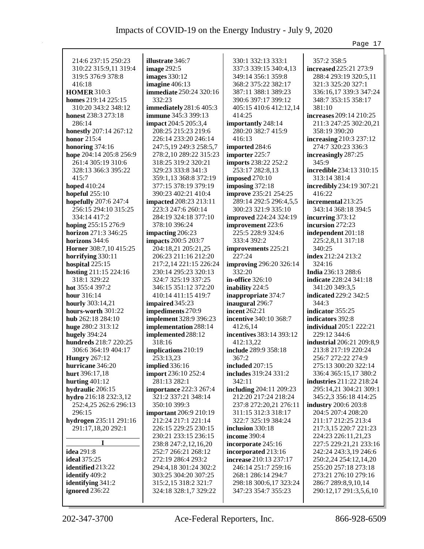|                                       |                                                |                                | Page 17                         |
|---------------------------------------|------------------------------------------------|--------------------------------|---------------------------------|
|                                       |                                                |                                |                                 |
| 214:6 237:15 250:23                   | illustrate 346:7                               | 330:1 332:13 333:1             | 357:2 358:5                     |
| 310:22 315:9,11 319:4                 | <b>image 292:5</b>                             | 337:3 339:15 340:4,13          | increased 225:21 273:9          |
| 319:5 376:9 378:8                     | <b>images</b> 330:12                           | 349:14 356:1 359:8             | 288:4 293:19 320:5,11           |
| 416:18                                | imagine 406:13                                 | 368:2 375:22 382:17            | 321:3 325:20 327:1              |
| <b>HOMER 310:3</b>                    | <b>immediate</b> 250:24 320:16                 | 387:11 388:1 389:23            | 336:16,17 339:3 347:24          |
| homes 219:14 225:15                   | 332:23                                         | 390:6 397:17 399:12            | 348:7 353:15 358:17             |
| 310:20 343:2 348:12                   | immediately 281:6 405:3                        | 405:15 410:6 412:12,14         | 381:10                          |
| honest 238:3 273:18                   | <b>immune</b> 345:3 399:13                     | 414:25                         | increases 209:14 210:25         |
| 286:14                                | <b>impact</b> 204:5 205:3,4                    | importantly 248:14             | 211:3 247:25 302:20,21          |
| honestly 207:14 267:12                | 208:25 215:23 219:6                            | 280:20 382:7 415:9             | 358:19 390:20                   |
| honor $215:4$                         | 226:14 233:20 246:14                           | 416:13                         | increasing 210:3 237:12         |
| honoring $374:16$                     | 247:5,19 249:3 258:5,7                         | imported 284:6                 | 274:7 320:23 336:3              |
| hope 204:14 205:8 256:9               | 278:2,10 289:22 315:23                         | importer 225:7                 | increasingly 287:25             |
| 261:4 305:19 310:6                    | 318:25 319:2 320:21                            | imports 238:22 252:2           | 345:9                           |
| 328:13 366:3 395:22                   | 329:23 333:8 341:3                             | 253:17 282:8,13                | <b>incredible</b> 234:13 310:15 |
| 415:7                                 | 359:1,13 368:8 372:19                          | <b>imposed</b> 270:10          | 313:14 381:4                    |
| <b>hoped</b> 410:24                   | 377:15 378:19 379:19                           | imposing $372:18$              | incredibly 234:19 307:21        |
| hopeful $255:10$                      | 390:23 402:21 410:4                            | improve 235:21 254:25          | 416:22                          |
| hopefully 207:6 247:4                 | <b>impacted</b> 208:23 213:11                  | 289:14 292:5 296:4,5,5         | incremental 213:25              |
| 256:15 294:10 315:25                  | 223:3 247:6 260:14                             | 300:23 321:9 335:10            | 343:14 368:18 394:5             |
| 334:14 417:2                          | 284:19 324:18 377:10                           | improved 224:24 324:19         | incurring $373:12$              |
| hoping 255:15 276:9                   | 378:10 396:24                                  | improvement 223:6              | incursion 272:23                |
| <b>horizon</b> 271:3 346:25           | impacting 206:23                               | 225:5 228:9 324:6              | independent 201:18              |
| horizons 344:6                        | <b>impacts</b> 200:5 203:7                     | 333:4 392:2                    | 225:2,8,11 317:18               |
| <b>Horner</b> 308:7,10 415:25         | 204:18,21 205:21,25                            | improvements 225:21            | 340:25                          |
|                                       | 206:23 211:16 212:20                           | 227:24                         | index 212:24 213:2              |
| horrifying 330:11<br>hospital 225:15  |                                                | <b>improving 296:20 326:14</b> | 324:16                          |
|                                       | 217:2,14 221:15 226:24<br>230:14 295:23 320:13 | 332:20                         | <b>India</b> 236:13 288:6       |
| hosting 211:15 224:16<br>318:1 329:22 | 324:7 325:19 337:25                            | in-office 326:10               | <b>indicate</b> 228:24 341:18   |
|                                       | 346:15 351:12 372:20                           |                                |                                 |
| hot 355:4 397:2                       |                                                | inability 224:5                | 341:20 349:3,5                  |
| hour $316:14$                         | 410:14 411:15 419:7                            | inappropriate 374:7            | indicated 229:2 342:5<br>344:3  |
| hourly 303:14,21                      | impaired 345:23                                | inaugural 296:7                |                                 |
| hours-worth 301:22                    | impediments 270:9                              | <b>incent</b> 262:21           | indicator 355:25                |
| hub 262:18 284:10                     | implement 328:9 396:23                         | incentive 340:10 368:7         | indicators 392:8                |
| huge 280:2 313:12                     | implementation 288:14                          | 412:6,14                       | <b>individual</b> 205:1 222:21  |
| hugely 394:24                         | implemented 288:12                             | incentives 383:14 393:12       | 229:12 344:6                    |
| hundreds 218:7 220:25                 | 318:16                                         | 412:13,22                      | industrial 206:21 209:8,9       |
| 306:6 364:19 404:17                   | implications 210:19                            | include 289:9 358:18           | 213:8 217:19 220:24             |
| <b>Hungry</b> 267:12                  | 253:13,23                                      | 367:2                          | 256:7 272:22 274:9              |
| hurricane 346:20                      | <b>implied</b> 336:16                          | included 207:15                | 275:13 300:20 322:14            |
| hurt 396:17,18                        | import 236:10 252:4                            | includes 319:24 331:2          | 336:4 365:15,17 380:2           |
| hurting $401:12$                      | 281:13 282:1                                   | 342:11                         | industries 211:22 218:24        |
| hydraulic 206:15                      | <b>importance</b> 222:3 267:4                  | including 204:11 209:23        | 295:14,21 304:21 309:1          |
| hydro 216:18 232:3,12                 | 321:2 337:21 348:14                            | 212:20 217:24 218:24           | 345:2,3 356:18 414:25           |
| 252:4,25 262:6 296:13                 | 350:10 399:3                                   | 237:8 272:20,21 276:11         | industry 200:6 203:8            |
| 296:15                                | <b>important</b> 206:9 210:19                  | 311:15 312:3 318:17            | 204:5 207:4 208:20              |
| hydrogen 235:11 291:16                | 212:24 217:1 221:14                            | 322:7 325:19 384:24            | 211:17 212:25 213:4             |
| 291:17,18,20 292:1                    | 226:15 229:25 230:15                           | inclusion 330:18               | 217:3,15 220:7 221:23           |
|                                       | 230:21 233:15 236:15                           | income 390:4                   | 224:23 226:11,21,23             |
|                                       | 238:8 247:2,12,16,20                           | incorporate 245:16             | 227:5 229:21,21 233:16          |
| idea 291:8                            | 252:7 266:21 268:12                            | incorporated 213:16            | 242:24 243:3,19 246:6           |
| <b>ideal</b> 375:25                   | 272:19 286:4 293:2                             | increase 210:13 237:17         | 250:2,24 254:12,14,20           |
| identified 213:22                     | 294:4,18 301:24 302:2                          | 246:14 251:7 259:16            | 255:20 257:18 273:18            |
| identify 409:2                        | 303:25 304:20 307:25                           | 268:1 286:14 294:7             | 273:21 276:10 279:16            |
| identifying 341:2                     | 315:2,15 318:2 321:7                           | 298:18 300:6,17 323:24         | 286:7 289:8,9,10,14             |
| ignored 236:22                        | 324:18 328:1,7 329:22                          | 347:23 354:7 355:23            | 290:12,17 291:3,5,6,10          |
|                                       |                                                |                                |                                 |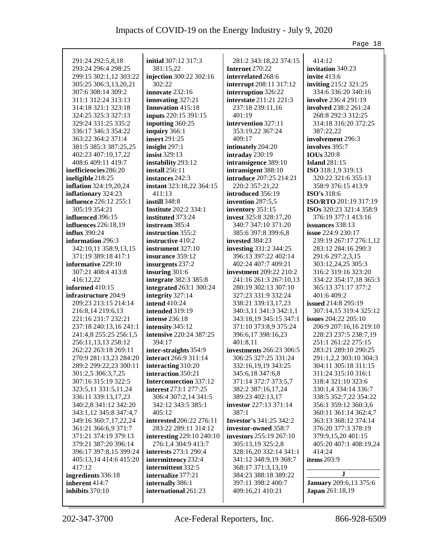|                                          |                                   |                                | Page 18                         |
|------------------------------------------|-----------------------------------|--------------------------------|---------------------------------|
|                                          |                                   |                                |                                 |
| 291:24 292:5,8,18<br>293:24 296:4 298:25 | <b>initial</b> 307:12 317:3       | 281:2 343:18,22 374:15         | 414:12<br>invitation 340:23     |
|                                          | 381:15,22                         | Internet 270:22                |                                 |
| 299:15 302:1,12 303:22                   | injection 300:22 302:16<br>302:22 | interrelated 268:6             | <b>invite</b> 413:6             |
| 305:25 306:3,13,20,21                    |                                   | interrupt 208:11 317:12        | inviting 215:2 321:25           |
| 307:6 308:14 309:2                       | innovate 232:16                   | interruption 326:22            | 334:6 336:20 340:16             |
| 311:1 312:24 313:13                      | innovating 327:21                 | interstate 211:21 221:3        | <b>involve</b> 236:4 291:19     |
| 314:18 321:1 323:18                      | <b>Innovation</b> 415:18          | 237:18 239:11,16               | involved 238:2 261:24           |
| 324:25 325:3 327:13                      | inputs 220:15 391:15              | 401:19                         | 268:8 292:3 312:25              |
| 329:24 331:25 335:2                      | inputting 360:25                  | intervention 327:11            | 314:18 316:20 372:25            |
| 336:17 346:3 354:22                      | inquiry 366:1                     | 353:19,22 367:24               | 387:22,22                       |
| 363:22 364:2 371:4                       | <b>insert</b> 291:25              | 409:17                         | involvement 296:3               |
| 381:5 385:3 387:25,25                    | insight 297:1                     | intimately 204:20              | involves 395:7                  |
| 402:23 407:10,17,22                      | <b>insist</b> 329:13              | intraday 230:19                | <b>IOUs</b> 320:8               |
| 408:6 409:11 419:7                       | instability 293:12                | intransigence 389:10           | <b>Island</b> 281:15            |
| inefficiencies 286:20                    | install $256:11$                  | intransigent 388:10            | ISO 318:1,9 319:13              |
| ineligible 218:25                        | instances 242:3                   | introduce 207:25 214:21        | 320:22 321:6 355:13             |
| <b>inflation</b> 324:19,20,24            | instant 323:18,22 364:15          | 220:2 357:21,22                | 358:9 376:15 413:9              |
| inflationary 324:23                      | 411:13                            | introduced 356:19              | <b>ISO's</b> 318:6              |
| influence 226:12 255:1                   | instill 348:8                     | invention 287:5,5              | ISO/RTO 201:19 317:19           |
| 305:19 354:21                            | <b>Institute</b> 202:2 334:1      | inventory 351:15               | ISOs 320:23 321:4 358:9         |
| influenced 396:15                        | instituted 373:24                 | invest 325:8 328:17,20         | 376:19 377:1 413:16             |
| <b>influences</b> 226:18,19              | instream 385:4                    | 340:7 347:10 371:20            | issuances 338:13                |
| <b>influx</b> 390:24                     | instruction 355:2                 | 385:6 397:8 399:6,8            | <b>issue</b> 224:9 230:17       |
| information 296:3                        | instructive 410:2                 | invested 384:23                | 239:19 267:17 276:1,12          |
| 342:10,11 358:9,13,15                    | instrument 327:10                 | investing 331:2 344:25         | 283:12 284:16 290:3             |
| 371:19 389:18 417:1                      | insurance 359:12                  | 396:13 397:22 402:14           | 291:6 297:2,3,15                |
| informative 229:10                       | insurgents 237:2                  | 402:24 407:7 409:21            | 303:12,24,25 305:3              |
| 307:21 408:4 413:8                       | insuring 301:6                    | <b>investment</b> 209:22 210:2 | 316:2 319:16 323:20             |
| 416:12,22                                | integrate 382:3 385:8             | 241:16 261:3 267:10,13         | 334:22 354:17,18 365:3          |
| informed 410:15                          | integrated 263:1 300:24           | 280:19 302:13 307:10           | 365:13 371:17 377:2             |
| infrastructure 204:9                     | integrity 327:14                  | 327:23 331:9 332:24            | 401:6 409:2                     |
| 209:23 213:15 214:14                     | intend 410:24                     | 338:21 339:13,17,23            | issued 214:8 295:19             |
| 216:8,14 219:6,13                        | intended 319:19                   | 340:3,11 341:3 342:1,1         | 307:14,15 319:4 325:12          |
| 221:16 231:7 232:21                      | intense $236:18$                  | 343:18,19 345:15 347:1         | <b>issues</b> $204:22$ $205:10$ |
| 237:18 240:13,16 241:1                   | intensity 345:12                  | 371:10 373:8,9 375:24          | 206:9 207:16,16 219:10          |
| 241:4,8 255:25 256:1,5                   | intensive 220:24 387:25           | 396:6,17 398:16,23             | 228:23 237:5 238:7,19           |
| 256:11,13,13 258:12                      | 394:17                            | 401:8,11                       | 251:1 261:22 275:15             |
| 262:22 263:18 269:11                     | inter-straights 354:9             | investments 266:23 306:5       | 283:21 289:10 290:25            |
| 270:9 281:13,23 284:20                   | interact 266:9 311:14             | 306:25 327:25 331:24           | 291:1,2,2 303:10 304:3          |
| 289:2 299:22,23 300:11                   | interacting 310:20                | 332:16,19,19 343:25            | 304:11 305:18 311:15            |
| 301:2,5 306:3,7,25                       | interaction 350:21                | 345:6,18 347:6,8               | 311:24 315:10 316:1             |
| 307:16 315:19 322:5                      | Interconnection 337:12            | 371:14 372:7 373:5,7           | 318:4 321:10 323:6              |
| 323:5,11 331:5,11,24                     | interest 273:1 277:25             | 382:2 387:16,17,24             | 330:1,4 334:14 336:7            |
| 336:11 339:13,17,23                      | 306:4 307:2,14 341:5              | 389:23 402:13,17               | 338:5 352:7,22 354:22           |
| 340:2,8 341:12 342:20                    | 342:12 343:5 385:1                | investor 227:13 371:14         | 356:1 359:12 360:3,6            |
| 343:1,12 345:8 347:4,7                   | 405:12                            | 387:1                          | 360:11 361:14 362:4,7           |
| 349:16 360:7,17,22,24                    | interested 206:22 276:11          | <b>Investor's 341:25 342:2</b> | 363:13 368:12 374:14            |
| 361:21 366:6,9 371:7                     | 283:22 289:11 314:12              | investor-owned 358:7           | 376:20 377:3 378:19             |
| 371:21 374:19 379:13                     | interesting 229:10 240:10         | <b>investors</b> 255:19 267:10 | 379:9,15,20 401:15              |
| 379:21 387:20 396:14                     | 276:1,4 304:9 413:7               | 305:13,19 325:2,8              | 405:20 407:1 408:19,24          |
| 396:17 397:8,15 399:24                   | <b>interests</b> 273:1 290:4      | 328:16,20 332:14 341:1         | 414:24                          |
| 405:13,14 414:6 415:20                   | intermittency 232:4               | 341:12 348:9,19 368:7          | items 203:9                     |
| 417:12                                   | intermittent 332:5                | 368:17 371:3,13,19             | $\bf J$                         |
| ingredients 336:18                       | internalize 377:21                | 384:23 388:18 389:22           |                                 |
| inherent 414:7                           | internally 386:1                  | 397:11 398:2 400:7             | <b>January</b> 209:6,13 375:6   |
| inhibits 370:10                          | international 261:23              | 409:16,21 410:21               | Japan 261:18,19                 |
|                                          |                                   |                                |                                 |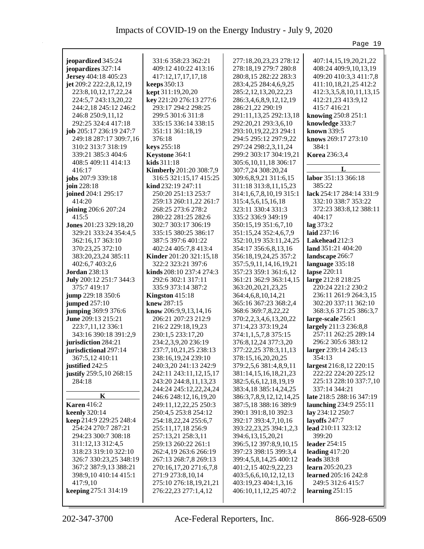|                                                                                                                                                                                                                                                                                                                                                                                                                                                                                                                                                                                                                                                                                                                                                                                                                                                                                                                                                                                                                                                                                    |                                                                                                                                                                                                                                                                                                                                                                                                                                                                                                                                                                                                                                                                                                                                                                                                                                                                                                                                                                                                                                                                                                                                                                                        |                                                                                                                                                                                                                                                                                                                                                                                                                                                                                                                                                                                                                                                                                                                                                                                                                                                                                                                                                                                                                                                                                                                                                                                                                                                                          | Page 19                                                                                                                                                                                                                                                                                                                                                                                                                                                                                                                                                                                                                                                                                                                                                                                                                                                                                                                                                                                                                                          |
|------------------------------------------------------------------------------------------------------------------------------------------------------------------------------------------------------------------------------------------------------------------------------------------------------------------------------------------------------------------------------------------------------------------------------------------------------------------------------------------------------------------------------------------------------------------------------------------------------------------------------------------------------------------------------------------------------------------------------------------------------------------------------------------------------------------------------------------------------------------------------------------------------------------------------------------------------------------------------------------------------------------------------------------------------------------------------------|----------------------------------------------------------------------------------------------------------------------------------------------------------------------------------------------------------------------------------------------------------------------------------------------------------------------------------------------------------------------------------------------------------------------------------------------------------------------------------------------------------------------------------------------------------------------------------------------------------------------------------------------------------------------------------------------------------------------------------------------------------------------------------------------------------------------------------------------------------------------------------------------------------------------------------------------------------------------------------------------------------------------------------------------------------------------------------------------------------------------------------------------------------------------------------------|--------------------------------------------------------------------------------------------------------------------------------------------------------------------------------------------------------------------------------------------------------------------------------------------------------------------------------------------------------------------------------------------------------------------------------------------------------------------------------------------------------------------------------------------------------------------------------------------------------------------------------------------------------------------------------------------------------------------------------------------------------------------------------------------------------------------------------------------------------------------------------------------------------------------------------------------------------------------------------------------------------------------------------------------------------------------------------------------------------------------------------------------------------------------------------------------------------------------------------------------------------------------------|--------------------------------------------------------------------------------------------------------------------------------------------------------------------------------------------------------------------------------------------------------------------------------------------------------------------------------------------------------------------------------------------------------------------------------------------------------------------------------------------------------------------------------------------------------------------------------------------------------------------------------------------------------------------------------------------------------------------------------------------------------------------------------------------------------------------------------------------------------------------------------------------------------------------------------------------------------------------------------------------------------------------------------------------------|
| jeopardized 345:24<br>jeopardizes 327:14<br>Jersey 404:18 405:23<br>jet 209:2 222:2,8,12,19<br>223:8, 10, 12, 17, 22, 24<br>224:5,7 243:13,20,22<br>244:2,18 245:12 246:2<br>246:8 250:9,11,12<br>292:25 324:4 417:18<br>job 205:17 236:19 247:7<br>249:18 287:17 309:7,16<br>310:2 313:7 318:19<br>339:21 385:3 404:6<br>408:5 409:11 414:13<br>416:17<br>jobs 207:9 339:18<br>join 228:18<br>joined 204:1 295:17<br>414:20<br>joining 206:6 207:24<br>415:5<br>Jones 201:23 329:18,20<br>329:21 333:24 354:4,5<br>362:16,17 363:10<br>370:23,25 372:10<br>383:20,23,24 385:11<br>402:6,7 403:2,6<br><b>Jordan</b> 238:13<br>July 200:12 251:7 344:3<br>375:7 419:17<br>jump 229:18 350:6<br>jumped 257:10<br>jumping 369:9 376:6<br>June 209:13 215:21<br>223:7,11,12 336:1<br>343:16 390:18 391:2,9<br>jurisdiction 284:21<br>jurisdictional 297:14<br>367:5,12 410:11<br>justified 242:5<br>justify 259:5,10 268:15<br>284:18<br>K<br><b>Karen</b> 416:2<br><b>keenly</b> 320:14<br>keep 214:9 229:25 248:4<br>254:24 270:7 287:21<br>294:23 300:7 308:18<br>311:12,13 312:4,5 | 331:6 358:23 362:21<br>409:12 410:22 413:16<br>417:12,17,17,17,18<br>keeps 350:13<br>kept 311:19,20,20<br>key 221:20 276:13 277:6<br>293:17 294:2 298:25<br>299:5 301:6 311:8<br>335:15 336:14 338:15<br>351:11 361:18,19<br>376:18<br>keys 255:18<br>Keystone 364:1<br>kids 311:18<br><b>Kimberly</b> 201:20 308:7,9<br>316:5 321:15,17 415:25<br>$\lim d 232:19 247:11$<br>250:20 251:13 253:7<br>259:13 260:11,22 261:7<br>268:25 273:6 278:2<br>280:22 281:25 282:6<br>302:7 303:17 306:19<br>335:15 380:25 386:17<br>387:5 397:6 401:22<br>402:24 405:7,8 413:4<br><b>Kinder</b> 201:20 321:15,18<br>322:2 323:21 397:6<br>kinds 208:10 237:4 274:3<br>292:6 302:1 317:11<br>335:9 373:14 387:2<br>Kingston 415:18<br>knew 287:15<br>know 206:9,9,13,14,16<br>206:21 207:23 212:9<br>216:2 229:18,19,23<br>230:1,5 233:17,20<br>234:2,3,9,20 236:19<br>237:7,10,21,25 238:13<br>238:16,19,24 239:10<br>240:3,20 241:13 242:9<br>242:11 243:11, 12, 15, 17<br>243:20 244:8,11,13,23<br>244:24 245:12,22,24,24<br>246:6 248:12,16,19,20<br>249:11,12,22,25 250:3<br>250:4,5 253:8 254:12<br>254:18,22,24 255:6,7<br>255:11,17,18 256:9<br>257:13,21 258:3,11<br>259:13 260:22 261:1 | 277:18,20,23,23 278:12<br>278:18,19 279:7 280:8<br>280:8,15 282:22 283:3<br>283:4,25 284:4,6,9,25<br>285:2,12,13,20,22,23<br>286:3,4,6,8,9,12,12,19<br>286:21,22 290:19<br>291:11, 13, 25 292:13, 18<br>292:20,21 293:3,6,10<br>293:10,19,22,23 294:1<br>294:5 295:12 297:9,22<br>297:24 298:2,3,11,24<br>299:2 303:17 304:19,21<br>305:6, 10, 11, 18 306: 17<br>307:7,24 308:20,24<br>309:6,8,9,21 311:6,15<br>311:18 313:8,11,15,23<br>314:1,6,7,8,10,19 315:1<br>315:4,5,6,15,16,18<br>323:11 330:4 331:3<br>335:2 336:9 349:19<br>350:15,19 351:6,7,10<br>351:15,24 352:4,6,7,9<br>352:10,19 353:11,24,25<br>354:17 356:6,8,13,16<br>356:18,19,24,25 357:2<br>357:5,9,11,14,16,19,21<br>357:23 359:1 361:6,12<br>361:21 362:9 363:14,15<br>363:20,20,21,23,25<br>364:4,6,8,10,14,21<br>365:16 367:23 368:2,4<br>368:6 369:7,8,22,22<br>370:2,2,3,4,6,13,20,22<br>371:4,23 373:19,24<br>374:1,1,5,7,8 375:15<br>376:8,12,24 377:3,20<br>377:22,25 378:3,11,13<br>378:15,16,20,20,25<br>379:2,5,6 381:4,8,9,11<br>381:14,15,16,18,21,23<br>382:5,6,6,12,18,19,19<br>383:4,18 385:14,24,25<br>386:3,7,8,9,12,12,14,25<br>387:5,18 388:16 389:9<br>390:1 391:8,10 392:3<br>392:17 393:4,7,10,16<br>393:22,23,25 394:1,2,3<br>394:6,13,15,20,21<br>396:5,12 397:8,9,10,15 | 407:14,15,19,20,21,22<br>408:24 409:9,10,13,19<br>409:20 410:3,3 411:7,8<br>411:10,18,21,25 412:2<br>412:3,3,5,8,10,11,13,15<br>412:21,23 413:9,12<br>415:7 416:21<br>knowing 250:8 251:1<br>knowledge 333:7<br><b>known</b> 339:5<br>knows 269:17 273:10<br>384:1<br><b>Korea</b> 236:3,4<br>L<br>labor 351:13 366:18<br>385:22<br>lack 254:17 284:14 331:9<br>332:10 338:7 353:22<br>372:23 383:8,12 388:11<br>404:17<br>lag 373:2<br>laid 237:16<br>Lakehead 212:3<br>land 351:21 404:20<br>landscape 266:7<br>language 335:18<br>lapse 220:11<br>large 212:8 218:25<br>220:24 221:2 230:2<br>236:11 261:9 264:3,15<br>302:20 337:11 362:10<br>368:3,6 371:25 386:3,7<br>large-scale 256:1<br>largely 211:3 236:8,8<br>257:11 262:25 289:14<br>296:2 305:6 383:12<br>larger 239:14 245:13<br>354:13<br>largest 216:8,12 220:15<br>222:22 224:20 225:12<br>225:13 228:10 337:7,10<br>337:14 344:21<br>late 218:5 288:16 347:19<br>launching 234:9 255:11<br>lay 234:12 250:7<br>layoffs 247:7<br>lead 210:11 323:12<br>399:20<br>leader 254:15 |
| 318:23 319:10 322:10<br>326:7 330:23,25 348:19<br>367:2 387:9,13 388:21<br>398:9,10 410:14 415:1<br>417:9,10<br>keeping 275:1 314:19                                                                                                                                                                                                                                                                                                                                                                                                                                                                                                                                                                                                                                                                                                                                                                                                                                                                                                                                               | 262:4,19 263:6 266:19<br>267:13 268:7,8 269:13<br>270:16,17,20 271:6,7,8<br>271:9 273:8,10,14<br>275:10 276:18,19,21,21<br>276:22,23 277:1,4,12                                                                                                                                                                                                                                                                                                                                                                                                                                                                                                                                                                                                                                                                                                                                                                                                                                                                                                                                                                                                                                        | 397:23 398:15 399:3,4<br>399:4,5,8,14,25 400:12<br>401:2,15 402:9,22,23<br>403:5,6,6,10,12,12,13<br>403:19,23 404:1,3,16<br>406:10,11,12,25 407:2                                                                                                                                                                                                                                                                                                                                                                                                                                                                                                                                                                                                                                                                                                                                                                                                                                                                                                                                                                                                                                                                                                                        | leading $417:20$<br>leads $383:8$<br>learn 205:20,23<br>learned 205:16 242:8<br>249:5 312:6 415:7<br>learning $251:15$                                                                                                                                                                                                                                                                                                                                                                                                                                                                                                                                                                                                                                                                                                                                                                                                                                                                                                                           |
|                                                                                                                                                                                                                                                                                                                                                                                                                                                                                                                                                                                                                                                                                                                                                                                                                                                                                                                                                                                                                                                                                    |                                                                                                                                                                                                                                                                                                                                                                                                                                                                                                                                                                                                                                                                                                                                                                                                                                                                                                                                                                                                                                                                                                                                                                                        |                                                                                                                                                                                                                                                                                                                                                                                                                                                                                                                                                                                                                                                                                                                                                                                                                                                                                                                                                                                                                                                                                                                                                                                                                                                                          |                                                                                                                                                                                                                                                                                                                                                                                                                                                                                                                                                                                                                                                                                                                                                                                                                                                                                                                                                                                                                                                  |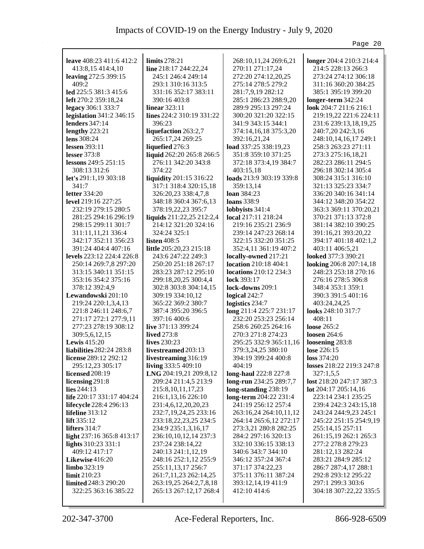|                           |                           |                               | Page 20                   |
|---------------------------|---------------------------|-------------------------------|---------------------------|
|                           |                           |                               |                           |
| leave 408:23 411:6 412:2  | limits $278:21$           | 268:10,11,24 269:6,21         | longer 204:4 210:3 214:4  |
| 413:8,15 414:4,10         | line 218:17 244:22,24     | 270:11 271:17,24              | 214:5 228:13 266:3        |
| leaving 272:5 399:15      | 245:1 246:4 249:14        | 272:20 274:12,20,25           | 273:24 274:12 306:18      |
| 409:2                     | 293:1 310:16 313:5        | 275:14 278:5 279:2            | 311:16 360:20 384:25      |
| led 225:5 381:3 415:6     | 331:16 352:17 383:11      | 281:7,9,19 282:12             | 385:1 395:19 399:20       |
| left 270:2 359:18,24      | 390:16 403:8              | 285:1 286:23 288:9,20         | longer-term 342:24        |
| legacy 306:1 333:7        | <b>linear</b> 323:11      | 289:9 295:13 297:24           | look $204:7211:6216:1$    |
| legislation 341:2 346:15  | lines 224:2 310:19 331:22 | 300:20 321:20 322:15          | 219:19,22 221:6 224:11    |
| lenders $347:14$          | 396:23                    | 341:9 343:15 344:1            | 231:6 239:13,18,19,25     |
| lengthy $223:21$          | liquefaction 263:2,7      | 374:14,16,18 375:3,20         | 240:7,20 242:3,16         |
| lens $308:24$             | 265:17,24 269:25          | 392:16,21,24                  | 248:10,14,16,17 249:1     |
| lessen 393:11             | liquefied 276:3           | load 337:25 338:19,23         | 258:3 263:23 271:11       |
| lesser $373:8$            | liquid 262:20 265:8 266:5 | 351:8 359:10 371:25           | 273:3 275:16,18,21        |
| lessons 249:5 251:15      | 276:11 342:20 343:8       | 372:18 373:4,19 384:7         | 282:23 286:11 294:5       |
| 308:13 312:6              | 374:22                    | 403:15,18                     | 296:18 302:14 305:4       |
| let's $291:1,19303:18$    | liquidity 201:15 316:22   | loads 213:9 303:19 339:8      | 308:24 315:1 316:10       |
| 341:7                     | 317:1 318:4 320:15,18     | 359:13,14                     | 321:13 325:23 334:7       |
| <b>letter</b> 334:20      | 326:20,23 338:4,7,8       | loan $384:23$                 | 336:20 340:16 341:14      |
| level 219:16 227:25       | 348:18 360:4 367:6,13     | <b>loans</b> 338:9            | 344:12 348:20 354:22      |
| 232:19 279:15 280:5       | 378:19,22,23 395:7        | lobbyists 341:4               | 363:3 369:11 370:20,21    |
| 281:25 294:16 296:19      | liquids 211:22,25 212:2,4 | local 217:11 218:24           | 370:21 371:13 372:8       |
| 298:15 299:11 301:7       | 214:12 321:20 324:16      | 219:16 235:21 236:9           | 381:14 382:10 390:25      |
| 311:11,11,21 336:4        | 324:24 325:1              | 239:14 247:23 268:14          | 391:16,21 393:20,22       |
| 342:17 352:11 356:23      | listen $408:5$            | 322:15 332:20 351:25          | 394:17 401:18 402:1,2     |
| 391:24 404:4 407:16       | little 205:20,23 215:18   | 352:4,11 361:19 407:2         | 403:11 406:5,21           |
| levels 223:12 224:4 226:8 | 243:6 247:22 249:3        | locally-owned 217:21          | looked 377:3 390:21       |
| 250:14 269:7,8 297:20     | 250:20 251:18 267:17      | location 210:18 404:1         | looking 206:8 207:14,18   |
| 313:15 340:11 351:15      | 283:23 287:12 295:10      | <b>locations</b> 210:12 234:3 | 248:23 253:18 270:16      |
| 353:16 354:2 375:16       | 299:18,20,25 300:4,4      | lock 393:17                   | 276:16 278:5 306:8        |
| 378:12 392:4,9            | 302:8 303:8 304:14,15     | lock-downs 209:1              | 348:4 353:1 359:1         |
| Lewandowski 201:10        | 309:19 334:10,12          | logical 242:7                 | 390:3 391:5 401:16        |
| 219:24 220:1,3,4,13       | 365:22 369:2 380:7        | logistics 234:7               | 403:24,24,25              |
| 221:8 246:11 248:6,7      | 387:4 395:20 396:5        | long 211:4 225:7 231:17       | looks 248:10 317:7        |
| 271:17 272:1 277:9,11     | 397:16 400:6              | 232:20 253:23 256:14          | 408:11                    |
| 277:23 278:19 308:12      | live $371:13399:24$       | 258:6 260:25 264:16           | loose 265:2               |
| 309:5,6,12,15             | <b>lived</b> 273:8        | 270:3 271:8 274:23            | loosen $264:6$            |
| Lewis $415:20$            | lives 230:23              | 295:25 332:9 365:11,16        | loosening 283:8           |
| liabilities 282:24 283:8  | livestreamed 203:13       | 379:3,24,25 380:10            | lose 226:15               |
| license 289:12 292:12     | livestreaming 316:19      | 394:19 399:24 400:8           | loss 374:20               |
| 295:12,23 305:17          | living 333:5 409:10       | 404:19                        | losses 218:22 219:3 247:8 |
| <b>licensed</b> 208:19    | LNG 204:19,21 209:8,12    | long-haul 222:8 227:8         | 327:1,5,5                 |
| licensing 291:8           | 209:24 211:4,5 213:9      | long-run 234:25 289:7,7       | lost 218:20 247:17 387:3  |
| lies $244:13$             | 215:8, 10, 11, 17, 23     | long-standing 238:19          | lot 204:17 205:14,16      |
| life 220:17 331:17 404:24 | 216:1,13,16 226:10        | long-term 204:22 231:4        | 223:14 234:1 235:25       |
| lifecycle 228:4 296:13    | 231:4,6,12,20,20,23       | 241:19 256:12 257:4           | 239:4 242:3 243:15,18     |
| lifeline 313:12           | 232:7,19,24,25 233:16     | 263:16,24 264:10,11,12        | 243:24 244:9,23 245:1     |
| lift $335:12$             | 233:18, 22, 23, 25 234: 5 | 264:14 265:6,12 272:17        | 245:22 251:15 254:9,19    |
| lifters 314:7             | 234:9 235:1,3,16,17       | 273:3,21 280:8 282:25         | 255:14,15 257:11          |
| light 237:16 365:8 413:17 | 236:10,10,12,14 237:3     | 284:2 297:16 320:13           | 261:15,19 262:1 265:3     |
| lights 310:23 331:1       | 237:24 238:14,22          | 332:10 336:15 338:13          | 277:2 278:8 279:23        |
| 409:12 417:17             | 240:13 241:1,12,19        | 340:6 343:7 344:10            | 281:12,13 282:24          |
| Likewise 416:20           | 248:16 252:1,12 255:9     | 346:12 357:24 367:4           | 283:21 284:9 285:12       |
| limbo 323:19              | 255:11,13,17 256:7        | 371:17 374:22,23              | 286:7 287:4,17 288:1      |
| limit 210:23              | 261:7, 11, 23 262: 14, 25 | 375:11 376:11 387:24          | 292:8 293:12 295:22       |
| limited 248:3 290:20      | 263:19,25 264:2,7,8,18    | 393:12,14,19 411:9            | 297:1 299:3 303:6         |
| 322:25 363:16 385:22      | 265:13 267:12,17 268:4    | 412:10 414:6                  | 304:18 307:22,22 335:5    |
|                           |                           |                               |                           |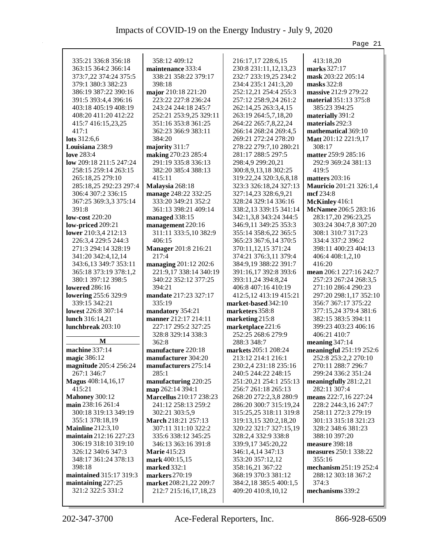|                                              |                                               |                                              | Page 21                                    |
|----------------------------------------------|-----------------------------------------------|----------------------------------------------|--------------------------------------------|
|                                              |                                               |                                              |                                            |
| 335:21 336:8 356:18                          | 358:12 409:12                                 | 216:17,17 228:6,15                           | 413:18,20                                  |
| 363:15 364:2 366:14                          | maintenance 333:4                             | 230:8 231:11,12,13,23                        | marks 327:17                               |
| 373:7,22 374:24 375:5                        | 338:21 358:22 379:17                          | 232:7 233:19,25 234:2                        | mask 203:22 205:14                         |
| 379:1 380:3 382:23                           | 398:18                                        | 234:4 235:1 241:3,20                         | masks 322:8                                |
| 386:19 387:22 390:16                         | major 210:18 221:20                           | 252:12,21 254:4 255:3                        | massive 212:9 279:22                       |
| 391:5 393:4,4 396:16                         | 223:22 227:8 236:24                           | 257:12 258:9,24 261:2                        | material 351:13 375:8                      |
| 403:18 405:19 408:19<br>408:20 411:20 412:22 | 243:24 244:18 245:7                           | 262:14,25 263:3,4,15                         | 385:23 394:25                              |
| 415:7 416:15,23,25                           | 252:21 253:9,25 329:11<br>351:16 353:8 361:25 | 263:19 264:5,7,18,20<br>264:22 265:7,8,22,24 | materially 391:2<br>materials 292:3        |
| 417:1                                        | 362:23 366:9 383:11                           | 266:14 268:24 269:4,5                        | mathematical 369:10                        |
| lots 312:6,6                                 | 384:20                                        | 269:21 272:24 278:20                         | Matt 201:12 221:9,17                       |
| Louisiana 238:9                              | majority 311:7                                | 278:22 279:7,10 280:21                       | 308:17                                     |
| <b>love</b> 283:4                            | making 270:23 285:4                           | 281:17 288:5 297:5                           | matter 259:9 285:16                        |
| low 209:18 211:5 247:24                      | 291:19 335:8 336:13                           | 298:4,9 299:20,21                            | 292:9 369:24 381:13                        |
| 258:15 259:14 263:15                         | 382:20 385:4 388:13                           | 300:8,9,13,18 302:25                         | 419:5                                      |
| 265:18,25 279:10                             | 415:11                                        | 319:22,24 320:3,6,8,18                       | matters 203:16                             |
| 285:18,25 292:23 297:4                       | Malaysia 268:18                               | 323:3 326:18,24 327:13                       | Mauricio 201:21 326:1,4                    |
| 306:4 307:2 336:15                           | manage 248:22 332:25                          | 327:14,23 328:6,9,21                         | mcf 234:8                                  |
| 367:25 369:3,3 375:14                        | 333:20 349:21 352:2                           | 328:24 329:14 336:16                         | McKinley 416:1                             |
| 391:8                                        | 361:13 398:21 409:14                          | 338:2,13 339:15 341:14                       | McNamee 206:5 283:16                       |
| <b>low-cost</b> 220:20                       | managed 338:15                                | 342:1,3,8 343:24 344:5                       | 283:17,20 296:23,25                        |
| low-priced 209:21                            | management 220:16                             | 346:9,11 349:25 353:3                        | 303:24 304:7,8 307:20                      |
| lower 210:3,4 212:13                         | 311:11 333:5,10 382:9                         | 355:14 358:6,22 365:5                        | 308:1 310:7 317:23                         |
| 226:3,4 229:5 244:3                          | 406:15                                        | 365:23 367:6,14 370:5                        | 334:4 337:2 396:2                          |
| 271:3 294:14 328:19                          | Manager 201:8 216:21                          | 370:11,12,15 371:24                          | 398:11 400:23 404:13                       |
| 341:20 342:4,12,14                           | 217:4                                         | 374:21 376:3,11 379:4                        | 406:4 408:1,2,10                           |
| 343:6,13 349:7 353:11                        | managing 201:12 202:6                         | 384:9,19 388:22 391:7                        | 416:20                                     |
| 365:18 373:19 378:1,2                        | 221:9,17 338:14 340:19                        | 391:16,17 392:8 393:6                        | mean 206:1 227:16 242:7                    |
| 380:1 397:12 398:5                           | 340:22 352:12 377:25                          | 393:11,24 394:8,24                           | 257:23 267:24 268:3,5                      |
| lowered 286:16                               | 394:21                                        | 406:8 407:16 410:19                          | 271:10 286:4 290:23                        |
| lowering 255:6 329:9                         | mandate 217:23 327:17                         | 412:5,12 413:19 415:21                       | 297:20 298:1,17 352:10                     |
| 339:15 342:21                                | 335:19                                        | market-based 342:10                          | 356:7 367:17 375:22                        |
| lowest 226:8 307:14                          | mandatory 354:21                              | marketers 358:8                              | 377:15,24 379:4 381:6                      |
| lunch 316:14,21                              | manner 212:17 214:11                          | marketing 215:8                              | 382:15 383:5 394:11                        |
| lunchbreak 203:10                            | 227:17 295:2 327:25                           | marketplace 221:6                            | 399:23 403:23 406:16                       |
|                                              | 328:8 329:14 338:3                            | 252:25 268:6 279:9                           | 406:21 410:7                               |
| $\bf{M}$                                     | 362:8                                         | 288:3 348:7                                  | meaning $347:14$                           |
| machine 337:14                               | manufacture 220:18                            | markets 205:1 208:24                         | meaningful 251:19 252:6                    |
| magic 386:12                                 | manufacturer 304:20                           | 213:12 214:1 216:1<br>230:2,4 231:18 235:16  | 252:8 253:2,2 270:10<br>270:11 288:7 296:7 |
| magnitude 205:4 256:24<br>267:1 346:7        | manufacturers 275:14<br>285:1                 | 240:5 244:22 248:15                          | 299:24 336:2 351:24                        |
| Magus 408:14,16,17                           | manufacturing 220:25                          | 251:20,21 254:1 255:13                       | meaningfully $281:2,21$                    |
| 415:21                                       | map 262:14 394:1                              | 256:7 261:18 265:13                          | 282:11 307:4                               |
| <b>Mahoney 300:12</b>                        | <b>Marcellus</b> 210:17 238:23                | 268:20 272:2,3,8 280:9                       | means 222:7,16 227:24                      |
| main 238:16 261:4                            | 241:12 258:13 259:2                           | 286:20 300:7 315:19,24                       | 228:2 244:3,16 247:7                       |
| 300:18 319:13 349:19                         | 302:21 303:5,9                                | 315:25,25 318:11 319:8                       | 258:11 272:3 279:19                        |
| 355:1 378:18,19                              | March 218:21 257:13                           | 319:13,15 320:2,18,20                        | 301:13 315:18 321:23                       |
| <b>Mainline</b> 212:3,10                     | 307:11 311:10 322:2                           | 320:22 321:7 327:15,19                       | 328:2 348:6 381:23                         |
| maintain 212:16 227:23                       | 335:6 338:12 345:25                           | 328:2,4 332:9 338:8                          | 388:10 397:20                              |
| 306:19 318:10 319:10                         | 346:13 363:16 391:8                           | 339:9,17 345:20,22                           | measure 398:18                             |
| 326:12 340:6 347:3                           | <b>Marie</b> 415:23                           | 346:1,4,14 347:13                            | measures 250:1 338:22                      |
| 348:17 361:24 378:13                         | mark 400:15,15                                | 353:20 357:12,12                             | 355:16                                     |
| 398:18                                       | <b>marked</b> 332:1                           | 358:16,21 367:22                             | mechanism 251:19 252:4                     |
| maintained 315:17 319:3                      | markers 270:19                                | 368:19 370:3 381:12                          | 288:12 303:18 367:2                        |
| maintaining 227:25                           | market 208:21,22 209:7                        | 384:2,18 385:5 400:1,5                       | 374:3                                      |
| 321:2 322:5 331:2                            | 212:7 215:16,17,18,23                         | 409:20 410:8,10,12                           | mechanisms 339:2                           |
|                                              |                                               |                                              |                                            |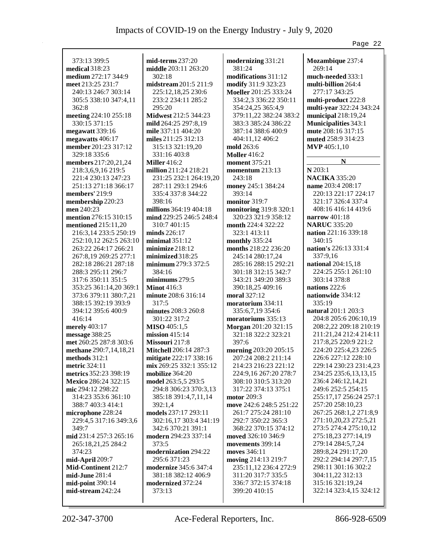| 373:13 399:5           | $mid-terms 237:20$           | modernizing 331:21      | Mozambique 237:4            |
|------------------------|------------------------------|-------------------------|-----------------------------|
| medical 318:23         | middle 203:11 263:20         | 381:24                  | 269:14                      |
| medium 272:17 344:9    | 302:18                       | modifications 311:12    | much-needed 333:1           |
| meet 213:25 231:7      | midstream 201:5 211:9        | modify 311:9 323:23     | multi-billion 264:4         |
| 240:13 246:7 303:14    | 225:12,18,25 230:6           | Moeller 201:25 333:24   | 277:17 343:25               |
| 305:5 338:10 347:4,11  | 233:2 234:11 285:2           | 334:2,3 336:22 350:11   | multi-product 222:8         |
| 362:8                  | 295:20                       | 354:24,25 365:4,9       | multi-year 322:24 343:24    |
| meeting 224:10 255:18  | Midwest 212:5 344:23         | 379:11,22 382:24 383:2  | municipal $218:19,24$       |
|                        |                              |                         |                             |
| 330:15 371:15          | mild 264:25 297:8,19         | 383:3 385:24 386:22     | <b>Municipalities 343:1</b> |
| megawatt 339:16        | mile 337:11 404:20           | 387:14 388:6 400:9      | mute 208:16 317:15          |
| megawatts 406:17       | miles 211:25 312:13          | 404:11,12 406:2         | muted 258:9 314:23          |
| member 201:23 317:12   | 315:13 321:19,20             | mold 263:6              | <b>MVP</b> 405:1,10         |
| 329:18 335:6           | 331:16 403:8                 | <b>Moller</b> 416:2     |                             |
| members 217:20,21,24   | <b>Miller</b> 416:2          | <b>moment</b> 375:21    | N                           |
| 218:3,6,9,16 219:5     | million 211:24 218:21        | momentum 213:13         | N 203:1                     |
| 221:4 230:13 247:23    | 231:25 232:1 264:19,20       | 243:18                  | <b>NACIKA 335:20</b>        |
|                        |                              |                         |                             |
| 251:13 271:18 366:17   | 287:11 293:1 294:6           | money 245:1 384:24      | name 203:4 208:17           |
| members' 219:9         | 335:4 337:8 344:22           | 393:14                  | 220:13 221:17 224:17        |
| membership 220:23      | 398:16                       | monitor 319:7           | 321:17 326:4 337:4          |
| men 240:23             | millions 364:19 404:18       | monitoring 319:8 320:1  | 408:16 416:14 419:6         |
| mention 276:15 310:15  | mind 229:25 246:5 248:4      | 320:23 321:9 358:12     | narrow $401:18$             |
| mentioned 215:11,20    | 310:7 401:15                 | month 224:4 322:22      | <b>NARUC 335:20</b>         |
| 216:3,14 233:5 250:19  | minds 226:17                 | 323:1 413:11            | nation 221:16 339:18        |
| 252:10,12 262:5 263:10 | minimal 351:12               | monthly 335:24          | 340:15                      |
|                        |                              |                         | nation's 226:13 331:4       |
| 263:22 264:17 266:21   | minimize 218:12              | months 218:22 236:20    |                             |
| 267:8,19 269:25 277:1  | minimized 318:25             | 245:14 280:17,24        | 337:9,16                    |
| 282:18 286:21 287:18   | minimum 279:3 372:5          | 285:16 288:15 292:21    | national 204:15,18          |
| 288:3 295:11 296:7     | 384:16                       | 301:18 312:15 342:7     | 224:25 255:1 261:10         |
| 317:6 350:11 351:5     | minimums 279:5               | 343:21 349:20 389:3     | 303:14 378:8                |
| 353:25 361:14,20 369:1 | <b>Minot</b> 416:3           | 390:18,25 409:16        | nations 222:6               |
| 373:6 379:11 380:7,21  | minute 208:6 316:14          | moral 327:12            | nationwide 334:12           |
| 388:15 392:19 393:9    | 317:5                        | moratorium 334:11       | 335:19                      |
| 394:12 395:6 400:9     | minutes 208:3 260:8          | 335:6,7,19 354:6        | natural 201:1 203:3         |
|                        |                              |                         | 204:8 205:6 206:10,19       |
| 416:14                 | 301:22 317:2                 | moratoriums 335:13      |                             |
| merely 403:17          | <b>MISO</b> 405:1,5          | Morgan 201:20 321:15    | 208:2,22 209:18 210:19      |
| message 388:25         | mission $415:14$             | 321:18 322:2 323:21     | 211:21,24 212:4 214:11      |
| met 260:25 287:8 303:6 | Missouri 217:8               | 397:6                   | 217:8,25 220:9 221:2        |
| methane 290:7,14,18,21 | <b>Mitchell</b> 206:14 287:3 | morning 203:20 205:15   | 224:20 225:4,23 226:5       |
| methods $312:1$        | mitigate 222:17 338:16       | 207:24 208:2 211:14     | 226:6 227:12 228:10         |
| <b>metric</b> 324:11   | mix 269:25 332:1 355:12      | 214:23 216:23 221:12    | 229:14 230:23 231:4,23      |
| metrics 352:23 398:19  | mobilize 364:20              | 224:9,16 267:20 278:7   | 234:25 235:6,13,13,15       |
| Mexico 286:24 322:15   | model 263:5,5 293:5          | 308:10 310:5 313:20     | 236:4 246:12,14,21          |
|                        |                              |                         |                             |
| mic 294:12 298:22      | 294:8 306:23 370:3,13        | 317:22 374:13 375:1     | 249:6 252:5 254:15          |
| 314:23 353:6 361:10    | 385:18 391:4,7,11,14         | motor $209:3$           | 255:17,17 256:24 257:1      |
| 388:7 403:3 414:1      | 392:1,4                      | move 242:6 248:5 251:22 | 257:20 258:10,23            |
| microphone 228:24      | models 237:17 293:11         | 261:7 275:24 281:10     | 267:25 268:1,2 271:8,9      |
| 229:4,5 317:16 349:3,6 | 302:16,17 303:4 341:19       | 292:7 350:22 365:3      | 271:10,20,23 272:5,21       |
| 349:7                  | 342:6 370:21 391:1           | 368:22 370:15 374:12    | 273:5 274:4 275:10,12       |
| mid 231:4 257:3 265:16 | modern 294:23 337:14         | moved 326:10 346:9      | 275:18,23 277:14,19         |
| 265:18,21,25 284:2     | 373:5                        | movements 399:14        | 279:14 284:5,7,24           |
| 374:23                 | modernization 294:22         | moves 346:11            | 289:8,24 291:17,20          |
| mid-April 209:7        | 295:6 371:23                 |                         | 292:2 294:14 297:7,15       |
|                        |                              | moving 214:13 219:7     |                             |
| Mid-Continent 212:7    | <b>modernize</b> 345:6 347:4 | 235:11,12 236:4 272:9   | 298:11 301:16 302:2         |
| mid-June 281:4         | 381:18 382:12 406:9          | 311:20 317:7 335:5      | 304:11,22 312:13            |
| mid-point 390:14       | modernized 372:24            | 336:7 372:15 374:18     | 315:16 321:19,24            |
| mid-stream 242:24      | 373:13                       | 399:20 410:15           | 322:14 323:4,15 324:12      |
|                        |                              |                         |                             |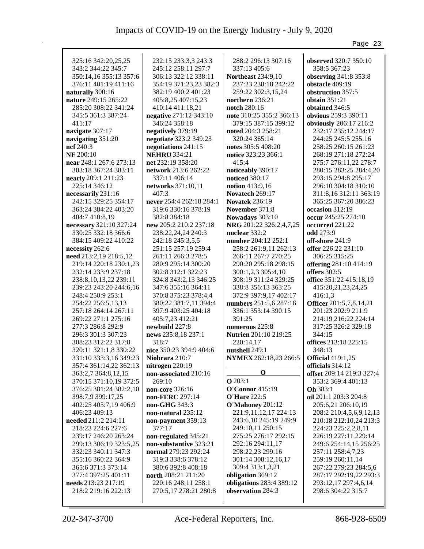|                                                |                                              |                                               | Page 23                                    |
|------------------------------------------------|----------------------------------------------|-----------------------------------------------|--------------------------------------------|
|                                                |                                              |                                               |                                            |
| 325:16 342:20,25,25                            | 232:15 233:3,3 243:3                         | 288:2 296:13 307:16                           | observed 320:7 350:10                      |
| 343:2 344:22 345:7                             | 245:12 258:11 297:7<br>306:13 322:12 338:11  | 337:13 405:6<br><b>Northeast 234:9,10</b>     | 358:5 367:23<br>observing 341:8 353:8      |
| 350:14,16 355:13 357:6<br>376:11 401:19 411:16 | 354:19 371:23,23 382:3                       | 237:23 238:18 242:22                          | obstacle 409:19                            |
| naturally 300:16                               | 382:19 400:2 401:23                          | 259:22 302:3,15,24                            | obstruction 357:5                          |
| nature 249:15 265:22                           | 405:8,25 407:15,23                           | northern 236:21                               | obtain $351:21$                            |
| 285:20 308:22 341:24                           | 410:14 411:18,21                             | notch 280:16                                  | obtained 346:5                             |
| 345:5 361:3 387:24                             | negative 271:12 343:10                       | note 310:25 355:2 366:13                      | obvious 259:3 390:11                       |
| 411:17                                         | 346:24 358:18                                | 379:15 387:15 399:12                          | obviously 206:17 216:2                     |
| navigate 307:17                                | negatively 379:19                            | noted 204:3 258:21                            | 232:17 235:12 244:17                       |
| navigating 351:20                              | negotiate 323:2 349:23                       | 320:24 365:14                                 | 244:25 245:5 255:16                        |
| ncf $240:3$                                    | negotiations 241:15                          | notes 305:5 408:20                            | 258:25 260:15 261:23                       |
| <b>NE</b> 200:10                               | <b>NEHRU 334:21</b>                          | notice 323:23 366:1                           | 268:19 271:18 272:24                       |
| near 248:1 267:6 273:13                        | net 232:19 358:20                            | 415:4                                         | 275:7 276:11,22 278:7                      |
| 303:18 367:24 383:11                           | network 213:6 262:22                         | noticeably 390:17                             | 280:15 283:25 284:4,20                     |
| nearly 209:1 211:23                            | 337:11 406:14                                | <b>noticed</b> 380:17                         | 293:15 294:8 295:17                        |
| 225:14 346:12                                  | networks 371:10,11                           | notion $413:9,16$                             | 296:10 304:18 310:10                       |
| necessarily 231:16                             | 407:3                                        | Novatech 269:17                               | 311:8, 16 312:11 363:19                    |
| 242:15 329:25 354:17                           | never 254:4 262:18 284:1                     | <b>Novatek 236:19</b>                         | 365:25 367:20 386:23                       |
| 363:24 384:22 403:20                           | 319:6 330:16 378:19                          | November 371:8                                | occasion 312:19                            |
| 404:7 410:8,19                                 | 382:8 384:18                                 | Nowadays 303:10                               | occur 245:25 274:10                        |
| necessary 321:10 327:24                        | new 205:2 210:2 237:18                       | NRG 201:22 326:2,4,7,25                       | occurred 221:22                            |
| 330:25 332:18 366:6                            | 238:22,24,24 240:3                           | nuclear 332:2                                 | <b>odd</b> 273:9                           |
| 384:15 409:22 410:22                           | 242:18 245:3,5,5                             | number 204:12 252:1                           | off-shore 241:9                            |
| necessity 262:6                                | 251:15 257:19 259:4                          | 258:2 261:9,11 262:13                         | offer 226:22 231:10                        |
| need 213:2,19 218:5,12                         | 261:11 266:3 278:5                           | 266:11 267:7 270:25                           | 306:25 315:25                              |
| 219:14 220:18 230:1,23                         | 280:9 295:14 300:20                          | 290:20 295:18 298:15                          | offering 281:10 414:19                     |
| 232:14 233:9 237:18                            | 302:8 312:1 322:23                           | 300:1,2,3 305:4,10                            | <b>offers</b> 302:5                        |
| 238:8, 10, 13, 22 239:11                       | 324:8 343:2,13 346:25                        | 308:19 311:24 329:25                          | office 351:22 415:18,19                    |
| 239:23 243:20 244:6,16                         | 347:6 355:16 364:11                          | 338:8 356:13 363:25                           | 415:20,21,23,24,25                         |
| 248:4 250:9 253:1                              | 370:8 375:23 378:4,4                         | 372:9 397:9,17 402:17                         | 416:1,3                                    |
| 254:22 256:5,13,13                             | 380:22 381:7,11 394:4                        | numbers 251:5,6 287:16                        | Officer 201:5,7,8,14,21                    |
| 257:18 264:14 267:11                           | 397:9 403:25 404:18                          | 336:1 353:14 390:15                           | 201:23 202:9 211:9                         |
| 269:22 271:1 275:16                            | 405:7,23 412:21                              | 391:25                                        | 214:19 216:22 224:14                       |
| 277:3 286:8 292:9                              | newbuild 227:8                               | numerous 225:8                                | 317:25 326:2 329:18                        |
| 296:3 301:3 307:23                             | news 235:8,18 237:1                          | Nutrien 201:10 219:25                         | 344:15                                     |
| 308:23 312:22 317:8                            | 318:7                                        | 220:14,17                                     | offices 213:18 225:15                      |
| 320:11 321:1,8 330:22                          | nice 350:23 394:9 404:6                      | nutshell 249:1                                | 348:13                                     |
| 331:10 333:3,16 349:23                         | Niobrara 210:7                               | NYMEX 262:18,23 266:5                         | <b>Official 419:1,25</b>                   |
| 357:4 361:14,22 362:13                         | nitrogen 220:19                              |                                               | officials 314:12                           |
| 363:2,7 364:8,12,15                            | non-associated 210:16                        | $\bf{0}$                                      | offset 209:14 219:3 327:4                  |
| 370:15 371:10,19 372:5                         | 269:10                                       | <b>O</b> 203:1                                | 353:2 369:4 401:13                         |
| 376:25 381:24 382:2,10                         | non-core 326:16                              | <b>O'Connor</b> 415:19                        | Oh 383:1                                   |
| 398:7,9 399:17,25                              | non-FERC 297:14                              | <b>O'Hare 222:5</b>                           | oil 201:1 203:3 204:8                      |
| 402:25 405:7,19 406:9                          | non-GHG 343:3                                | O'Mahoney 201:12                              | 205:6,21 206:10,19                         |
| 406:23 409:13                                  | non-natural 235:12                           | 221:9,11,12,17 224:13                         | 208:2 210:4,5,6,9,12,13                    |
| needed 211:2 214:11                            | non-payment 359:13                           | 243:6,10 245:19 249:9                         | 210:18 212:10,24 213:3                     |
| 218:23 224:6 227:6                             | 377:17                                       | 249:10,11 250:15                              | 224:23 225:2,2,8,11                        |
| 239:17 246:20 263:24                           | non-regulated 345:21                         | 275:25 276:17 292:15                          | 226:19 227:11 229:14                       |
| 299:13 306:19 323:5,25                         | non-substantive 323:21                       | 292:16 294:11,17                              | 249:6 254:14,15 256:25                     |
| 332:23 340:11 347:3                            | normal 279:23 292:24                         | 298:22,23 299:16                              | 257:11 258:4,7,23                          |
| 355:16 360:22 364:9                            | 319:3 338:6 378:12                           | 301:14 308:12,16,17                           | 259:19 260:11,14                           |
| 365:6 371:3 373:14                             | 380:6 392:8 408:18                           | 309:4 313:1,3,21                              | 267:22 279:23 284:5,6                      |
| 377:4 397:25 401:11                            | north 208:21 211:20                          | obligation 369:12<br>obligations 283:4 389:12 | 287:17 292:19,22 293:3                     |
| needs 213:23 217:19<br>218:2 219:16 222:13     | 220:16 248:11 258:1<br>270:5,17 278:21 280:8 | observation 284:3                             | 293:12,17 297:4,6,14<br>298:6 304:22 315:7 |
|                                                |                                              |                                               |                                            |
|                                                |                                              |                                               |                                            |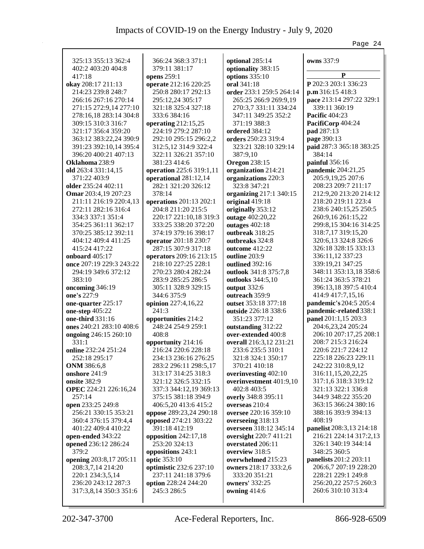| 325:13 355:13 362:4                         | 366:24 368:3 371:1                     |                                             |                                             |
|---------------------------------------------|----------------------------------------|---------------------------------------------|---------------------------------------------|
| 402:2 403:20 404:8                          | 379:11 381:17                          | optional 285:14<br>optionality 383:15       | owns 337:9                                  |
| 417:18                                      | opens 259:1                            | options 335:10                              | P                                           |
| okay 208:17 211:13                          | operate 212:16 220:25                  | oral 341:18                                 | P 202:3 203:1 336:23                        |
| 214:23 239:8 248:7                          | 250:8 280:17 292:13                    | order 233:1 259:5 264:14                    | p.m.316:15.418:3                            |
| 266:16 267:16 270:14                        | 295:12,24 305:17                       | 265:25 266:9 269:9,19                       | pace 213:14 297:22 329:1                    |
| 271:15 272:9,14 277:10                      | 321:18 325:4 327:18                    | 270:3,7 331:11 334:24                       | 339:11 360:19                               |
| 278:16,18 283:14 304:8                      | 333:6 384:16                           | 347:11 349:25 352:2                         | <b>Pacific 404:23</b>                       |
| 309:15 310:3 316:7                          | operating 212:15,25                    | 371:19 388:3                                | PacifiCorp 404:24                           |
| 321:17 356:4 359:20                         | 224:19 279:2 287:10                    | ordered 384:12                              | pad 287:13                                  |
| 363:12 383:22,24 390:9                      | 292:10 295:15 296:2,2                  | orders 250:23 319:4                         | page 390:13                                 |
| 391:23 392:10,14 395:4                      | 312:5,12 314:9 322:4                   | 323:21 328:10 329:14                        | paid 287:3 365:18 383:25                    |
| 396:20 400:21 407:13                        | 322:11 326:21 357:10                   | 387:9,10                                    | 384:14                                      |
| Oklahoma 238:9                              | 381:23 414:6                           | <b>Oregon 238:15</b>                        | painful 356:16                              |
| old 263:4 331:14,15                         | operation 225:6 319:1,11               | organization 214:21                         | pandemic 204:21,25                          |
| 371:22 403:9                                | operational 281:12,14                  | organizations 220:3                         | 205:9,19,25 207:6                           |
| older 235:24 402:11                         | 282:1 321:20 326:12                    | 323:8 347:21                                | 208:23 209:7 211:17                         |
| Omar 203:4,19 207:23                        | 378:14                                 | organizing 217:1 340:15                     | 212:9,20 213:20 214:12                      |
| 211:11 216:19 220:4,13                      | operations 201:13 202:1                | original 419:18                             | 218:20 219:11 223:4                         |
| 272:11 282:16 316:4                         | 204:8 211:20 215:5                     | originally 353:12                           | 238:6 240:15,25 250:5                       |
| 334:3 337:1 351:4                           | 220:17 221:10,18 319:3                 | outage 402:20,22                            | 260:9,16 261:15,22                          |
| 354:25 361:11 362:17                        | 333:25 338:20 372:20                   | outages 402:18                              | 299:8,15 304:16 314:25                      |
| 370:25 385:12 392:11                        | 374:19 379:16 398:17                   | outbreak 318:25                             | 318:7,17 319:15,20                          |
| 404:12 409:4 411:25                         | operator 201:18 230:7                  | outbreaks 324:8                             | 320:6,13 324:8 326:6                        |
| 415:24 417:22                               | 287:15 307:9 317:18                    | outcome 412:22                              | 326:18 328:15 333:13                        |
| onboard 405:17                              | operators 209:16 213:15                | outline 203:9                               | 336:11,12 337:23                            |
| once 207:19 229:3 243:22                    | 218:10 227:25 228:1                    | outlined 392:16                             | 339:19,21 347:25                            |
| 294:19 349:6 372:12                         | 270:23 280:4 282:24                    | outlook 341:8 375:7,8                       | 348:11 353:13,18 358:6                      |
| 383:10                                      | 283:9 285:25 286:5                     | outlooks 344:5,10                           | 361:24 363:5 378:21                         |
| oncoming 346:19                             | 305:11 328:9 329:15                    | output 332:6                                | 396:13,18 397:5 410:4                       |
| one's 227:9                                 | 344:6 375:9                            | outreach 359:9                              | 414:9 417:7,15,16                           |
| one-quarter 225:17                          | opinion 227:4,16,22                    | outset 353:18 377:18                        | pandemic's 204:5 205:4                      |
| one-step 405:22                             | 241:3                                  | outside 226:18 338:6                        | pandemic-related 338:1                      |
| one-third 331:16                            | opportunities 214:2                    | 351:23 377:12                               | panel 201:1,15 203:3                        |
| ones 240:21 283:10 408:6                    | 248:24 254:9 259:1                     | outstanding 312:22                          | 204:6,23,24 205:24                          |
| ongoing 246:15 260:10                       | 408:8                                  | over-extended 400:8                         | 206:10 207:17,25 208:1                      |
| 331:1                                       | opportunity 214:16                     | overall 216:3,12 231:21                     | 208:7 215:3 216:24                          |
| online 232:24 251:24                        | 216:24 220:6 228:18                    | 233:6 235:5 310:1                           | 220:6 221:7 224:12                          |
| 252:18 295:17                               | 234:13 236:16 276:25                   | 321:8 324:1 350:17                          | 225:18 226:23 229:11                        |
| <b>ONM</b> 386:6,8                          | 283:2 296:11 298:5,17                  | 370:21 410:18                               | 242:22 310:8,9,12                           |
| onshore 241:9                               | 313:17 314:25 318:3                    | overinvesting 402:10                        | 316:11,15,20,22,25                          |
| onsite 382:9                                | 321:12 326:5 332:15                    | overinvestment 401:9,10                     | 317:1,6 318:3 319:12                        |
| OPEC 224:21 226:16,24                       | 337:3 344:12,19 369:13                 | 402:8 403:5                                 | 321:13 322:1 336:8                          |
| 257:14                                      | 375:15 381:18 394:9                    | overly 348:8 395:11                         | 344:9 348:22 355:20                         |
| open 233:25 249:8                           | 406:5,20 413:6 415:2                   | overseas 210:4                              | 363:15 366:24 380:16<br>388:16 393:9 394:13 |
| 256:21 330:15 353:21                        | oppose 289:23,24 290:18                | oversee 220:16 359:10                       | 408:19                                      |
| 360:4 376:15 379:4,4<br>401:22 409:4 410:22 | opposed 274:21 303:22<br>391:18 412:19 | overseeing 318:13<br>overseen 318:12 345:14 | panelist 208:3,13 214:18                    |
| open-ended 343:22                           | opposition 242:17,18                   | oversight 220:7 411:21                      | 216:21 224:14 317:2,13                      |
| opened 236:12 286:24                        | 253:20 324:13                          | overstated 206:11                           | 326:1 340:19 344:14                         |
| 379:2                                       | oppositions 243:1                      | overview 318:5                              | 348:25 360:5                                |
| opening 203:8,17 205:11                     | optic 353:10                           | overwhelmed 215:23                          | panelists 201:2 203:11                      |
| 208:3,7,14 214:20                           | optimistic 232:6 237:10                | owners 218:17 333:2,6                       | 206:6,7 207:19 228:20                       |
| 220:1 234:3,5,14                            | 237:11 241:18 379:6                    | 333:20 351:21                               | 228:21 229:1 249:8                          |
| 236:20 243:12 287:3                         | option 228:24 244:20                   | <b>owners'</b> 332:25                       | 256:20,22 257:5 260:3                       |
| 317:3,8,14 350:3 351:6                      | 245:3 286:5                            | owning 414:6                                | 260:6 310:10 313:4                          |
|                                             |                                        |                                             |                                             |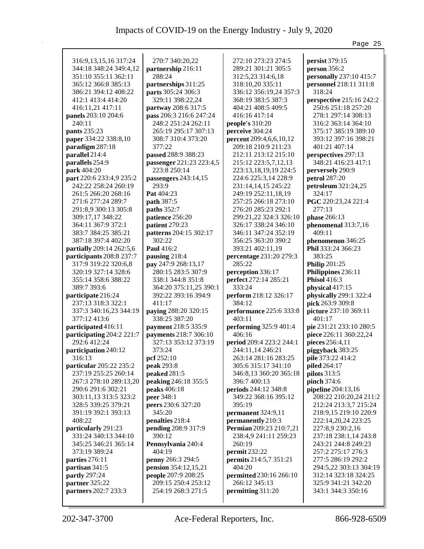|                           |                          |                          | Page 25                         |
|---------------------------|--------------------------|--------------------------|---------------------------------|
|                           |                          |                          |                                 |
| 316:9, 13, 15, 16 317: 24 | 270:7 340:20,22          | 272:10 273:23 274:5      | persist 379:15                  |
| 344:18 348:24 349:4,12    | partnership 216:11       | 289:21 301:21 305:5      | person 356:2                    |
| 351:10 355:11 362:11      | 288:24                   | 312:5,23 314:6,18        | personally 237:10 415:7         |
| 365:12 366:8 385:13       | partnerships 311:25      | 318:10,20 335:11         | personnel 218:11 311:8          |
| 386:21 394:12 408:22      | parts 305:24 306:3       | 336:12 356:19,24 357:3   | 318:24                          |
| 412:1 413:4 414:20        | 329:11 398:22,24         | 368:19 383:5 387:3       | <b>perspective</b> 215:16 242:2 |
| 416:11,21 417:11          | partway 208:6 317:5      | 404:21 408:5 409:5       | 250:6 251:18 257:20             |
| panels 203:10 204:6       | pass 206:3 216:6 247:24  | 416:16 417:14            | 278:1 297:14 308:13             |
| 240:11                    | 248:2 251:24 262:11      | people's $310:20$        | 316:2 363:14 364:10             |
| pants 235:23              | 265:19 295:17 307:13     | perceive 304:24          | 375:17 385:19 389:10            |
| paper 334:22 338:8,10     | 308:7 310:4 373:20       | percent 209:4,6,6,10,12  | 393:12 397:16 398:21            |
| paradigm 287:18           | 377:22                   | 209:18 210:9 211:23      | 401:21 407:14                   |
| parallel 214:4            | passed 288:9 388:23      | 212:11 213:12 215:10     | perspectives 297:13             |
| parallels 254:9           | passenger 221:23 223:4,5 | 215:12 223:5,7,12,13     | 348:21 416:23 417:1             |
| park 404:20               | 223:8 250:14             | 223:13,18,19,19 224:5    | perversely 290:9                |
| part 220:6 233:4,9 235:2  | passengers 243:14,15     | 224:6 225:3,14 228:9     | petrol 287:20                   |
| 242:22 258:24 260:19      | 293:9                    | 231:14,14,15 245:22      | petroleum 321:24,25             |
| 261:5 266:20 268:16       | Pat 404:23               | 249:19 252:11,18,19      | 324:17                          |
| 271:6 277:24 289:7        | path 387:5               | 257:25 266:18 273:10     | PGC 220:23,24 221:4             |
| 291:8,9 300:13 305:8      | paths 352:7              | 276:20 285:23 292:1      | 277:13                          |
| 309:17,17 348:22          | patience 256:20          | 299:21,22 324:3 326:10   | phase 266:13                    |
| 364:11 367:9 372:1        | patient 270:23           | 326:17 338:24 346:10     | phenomenal 313:7,16             |
| 383:7 384:25 385:21       | patterns 204:15 302:17   | 346:11 347:24 352:19     | 409:11                          |
| 387:18 397:4 402:20       | 302:22                   | 356:25 363:20 390:2      | phenomenon 346:25               |
| partially 209:14 262:5,6  | Paul 416:2               | 393:21 402:11,19         | Phil 333:24 366:23              |
| participants 208:8 237:7  | pausing 218:4            | percentage 231:20 279:3  | 383:25                          |
| 317:9 319:22 320:6,8      | pay 247:9 268:13,17      | 285:22                   | <b>Philip 201:25</b>            |
| 320:19 327:14 328:6       | 280:15 283:5 307:9       | perception 336:17        | Philippines 236:11              |
| 355:14 358:6 388:22       | 338:1 344:8 351:8        | perfect 272:14 285:21    | <b>Phisol</b> 416:3             |
| 389:7 393:6               | 364:20 375:11,25 390:1   | 333:24                   | physical 417:15                 |
| participate 216:24        | 392:22 393:16 394:9      | perform 218:12 326:17    | physically 299:1 322:4          |
| 237:13 318:3 322:1        | 411:17                   | 384:12                   | pick 263:9 309:8                |
| 337:3 340:16,23 344:19    | paying 288:20 320:15     | performance 225:6 333:8  | picture 237:10 369:11           |
| 377:12 413:6              | 338:25 387:20            | 403:11                   | 401:17                          |
| participated 416:11       | payment 218:5 335:9      | performing 325:9 401:4   | pie 231:21 233:10 280:5         |
| participating 204:2 221:7 | payments 218:7 306:10    | 406:16                   | piece 226:11 360:22,24          |
| 292:6 412:24              | 327:13 353:12 373:19     | period 209:4 223:2 244:1 | pieces 256:4,11                 |
| participation 240:12      | 373:24                   | 244:11,14 246:21         | piggyback 383:25                |
| 316:13                    | pcf 252:10               | 263:14 281:16 283:25     | pile 373:22 414:2               |
| particular 205:22 235:2   | peak 293:8               | 305:6 315:17 341:10      | piled 264:17                    |
| 237:19 255:25 260:14      | peaked 281:5             | 346:8,13 360:20 365:18   | pilots 313:5                    |
| 267:3 278:10 289:13,20    | peaking 246:18 355:5     | 396:7 400:13             | pinch 374:6                     |
| 290:6 291:6 302:21        | peaks 406:18             | periods 244:12 348:8     | pipeline 204:13,16              |
| 303:11,13 313:5 323:2     | peer 348:1               | 349:22 368:16 395:12     | 208:22 210:20,24 211:2          |
| 328:5 339:25 379:21       | peers 230:6 327:20       | 395:19                   | 212:24 213:3,7 215:24           |
| 391:19 392:1 393:13       | 345:20                   | permanent 324:9,11       | 218:9,15 219:10 220:9           |
| 408:22                    | penalties 218:4          | permanently 210:3        | 222:14,20,24 223:25             |
| particularly 291:23       | pending 208:9 317:9      | Permian 209:23 210:7,21  | 227:8,9 230:2,16                |
| 331:24 340:13 344:10      | 390:12                   | 238:4,9 241:11 259:23    | 237:18 238:1,14 243:8           |
| 345:25 346:21 365:14      | Pennsylvania 240:4       | 260:19                   | 243:21 244:8 249:23             |
| 373:19 389:24             | 404:19                   | permit 232:22            | 257:2 275:17 276:3              |
| parties 276:11            | penny 266:3 294:5        | permits 214:5,7 351:21   | 277:5 286:19 292:2              |
| partisan 341:5            | pension 354:12,15,21     | 404:20                   | 294:5,22 303:13 304:19          |
| partly 297:24             | people 207:9 208:25      | permitted 230:16 266:10  | 312:14 323:18 324:25            |
| partner 325:22            | 209:15 250:4 253:12      | 266:12 345:13            | 325:9 341:21 342:20             |
| partners 202:7 233:3      | 254:19 268:3 271:5       | permitting 311:20        | 343:1 344:3 350:16              |
|                           |                          |                          |                                 |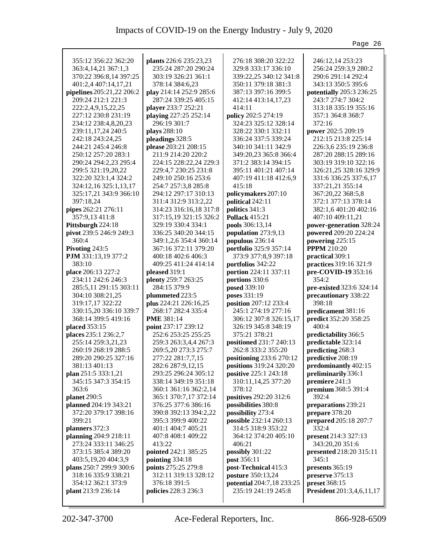|                                      |                                          |                                             | Page 26                                  |
|--------------------------------------|------------------------------------------|---------------------------------------------|------------------------------------------|
|                                      |                                          |                                             |                                          |
| 355:12 356:22 362:20                 | plants 226:6 235:23,23                   | 276:18 308:20 322:22                        | 246:12,14 253:23                         |
| 363:4,14,21 367:1,3                  | 235:24 287:20 290:24                     | 329:8 333:17 336:10                         | 256:24 259:3,9 280:2                     |
| 370:22 396:8,14 397:25               | 303:19 326:21 361:1                      | 339:22,25 340:12 341:8                      | 290:6 291:14 292:4<br>343:13 350:5 395:6 |
| 401:2,4 407:14,17,21                 | 378:14 384:6,23                          | 350:11 379:18 381:3                         |                                          |
| pipelines 205:21,22 206:2            | play 214:14 252:9 285:6                  | 387:13 397:16 399:5                         | potentially 205:3 236:25                 |
| 209:24 212:1 221:3                   | 287:24 339:25 405:15                     | 412:14 413:14,17,23                         | 243:7 274:7 304:2                        |
| 222:2,4,9,15,22,25                   | player 233:7 252:21                      | 414:11                                      | 313:18 335:19 355:16                     |
| 227:12 230:8 231:19                  | playing 227:25 252:14<br>296:19 301:7    | policy 202:5 274:19<br>324:23 325:12 328:14 | 357:1 364:8 368:7<br>372:16              |
| 234:12 238:4,8,20,23                 |                                          |                                             |                                          |
| 239:11,17,24 240:5                   | plays 288:10                             | 328:22 330:1 332:11                         | power 202:5 209:19                       |
| 242:18 243:24,25                     | pleadings 328:5                          | 336:24 337:5 339:24                         | 212:15 213:8 225:14                      |
| 244:21 245:4 246:8                   | please 203:21 208:15                     | 340:10 341:11 342:9                         | 226:3,6 235:19 236:8                     |
| 250:12 257:20 283:1                  | 211:9 214:20 220:2                       | 349:20,23 365:8 366:4                       | 287:20 288:15 289:16                     |
| 290:24 294:2,23 295:4                | 224:15 228:22,24 229:3                   | 371:2 383:14 394:15                         | 303:19 319:10 322:16                     |
| 299:5 321:19,20,22                   | 229:4,7 230:25 231:8                     | 395:11 401:21 407:14                        | 326:21,25 328:16 329:9                   |
| 322:20 323:1,4 324:2                 | 249:10 250:16 253:6                      | 407:19 411:18 412:6,9                       | 331:6 336:25 337:6,17                    |
| 324:12,16 325:1,13,17                | 254:7 257:3,8 285:8                      | 415:18                                      | 337:21,21 355:14                         |
| 325:17,21 343:9 366:10               | 294:12 297:17 310:13                     | policymakers 207:10                         | 367:20,22 368:5,8                        |
| 397:18,24                            | 311:4 312:9 313:2,22                     | political 242:11                            | 372:1 377:13 378:14                      |
| pipes 262:21 276:11                  | 314:23 316:16,18 317:8                   | politics 341:3                              | 382:1,6 401:20 402:16                    |
| 357:9,13 411:8                       | 317:15,19 321:15 326:2                   | <b>Pollack</b> 415:21                       | 407:10 409:11,21                         |
| Pittsburgh 224:18                    | 329:19 330:4 334:1                       | pools 306:13,14                             | power-generation 328:24                  |
| pivot 239:5 246:9 249:3<br>360:4     | 336:25 340:20 344:15                     | population 273:9,13                         | powered 209:20 224:24                    |
|                                      | 349:1,2,6 354:4 360:14                   | populous 236:14                             | powering 225:15                          |
| Pivoting 243:5                       | 367:16 372:11 379:20                     | portfolio 325:9 357:14                      | <b>PPPM</b> 210:20                       |
| PJM 331:13,19 377:2                  | 400:18 402:6 406:3                       | 373:9 377:8,9 397:18                        | practical 309:1                          |
| 383:10                               | 409:25 411:24 414:14                     | portfolios 342:22                           | practices 319:16 321:9                   |
| place 206:13 227:2                   | pleased 319:1                            | portion 224:11 337:11                       | pre-COVID-19 353:16<br>354:2             |
| 234:11 242:6 246:3                   | plenty 259:7 263:25<br>284:15 379:9      | portions 330:6<br>posed 339:10              |                                          |
| 285:5,11 291:15 303:11               |                                          | poses 331:19                                | pre-existed 323:6 324:14                 |
| 304:10 308:21,25<br>319:17,17 322:22 | plummeted 223:5<br>plus 224:21 226:16,25 | position 207:12 233:4                       | precautionary 338:22<br>398:18           |
| 330:15,20 336:10 339:7               | 268:17 282:4 335:4                       | 245:1 274:19 277:16                         | predicament 381:16                       |
| 368:14 399:5 419:16                  | <b>PME 381:14</b>                        | 306:12 307:8 326:15,17                      | predict 352:20 358:25                    |
| placed 353:15                        | point 237:17 239:12                      | 326:19 345:8 348:19                         | 400:4                                    |
| places 235:1 236:2,7                 | 252:6 253:25 255:25                      | 375:21 378:21                               | predictability 366:5                     |
| 255:14 259:3,21,23                   | 259:3 263:3,4,4 267:3                    | positioned 231:7 240:13                     | predictable 323:14                       |
| 260:19 268:19 288:5                  | 269:5,20 273:3 275:7                     | 262:8 333:2 355:20                          | predicting 268:3                         |
| 289:20 290:25 327:16                 | 277:22 281:7,7,15                        | positioning 233:6 270:12                    | predictive 208:19                        |
| 381:13 401:13                        | 282:6 287:9,12,15                        | positions 319:24 320:20                     | predominantly 402:15                     |
| plan 251:5 333:1,21                  | 293:25 296:24 305:12                     | positive 225:1 243:18                       | preliminarily 336:1                      |
| 345:15 347:3 354:15                  | 338:14 349:19 351:18                     | 310:11,14,25 377:20                         | premiere 241:3                           |
| 363:6                                | 360:1 361:16 362:2,14                    | 378:12                                      | premium 368:5 391:4                      |
| planet 290:5                         | 365:1 370:7,17 372:14                    | positives 292:20 312:6                      | 392:4                                    |
| planned 204:19 343:21                | 376:25 377:6 386:16                      | possibilities 380:8                         | preparations 239:21                      |
| 372:20 379:17 398:16                 | 390:8 392:13 394:2,22                    | possibility 273:4                           | prepare 378:20                           |
| 399:21                               | 395:3 399:9 400:22                       | possible 232:14 260:13                      | prepared 205:18 207:7                    |
| planners 372:3                       | 401:1 404:7 405:21                       | 314:5 318:9 353:22                          | 332:4                                    |
| planning 204:9 218:11                | 407:8 408:1 409:22                       | 364:12 374:20 405:10                        | present 214:3 327:13                     |
| 273:24 333:11 346:25                 | 413:22                                   | 406:21                                      | 343:20,20 351:6                          |
| 373:15 385:4 389:20                  | pointed 242:1 385:25                     | possibly 301:22                             | presented 218:20 315:11                  |
| 403:5,19,20 404:3,9                  | pointing 334:18                          | post 356:11                                 | 345:1                                    |
| plans 250:7 299:9 300:6              | points 275:25 279:8                      | post-Technical 415:3                        | presents 365:19                          |
| 318:16 335:9 338:21                  | 312:11 319:13 328:12                     | posture 350:13,24                           | preserve 375:13                          |
| 354:12 362:1 373:9                   | 376:18 391:5                             | potential 204:7,18 233:25                   | preset 368:15                            |
| plant 213:9 236:14                   | policies 228:3 236:3                     | 235:19 241:19 245:8                         | <b>President</b> 201:3,4,6,11,17         |
|                                      |                                          |                                             |                                          |
|                                      |                                          |                                             |                                          |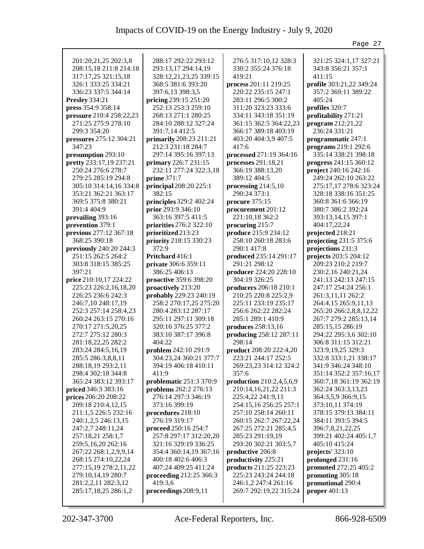|                            |                         |                          | Page 27                  |
|----------------------------|-------------------------|--------------------------|--------------------------|
|                            |                         |                          |                          |
| 201:20,21,25 202:3,8       | 288:17 292:22 293:12    | 276:5 317:10,12 328:3    | 321:25 324:1,17 327:21   |
| 208:15,18 211:8 214:18     | 293:13,17 294:14,19     | 330:2 355:24 376:18      | 343:8 356:21 357:1       |
| 317:17,25 321:15,18        | 328:12,21,23,25 339:15  | 419:21                   | 411:15                   |
| 326:1 333:25 334:21        | 368:5 381:6 393:20      | process 201:11 219:25    | profile 303:21,22 349:24 |
| 336:23 337:5 344:14        | 397:6,13 398:3,5        | 220:22 235:15 247:1      | 357:2 369:11 389:22      |
| Presley 334:21             | pricing 239:15 251:20   | 283:11 296:5 300:2       | 405:24                   |
| press 354:9 358:14         | 252:13 253:3 259:10     | 311:20 323:23 333:6      | profiles 320:7           |
| pressure 210:4 258:22,23   | 268:13 271:1 280:25     | 334:11 343:18 351:19     | profitability 271:21     |
| 271:25 275:9 278:10        | 284:10 288:12 327:24    | 361:15 362:5 364:22,23   | program 212:21,22        |
| 299:3 354:20               | 391:7,14 412:5          | 366:17 389:18 403:19     | 236:24 331:21            |
| pressures 275:12 304:21    | primarily 208:23 211:21 | 403:20 404:3,9 407:5     | programmatic 247:1       |
| 347:23                     | 212:3 231:18 284:7      | 417:6                    | programs 219:1 292:6     |
| presumption 293:10         | 297:14 395:16 397:13    | processed 271:19 364:16  | 335:14 338:21 398:18     |
| pretty 233:17,19 237:21    | primary 226:7 231:15    | processes 291:18,21      | progress 241:15 360:12   |
| 250:24 276:6 278:7         | 232:11 277:24 322:3,18  | 366:19 388:13,20         | project 240:16 242:16    |
| 279:25 285:19 294:8        | <b>prime</b> 371:7      | 389:12 404:5             | 249:24 262:10 263:22     |
| 305:10 314:14,16 334:8     | principal 208:20 225:1  | processing 214:5,10      | 275:17,17 278:6 323:24   |
| 353:21 362:21 363:17       | 382:15                  | 290:24 373:1             | 328:18 338:16 351:25     |
| 369:5 375:8 380:21         | principles 329:2 402:24 | procure 375:15           | 360:8 361:6 366:19       |
| 391:4 404:9                | prior 293:9 346:10      | procurement 201:12       | 380:7 386:2 392:24       |
| prevailing 393:16          | 363:16 397:5 411:5      | 221:10,18 362:2          | 393:13,14,15 397:1       |
| prevention 379:1           | priorities 276:2 322:10 | procuring 215:7          | 404:17,22,24             |
| previous 277:12 367:18     | prioritized 213:23      | produce 215:9 234:12     | projected 218:21         |
| 368:25 390:18              | priority 218:15 330:23  | 258:10 260:18 283:6      | projecting 231:5 375:6   |
| previously 240:20 244:3    | 372:9                   | 290:1417:8               | projections 231:3        |
| 251:15 262:5 264:2         | Pritchard 416:1         | produced 235:14 291:17   | projects 203:5 204:12    |
| 303:8 318:15 385:25        | private 306:6 359:11    | 291:21 298:12            | 209:23 210:2 219:7       |
| 397:21                     | 386:25 406:13           | producer 224:20 228:10   | 230:2,16 240:21,24       |
| price 210:10,17 224:22     | proactive 359:6 398:20  | 304:19 326:25            | 241:13 242:13 247:15     |
| 225:23 226:2,16,18,20      | proactively 213:20      | producers 206:18 210:1   | 247:17 254:24 256:1      |
| 226:25 236:6 242:3         | probably 229:23 240:19  | 210:25 220:8 225:2,9     | 261:3,11,11 262:2        |
| 246:7,10 248:17,19         | 258:2 270:17,25 275:20  | 225:11 233:19 235:17     | 264:4,15 265:9,11,13     |
| 252:3 257:14 258:4,23      | 280:4 283:12 287:17     | 256:6 262:22 282:24      | 265:20 266:2,8,8,12,22   |
| 260:24 263:15 270:16       | 295:11 297:11 309:18    | 285:1 289:1 410:9        | 267:7 279:2 285:13,14    |
| 270:17 271:5,20,25         | 320:16 376:25 377:2     | produces 258:13,16       | 285:15,15 286:19         |
| 272:7 275:12 280:3         | 383:10 387:17 396:8     | producing 258:12 287:11  | 294:22 295:3,6 302:10    |
| 281:18,22,25 282:2         | 404:22                  | 298:14                   | 306:8 311:15 312:21      |
| 283:24 284:5,16,19         | problem 242:10 291:9    | product 208:20 222:4,20  | 323:9,19,25 329:3        |
| 285:5 286:3,8,8,11         | 304:23,24 360:21 377:7  | 223:21 244:17 252:5      | 332:8 333:1,21 338:17    |
| 288:18,19 293:2,11         | 394:19 406:18 410:11    | 269:23,23 314:12 324:2   | 341:9 346:24 348:10      |
| 298:4 302:18 344:8         | 411:9                   | 357:6                    | 351:14 352:2 357:16,17   |
| 365:24 383:12 393:17       | problematic 251:3 370:9 | production 210:2,4,5,6,9 | 360:7,18 361:19 362:19   |
| <b>priced</b> 346:3 383:16 | problems 262:2 276:13   | 210:14,16,21,22 211:3    | 362:24 363:3,13,23       |
| prices 206:20 208:22       | 276:14 297:3 346:19     | 225:4,22 241:9,11        | 364:3,5,9 366:9,15       |
| 209:18 210:4,12,15         | 373:16 399:19           | 254:15,16 256:25 257:1   | 373:10,11 374:19         |
| 211:1,5 226:5 232:16       | procedures 218:10       | 257:10 258:14 260:11     | 378:15 379:13 384:11     |
| 240:1,2,5 246:13,15        | 276:19 319:17           | 260:15 262:7 267:22,24   | 384:11 393:5 394:5       |
| 247:2,7 248:11,24          | proceed 250:16 254:7    | 267:25 272:21 285:4,5    | 396:7,8,21,22,25         |
| 257:18,21 258:1,7          | 257:8 297:17 312:20,20  | 285:23 291:19,19         | 399:21 402:24 405:1,7    |
| 259:5,16,20 262:16         | 321:16 329:19 336:25    | 293:20 302:21 303:5,7    | 405:10 415:24            |
| 267:22 268:1,2,9,9,14      | 354:4 360:14,19 367:16  | productive 206:8         | projects' 323:10         |
| 268:15 274:10,22,24        | 400:18 402:6 406:3      | productivity 225:21      | prolonged 231:16         |
| 277:15,19 278:2,11,22      | 407:24 409:25 411:24    | products 211:25 223:23   | promoted 272:25 405:2    |
| 279:10,14,19 280:7         | proceeding 212:25 366:3 | 225:23 243:24 244:18     | promoting 305:18         |
| 281:2,2,11 282:3,12        | 419:3,6                 | 246:1,2 247:4 261:16     | promotional 290:4        |
| 285:17,18,25 286:1,2       | proceedings 208:9,11    | 269:7 292:19,22 315:24   | proper $401:13$          |
|                            |                         |                          |                          |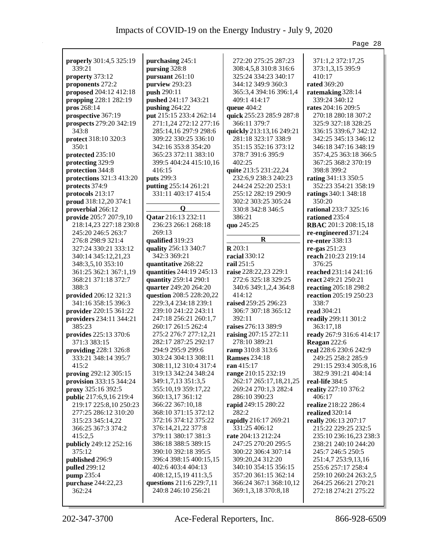|                          |                          |                          | Page 28                  |
|--------------------------|--------------------------|--------------------------|--------------------------|
|                          |                          |                          |                          |
| properly 301:4,5 325:19  | purchasing 245:1         | 272:20 275:25 287:23     | 371:1,2 372:17,25        |
| 339:21                   | pursing 328:8            | 308:4,5,8 310:8 316:6    | 373:1,3,15 395:9         |
| property 373:12          | pursuant 261:10          | 325:24 334:23 340:17     | 410:17                   |
| proponents 272:2         | purview 293:23           | 344:12 349:9 360:3       | <b>rated</b> 369:20      |
| proposed 204:12 412:18   | push 290:11              | 365:3,4 394:16 396:1,4   | ratemaking 328:14        |
| propping 228:1 282:19    | pushed 241:17 343:21     | 409:1 414:17             | 339:24 340:12            |
| pros 268:14              | pushing 264:22           | queue 404:2              | rates 204:16 209:5       |
| prospective 367:19       | put 215:15 233:4 262:14  | quick 255:23 285:9 287:8 | 270:18 280:18 307:2      |
| prospects 279:20 342:19  | 271:1,24 272:12 277:16   | 366:11 379:7             | 325:9 327:18 328:25      |
| 343:8                    | 285:14,16 297:9 298:6    | quickly 213:13,16 249:21 | 336:15 339:6,7 342:12    |
| protect 318:10 320:3     | 309:22 330:25 336:10     | 281:18 323:17 338:9      | 342:25 345:13 346:12     |
| 350:1                    | 342:16 353:8 354:20      | 351:15 352:16 373:12     | 346:18 347:16 348:19     |
| protected 235:10         | 365:23 372:11 383:10     | 378:7 391:6 395:9        | 357:4,25 363:18 366:5    |
|                          |                          |                          |                          |
| protecting 329:9         | 399:5 404:24 415:10,16   | 402:25                   | 367:25 368:2 370:19      |
| protection 344:8         | 416:15                   | quite 213:5 231:22,24    | 398:8 399:2              |
| protections 321:3 413:20 | puts 299:3               | 232:6,9 238:3 240:23     | rating 341:13 350:5      |
| protects 374:9           | putting 255:14 261:21    | 244:24 252:20 253:1      | 352:23 354:21 358:19     |
| protocols 213:17         | 331:11 403:17 415:4      | 255:12 282:19 290:9      | ratings 340:1 348:18     |
| proud 318:12,20 374:1    |                          | 302:2 303:25 305:24      | 350:20                   |
| proverbial 266:12        | $\boldsymbol{\Omega}$    | 330:8 342:8 346:5        | rational 233:7 325:16    |
| provide 205:7 207:9,10   | Qatar 216:13 232:11      | 386:21                   | rationed 235:4           |
| 218:14,23 227:18 230:8   | 236:23 266:1 268:18      | quo 245:25               | RBAC 201:3 208:15,18     |
| 245:20 246:5 263:7       | 269:13                   |                          | re-engineered 371:24     |
| 276:8 298:9 321:4        | qualified 319:23         | $\bf{R}$                 | re-enter 338:13          |
| 327:24 330:21 333:12     | quality 256:13 340:7     | $R$ 203:1                | re-gas 251:23            |
| 340:14 345:12,21,23      | 342:3 369:21             | racial 330:12            | reach 210:23 219:14      |
| 348:3,5,10 353:10        | quantitative 268:22      | rail 251:5               | 376:25                   |
|                          | quantities 244:19 245:13 | raise 228:22,23 229:1    | reached 231:14 241:16    |
| 361:25 362:1 367:1,19    |                          |                          |                          |
| 368:21 371:18 372:7      | quantity 259:14 290:1    | 272:6 325:18 329:25      | react 249:21 250:21      |
| 388:3                    | quarter 249:20 264:20    | 340:6 349:1,2,4 364:8    | reacting 205:18 298:2    |
| provided 206:12 321:3    | question 208:5 228:20,22 | 414:12                   | reaction 205:19 250:23   |
| 341:16 358:15 396:3      | 229:3,4 234:18 239:1     | raised 259:25 296:23     | 338:7                    |
| provider 220:15 361:22   | 239:10 241:22 243:11     | 306:7 307:18 365:12      | <b>read</b> 304:21       |
| providers 234:11 344:21  | 247:18 256:21 260:1,7    | 392:11                   | readily 299:11 301:2     |
| 385:23                   | 260:17 261:5 262:4       | raises 276:13 389:9      | 363:17,18                |
| provides 225:13 370:6    | 275:2 276:7 277:12,21    | raising 207:15 272:11    | ready 267:9 316:6 414:17 |
| 371:3 383:15             | 282:17 287:25 292:17     | 278:10 389:21            | Reagan 222:6             |
| providing 228:1 326:8    | 294:9 295:9 299:6        | ramp 310:8 313:6         | real 228:6 230:6 242:9   |
| 333:21 348:14 395:7      | 303:24 304:13 308:11     | <b>Ramses</b> 234:18     | 249:25 258:2 285:9       |
| 415:2                    | 308:11,12 310:4 317:4    | ran 415:17               | 291:15 293:4 305:8,16    |
| proving 292:12 305:15    | 319:13 342:24 348:24     | range 210:15 232:19      | 382:9 391:21 404:14      |
| provision 333:15 344:24  | 349:1,7,13 351:3,5       | 262:17 265:17,18,21,25   | real-life 384:5          |
| proxy 325:16 392:5       | 355:10,19 359:17,22      | 269:24 270:1,3 282:4     | reality 227:10 376:2     |
| public 217:6,9,16 219:4  | 360:13,17 361:12         | 286:10 390:23            | 406:17                   |
| 219:17 225:8,10 250:23   | 366:22 367:10,18         | rapid 249:15 280:22      | realize 218:22 286:4     |
|                          | 368:10 371:15 372:12     | 282:2                    | realized 320:14          |
| 277:25 286:12 310:20     |                          |                          |                          |
| 315:23 345:14,22         | 372:16 374:12 375:22     | rapidly 216:17 269:21    | really 206:13 207:17     |
| 366:25 367:3 374:2       | 376:14,21,22 377:8       | 331:25 406:12            | 215:22 229:25 232:5      |
| 415:2,5                  | 379:11 380:17 381:3      | rate 204:13 212:24       | 235:10 236:16,23 238:3   |
| publicly 249:12 252:16   | 386:18 388:5 389:15      | 247:25 270:20 295:5      | 238:21 240:10 244:20     |
| 375:12                   | 390:10 392:18 395:5      | 300:22 306:4 307:14      | 245:7 246:5 250:5        |
| published 296:9          | 396:4 398:15 400:15,15   | 309:20,24 312:20         | 251:4,7 253:9,13,16      |
| pulled 299:12            | 402:6 403:4 404:13       | 340:10 354:15 356:15     | 255:6 257:17 258:4       |
| pump 235:4               | 408:12,15,19 411:3,5     | 357:20 361:15 362:14     | 259:10 260:24 263:2,5    |
| purchase 244:22,23       | questions 211:6 229:7,11 | 366:24 367:1 368:10,12   | 264:25 266:21 270:21     |
| 362:24                   | 240:8 246:10 256:21      | 369:1,3,18 370:8,18      | 272:18 274:21 275:22     |
|                          |                          |                          |                          |
|                          |                          |                          |                          |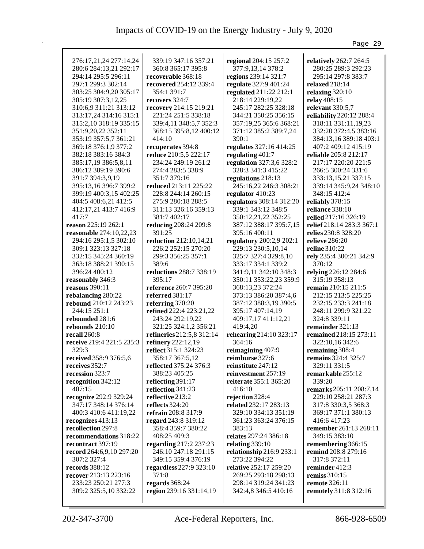|                             |                           |                                           | Page 29                      |
|-----------------------------|---------------------------|-------------------------------------------|------------------------------|
|                             |                           |                                           |                              |
| 276:17,21,24 277:14,24      | 339:19 347:16 357:21      | regional 204:15 257:2                     | relatively 262:7 264:5       |
| 280:6 284:13,21 292:17      | 360:8 365:17 395:8        | 377:9,13,14 378:2                         | 280:25 289:3 292:23          |
| 294:14 295:5 296:11         | recoverable 368:18        | regions 239:14 321:7                      | 295:14 297:8 383:7           |
| 297:1 299:3 302:14          | recovered 254:12 339:4    | regulate 327:9 401:24                     | relaxed 218:14               |
| 303:25 304:9,20 305:17      | 354:1 391:7               | regulated 211:22 212:1                    | relaxing $320:10$            |
| 305:19 307:3,12,25          | recovers 324:7            | 218:14 229:19,22                          | relay 408:15                 |
| 310:6,9 311:21 313:12       | recovery 214:15 219:21    | 245:17 282:25 328:18                      | relevant 330:5,7             |
| 313:17,24 314:16 315:1      | 221:24 251:5 338:18       | 344:21 350:25 356:15                      | reliability 220:12 288:4     |
| 315:2, 10 318:19 335:15     | 339:4,11 348:5,7 352:3    | 357:19,25 365:6 368:21                    | 318:11 331:11,19,23          |
| 351:9,20,22 352:11          | 368:15 395:8,12 400:12    | 371:12 385:2 389:7,24                     | 332:20 372:4,5 383:16        |
| 353:19 357:5,7 361:21       | 414:10                    | 390:1                                     | 384:13,16 389:18 403:1       |
| 369:18 376:1,9 377:2        | recuperates 394:8         | regulates 327:16 414:25                   | 407:2 409:12 415:19          |
| 382:18 383:16 384:3         | reduce 210:5,5 222:17     | regulating 401:7                          | <b>reliable</b> 205:8 212:17 |
| 385:17,19 386:5,8,11        | 234:24 249:19 261:2       | regulation 327:3,6 328:2                  | 217:17 220:20 221:5          |
| 386:12 389:19 390:6         | 274:4 283:5 338:9         | 328:3 341:3 415:22                        | 266:5 300:24 331:6           |
| 391:7 394:3,9,19            | 351:7 379:16              | regulations 218:13                        | 333:13,15,21 337:15          |
| 395:13,16 396:7 399:2       | reduced 213:11 225:22     | 245:16,22 246:3 308:21                    | 339:14 345:9,24 348:10       |
| 399:19 400:3,15 402:25      | 228:8 244:14 260:15       | regulator 410:23                          | 348:15 412:4                 |
| 404:5 408:6,21 412:5        | 275:9 280:18 288:5        | regulators 308:14 312:20                  | reliably 378:15              |
| 412:17,21 413:7 416:9       | 311:13 326:16 359:13      | 339:1 343:12 348:5                        | reliance 338:10              |
| 417:7                       | 381:7 402:17              | 350:12,21,22 352:25                       | relied 217:16 326:19         |
| reason 225:19 262:1         | reducing 208:24 209:8     | 387:12 388:17 395:7,15                    | relief 218:14 283:3 367:1    |
| reasonable 274:10,22,23     | 391:25                    | 395:16 400:11                             | relies 230:8 328:20          |
| 294:16 295:1,5 302:10       | reduction 212:10,14,21    | regulatory 200:2,9 202:1                  | relieve 286:20               |
| 309:1 323:13 327:18         | 226:2 252:15 270:20       | 229:13 230:5,10,14                        | <b>reline</b> 310:22         |
| 332:15 345:24 360:19        | 299:3 356:25 357:1        | 325:7 327:4 329:8,10                      | rely 235:4 300:21 342:9      |
| 363:18 388:21 390:15        | 389:6                     | 333:17 334:1 339:2                        | 370:12                       |
| 396:24 400:12               | reductions 288:7 338:19   | 341:9,11 342:10 348:3                     | relying 226:12 284:6         |
| reasonably 346:3            | 395:17                    | 350:11 353:22,23 359:9                    | 315:19 358:13                |
| reasons 390:11              | reference 260:7 395:20    | 368:13,23 372:24                          | <b>remain</b> 210:15 211:5   |
| rebalancing 280:22          | referred $381:17$         | 373:13 386:20 387:4,6                     | 212:15 213:5 225:25          |
| rebound 210:12 243:23       | referring $370:20$        | 387:12 388:3,19 390:5                     | 232:15 233:3 241:18          |
| 244:15 251:1                | refined 222:4 223:21,22   | 395:17 407:14,19                          | 248:11 299:9 321:22          |
| rebounded 281:6             | 243:24 292:19,22          | 409:17,17 411:12,21                       | 324:8 339:11                 |
| rebounds $210:10$           | 321:25 324:1,2 356:21     | 419:4,20                                  | remainder 321:13             |
| recall $260:8$              | refineries 212:5,8 312:14 | rehearing 214:10 323:17                   | remained 218:15 273:11       |
| receive 219:4 221:5 235:3   | refinery 222:12,19        | 364:16                                    | 322:10,16 342:6              |
| 329:3                       | reflect 315:1 324:23      | reimagining 407:9                         | remaining 308:4              |
| received 358:9 376:5,6      | 358:17 367:5,12           | reimburse 327:6                           | <b>remains</b> 324:4 325:7   |
| receives 352:7              | reflected 375:24 376:3    | reinstitute 247:12                        | 329:11 331:5                 |
| recession 323:7             | 388:23 405:25             | reinvestment 257:19                       | remarkable 255:12            |
| recognition 342:12          | reflecting 391:17         | reiterate 355:1 365:20                    | 339:20                       |
| 407:15                      | reflection 341:23         | 416:10                                    | remarks 205:11 208:7,14      |
| recognize 292:9 329:24      | reflective 213:2          | rejection 328:4                           | 229:10 258:21 287:3          |
| 347:17 348:14 376:14        | reflects 324:20           | related 232:17 283:13                     | 317:8 330:3,5 368:3          |
| 400:3 410:6 411:19,22       | refrain 208:8 317:9       | 329:10 334:13 351:19                      | 369:17 371:1 380:13          |
| recognizes 413:13           | regard 243:8 319:12       | 361:23 363:24 376:15                      | 416:6 417:23                 |
| recollection 297:8          | 358:4 359:7 380:22        | 383:13                                    | remember 261:13 268:11       |
| recommendations 318:22      | 408:25 409:3              | relates 297:24 386:18                     | 349:15 383:10                |
| recontract 397:19           | regarding 217:2 237:23    | relating 339:10                           | remembering 366:15           |
| record $264:6,9,10\ 297:20$ | 246:10 247:18 291:15      | relationship 216:9 233:1<br>273:22 394:22 | remind 208:8 279:16          |
| 307:2 327:4                 | 349:15 359:4 376:19       |                                           | 317:8 372:11                 |
| records 388:12              | regardless 227:9 323:10   | relative 252:17 259:20                    | reminder 412:3               |
| recover 213:13 223:16       | 371:8                     | 269:25 293:18 298:13                      | remiss $310:15$              |
| 233:23 250:21 277:3         | regards 368:24            | 298:14 319:24 341:23                      | remote 326:11                |
| 309:2 325:5,10 332:22       | region 239:16 331:14,19   | 342:4,8 346:5 410:16                      | remotely 311:8 312:16        |
|                             |                           |                                           |                              |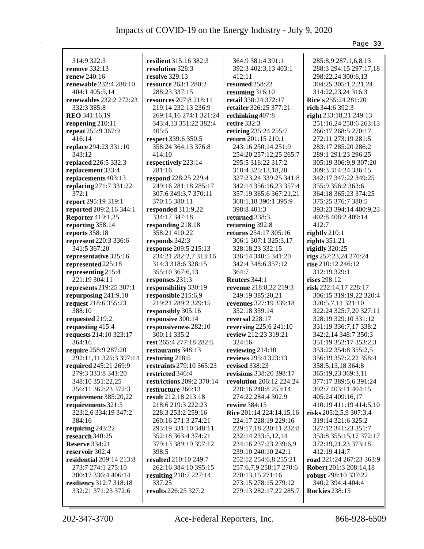|                                        |                                               |                                                     | Page 30                                    |
|----------------------------------------|-----------------------------------------------|-----------------------------------------------------|--------------------------------------------|
|                                        |                                               |                                                     |                                            |
| 314:9 322:3                            | resilient 315:16 382:3                        | 364:9 381:4 391:1                                   | 285:8,9 287:1,6,8,13                       |
| remove 332:13                          | resolution 328:3                              | 392:3 402:3,13 403:1                                | 288:3 294:15 297:17,18                     |
| renew 240:16                           | <b>resolve</b> 329:13                         | 412:11                                              | 298:22,24 300:6,13                         |
| renewable 232:4 288:10                 | resource 263:1 280:2                          | resumed 258:22                                      | 304:25 305:1,2,21,24                       |
| 404:1 405:5,14                         | 288:23 337:15                                 | resuming 316:10                                     | 314:22,23,24 316:3                         |
| renewables 232:2 272:23                | resources 207:8 218:11                        | retail 338:24 372:17                                | Rice's 255:24 281:20                       |
| 332:3 385:8                            | 219:14 232:13 236:9                           | retailer 326:25 377:21                              | rich 344:6 392:3                           |
| <b>REO</b> 341:16,19                   | 269:14,16 274:1 321:24                        | rethinking 407:8                                    | right 233:18,21 249:13                     |
| reopening 210:11                       | 343:4,13 351:22 382:4                         | retire 332:3                                        | 251:16,24 258:6 263:13                     |
| repeat 255:9 367:9                     | 405:5                                         | retiring 235:24 255:7                               | 266:17 268:5 270:17                        |
| 416:14                                 | respect 339:6 350:5                           | return 201:15 210:1                                 | 272:11 273:19 281:5                        |
| replace 294:23 331:10                  | 358:24 364:13 376:8                           | 243:16 250:14 251:9                                 | 283:17 285:20 286:2                        |
| 343:12                                 | 414:10                                        | 254:20 257:12,25 265:7                              | 289:1 291:23 296:25                        |
| replaced 226:5 332:3                   | respectively 223:14                           | 295:5 316:22 317:2                                  | 305:19 306:9,9 307:20                      |
| replacement 333:4                      | 281:16                                        | 318:4 325:13,18,20                                  | 309:3 314:24 336:15                        |
| replacements 403:13                    | respond 228:25 229:4                          | 327:23,24 339:25 341:8                              | 342:17 347:22 349:25                       |
| replacing 271:7 331:22                 | 249:16 281:18 285:17                          | 342:14 356:16,23 357:4                              | 355:9 356:2 363:6                          |
| 372:1                                  | 307:6 349:3,7 370:11                          | 357:19 365:6 367:21,21                              | 364:18 365:23 374:25                       |
| report 295:19 319:1                    | 370:15 380:11                                 | 368:1,18 390:1 395:9                                | 375:25 376:7 380:5                         |
| reported 209:2,16 344:1                | responded 311:9,22                            | 398:8 401:3                                         | 393:23 394:14 400:9,23                     |
| <b>Reporter</b> 419:1,25               | 334:17 347:18                                 | returned 338:3                                      | 402:8 408:2 409:14                         |
| reporting 358:14                       | responding 218:18                             | returning 392:8                                     | 412:7                                      |
| reports 358:18                         | 358:21 410:22                                 | returns 254:17 305:16                               | rightly 210:1                              |
| represent 220:3 336:6                  | responds 342:3                                | 306:1 307:1 325:3,17                                | rights $351:21$                            |
| 341:5 367:20                           | response 209:5 215:13                         | 328:18,23 332:15                                    | rigidly 320:25                             |
| representative 325:16                  | 234:21 282:2,7 313:16                         | 336:14 340:5 341:20                                 | rigs 257:23,24 270:24                      |
| represented 225:18                     | 314:3 318:6 328:15                            | 342:4 348:6 357:12                                  | rise 210:12 246:12                         |
| representing 215:4                     | 355:10 367:6,13                               | 364:7                                               | 312:19 329:1                               |
| 221:19 304:11                          | responses 231:3                               | <b>Reuters</b> 344:1                                | rises 298:12                               |
| represents 219:25 387:1                | responsibility 330:19                         | revenue 218:8,22 219:3                              | risk 222:14,17 228:17                      |
| repurposing 241:9,10                   | responsible 215:6,9                           | 249:19 385:20,21                                    | 306:15 319:19,22 320:4                     |
| request 218:6 355:23                   | 219:21 289:2 329:15                           | revenues 327:19 339:18                              | 320:5,7,11 321:10                          |
| 388:10                                 | responsibly 305:16                            | 352:18 359:14                                       | 322:24 325:7,20 327:11                     |
| requested 219:2                        | responsive 300:14                             | reversal $228:17$                                   | 328:19 329:10 331:12                       |
| requesting 415:4                       | responsiveness 282:10                         | reversing 225:6 241:10                              | 331:19 336:7,17 338:2                      |
| requests 214:10 323:17                 | 300:11 335:2                                  | review 212:23 319:21                                | 342:2,14 348:7 350:3                       |
| 364:16                                 | rest 265:4 277:18 282:5                       | 324:16                                              | 351:19 352:17 353:2,3                      |
| require 258:9 287:20                   | restaurants 348:13                            | reviewing 214:10                                    | 353:22 354:8 355:2,5                       |
| 292:11,11 325:3 397:14                 | restoring 218:5                               | reviews 295:4 323:13                                |                                            |
| required 245:21 269:9                  | restraints 279:10 365:23                      | revised 338:23                                      | 356:19 357:2,22 358:4<br>358:5,13,18 364:8 |
|                                        |                                               |                                                     |                                            |
| 279:3 333:8 341:20<br>348:10 351:22,25 | restricted 346:4<br>restrictions 209:2 370:14 | revisions 338:20 398:17<br>revolution 206:12 224:24 | 365:19,23 369:3,11                         |
|                                        | restructure 266:13                            | 228:16 248:8 253:14                                 | 377:17 389:5,6 391:24                      |
| 356:11 362:23 372:3                    |                                               | 274:22 284:4 302:9                                  | 392:7 403:11 404:15                        |
| requirement 385:20,22                  | result 212:18 213:18                          |                                                     | 405:24 409:16,17                           |
| requirements 321:5                     | 218:6 219:3 222:23                            | rewire 384:15                                       | 410:19 411:19 414:5,10                     |
| 323:2,6 334:19 347:2                   | 228:3 253:2 259:16                            | Rice 201:14 224:14,15,16                            | risks 205:2,5,9 307:3,4                    |
| 384:16                                 | 260:16 271:3 274:21                           | 224:17 228:19 229:16                                | 319:14 321:6 325:2                         |
| requiring 243:22                       | 293:19 331:10 348:11                          | 229:17,18 230:11 232:8                              | 327:12 341:23 351:7                        |
| research 340:25                        | 352:18 363:4 374:21                           | 232:14 233:5,12,14                                  | 353:8 355:15,17 372:17                     |
| <b>Reserve</b> 334:21                  | 379:13 389:19 397:12                          | 234:16 237:23 239:6,9                               | 372:19,21,23 373:18                        |
| reservoir 302:4                        | 398:5                                         | 239:10 240:10 242:1                                 | 412:19 414:7                               |
| residential 209:14 213:8               | resulted 210:10 249:7                         | 252:12 254:6,8 255:21                               | road 221:24 267:23 363:9                   |
| 273:7 274:1 275:10                     | 262:16 384:10 395:15                          | 257:6,7,9 258:17 270:6                              | Robert 201:3 208:14,18                     |
| 300:17 336:4 406:14                    | resulting 218:7 227:14                        | 270:13,15 271:16                                    | robust 298:10 337:22                       |
| resiliency 312:7 318:18                | 337:25                                        | 273:15 278:15 279:12                                | 340:2 394:4 404:4                          |
| 332:21 371:23 372:6                    | results 226:25 327:2                          | 279:13 282:17,22 285:7                              | <b>Rockies</b> 238:15                      |
|                                        |                                               |                                                     |                                            |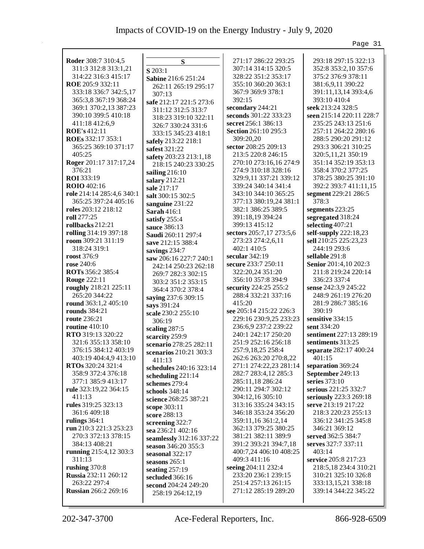|                             |                           |                             | Page 31                  |
|-----------------------------|---------------------------|-----------------------------|--------------------------|
|                             |                           |                             |                          |
| Roder 308:7 310:4,5         | S                         | 271:17 286:22 293:25        | 293:18 297:15 322:13     |
| 311:3 312:8 313:1,21        | S 203:1                   | 307:14 314:15 320:5         | 352:8 353:2,10 357:6     |
| 314:22 316:3 415:17         | Sabine 216:6 251:24       | 328:22 351:2 353:17         | 375:2 376:9 378:11       |
| ROE 205:9 332:11            | 262:11 265:19 295:17      | 355:10 360:20 363:1         | 381:6,9,11 390:22        |
| 333:18 336:7 342:5,17       | 307:13                    | 367:9 369:9 378:1           | 391:11,13,14 393:4,6     |
| 365:3,8 367:19 368:24       | safe 212:17 221:5 273:6   | 392:15                      | 393:10 410:4             |
| 369:1 370:2,13 387:23       | 311:12 312:5 313:7        | secondary 244:21            | seek 213:24 328:5        |
| 390:10 399:5 410:18         | 318:23 319:10 322:11      | seconds 301:22 333:23       | seen 215:14 220:11 228:7 |
| 411:18 412:6,9              | 326:7 330:24 331:6        | secret 256:1 386:13         | 235:25 243:13 251:6      |
| ROE's 412:11                | 333:15 345:23 418:1       | <b>Section 261:10 295:3</b> | 257:11 264:22 280:16     |
| ROEs 332:17 353:1           | safely 213:22 218:1       | 309:20,20                   | 288:5 290:20 291:12      |
| 365:25 369:10 371:17        | safest 321:22             | sector 208:25 209:13        | 293:3 306:21 310:25      |
| 405:25                      | safety 203:23 213:1,18    | 213:5 220:8 246:15          | 320:5,11,21 350:19       |
| Roger 201:17 317:17,24      | 218:15 240:23 330:25      | 270:10 273:16,16 274:9      | 351:14 352:19 353:13     |
| 376:21                      | sailing 216:10            | 274:9 310:18 328:16         | 358:4 370:2 377:25       |
| ROI 333:19                  | salary 212:21             | 329:9,11 337:21 339:12      | 378:25 380:25 391:10     |
| <b>ROIO</b> 402:16          | sale 217:17               | 339:24 340:14 341:4         | 392:2 393:7 411:11,15    |
| role 214:14 285:4,6 340:1   | salt 300:15 302:5         | 343:10 344:10 365:25        | segment 229:21 286:5     |
| 365:25 397:24 405:16        | sanguine 231:22           | 377:13 380:19,24 381:1      | 378:3                    |
| roles 203:12 218:12         | Sarah $416:1$             | 382:1 386:25 389:5          | segments 223:25          |
| roll 277:25                 | satisfy 255:4             | 391:18,19 394:24            | segregated 318:24        |
| rollbacks 212:21            | sauce 386:13              | 399:13 415:12               | selecting 407:21         |
| rolling 314:19 397:18       | <b>Saudi</b> 260:11 297:4 | sectors 205:7,17 273:5,6    | self-supply 222:18,23    |
| room 309:21 311:19          | save 212:15 388:4         | 273:23 274:2,6,11           | sell 210:25 225:23,23    |
| 318:24 319:1                | savings 234:7             | 402:1 410:5                 | 244:19 293:6             |
| roost 376:9                 | saw 206:16 227:7 240:1    | secular $342:19$            | sellable 291:8           |
| rose 240:6                  | 242:14 250:23 262:18      | secure 233:7 250:11         | Senior 201:4,10 202:3    |
| <b>ROTs</b> 356:2 385:4     | 269:7 282:3 302:15        | 322:20,24 351:20            | 211:8 219:24 220:14      |
| <b>Rouge 222:11</b>         | 303:2 351:2 353:15        | 356:10 357:8 394:9          | 336:23 337:4             |
| roughly 218:21 225:11       | 364:4 370:2 378:4         | security 224:25 255:2       | sense 242:3,9 245:22     |
| 265:20 344:22               | saying 237:6 309:15       | 288:4 332:21 337:16         | 248:9 261:19 276:20      |
| round 363:1,2 405:10        | says 391:24               | 415:20                      | 281:9 286:7 385:16       |
| <b>rounds</b> 384:21        | scale 230:2 255:10        | see 205:14 215:22 226:3     | 390:19                   |
| route 236:21                | 306:19                    | 229:16 230:9,25 233:23      | sensitive 334:15         |
| routine $410:10$            | scaling 287:5             | 236:6,9 237:2 239:22        | sent 334:20              |
| RTO 319:13 320:22           | scarcity 259:9            | 240:1 242:17 250:20         | sentiment 227:13 289:19  |
| 321:6 355:13 358:10         | scenario 278:25 282:11    | 251:9 252:16 256:18         | sentiments 313:25        |
| 376:15 384:12 403:19        | scenarios 210:21 303:3    | 257:9,18,25 258:4           | separate 282:17 400:24   |
| 403:19 404:4,9 413:10       | 411:13                    | 262:6 263:20 270:8,22       | 401:15                   |
| RTOs 320:24 321:4           | schedules 240:16 323:14   | 271:1 274:22,23 281:14      | separation 369:24        |
| 358:9 372:4 376:18          | scheduling 221:14         | 282:7 283:4,12 285:3        | September 249:13         |
| 377:1 385:9 413:17          | schemes 279:4             | 285:11,18 286:24            | series 373:10            |
| rule 323:19,22 364:15       | schools 348:14            | 290:11 294:7 302:12         | serious 221:25 332:7     |
| 411:13                      | science 268:25 387:21     | 304:12,16 305:10            | seriously 223:3 269:18   |
| rules 319:25 323:13         | scope 303:11              | 313:16 335:24 343:15        | serve 213:19 217:22      |
| 361:6 409:18                | score 288:13              | 346:18 353:24 356:20        | 218:3 220:23 255:13      |
| rulings $364:1$             | screening 322:7           | 359:11,16 361:2,14          | 336:12 341:25 345:8      |
| run 210:3 221:3 253:23      | sea 236:21 402:16         | 362:13 379:25 380:25        | 346:21 369:12            |
| 270:3 372:13 378:15         | seamlessly 312:16 337:22  | 381:21 382:11 389:9         | served 362:5 384:7       |
| 384:13 408:21               | season 346:20 355:3       | 391:2 393:21 394:7,18       | serves 327:7 337:11      |
| running 215:4,12 303:3      | seasonal 322:17           | 400:7,24 406:10 408:25      | 403:14                   |
| 311:13                      | seasons 265:1             | 409:3 411:16                | service 205:8 217:23     |
| rushing 370:8               | seating $257:19$          | seeing 204:11 232:4         | 218:5,18 234:4 310:21    |
| <b>Russia</b> 232:11 260:12 | secluded 366:16           | 233:20 236:1 239:15         | 310:21 325:10 326:8      |
| 263:22 297:4                | second 204:24 249:20      | 251:4 257:13 261:15         | 333:13,15,21 338:18      |
| <b>Russian</b> 266:2 269:16 | 258:19 264:12,19          | 271:12 285:19 289:20        | 339:14 344:22 345:22     |
|                             |                           |                             |                          |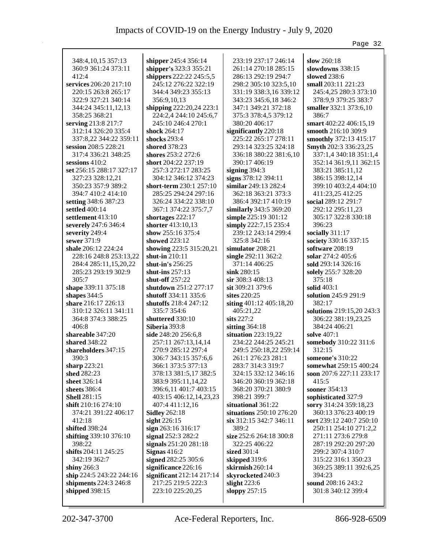|                          |                               |                          | Page 32                   |
|--------------------------|-------------------------------|--------------------------|---------------------------|
|                          |                               |                          |                           |
| 348:4, 10, 15 357: 13    | shipper 245:4 356:14          | 233:19 237:17 246:14     | slow $260:18$             |
| 360:9 361:24 373:11      | shipper's 323:3 355:21        | 261:14 270:18 285:15     | slowdowns 338:15          |
| 412:4                    | shippers 222:22 245:5,5       | 286:13 292:19 294:7      | slowed 238:6              |
| services 206:20 217:10   | 245:12 276:22 322:19          | 298:2 305:10 323:5,10    | small 203:11 221:23       |
| 220:15 263:8 265:17      | 344:4 349:23 355:13           | 331:19 338:3,16 339:12   | 245:4,25 280:3 373:10     |
| 322:9 327:21 340:14      | 356:9,10,13                   | 343:23 345:6,18 346:2    | 378:9,9 379:25 383:7      |
| 344:24 345:11,12,13      | shipping 222:20,24 223:1      | 347:1 349:21 372:18      | smaller 332:1 373:6,10    |
| 358:25 368:21            | 224:2,4 244:10 245:6,7        | 375:3 378:4,5 379:12     | 386:7                     |
| serving 213:8 217:7      | 245:10 246:4 270:1            | 380:20 406:17            | smart 402:22 406:15,19    |
| 312:14 326:20 335:4      | shock 264:17                  | significantly 220:18     | smooth 216:10 309:9       |
| 337:8,22 344:22 359:11   | shocks 293:4                  | 225:22 265:17 278:11     | smoothly 372:13 415:17    |
| session 208:5 228:21     | <b>shored</b> 378:23          | 293:14 323:25 324:18     | Smyth 202:3 336:23,25     |
| 317:4 336:21 348:25      | shores 253:2 272:6            | 336:18 380:22 381:6,10   | 337:1,4 340:18 351:1,4    |
| sessions $410:2$         | short 204:22 237:19           | 390:17 406:19            | 352:14 361:9,11 362:15    |
| set 256:15 288:17 327:17 | 257:3 272:17 283:25           | signing $394:3$          | 383:21 385:11,12          |
| 327:23 328:12,21         | 304:12 346:12 374:23          | signs 378:12 394:11      | 386:15 398:12,14          |
| 350:23 357:9 389:2       | short-term 230:1 257:10       | similar 249:13 282:4     | 399:10 403:2,4 404:10     |
| 394:7 410:2 414:10       | 285:25 294:24 297:16          | 362:18 363:21 373:3      | 411:23,25 412:25          |
| setting 348:6 387:23     | 326:24 334:22 338:10          | 386:4 392:17 410:19      | social 289:12 291:7       |
| settled 400:14           | 367:1 374:22 375:7,7          | similarly 343:5 369:20   | 292:12 295:11,23          |
| settlement 413:10        | shortages 222:17              | simple 225:19 301:12     | 305:17 322:8 330:18       |
| severely 247:6 346:4     | shorter 413:10,13             | simply 222:7,15 235:4    | 396:23                    |
| severity 249:4           | show 255:16 375:4             | 239:12 243:14 299:4      | socially 311:17           |
| sewer 371:9              | showed $223:12$               | 325:8 342:16             | society 330:16 337:15     |
| shale 206:12 224:24      | showing 223:5 315:20,21       | simulator 208:21         | software $208:19$         |
| 228:16 248:8 253:13,22   | shut-in 210:11                | single $292:11\,362:2$   | solar 274:2 405:6         |
| 284:4 285:11,15,20,22    | shut-in's 256:25              | 371:14 406:25            | sold 293:14 326:16        |
| 285:23 293:19 302:9      | shut-ins $257:13$             | $\sin k 280:15$          | solely 255:7 328:20       |
| 305:7                    | shut-off 257:22               | $\sin 308:3408:13$       | 375:18                    |
| shape 339:11 375:18      | shutdown 251:2 277:17         | sit 309:21 379:6         | solid $403:1$             |
| shapes $344:5$           | shutoff 334:11 335:6          | sites $220:25$           | solution 245:9 291:9      |
| share 216:17 226:13      | shutoffs 218:4 247:12         | siting 401:12 405:18,20  | 382:17                    |
| 310:12 326:11 341:11     | 335:7 354:6                   | 405:21,22                | solutions 219:15,20 243:3 |
| 364:8 374:3 388:25       | shuttered 330:10              | sits $227:2$             | 306:22 381:19,23,25       |
| 406:8                    | Siberia 393:8                 | sitting $364:18$         | 384:24 406:21             |
| shareable 347:20         | side 248:20 256:6,8           | situation $223:19,22$    | solve 407:1               |
| shared 348:22            | 257:11 267:13,14,14           | 234:22 244:25 245:21     | somebody 310:22 311:6     |
| shareholders 347:15      | 270:9 285:12 297:4            | 249:5 250:18,22 259:14   | 312:15                    |
| 390:3                    | 306:7 343:15 357:6,6          | 261:1 276:23 281:1       | someone's 310:22          |
| sharp 223:21             | 366:1 373:5 377:13            | 283:7 314:3 319:7        | somewhat 259:15 400:24    |
| shed 282:23              | 378:13 381:5,17 382:5         | 324:15 332:12 346:16     | soon 207:6 227:11 233:17  |
| sheet 326:14             | 383:9 395:11,14,22            | 346:20 360:19 362:18     | 415:5                     |
| sheets $386:4$           | 396:6,11 401:7 403:15         | 368:20 370:21 380:9      | <b>sooner</b> 354:13      |
| <b>Shell</b> 281:15      | 403:15 406:12,14,23,23        | 398:21 399:7             | sophisticated 327:9       |
| shift 210:16 274:10      | 407:4 411:12,16               | situational 361:22       | sorry 314:24 359:18,23    |
| 374:21 391:22 406:17     | <b>Sidley</b> 262:18          | situations 250:10 276:20 | 360:13 376:23 400:19      |
| 412:18                   | sight $226:15$                | six 312:15 342:7 346:11  | sort 239:12 240:7 250:10  |
| shifted 398:24           | sign 263:16 316:17            | 389:2                    | 250:11 254:10 271:2,2     |
| shifting 339:10 376:10   | signal 252:3 282:2            | size 252:6 264:18 300:8  | 271:11 273:6 279:8        |
| 398:22                   | signals 251:20 281:18         | 322:25 406:22            | 287:19 292:20 297:20      |
| shifts 204:11 245:25     | Signas $416:2$                | sized 301:4              | 299:2 307:4 310:7         |
| 342:19 362:7             | signed 282:25 305:6           | skipped 319:6            | 315:22 316:1 350:23       |
| shiny 266:3              | significance 226:16           | skirmish 260:14          | 369:25 389:11 392:6,25    |
| ship 224:5 243:22 244:16 | significant $212:14$ $217:14$ | skyrocketed 240:3        | 394:23                    |
| shipments 224:3 246:8    | 217:25 219:5 222:3            | slight $223:6$           | sound 208:16 243:2        |
| shipped $398:15$         | 223:10 225:20,25              | sloppy 257:15            | 301:8 340:12 399:4        |
|                          |                               |                          |                           |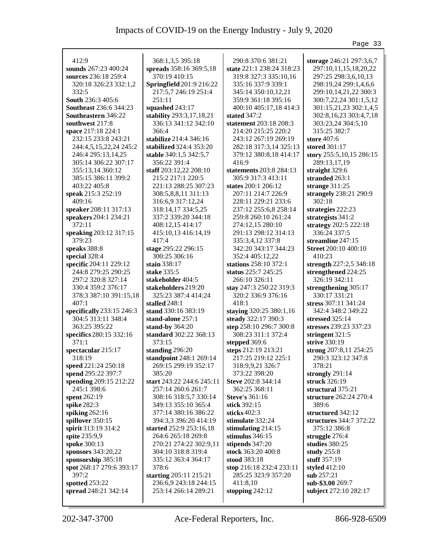|                                   |                                 |                                 | Page 33                                   |
|-----------------------------------|---------------------------------|---------------------------------|-------------------------------------------|
| 412:9                             | 368:1,3,5 395:18                | 290:8 370:6 381:21              | storage 246:21 297:3,6,7                  |
| sounds 267:23 400:24              | spreads 358:16 369:5,18         | state 221:1 238:24 318:23       | 297:10,11,15,18,20,22                     |
| sources 236:18 259:4              | 370:19 410:15                   | 319:8 327:3 335:10,16           | 297:25 298:3,6,10,13                      |
| 320:18 326:23 332:1,2             | <b>Springfield</b> 201:9 216:22 | 335:16 337:9 339:1              | 298:19,24 299:1,4,6,6                     |
| 332:5                             | 217:5,7 246:19 251:4            | 345:14 350:10,12,21             | 299:10,14,21,22 300:3                     |
| South 236:3 405:6                 | 251:11                          | 359:9 361:18 395:16             | 300:7,22,24 301:1,5,12                    |
| <b>Southeast</b> 236:6 344:23     | squashed 243:17                 | 400:10 405:17,18 414:3          | 301:15,21,23 302:1,4,5                    |
| <b>Southeastern</b> 346:22        | stability 293:3,17,18,21        | stated 347:2                    | 302:8, 16, 23 303:4, 7, 18                |
| southwest 217:8                   | 336:13 341:12 342:10            | statement 203:18 208:3          | 303:23,24 304:5,10                        |
| space 217:18 224:1                | 366:4                           | 214:20 215:25 220:2             | 315:25 382:7                              |
| 232:15 233:8 243:21               | stabilize 214:4 346:16          | 243:12 267:19 269:19            | store 407:6                               |
| 244:4,5,15,22,24 245:2            | stabilized 324:4 353:20         | 282:18 317:3,14 325:13          | stored 301:17                             |
| 246:4 295:13,14,25                | stable 340:1,5 342:5,7          | 379:12 380:8,18 414:17          | story 255:5,10,15 286:15                  |
| 305:14 306:22 307:17              | 356:22 391:4                    | 416:9                           | 289:13,17,19                              |
| 355:13,14 360:12                  | staff 203:12,22 208:10          | statements 203:8 284:13         | straight 329:6                            |
| 385:15 386:11 399:2               | 215:2 217:1 220:5               | 305:9 317:3 413:11              | stranded 263:1                            |
| 403:22 405:8                      | 221:13 288:25 307:23            | states 200:1 206:12             | strange $311:25$                          |
| speak 215:3 252:19                | 308:5,8,8,11 311:13             | 207:11 214:7 226:9              | strangely 238:21 290:9                    |
| 409:16                            | 316:6,9 317:12,24               | 228:11 229:21 233:6             | 302:18                                    |
| speaker 208:11 317:13             | 318:14,17 334:5,25              | 237:12 255:6,8 258:14           | strategies 222:23                         |
| speakers 204:1 234:21             | 337:2 339:20 344:18             | 259:8 260:10 261:24             | strategists 341:2                         |
| 372:11                            | 408:12,15 414:17                | 274:12,15 280:10                | strategy 202:5 222:18                     |
| speaking 203:12 317:15            | 415:10,13 416:14,19             | 291:13 298:12 314:13            | 336:24 337:5                              |
| 379:23                            | 417:4                           | 335:3,4,12 337:8                | streamline $247:15$                       |
| speaks 388:8                      | stage 295:22 296:15             | 342:20 343:17 344:23            | <b>Street</b> 200:10 400:10               |
| special 328:4                     | 300:25 306:16                   | 352:4 405:12,22                 | 410:23                                    |
| specific 204:11 229:12            | stain 338:17                    | stations 258:10 372:1           | strength 227:2,5 348:18                   |
| 244:8 279:25 290:25               | stake 335:5                     | status 225:7 245:25             | strengthened 224:25                       |
| 297:2 320:8 327:14                | stakeholder 404:5               | 266:10 326:11                   | 326:19 342:11                             |
| 330:4 359:2 376:17                | stakeholders 219:20             | stay 247:3 250:22 319:3         | strengthening 305:17                      |
| 378:3 387:10 391:15,18            | 325:23 387:4 414:24             | 320:2 336:9 376:16              | 330:17 331:21                             |
| 407:1                             | stalled 248:1                   | 418:1                           | stress 307:11 341:24                      |
| specifically 233:15 246:3         | stand 330:16 383:19             | staying 320:25 380:1,16         | 342:4 348:2 349:22                        |
| 304:5 313:11 348:4                | stand-alone 257:1               | steady 322:17 390:3             | stressed 325:14                           |
| 363:25 395:22                     | stand-by 364:20                 | step 258:10 296:7 300:8         | stresses 239:23 337:23                    |
| specifics 280:15 332:16           | standard 302:22 368:13          | 308:23 311:1 372:4              | stringent 321:5                           |
| 371:1                             | 373:15                          | stepped 369:6                   | strive 330:19                             |
| spectacular 215:17                | standing $296:20$               | steps 212:19 213:21             | strong 207:8,11 254:25                    |
| 318:19                            | standpoint 248:1 269:14         | 217:25 219:12 225:1             | 290:3 323:12 347:8                        |
| speed 221:24 250:18               | 269:15 299:19 352:17            | 318:9,9,21 326:7                | 378:21                                    |
| spend 295:22 397:7                | 385:20                          | 373:22 398:20                   | strongly $291:14$                         |
| spending 209:15 212:22            | start 243:22 244:6 245:11       | Steve 202:8 344:14              | struck 326:19                             |
| 245:1 398:6                       | 257:14 260:6 261:7              | 362:25 368:11                   | structural 375:21                         |
| spent 262:19                      | 308:16 318:5,7 330:14           | <b>Steve's 361:16</b>           | structure 262:24 270:4                    |
| spike 282:3                       | 349:13 355:10 365:4             | stick 392:15                    | 389:6                                     |
| spiking $262:16$                  | 377:14 380:16 386:22            | sticks $402:3$                  | structured 342:12                         |
| spillover 350:15                  | 394:3,3 396:20 414:19           | stimulate 332:24                | structures 344:7 372:22                   |
| spirit 313:19 314:2               | started 252:9 253:16,18         | stimulating $214:15$            | 375:12 386:8                              |
| spite 235:9,9                     | 264:6 265:18 269:8              | stimulus $346:15$               | struggle 276:4                            |
| spoke 300:13                      | 270:21 274:22 302:9,11          | stipends 347:20                 | studies $380:25$                          |
| sponsors 343:20,22                | 304:10 318:8 319:4              | stock 363:20 400:8              | study $255:8$                             |
| sponsorship 385:18                | 335:12 363:4 364:17             | stood 383:18                    | stuff 357:19                              |
| spot 268:17 279:6 393:17<br>397:2 | 378:6<br>starting 205:11 215:21 | stop 216:18 232:4 233:11        | styled 412:10<br>sub 257:21               |
| spotted 253:22                    | 236:6,9 243:18 244:15           | 285:25 323:9 357:20<br>411:8,10 |                                           |
| spread 248:21 342:14              | 253:14 266:14 289:21            |                                 | sub-\$3.00 269:7<br>subject 272:10 282:17 |
|                                   |                                 | stopping $242:12$               |                                           |
|                                   |                                 |                                 |                                           |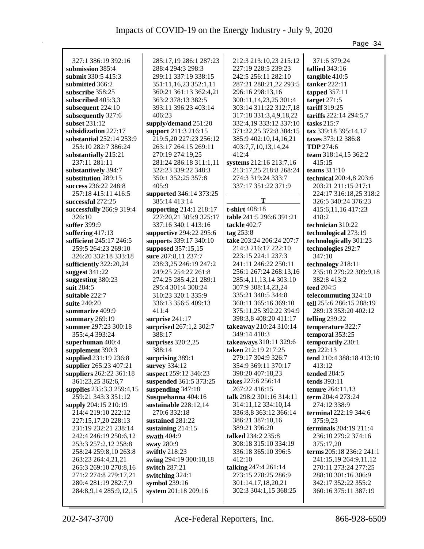|                                                |                          |                                             | Page 34                                     |
|------------------------------------------------|--------------------------|---------------------------------------------|---------------------------------------------|
|                                                |                          |                                             |                                             |
| 327:1 386:19 392:16                            | 285:17,19 286:1 287:23   | 212:3 213:10,23 215:12                      | 371:6 379:24                                |
| submission 385:4                               | 288:4 294:3 298:3        | 227:19 228:5 239:23                         | <b>tallied</b> 343:16                       |
| submit 330:5 415:3                             | 299:11 337:19 338:15     | 242:5 256:11 282:10                         | tangible 410:5                              |
| submitted 366:2                                | 351:11, 16, 23 352:1, 11 | 287:21 288:21,22 293:5                      | tanker 222:11                               |
| subscribe 358:25                               | 360:21 361:13 362:4,21   | 296:16 298:13,16                            | tapped $357:11$                             |
| subscribed $405:3,3$                           | 363:2 378:13 382:5       | 300:11,14,23,25 301:4                       | target 271:5                                |
| subsequent $224:10$                            | 393:11 396:23 403:14     | 303:14 311:22 312:7,18                      | tariff 319:25                               |
| subsequently 327:6                             | 406:23                   | 317:18 331:3,4,9,18,22                      | tariffs 222:14 294:5,7                      |
| subset 231:12                                  | supply/demand 251:20     | 332:4,19 333:12 337:10                      | tasks $215:7$                               |
| subsidization 227:17                           | support 211:3 216:15     | 371:22,25 372:8 384:15                      | tax 339:18 395:14,17                        |
| substantial 252:14 253:9                       | 219:5,20 227:23 256:12   | 385:9 402:10,14,16,21                       | taxes 373:12 386:8                          |
| 253:10 282:7 386:24                            | 263:17 264:15 269:11     | 403:7,7,10,13,14,24                         | <b>TDP</b> 274:6                            |
| substantially 215:21                           | 270:19 274:19,25         | 412:4                                       | team 318:14,15 362:2                        |
| 237:11 281:11                                  | 281:24 286:18 311:1,11   | systems 212:16 213:7,16                     | 415:15                                      |
| substantively 394:7                            | 322:23 339:22 348:3      | 213:17,25 218:8 268:24                      | teams $311:10$                              |
| substitution 289:15                            | 350:1 352:25 357:8       | 274:3 319:24 333:7                          | technical 200:4,8 203:6                     |
| success 236:22 248:8                           | 405:9                    | 337:17 351:22 371:9                         | 203:21 211:15 217:1                         |
| 257:18 415:11 416:5                            | supported 346:14 373:25  |                                             | 224:17 316:18,25 318:2                      |
| successful 272:25                              | 385:14 413:14            | T                                           | 326:5 340:24 376:23                         |
| successfully 266:9 319:4                       | supporting 214:1 218:17  | t-shirt 408:18                              | 415:6, 11, 16 417:23                        |
| 326:10                                         | 227:20,21 305:9 325:17   | table 241:5 296:6 391:21                    | 418:2                                       |
| suffer 399:9                                   | 337:16 340:1 413:16      | tackle 402:7                                | technician 310:22                           |
| suffering $417:13$                             | supportive 294:22 295:6  | tag $253:8$                                 | technological 273:19                        |
| sufficient 245:17 246:5                        | supports 339:17 340:10   | take 203:24 206:24 207:7                    | technologically 301:23                      |
| 259:5 264:23 269:10                            | supposed 357:15,15       | 214:3 216:17 222:10                         | technologies 292:7                          |
| 326:20 332:18 333:18                           | sure 207:8,11 237:7      | 223:15 224:1 237:3                          | 347:10                                      |
| sufficiently 322:20,24                         | 238:3,25 246:19 247:2    | 241:11 246:22 250:11                        | technology 218:11                           |
| suggest 341:22                                 | 249:25 254:22 261:8      | 256:1 267:24 268:13,16                      | 235:10 279:22 309:9,18                      |
| suggesting 380:23                              | 274:25 285:4,21 289:1    | 285:4,11,13,14 303:10                       | 382:8 413:2                                 |
| suit 284:5                                     | 295:4 301:4 308:24       | 307:9 308:14,23,24                          | teed 204:5                                  |
| suitable 222:7                                 | 310:23 320:1 335:9       | 335:21 340:5 344:8                          | telecommuting 324:10                        |
| suite 240:20                                   | 336:13 356:5 409:13      | 360:11 365:16 369:10                        | tell 255:6 286:15 288:19                    |
| summarize 409:9                                | 411:4                    | 375:11,25 392:22 394:9                      | 289:13 353:20 402:12                        |
| summary $269:19$                               | surprise $241:17$        | 398:3,8 408:20 411:17                       | telling $239:22$                            |
| summer 297:23 300:18                           | surprised 267:1,2 302:7  | takeaway 210:24 310:14                      | temperature 322:7                           |
| 355:4,4 393:24                                 | 388:17                   | 349:14 410:3                                | temporal 353:25                             |
| superhuman 400:4                               | surprises $320:2,25$     | takeaways 310:11 329:6                      | temporarily 230:1                           |
| supplement 390:3                               | 388:14                   | taken 212:19 217:25                         | ten 222:13                                  |
| supplied 231:19 236:8                          | surprising 389:1         | 279:17 304:9 326:7                          | tend 210:4 388:18 413:10                    |
| supplier 265:23 407:21                         | survey 334:12            | 354:9 369:11 370:17                         | 413:12                                      |
| suppliers 262:22 361:18                        | suspect 259:12 346:23    | 398:20 407:18,23                            | tended 284:5                                |
| 361:23,25 362:6,7                              | suspended 361:5 373:25   | takes 227:6 256:14                          | <b>tends</b> 393:11                         |
| supplies 235:3,3 259:4,15                      | suspending 347:18        | 267:22 416:15                               | tenure 264:11,13                            |
| 259:21 343:3 351:12                            | Susquehanna 404:16       | talk 298:2 301:16 314:11                    | term 204:4 273:24                           |
| supply 204:15 210:19                           | sustainable 228:12,14    | 314:11,12 334:10,14                         | 274:12 338:9                                |
| 214:4 219:10 222:12                            | 270:6 332:18             | 336:8,8 363:12 366:14                       | terminal 222:19 344:6                       |
| 227:15,17,20 228:13                            | sustained 281:22         | 386:21 387:10,16                            | 375:9,23                                    |
| 231:19 232:21 238:14                           | sustaining $214:15$      | 389:21 396:20                               | terminals 204:19 211:4                      |
| 242:4 246:19 250:6,12                          | swath 404:9              | talked 234:2 235:8                          | 236:10 279:2 374:16                         |
| 253:3 257:2,12 258:8                           | sway 280:9               | 308:18 315:10 334:19                        | 375:17,20                                   |
| 258:24 259:8,10 263:8                          | swiftly 218:23           | 336:18 365:10 396:5                         | terms 205:18 236:2 241:1                    |
| 263:23 264:4,21,21                             | swing 294:19 300:18,18   | 412:10                                      | 241:15,19 264:9,11,12                       |
|                                                |                          |                                             |                                             |
| 265:3 269:10 270:8,16<br>271:2 274:8 279:17,21 | switch 287:21            | talking 247:4 261:14<br>273:15 278:25 286:9 | 270:11 273:24 277:25<br>288:10 301:16 306:9 |
|                                                | switching 324:1          |                                             |                                             |
| 280:4 281:19 282:7,9                           | symbol 239:16            | 301:14,17,18,20,21                          | 342:17 352:22 355:2                         |
| 284:8,9,14 285:9,12,15                         | system 201:18 209:16     | 302:3 304:1,15 368:25                       | 360:16 375:11 387:19                        |
|                                                |                          |                                             |                                             |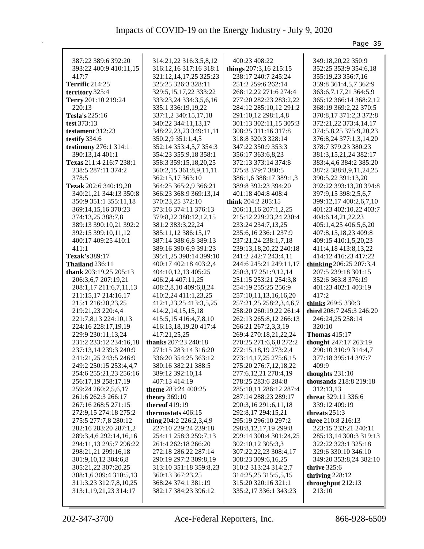|                                 |                                               |                                           | Page 35                                     |
|---------------------------------|-----------------------------------------------|-------------------------------------------|---------------------------------------------|
|                                 |                                               |                                           |                                             |
| 387:22 389:6 392:20             | 314:21,22 316:3,5,8,12                        | 400:23 408:22                             | 349:18,20,22 350:9                          |
| 393:22 400:9 410:11,15<br>417:7 | 316:12,16 317:16 318:1                        | things 207:3,16 215:15                    | 352:25 353:9 354:6,18                       |
| <b>Terrific</b> 214:25          | 321:12,14,17,25 325:23<br>325:25 326:3 328:11 | 238:17 240:7 245:24<br>251:2 259:6 262:14 | 355:19,23 356:7,16<br>359:8 361:4,5,7 362:9 |
|                                 |                                               |                                           |                                             |
| territory 325:4                 | 329:5, 15, 17, 22 333: 22                     | 268:12,22 271:6 274:4                     | 363:6,7,17,21 364:5,9                       |
| Terry 201:10 219:24             | 333:23,24 334:3,5,6,16                        | 277:20 282:23 283:2,22                    | 365:12 366:14 368:2,12                      |
| 220:13                          | 335:1 336:19,19,22                            | 284:12 285:10,12 291:2                    | 368:19 369:2,22 370:5                       |
| <b>Tesla's</b> 225:16           | 337:1,2 340:15,17,18                          | 291:10,12 298:1,4,8                       | 370:8,17 371:2,3 372:8                      |
| test $373:13$                   | 340:22 344:11,13,17                           | 301:13 302:11,15 305:3                    | 372:21,22 373:4,14,17                       |
| testament 312:23                | 348:22,23,23 349:11,11                        | 308:25 311:16 317:8                       | 374:5,8,25 375:9,20,23                      |
| testify 334:6                   | 350:2,9 351:1,4,5                             | 318:8 320:3 328:14                        | 376:8,24 377:1,3,14,20                      |
| testimony 276:1 314:1           | 352:14 353:4,5,7 354:3                        | 347:22 350:9 353:3                        | 378:7 379:23 380:23                         |
| 390:13,14 401:1                 | 354:23 355:9,18 358:1                         | 356:17 363:6,8,23                         | 381:3,15,21,24 382:17                       |
| Texas 211:4 216:7 238:1         | 358:3 359:15,18,20,25                         | 372:13 373:14 374:8                       | 383:4,4,6 384:2 385:20                      |
| 238:5 287:11 374:2              | 360:2,15 361:8,9,11,11                        | 375:8 379:7 380:5                         | 387:2 388:8,9,11,24,25                      |
| 378:5                           | 362:15,17 363:10                              | 386:1,6 388:17 389:1,3                    | 390:5,22 391:13,20                          |
| Tezak 202:6 340:19,20           | 364:25 365:2,9 366:21                         | 389:8 392:23 394:20                       | 392:22 393:13,20 394:8                      |
| 340:21,21 344:13 350:8          | 366:23 368:9 369:13,14                        | 401:18 404:8 408:4                        | 397:9,15 398:2,5,6,7                        |
| 350:9 351:1 355:11,18           | 370:23,25 372:10                              | think 204:2 205:15                        | 399:12,17 400:2,6,7,10                      |
| 369:14,15,16 370:23             | 373:16 374:11 376:13                          | 206:11,16 207:1,2,25                      | 401:23 402:10,22 403:7                      |
| 374:13,25 388:7,8               | 379:8,22 380:12,12,15                         | 215:12 229:23,24 230:4                    | 404:6,14,21,22,23                           |
| 389:13 390:10,21 392:2          | 381:2 383:3,22,24                             | 233:24 234:7,13,25                        | 405:1,4,25 406:5,6,20                       |
| 392:15 399:10,11,12             | 385:11,12 386:15,17                           | 235:6,16 236:1 237:9                      | 407:8,15,18,23 409:8                        |
| 400:17 409:25 410:1             | 387:14 388:6,8 389:13                         | 237:21,24 238:1,7,18                      | 409:15 410:1,5,20,23                        |
| 411:1                           | 389:16 390:6,9 391:23                         | 239:13,18,20,22 240:18                    | 411:4,18 413:8,13,22                        |
| Tezak's 389:17                  | 395:1,25 398:14 399:10                        | 241:2 242:7 243:4,11                      | 414:12 416:23 417:22                        |
| Thailand 236:11                 | 400:17 402:18 403:2,4                         | 244:6 245:21 249:11,17                    | thinking 206:25 207:3,4                     |
| thank 203:19,25 205:13          | 404:10,12,13 405:25                           | 250:3,17 251:9,12,14                      | 207:5 239:18 301:15                         |
| 206:3,6,7 207:19,21             | 406:2,4 407:11,25                             | 251:15 253:21 254:3,8                     | 352:6 363:8 376:19                          |
| 208:1,17 211:6,7,11,13          | 408:2,8,10 409:6,8,24                         | 254:19 255:25 256:9                       | 401:23 402:1 403:19                         |
| 211:15,17 214:16,17             | 410:2,24 411:1,23,25                          | 257:10,11,13,16,16,20                     | 417:2                                       |
| 215:1 216:20,23,25              | 412:1,23,25 413:3,5,25                        | 257:21,25 258:2,3,4,6,7                   | thinks 269:5 330:3                          |
| 219:21,23 220:4,4               | 414:2, 14, 15, 15, 18                         | 258:20 260:19,22 261:4                    | third 208:7 245:3 246:20                    |
| 221:7,8,13 224:10,13            | 415:5,15 416:4,7,8,10                         | 262:13 265:8,12 266:13                    | 246:24,25 258:14                            |
| 224:16 228:17,19,19             | 416:13,18,19,20 417:4                         | 266:21 267:2,3,3,19                       | 320:10                                      |
| 229:9 230:11,13,24              | 417:21,25,25                                  | 269:4 270:18,21,22,24                     | <b>Thomas</b> 415:17                        |
| 231:2 233:12 234:16,18          | thanks 207:23 240:18                          | 270:25 271:6,6,8 272:2                    | thought 247:17 263:19                       |
| 237:13,14 239:3 240:9           | 271:15 283:14 316:20                          | 272:15,18,19 273:2,4                      | 290:10 310:9 314:4,7                        |
| 241:21,25 243:5 246:9           | 336:20 354:25 363:12                          | 273:14,17,25 275:6,15                     | 377:18 395:14 397:7                         |
| 249:2 250:15 253:4,4,7          | 380:16 382:21 388:5                           | 275:20 276:7,12,18,22                     | 409:9                                       |
| 254:6 255:21,23 256:16          | 389:12 392:10,14                              | 277:6, 12, 21 278:4, 19                   | thoughts $231:10$                           |
| 256:17,19 258:17,19             | 407:13 414:19                                 | 278:25 283:6 284:8                        | thousands 218:8 219:18                      |
| 259:24 260:2,5,6,17             | theme 283:24 400:25                           | 285:10,11 286:12 287:4                    | 312:13,13                                   |
| 261:6 262:3 266:17              | <b>theory</b> 369:10                          | 287:14 288:23 289:17                      | threat 329:11 336:6                         |
| 267:16 268:5 271:15             | thereof 419:19                                | 290:3,16 291:6,11,18                      | 339:12 409:19                               |
| 272:9,15 274:18 275:2           | thermostats 406:15                            | 292:8,17 294:15,21                        | threats $251:3$                             |
| 275:5 277:7,8 280:12            | thing 204:2 226:2,3,4,9                       | 295:19 296:10 297:2                       | three 210:8 216:13                          |
| 282:16 283:20 287:1,2           | 227:10 229:24 239:18                          | 298:8, 12, 17, 19 299:8                   | 223:15 233:21 240:11                        |
| 289:3,4,6 292:14,16,16          | 254:11 258:3 259:7,13                         | 299:14 300:4 301:24,25                    | 285:13,14 300:3 319:13                      |
| 294:11,13 295:7 296:22          | 261:4 262:18 266:20                           | 302:10,12 305:3,3                         | 322:22 323:1 325:18                         |
| 298:21,21 299:16,18             | 272:18 286:22 287:14                          | 307:22,22,23 308:4,17                     | 329:6 330:10 346:10                         |
| 301:9,10,12 304:6,8             | 290:19 297:2 309:8,19                         | 308:23 309:6,16,25                        | 349:20 353:8,24 382:10                      |
| 305:21,22 307:20,25             | 313:10 351:18 359:8,23                        | 310:2 313:24 314:2,7                      | thrive 325:6                                |
| 308:1,6 309:4 310:5,13          | 360:13 367:23,25                              | 314:25,25 315:5,5,15                      | thriving $228:12$                           |
| 311:3,23 312:7,8,10,25          | 368:24 374:1 381:19                           | 315:20 320:16 321:1                       | throughput 212:13                           |
| 313:1, 19, 21, 23 314: 17       | 382:17 384:23 396:12                          | 335:2,17 336:1 343:23                     | 213:10                                      |
|                                 |                                               |                                           |                                             |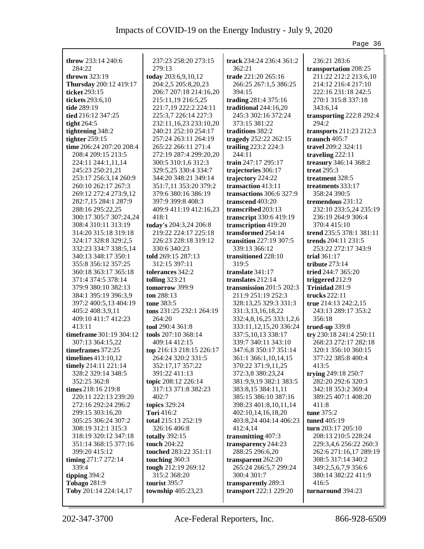|                          |                          |                            | Page 36                  |
|--------------------------|--------------------------|----------------------------|--------------------------|
| throw $233:14\,240:6$    | 237:23 258:20 273:15     | track 234:24 236:4 361:2   | 236:21 283:6             |
| 284:22                   | 279:13                   | 362:21                     | transportation 208:25    |
| thrown $323:19$          | today 203:6,9,10,12      | trade 221:20 265:16        | 211:22 212:2 213:6,10    |
| Thursday 200:12 419:17   | 204:2,5 205:8,20,23      | 266:25 267:1,5 386:25      | 214:12 216:4 217:10      |
| ticket 293:15            | 206:7 207:18 214:16,20   | 394:15                     | 222:16 231:18 242:5      |
| tickets 293:6,10         | 215:11,19 216:5,25       | trading 281:4 375:16       | 270:1 315:8 337:18       |
| tide 289:19              | 221:7,19 222:2 224:11    | traditional 244:16,20      | 343:6,14                 |
| tied 216:12 347:25       | 225:3,7 226:14 227:3     | 245:3 302:16 372:24        | transporting 222:8 292:4 |
| tight $264:5$            | 232:11,16,23 233:10,20   | 373:15 381:22              | 294:2                    |
| tightening 348:2         | 240:21 252:10 254:17     | traditions 382:2           | transports 211:23 212:3  |
| tighter $259:15$         | 257:24 263:11 264:19     | tragedy 252:22 262:15      | traunch 405:7            |
| time 206:24 207:20 208:4 | 265:22 266:11 271:4      | trailing 223:2 224:3       | travel 209:2 324:11      |
| 208:4 209:15 213:5       | 272:19 287:4 299:20,20   | 244:11                     | traveling 222:11         |
| 224:11 244:1,11,14       | 300:5 310:1,6 312:3      | train 247:17 295:17        | treasury 346:14 368:2    |
| 245:23 250:21,21         | 329:5,25 330:4 334:7     | trajectories 306:17        | treat $295:3$            |
| 253:17 256:3,14 260:9    | 344:20 348:21 349:14     | trajectory 224:22          | treatment 328:5          |
| 260:10 262:17 267:3      | 351:7,11 353:20 379:2    | transaction 413:11         | treatments 333:17        |
| 269:12 272:4 273:9,12    | 379:6 380:16 386:19      | transactions 306:6 327:9   | 358:24 390:5             |
| 282:7,15 284:1 287:9     | 397:9 399:8 408:3        | transcend 403:20           | tremendous 231:12        |
| 288:16 295:22,25         | 409:9 411:19 412:16,23   | transcribed 203:13         | 232:10 233:5,24 235:19   |
| 300:17 305:7 307:24,24   | 418:1                    | transcript 330:6 419:19    | 236:19 264:9 306:4       |
| 308:4 310:11 313:19      | today's 204:3,24 206:8   | transcription 419:20       | 370:4 415:10             |
| 314:20 315:18 319:18     | 219:22 224:17 225:18     | transformed 254:14         | trend 235:5 378:1 381:11 |
| 324:17 328:8 329:2,5     | 226:23 228:18 319:12     | transition 227:19 307:5    | trends 204:11 231:5      |
| 332:23 334:7 338:5,14    | 330:6 340:23             | 339:13 366:12              | 253:22 272:17 343:9      |
| 340:13 348:17 350:1      | told 269:15 287:13       | transitioned 228:10        | trial $361:17$           |
| 355:8 356:12 357:25      | 312:15 397:11            | 319:5                      | tribute 273:14           |
| 360:18 363:17 365:18     | tolerances 342:2         | translate 341:17           | tried 244:7 365:20       |
| 371:4 374:5 378:14       | <b>tolling</b> 323:21    | translates 212:14          | triggered 212:9          |
| 379:9 380:10 382:13      | tomorrow 399:9           | transmission 201:5 202:3   | Trinidad 281:9           |
| 384:1 395:19 396:3,9     | ton $288:13$             | 211:9 251:19 252:3         | trucks $222:11$          |
| 397:2 400:5,13 404:19    | <b>tone</b> 383:5        | 328:13,25 329:3 331:3      | true $214:13\,242:2,15$  |
| 405:2 408:3,9,11         | tons 231:25 232:1 264:19 | 331:3,13,16,18,22          | 243:13 289:17 353:2      |
| 409:10 411:7 412:23      | 264:20                   | 332:4,8,16,25 333:1,2,6    | 356:18                   |
| 413:11                   | tool 290:4 361:8         | 333:11, 12, 15, 20 336: 24 | trued-up $339:8$         |
| timeframe 301:19 304:12  | tools 207:10 368:14      | 337:5, 10, 13 338: 17      | try 230:18 241:4 250:11  |
| 307:13 364:15,22         | 409:14 412:15            | 339:7 340:11 343:10        | 268:23 272:17 282:18     |
| timeframes 372:25        | top 216:13 218:15 226:17 | 347:6,8 350:17 351:14      | 320:1 356:10 360:15      |
| timelines $413:10,12$    | 264:24 320:2 331:5       | 361:1 366:1,10,14,15       | 377:22 385:8 400:4       |
| timely 214:11 221:14     | 352:17,17 357:22         | 370:22 371:9,11,25         | 413:5                    |
| 328:2 329:14 348:5       | 391:22 411:13            | 372:3,8 380:23,24          | trying 249:18 250:7      |
| 352:25 362:8             | topic 208:12 226:14      | 381:9,9,19 382:1 383:5     | 282:20 292:6 320:3       |
| times 218:16 219:8       | 317:13 371:8 382:23      | 383:8,15 384:11,11         | 342:18 353:2 369:4       |
| 220:11 222:13 239:20     | 402:7                    | 385:15 386:10 387:16       | 389:25 407:1 408:20      |
| 272:16 292:24 296:2      | topics 329:24            | 398:23 401:8,10,11,14      | 411:8                    |
| 299:15 303:16,20         | <b>Tori</b> 416:2        | 402:10,14,16,18,20         | tune 375:2               |
| 305:25 306:24 307:2      | total 215:13 252:19      | 403:8,24 404:14 406:23     | tuned 405:19             |
| 308:19 312:1 315:3       | 326:16 406:8             | 412:4,14                   | turn 203:17 205:10       |
| 318:19 320:12 347:18     | totally $392:15$         | transmitting 407:3         | 208:13 210:5 228:24      |
| 351:14 368:15 377:16     | touch 204:22             | transparency 244:23        | 229:3,4,6 256:22 260:3   |
| 399:20 415:12            | touched 283:22 351:11    | 288:25 296:6,20            | 262:6 271:16,17 289:19   |
| timing 271:7 272:14      | touching 360:3           | transparent 262:20         | 308:5 317:14 340:2       |
| 339:4                    | tough 212:19 269:12      | 265:24 266:5,7 299:24      | 349:2,5,6,7,9 356:6      |
| tipping 394:2            | 315:2 368:20             | 300:4 301:7                | 380:14 382:22 411:9      |
| <b>Tobago 281:9</b>      | tourist 395:7            | transparently 289:3        | 416:5                    |
| Toby 201:14 224:14,17    | township 405:23,23       | transport 222:1 229:20     | turnaround 394:23        |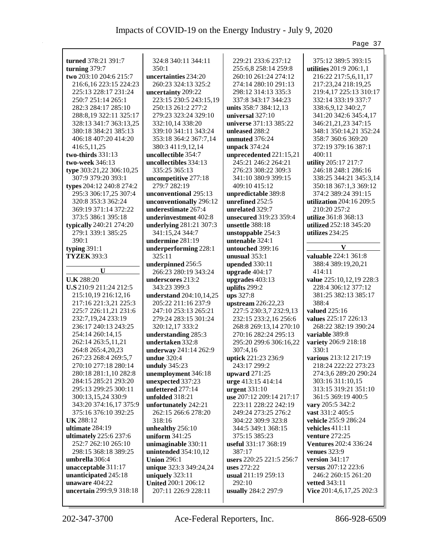|                                         |                            |                          | Page 37                      |
|-----------------------------------------|----------------------------|--------------------------|------------------------------|
|                                         | 324:8 340:11 344:11        |                          |                              |
| turned 378:21 391:7                     | 350:1                      | 229:21 233:6 237:12      | 375:12 389:5 393:15          |
| turning 379:7<br>two 203:10 204:6 215:7 | uncertainties 234:20       | 255:6,8 258:14 259:8     | utilities 201:9 206:1,1      |
|                                         |                            | 260:10 261:24 274:12     | 216:22 217:5,6,11,17         |
| 216:6, 16 223:15 224:23                 | 260:23 324:13 325:2        | 274:14 280:10 291:13     | 217:23,24 218:19,25          |
| 225:13 228:17 231:24                    | uncertainty 209:22         | 298:12 314:13 335:3      | 219:4,17 225:13 310:17       |
| 250:7 251:14 265:1                      | 223:15 230:5 243:15,19     | 337:8 343:17 344:23      | 332:14 333:19 337:7          |
| 282:3 284:17 285:10                     | 250:13 261:2 277:2         | units 358:7 384:12,13    | 338:6,9,12 340:2,7           |
| 288:8,19 322:11 325:17                  | 279:23 323:24 329:10       | universal 327:10         | 341:20 342:6 345:4,17        |
| 328:13 341:7 363:13,25                  | 332:10,14 338:20           | universe 371:13 385:22   | 346:21,21,23 347:15          |
| 380:18 384:21 385:13                    | 339:10 341:11 343:24       | unleased 288:2           | 348:1 350:14,21 352:24       |
| 406:18 407:20 414:20                    | 353:18 364:2 367:7,14      | unmuted 376:24           | 358:7 360:6 369:20           |
| 416:5,11,25                             | 380:3 411:9,12,14          | unpack 374:24            | 372:19 379:16 387:1          |
| two-thirds $331:13$                     | uncollectible 354:7        | unprecedented 221:15,21  | 400:11                       |
| two-week 346:13                         | uncollectibles 334:13      | 245:21 246:2 264:21      | utility 205:17 217:7         |
| type 303:21,22 306:10,25                | 335:25 365:13              | 276:23 308:22 309:3      | 246:18 248:1 286:16          |
| 307:9 379:20 393:1                      | uncompetitive 277:18       | 341:10 380:9 399:15      | 338:25 344:21 345:3,14       |
| types 204:12 240:8 274:2                | 279:7 282:19               | 409:10 415:12            | 350:18 367:1,3 369:12        |
| 295:3 306:17,25 307:4                   | unconventional 295:13      | unpredictable 389:8      | 374:2 389:24 391:15          |
| 320:8 353:3 362:24                      | unconventionally 296:12    | unrefined 252:5          | utilization 204:16 209:5     |
| 369:19 371:14 372:22                    | underestimate 267:4        | unrelated 329:7          | 210:20 257:2                 |
| 373:5 386:1 395:18                      | underinvestment 402:8      | unsecured 319:23 359:4   | utilize 361:8 368:13         |
| typically 240:21 274:20                 | underlying 281:21 307:3    | unsettle 388:18          | utilized 252:18 345:20       |
| 279:1 339:1 385:25                      | 341:15,24 344:7            | unstoppable 254:3        | utilizes 234:25              |
| 390:1                                   | undermine 281:19           | untenable 324:1          |                              |
| typing 391:1                            | underperforming 228:1      | untouched 399:16         | V                            |
| <b>TYZEK 393:3</b>                      | 325:11                     | unusual $353:1$          | valuable 224:1 361:8         |
|                                         | underpinned 256:5          | upended 330:11           | 388:4 389:19,20,21           |
| $\mathbf{U}$                            | 266:23 280:19 343:24       | upgrade 404:17           | 414:11                       |
| <b>U.K</b> 288:20                       | underscores 213:2          | upgrades 403:13          | value 225:10,12,19 228:3     |
| U.S 210:9 211:24 212:5                  | 343:23 399:3               | uplifts 299:2            | 228:4 306:12 377:12          |
| 215:10,19 216:12,16                     | understand 204:10,14,25    | ups 327:8                | 381:25 382:13 385:17         |
| 217:16 221:3,21 225:3                   | 205:22 211:16 237:9        | upstream 226:22,23       | 388:4                        |
| 225:7 226:11,21 231:6                   | 247:10 253:13 265:21       | 227:5 230:3,7 232:9,13   | valued 225:16                |
| 232:7,19,24 233:19                      | 279:24 283:15 301:24       | 232:15 233:2,16 256:6    | values 225:17 226:13         |
| 236:17 240:13 243:25                    | 320:12,17 333:2            | 268:8 269:13,14 270:10   | 268:22 382:19 390:24         |
| 254:14 260:14,15                        | understanding 285:3        | 270:16 282:24 295:13     | variable 389:8               |
| 262:14 263:5,11,21                      | undertaken 332:8           | 295:20 299:6 306:16,22   | variety 206:9 218:18         |
| 264:8 265:4,20,23                       | underway 241:14 262:9      | 307:4,16                 | 330:1                        |
| 267:23 268:4 269:5,7                    | <b>undue</b> 320:4         | uptick 221:23 236:9      | various 213:12 217:19        |
| 270:10 277:18 280:14                    | unduly 345:23              | 243:17 299:2             | 218:24 222:22 273:23         |
| 280:18 281:1,10 282:8                   | unemployment 346:18        | upward $271:25$          | 274:3,6 289:20 290:24        |
| 284:15 285:21 293:20                    | unexpected 337:23          | urge 413:15 414:14       | 303:16 311:10,15             |
| 295:13 299:25 300:11                    | unfettered 277:14          | urgent 331:10            | 313:15 319:21 351:10         |
| 300:13,15,24 330:9                      | unfolded 318:21            | use 207:12 209:14 217:17 | 361:5 369:19 400:5           |
| 343:20 374:16,17 375:9                  | unfortunately 242:21       | 223:11 228:22 242:19     | vary 205:5 342:2             |
| 375:16 376:10 392:25                    | 262:15 266:6 278:20        | 249:24 273:25 276:2      | vast 331:2 405:5             |
| <b>UK</b> 288:12                        | 318:16                     | 304:22 309:9 323:8       | vehicle 255:9 286:24         |
| ultimate 284:19                         | unhealthy 256:10           | 344:5 349:1 368:15       | vehicles $411:11$            |
| ultimately 225:6 237:6                  | uniform 341:25             | 375:15 385:23            | venture 272:25               |
| 252:7 262:10 265:10                     | unimaginable 330:11        | useful 331:17 368:19     | <b>Ventures</b> 202:4 336:24 |
| 298:15 368:18 389:25                    | unintended 354:10,12       | 387:17                   | venues 323:9                 |
| umbrella 306:4                          | <b>Union 296:1</b>         | users 220:25 221:5 256:7 | version 341:17               |
| unacceptable 311:17                     | unique 323:3 349:24,24     | uses 272:22              | versus 207:12 223:6          |
| unanticipated 245:18                    | uniquely 323:11            | usual 211:19 259:13      | 246:2 260:15 261:20          |
| unaware 404:22                          | <b>United 200:1 206:12</b> | 292:10                   | vetted 343:11                |
| uncertain 299:9,9 318:18                | 207:11 226:9 228:11        | usually 284:2 297:9      | Vice 201:4,6,17,25 202:3     |
|                                         |                            |                          |                              |
|                                         |                            |                          |                              |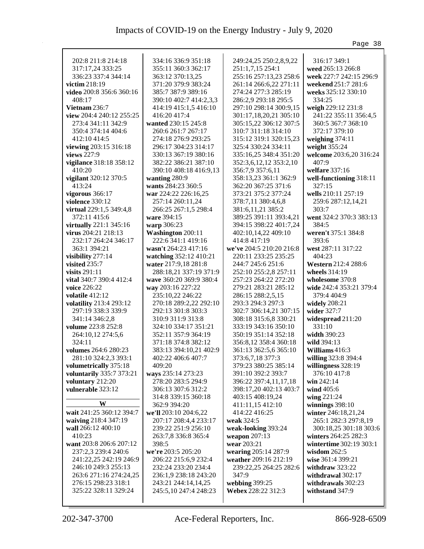|                                          |                         |                          | Page 38                             |
|------------------------------------------|-------------------------|--------------------------|-------------------------------------|
|                                          |                         |                          |                                     |
| 202:8 211:8 214:18                       | 334:16 336:9 351:18     | 249:24,25 250:2,8,9,22   | 316:17 349:1                        |
| 317:17,24 333:25                         | 355:11 360:3 362:17     | 251:1,7,15 254:1         | weed 265:13 266:8                   |
| 336:23 337:4 344:14<br>victim 218:19     | 363:12 370:13,25        | 255:16 257:13,23 258:6   | week 227:7 242:15 296:9             |
|                                          | 371:20 379:9 383:24     | 261:14 266:6,22 271:11   | weekend 251:7 281:6                 |
| video 200:8 356:6 360:16<br>408:17       | 385:7 387:9 389:16      | 274:24 277:3 285:19      | weeks 325:12 330:10<br>334:25       |
|                                          | 390:10 402:7 414:2,3,3  | 286:2,9 293:18 295:5     |                                     |
| Vietnam 236:7                            | 414:19 415:1,5 416:10   | 297:10 298:14 300:9,15   | weigh 229:12 231:8                  |
| view 204:4 240:12 255:25                 | 416:20 417:4            | 301:17,18,20,21 305:10   | 241:22 355:11 356:4,5               |
| 273:4 341:11 342:9<br>350:4 374:14 404:6 | wanted 230:15 245:8     | 305:15,22 306:12 307:5   | 360:5 367:7 368:10<br>372:17 379:10 |
| 412:10 414:5                             | 260:6 261:7 267:17      | 310:7 311:18 314:10      |                                     |
|                                          | 274:18 276:9 293:25     | 315:12 319:1 320:15,23   | weighing 374:11                     |
| viewing 203:15 316:18                    | 296:17 304:23 314:17    | 325:4 330:24 334:11      | weight 355:24                       |
| views 227:9                              | 330:13 367:19 380:16    | 335:16,25 348:4 351:20   | welcome 203:6,20 316:24             |
| vigilance 318:18 358:12                  | 382:22 386:21 387:10    | 352:3,6,12,12 353:2,10   | 407:9                               |
| 410:20                                   | 390:10 408:18 416:9,13  | 356:7,9 357:6,11         | welfare 337:16                      |
| vigilant 320:12 370:5                    | wanting 280:9           | 358:13,23 361:1 362:9    | well-functioning 318:11             |
| 413:24                                   | wants 284:23 360:5      | 362:20 367:25 371:6      | 327:15                              |
| vigorous $366:17$                        | war 224:22 226:16,25    | 373:21 375:2 377:24      | wells 210:11 257:19                 |
| <b>violence</b> 330:12                   | 257:14 260:11,24        | 378:7,11 380:4,6,8       | 259:6 287:12,14,21                  |
| virtual 229:1,5 349:4,8                  | 266:25 267:1,5 298:4    | 381:6,11,21 385:2        | 303:7                               |
| 372:11 415:6                             | ware 394:15             | 389:25 391:11 393:4,21   | went 324:2 370:3 383:13             |
| virtually 221:1 345:16                   | warp 306:23             | 394:15 398:22 401:7,24   | 384:5                               |
| virus 204:21 218:13                      | Washington 200:11       | 402:10,14,22 409:10      | weren't 375:1 384:8                 |
| 232:17 264:24 346:17                     | 222:6 341:1 419:16      | 414:8 417:19             | 393:6                               |
| 363:1 394:21                             | wasn't 264:23 417:16    | we've 204:5 210:20 216:8 | west 287:11 317:22                  |
| visibility 277:14                        | watching 352:12 410:21  | 220:11 233:25 235:25     | 404:23                              |
| visited 235:7                            | water 217:9,18 281:8    | 244:7 245:6 251:6        | Western 212:4 288:6                 |
| visits $291:11$                          | 288:18,21 337:19 371:9  | 252:10 255:2,8 257:11    | wheels 314:19                       |
| vital 340:7 390:4 412:4                  | wave 360:20 369:9 380:4 | 257:23 264:22 272:20     | wholesome 370:8                     |
| voice 226:22                             | way 203:16 227:22       | 279:21 283:21 285:12     | wide 242:4 353:21 379:4             |
| volatile 412:12                          | 235:10,22 246:22        | 286:15 288:2,5,15        | 379:4 404:9                         |
| volatility 213:4 293:12                  | 270:18 289:2,22 292:10  | 293:3 294:3 297:3        | widely 208:21                       |
| 297:19 338:3 339:9                       | 292:13 301:8 303:3      | 302:7 306:14,21 307:15   | wider 327:7                         |
| 341:14 346:2,8                           | 310:9 311:9 313:8       | 308:18 315:6,8 330:21    | widespread 211:20                   |
| volume 223:8 252:8                       | 324:10 334:17 351:21    | 333:19 343:16 350:10     | 331:10                              |
| 264:10,12 274:5,6                        | 352:11 357:9 364:19     | 350:19 351:14 352:18     | width 390:23                        |
| 324:11                                   | 371:18 374:8 382:12     | 356:8,12 358:4 360:18    | wild 394:13                         |
| volumes 264:6 280:23                     | 383:13 394:10,21 402:9  | 361:13 362:5,6 365:10    | Williams 416:3                      |
| 281:10 324:2,3 393:1                     | 402:22 406:6 407:7      | 373:6,7,18 377:3         | willing 323:8 394:4                 |
| volumetrically 375:18                    | 409:20                  | 379:23 380:25 385:14     | willingness 328:19                  |
| voluntarily 335:7 373:21                 | ways 235:14 273:23      | 391:10 392:2 393:7       | 376:10 417:8                        |
| voluntary 212:20                         | 278:20 283:5 294:9      | 396:22 397:4,11,17,18    | win 242:14                          |
| vulnerable 323:12                        | 306:13 307:6 312:2      | 398:17,20 402:13 403:7   | wind $405:6$                        |
| W                                        | 314:8 339:15 360:18     | 403:15 408:19,24         | wing 221:24                         |
|                                          | 362:9 394:20            | 411:11,15 412:10         | winnings $398:10$                   |
| wait 241:25 360:12 394:7                 | we'll 203:10 204:6,22   | 414:22 416:25            | winter 246:18,21,24                 |
| waiving 218:4 347:19                     | 207:17 208:4,4 233:17   | weak 324:5               | 265:1 282:3 297:8,19                |
| wall 266:12 400:10                       | 239:22 251:9 256:10     | weak-looking 393:24      | 300:18,25 301:18 303:6              |
| 410:23                                   | 263:7,8 336:8 365:4     | weapon $207:13$          | winters 264:25 282:3                |
| want 203:8 206:6 207:12                  | 398:5                   | wear 203:21              | wintertime 302:19 303:1             |
| 237:2,3 239:4 240:6                      | we're 203:5 205:20      | wearing 205:14 287:9     | wisdom $262:5$                      |
| 241:22,25 242:19 246:9                   | 206:22 215:6,9 232:4    | weather 209:16 212:19    | wise 361:4 399:21                   |
| 246:10 249:3 255:13                      | 232:24 233:20 234:4     | 239:22,25 264:25 282:6   | withdraw 323:22                     |
| 263:6 271:16 274:24,25                   | 236:1,9 238:18 243:20   | 347:9                    | withdrawal 302:17                   |
| 276:15 298:23 318:1                      | 243:21 244:14,14,25     | webbing 399:25           | withdrawals 302:23                  |
| 325:22 328:11 329:24                     | 245:5,10 247:4 248:23   | Webex 228:22 312:3       | withstand 347:9                     |
|                                          |                         |                          |                                     |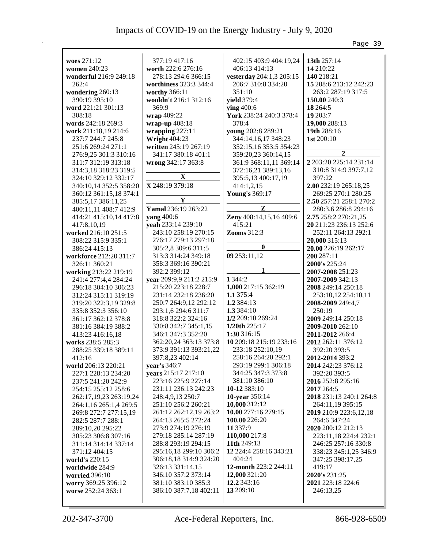|                                                                                                                                                                                                                                                                                                                                                                                                                                                                                                                                                                                                                                                                                                                                                                                                      |                                                                                                                                                                                                                                                                                                                                                                                                                                                                                                                                                                                                                                                                                                                                |                                                                                                                                                                                                                                                                                                                                                                                                                                                                                                                                                                                                                             | Page 39                                                                                                                                                                                                                                                                                                                                                                                                                                                                                                                                                                                                                                                                                        |
|------------------------------------------------------------------------------------------------------------------------------------------------------------------------------------------------------------------------------------------------------------------------------------------------------------------------------------------------------------------------------------------------------------------------------------------------------------------------------------------------------------------------------------------------------------------------------------------------------------------------------------------------------------------------------------------------------------------------------------------------------------------------------------------------------|--------------------------------------------------------------------------------------------------------------------------------------------------------------------------------------------------------------------------------------------------------------------------------------------------------------------------------------------------------------------------------------------------------------------------------------------------------------------------------------------------------------------------------------------------------------------------------------------------------------------------------------------------------------------------------------------------------------------------------|-----------------------------------------------------------------------------------------------------------------------------------------------------------------------------------------------------------------------------------------------------------------------------------------------------------------------------------------------------------------------------------------------------------------------------------------------------------------------------------------------------------------------------------------------------------------------------------------------------------------------------|------------------------------------------------------------------------------------------------------------------------------------------------------------------------------------------------------------------------------------------------------------------------------------------------------------------------------------------------------------------------------------------------------------------------------------------------------------------------------------------------------------------------------------------------------------------------------------------------------------------------------------------------------------------------------------------------|
| woes 271:12<br>women 240:23<br>wonderful 216:9 249:18<br>262:4<br>wondering 260:13<br>390:19 395:10<br>word 221:21 301:13<br>308:18<br>words 242:18 269:3<br>work 211:18,19 214:6<br>237:7 244:7 245:8<br>251:6 269:24 271:1<br>276:9,25 301:3 310:16<br>311:7 312:19 313:18<br>314:3,18 318:23 319:5<br>324:10 329:12 332:17<br>340:10,14 352:5 358:20<br>360:12 361:15,18 374:1<br>385:5,17 386:11,25<br>400:11,11 408:7 412:9<br>414:21 415:10,14 417:8<br>417:8,10,19<br>worked 216:10 251:5<br>308:22 315:9 335:1<br>386:24 415:13<br>workforce 212:20 311:7<br>326:11 360:21<br>working 213:22 219:19<br>241:4 277:4,4 284:24<br>296:18 304:10 306:23<br>312:24 315:11 319:19<br>319:20 322:3,19 329:8<br>335:8 352:3 356:10<br>361:17 362:12 378:8<br>381:16 384:19 388:2<br>413:23 416:16,18 | 377:19 417:16<br>worth 222:6 276:16<br>278:13 294:6 366:15<br>worthiness 323:3 344:4<br>worthy 366:11<br>wouldn't 216:1 312:16<br>369:9<br>wrap 409:22<br>wrap-up 408:18<br>wrapping $227:11$<br><b>Wright 404:23</b><br>written 245:19 267:19<br>341:17 380:18 401:1<br>wrong 342:17 363:8<br>X<br>X 248:19 379:18<br>Y<br>Yamal 236:19 263:22<br><b>yang</b> 400:6<br>yeah 233:14 239:10<br>243:10 258:19 270:15<br>276:17 279:13 297:18<br>305:2,8 309:6 311:5<br>313:3 314:24 349:18<br>358:3 369:16 390:21<br>392:2 399:12<br>year 209:9,9 211:2 215:9<br>215:20 223:18 228:7<br>231:14 232:18 236:20<br>250:7 264:9,12 292:12<br>293:1,6 294:6 311:7<br>318:8 322:2 324:16<br>330:8 342:7 345:1,15<br>346:1 347:3 352:20 | 402:15 403:9 404:19,24<br>406:13 414:13<br>yesterday 204:1,3 205:15<br>206:7 310:8 334:20<br>351:10<br>yield 379:4<br>ying 400:6<br>York 238:24 240:3 378:4<br>378:4<br>young 202:8 289:21<br>344:14,16,17 348:23<br>352:15,16 353:5 354:23<br>359:20,23 360:14,15<br>361:9 368:11,11 369:14<br>372:16,21 389:13,16<br>395:5,13 400:17,19<br>414:1,2,15<br><b>Young's 369:17</b><br>$\mathbf{z}$<br>Zeny 408:14,15,16 409:6<br>415:21<br><b>Zooms</b> 312:3<br>$\bf{0}$<br>09 253:11,12<br>1 3 4 4 : 2<br>1,000 217:15 362:19<br>1.1 375:4<br>1.2 384:13<br>1.3 384:10<br>1/2 209:10 269:24<br>1/20th 225:17<br>1:30 316:15 | 13th 257:14<br>14 210:22<br>140 218:21<br>15 208:6 213:12 242:23<br>263:2 287:19 317:5<br>150.00 240:3<br>18 264:5<br>19 203:7<br>19,000 288:13<br>19th 288:16<br>1st 200:10<br>$\overline{2}$<br>2 203:20 225:14 231:14<br>310:8 314:9 397:7,12<br>397:22<br>2.00 232:19 265:18,25<br>269:25 270:1 280:25<br>2.50 257:21 258:1 270:2<br>280:3,6 286:8 294:16<br>2.75 258:2 270:21,25<br>20 211:23 236:13 252:6<br>252:11 264:13 292:1<br>20,000 315:13<br>20.00 226:19 262:17<br>200 287:11<br>2000's 225:24<br>2007-2008 251:23<br>2007-2009 342:13<br>2008 249:14 250:18<br>253:10,12 254:10,11<br>2008-2009 249:4,7<br>250:19<br>2009 249:14 250:18<br>2009-2010 262:10<br>2011-2012 266:4 |
|                                                                                                                                                                                                                                                                                                                                                                                                                                                                                                                                                                                                                                                                                                                                                                                                      |                                                                                                                                                                                                                                                                                                                                                                                                                                                                                                                                                                                                                                                                                                                                |                                                                                                                                                                                                                                                                                                                                                                                                                                                                                                                                                                                                                             |                                                                                                                                                                                                                                                                                                                                                                                                                                                                                                                                                                                                                                                                                                |
|                                                                                                                                                                                                                                                                                                                                                                                                                                                                                                                                                                                                                                                                                                                                                                                                      |                                                                                                                                                                                                                                                                                                                                                                                                                                                                                                                                                                                                                                                                                                                                |                                                                                                                                                                                                                                                                                                                                                                                                                                                                                                                                                                                                                             |                                                                                                                                                                                                                                                                                                                                                                                                                                                                                                                                                                                                                                                                                                |
|                                                                                                                                                                                                                                                                                                                                                                                                                                                                                                                                                                                                                                                                                                                                                                                                      |                                                                                                                                                                                                                                                                                                                                                                                                                                                                                                                                                                                                                                                                                                                                |                                                                                                                                                                                                                                                                                                                                                                                                                                                                                                                                                                                                                             |                                                                                                                                                                                                                                                                                                                                                                                                                                                                                                                                                                                                                                                                                                |
|                                                                                                                                                                                                                                                                                                                                                                                                                                                                                                                                                                                                                                                                                                                                                                                                      |                                                                                                                                                                                                                                                                                                                                                                                                                                                                                                                                                                                                                                                                                                                                |                                                                                                                                                                                                                                                                                                                                                                                                                                                                                                                                                                                                                             |                                                                                                                                                                                                                                                                                                                                                                                                                                                                                                                                                                                                                                                                                                |
|                                                                                                                                                                                                                                                                                                                                                                                                                                                                                                                                                                                                                                                                                                                                                                                                      |                                                                                                                                                                                                                                                                                                                                                                                                                                                                                                                                                                                                                                                                                                                                |                                                                                                                                                                                                                                                                                                                                                                                                                                                                                                                                                                                                                             |                                                                                                                                                                                                                                                                                                                                                                                                                                                                                                                                                                                                                                                                                                |
|                                                                                                                                                                                                                                                                                                                                                                                                                                                                                                                                                                                                                                                                                                                                                                                                      |                                                                                                                                                                                                                                                                                                                                                                                                                                                                                                                                                                                                                                                                                                                                |                                                                                                                                                                                                                                                                                                                                                                                                                                                                                                                                                                                                                             |                                                                                                                                                                                                                                                                                                                                                                                                                                                                                                                                                                                                                                                                                                |
| works 238:5 285:3<br>288:25 339:18 389:11<br>412:16                                                                                                                                                                                                                                                                                                                                                                                                                                                                                                                                                                                                                                                                                                                                                  | 362:20,24 363:13 373:8<br>373:9 391:13 393:21,22<br>397:8,23 402:14                                                                                                                                                                                                                                                                                                                                                                                                                                                                                                                                                                                                                                                            | 10 209:18 215:19 233:16<br>233:18 252:10,19<br>258:16 264:20 292:1                                                                                                                                                                                                                                                                                                                                                                                                                                                                                                                                                          | 2012 262:11 376:12<br>392:20 393:5<br>2012-2014 393:2                                                                                                                                                                                                                                                                                                                                                                                                                                                                                                                                                                                                                                          |
| world 206:13 220:21<br>227:1 228:13 234:20<br>237:5 241:20 242:9<br>254:15 255:12 258:6<br>262:17,19,23 263:19,24<br>264:1,16 265:1,4 269:5                                                                                                                                                                                                                                                                                                                                                                                                                                                                                                                                                                                                                                                          | year's 346:7<br>years 215:17 217:10<br>223:16 225:9 227:14<br>231:11 236:13 242:23<br>248:4,9,13 250:7<br>251:10 256:2 260:21                                                                                                                                                                                                                                                                                                                                                                                                                                                                                                                                                                                                  | 293:19 299:1 306:18<br>344:25 347:3 373:8<br>381:10 386:10<br>10-12 383:10<br>10-year 356:14<br>10,000 312:12                                                                                                                                                                                                                                                                                                                                                                                                                                                                                                               | 2014 242:23 376:12<br>392:20 393:5<br>2016 252:8 295:16<br>2017 264:5<br>2018 231:13 240:1 264:8<br>264:11,19 395:15                                                                                                                                                                                                                                                                                                                                                                                                                                                                                                                                                                           |
| 269:8 272:7 277:15,19<br>282:5 287:7 288:1<br>289:10,20 295:22<br>305:23 306:8 307:16                                                                                                                                                                                                                                                                                                                                                                                                                                                                                                                                                                                                                                                                                                                | 261:12 262:12,19 263:2<br>264:13 265:5 272:24<br>273:9 274:19 276:19<br>279:18 285:14 287:19                                                                                                                                                                                                                                                                                                                                                                                                                                                                                                                                                                                                                                   | 10.00 277:16 279:15<br>100.00 226:20<br>11 3 3 7:9<br>110,000 217:8                                                                                                                                                                                                                                                                                                                                                                                                                                                                                                                                                         | 2019 210:9 223:6,12,18<br>264:6 347:24<br>2020 200:12 212:13<br>223:11,18 224:4 232:1                                                                                                                                                                                                                                                                                                                                                                                                                                                                                                                                                                                                          |
| 311:14 314:14 337:14<br>371:12 404:15<br>world's 220:15<br>worldwide 284:9                                                                                                                                                                                                                                                                                                                                                                                                                                                                                                                                                                                                                                                                                                                           | 288:8 293:19 294:15<br>295:16,18 299:10 306:2<br>306:18,18 314:9 324:20<br>326:13 331:14,15                                                                                                                                                                                                                                                                                                                                                                                                                                                                                                                                                                                                                                    | 11th 249:13<br>12 224:4 258:16 343:21<br>404:24<br>12-month 223:2 244:11                                                                                                                                                                                                                                                                                                                                                                                                                                                                                                                                                    | 246:25 257:16 330:8<br>338:23 345:1,25 346:9<br>347:25 398:17,25<br>419:17                                                                                                                                                                                                                                                                                                                                                                                                                                                                                                                                                                                                                     |
| <b>worried</b> 396:10<br>worry 369:25 396:12<br>worse 252:24 363:1                                                                                                                                                                                                                                                                                                                                                                                                                                                                                                                                                                                                                                                                                                                                   | 346:10 357:2 373:14<br>381:10 383:10 385:3<br>386:10 387:7,18 402:11                                                                                                                                                                                                                                                                                                                                                                                                                                                                                                                                                                                                                                                           | 12,000 321:20<br>12.2 343:16<br>13 209:10                                                                                                                                                                                                                                                                                                                                                                                                                                                                                                                                                                                   | 2020's 231:25<br>2021 223:18 224:6<br>246:13,25                                                                                                                                                                                                                                                                                                                                                                                                                                                                                                                                                                                                                                                |